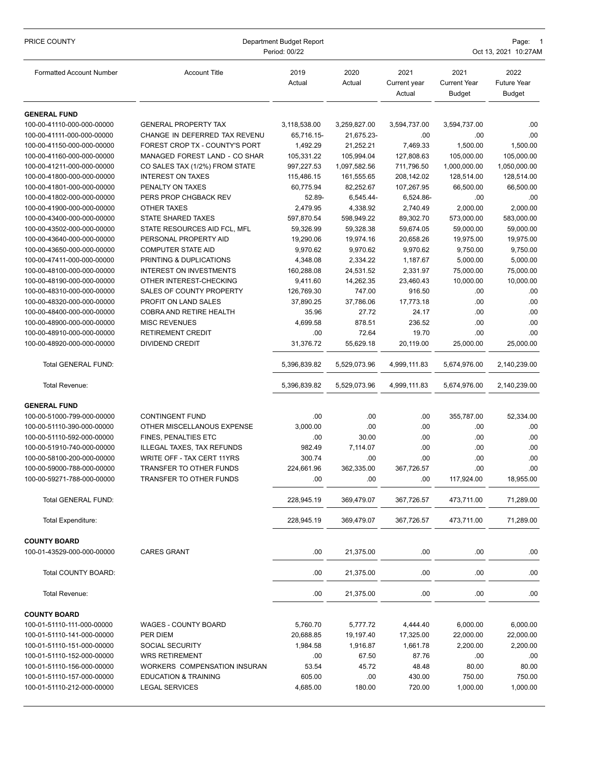| PRICE COUNTY                                             | Department Budget Report<br>Period: 00/22 |                        |                        |                                |                                              | Page:<br>Oct 13, 2021 10:27AM               |  |  |
|----------------------------------------------------------|-------------------------------------------|------------------------|------------------------|--------------------------------|----------------------------------------------|---------------------------------------------|--|--|
| <b>Formatted Account Number</b>                          | <b>Account Title</b>                      | 2019<br>Actual         | 2020<br>Actual         | 2021<br>Current year<br>Actual | 2021<br><b>Current Year</b><br><b>Budget</b> | 2022<br><b>Future Year</b><br><b>Budget</b> |  |  |
| <b>GENERAL FUND</b>                                      |                                           |                        |                        |                                |                                              |                                             |  |  |
| 100-00-41110-000-000-00000                               | <b>GENERAL PROPERTY TAX</b>               | 3,118,538.00           | 3,259,827.00           | 3,594,737.00                   | 3,594,737.00                                 | .00                                         |  |  |
| 100-00-41111-000-000-00000                               | CHANGE IN DEFERRED TAX REVENU             | 65,716.15-             | 21,675.23-             | .00                            | .00                                          | .00                                         |  |  |
| 100-00-41150-000-000-00000                               | FOREST CROP TX - COUNTY'S PORT            | 1,492.29               | 21,252.21              | 7,469.33                       | 1,500.00                                     | 1,500.00                                    |  |  |
| 100-00-41160-000-000-00000                               | MANAGED FOREST LAND - CO SHAR             | 105,331.22             | 105,994.04             | 127,808.63                     | 105,000.00                                   | 105,000.00                                  |  |  |
| 100-00-41211-000-000-00000                               | CO SALES TAX (1/2%) FROM STATE            | 997,227.53             | 1,097,582.56           | 711,796.50                     | 1,000,000.00                                 | 1,050,000.00                                |  |  |
| 100-00-41800-000-000-00000                               | <b>INTEREST ON TAXES</b>                  | 115,486.15             | 161,555.65             | 208,142.02                     | 128,514.00                                   | 128,514.00                                  |  |  |
| 100-00-41801-000-000-00000                               | PENALTY ON TAXES                          | 60,775.94              | 82,252.67              | 107,267.95                     | 66,500.00                                    | 66,500.00                                   |  |  |
| 100-00-41802-000-000-00000                               | PERS PROP CHGBACK REV                     | 52.89-                 | 6,545.44-              | 6,524.86-                      | .00                                          | .00                                         |  |  |
| 100-00-41900-000-000-00000<br>100-00-43400-000-000-00000 | OTHER TAXES<br>STATE SHARED TAXES         | 2,479.95<br>597,870.54 | 4,338.92<br>598,949.22 | 2,740.49<br>89,302.70          | 2,000.00<br>573,000.00                       | 2,000.00<br>583,000.00                      |  |  |
| 100-00-43502-000-000-00000                               | STATE RESOURCES AID FCL, MFL              | 59,326.99              | 59,328.38              | 59,674.05                      | 59,000.00                                    | 59,000.00                                   |  |  |
| 100-00-43640-000-000-00000                               | PERSONAL PROPERTY AID                     | 19,290.06              | 19,974.16              | 20,658.26                      | 19,975.00                                    | 19,975.00                                   |  |  |
| 100-00-43650-000-000-00000                               | <b>COMPUTER STATE AID</b>                 | 9,970.62               | 9,970.62               | 9,970.62                       | 9,750.00                                     | 9,750.00                                    |  |  |
| 100-00-47411-000-000-00000                               | PRINTING & DUPLICATIONS                   | 4,348.08               | 2,334.22               | 1,187.67                       | 5,000.00                                     | 5,000.00                                    |  |  |
| 100-00-48100-000-000-00000                               | <b>INTEREST ON INVESTMENTS</b>            | 160,288.08             | 24,531.52              | 2,331.97                       | 75,000.00                                    | 75,000.00                                   |  |  |
| 100-00-48190-000-000-00000                               | OTHER INTEREST-CHECKING                   | 9,411.60               | 14,262.35              | 23,460.43                      | 10,000.00                                    | 10,000.00                                   |  |  |
| 100-00-48310-000-000-00000                               | SALES OF COUNTY PROPERTY                  | 126,769.30             | 747.00                 | 916.50                         | .00                                          | .00                                         |  |  |
| 100-00-48320-000-000-00000                               | PROFIT ON LAND SALES                      | 37,890.25              | 37,786.06              | 17,773.18                      | .00                                          | .00                                         |  |  |
| 100-00-48400-000-000-00000                               | COBRA AND RETIRE HEALTH                   | 35.96                  | 27.72                  | 24.17                          | .00                                          | .00                                         |  |  |
| 100-00-48900-000-000-00000                               | <b>MISC REVENUES</b>                      | 4,699.58               | 878.51                 | 236.52                         | .00                                          | .00                                         |  |  |
| 100-00-48910-000-000-00000                               | RETIREMENT CREDIT                         | .00                    | 72.64                  | 19.70                          | .00                                          | .00                                         |  |  |
| 100-00-48920-000-000-00000                               | <b>DIVIDEND CREDIT</b>                    | 31,376.72              | 55,629.18              | 20,119.00                      | 25,000.00                                    | 25,000.00                                   |  |  |
| Total GENERAL FUND:                                      |                                           | 5,396,839.82           | 5,529,073.96           | 4,999,111.83                   | 5,674,976.00                                 | 2,140,239.00                                |  |  |
| Total Revenue:                                           |                                           | 5,396,839.82           | 5,529,073.96           | 4,999,111.83                   | 5,674,976.00                                 | 2,140,239.00                                |  |  |
| <b>GENERAL FUND</b>                                      |                                           |                        |                        |                                |                                              |                                             |  |  |
| 100-00-51000-799-000-00000                               | <b>CONTINGENT FUND</b>                    | .00                    | .00                    | .00                            | 355,787.00                                   | 52,334.00                                   |  |  |
| 100-00-51110-390-000-00000                               | OTHER MISCELLANOUS EXPENSE                | 3,000.00               | .00                    | .00                            | .00                                          | .00.                                        |  |  |
| 100-00-51110-592-000-00000                               | FINES, PENALTIES ETC                      | .00                    | 30.00                  | .00                            | .00                                          | .00                                         |  |  |
| 100-00-51910-740-000-00000                               | ILLEGAL TAXES, TAX REFUNDS                | 982.49                 | 7,114.07               | .00                            | .00                                          | .00                                         |  |  |
| 100-00-58100-200-000-00000                               | WRITE OFF - TAX CERT 11YRS                | 300.74                 | .00                    | .00                            | .00                                          | .00                                         |  |  |
| 100-00-59000-788-000-00000                               | TRANSFER TO OTHER FUNDS                   | 224,661.96             | 362,335.00             | 367,726.57                     | .00                                          | .00                                         |  |  |
| 100-00-59271-788-000-00000                               | TRANSFER TO OTHER FUNDS                   | .00                    | .00                    | .00                            | 117,924.00                                   | 18,955.00                                   |  |  |
| Total GENERAL FUND:                                      |                                           | 228,945.19             | 369,479.07             | 367,726.57                     | 473,711.00                                   | 71,289.00                                   |  |  |
| Total Expenditure:                                       |                                           | 228,945.19             | 369,479.07             | 367,726.57                     | 473,711.00                                   | 71,289.00                                   |  |  |
| <b>COUNTY BOARD</b>                                      |                                           |                        |                        |                                |                                              |                                             |  |  |
| 100-01-43529-000-000-00000                               | <b>CARES GRANT</b>                        | .00                    | 21,375.00              | .00                            | .00                                          | .00.                                        |  |  |
| Total COUNTY BOARD:                                      |                                           | .00                    | 21,375.00              | .00                            | .00                                          | .00                                         |  |  |
| Total Revenue:                                           |                                           | .00                    | 21,375.00              | .00                            | .00                                          | .00.                                        |  |  |
| <b>COUNTY BOARD</b>                                      |                                           |                        |                        |                                |                                              |                                             |  |  |
| 100-01-51110-111-000-00000                               | WAGES - COUNTY BOARD                      | 5,760.70               | 5,777.72               | 4,444.40                       | 6,000.00                                     | 6,000.00                                    |  |  |
| 100-01-51110-141-000-00000                               | PER DIEM                                  | 20,688.85              | 19,197.40              | 17,325.00                      | 22,000.00                                    | 22,000.00                                   |  |  |
| 100-01-51110-151-000-00000                               | SOCIAL SECURITY                           | 1,984.58               | 1,916.87               | 1,661.78                       | 2,200.00                                     | 2,200.00                                    |  |  |
| 100-01-51110-152-000-00000                               | <b>WRS RETIREMENT</b>                     | .00                    | 67.50                  | 87.76                          | .00                                          | .00.                                        |  |  |
| 100-01-51110-156-000-00000                               | WORKERS COMPENSATION INSURAN              | 53.54                  | 45.72                  | 48.48                          | 80.00                                        | 80.00                                       |  |  |
| 100-01-51110-157-000-00000                               | <b>EDUCATION &amp; TRAINING</b>           | 605.00                 | .00                    | 430.00                         | 750.00                                       | 750.00                                      |  |  |
| 100-01-51110-212-000-00000                               | <b>LEGAL SERVICES</b>                     | 4,685.00               | 180.00                 | 720.00                         | 1,000.00                                     | 1,000.00                                    |  |  |
|                                                          |                                           |                        |                        |                                |                                              |                                             |  |  |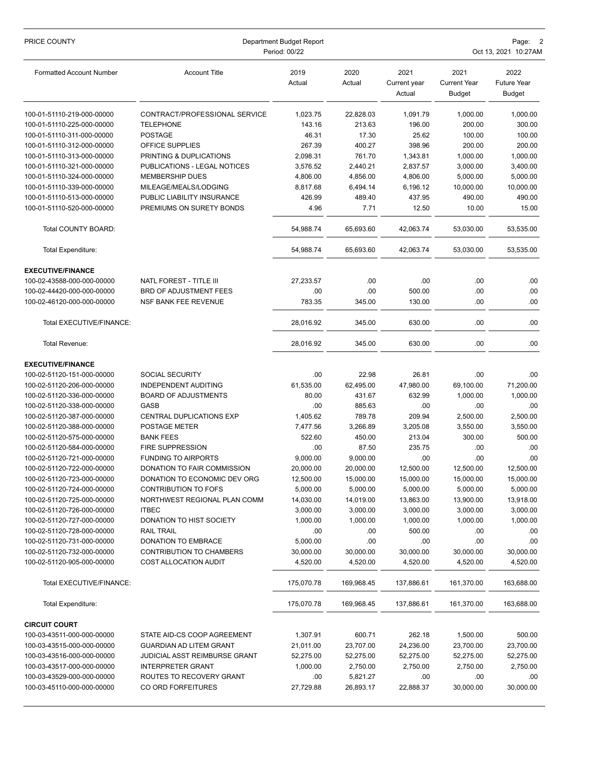| PRICE COUNTY                                             | Department Budget Report<br>Period: 00/22    |                      |                      |                                | Page: 2<br>Oct 13, 2021 10:27AM              |                                             |  |
|----------------------------------------------------------|----------------------------------------------|----------------------|----------------------|--------------------------------|----------------------------------------------|---------------------------------------------|--|
| <b>Formatted Account Number</b>                          | <b>Account Title</b>                         | 2019<br>Actual       | 2020<br>Actual       | 2021<br>Current year<br>Actual | 2021<br><b>Current Year</b><br><b>Budget</b> | 2022<br><b>Future Year</b><br><b>Budget</b> |  |
| 100-01-51110-219-000-00000                               | CONTRACT/PROFESSIONAL SERVICE                | 1,023.75             | 22,828.03            | 1,091.79                       | 1,000.00                                     | 1,000.00                                    |  |
| 100-01-51110-225-000-00000                               | TELEPHONE                                    | 143.16               | 213.63               | 196.00                         | 200.00                                       | 300.00                                      |  |
| 100-01-51110-311-000-00000                               | <b>POSTAGE</b>                               | 46.31                | 17.30                | 25.62                          | 100.00                                       | 100.00                                      |  |
| 100-01-51110-312-000-00000                               | OFFICE SUPPLIES                              | 267.39               | 400.27               | 398.96                         | 200.00                                       | 200.00                                      |  |
| 100-01-51110-313-000-00000                               | PRINTING & DUPLICATIONS                      | 2,098.31             | 761.70               | 1,343.81                       | 1,000.00                                     | 1,000.00                                    |  |
| 100-01-51110-321-000-00000                               | PUBLICATIONS - LEGAL NOTICES                 | 3,576.52             | 2,440.21             | 2,837.57                       | 3,000.00                                     | 3,400.00                                    |  |
| 100-01-51110-324-000-00000                               | <b>MEMBERSHIP DUES</b>                       | 4,806.00             | 4.856.00             | 4,806.00                       | 5,000.00                                     | 5,000.00                                    |  |
| 100-01-51110-339-000-00000                               | MILEAGE/MEALS/LODGING                        | 8,817.68             | 6,494.14             | 6,196.12                       | 10,000.00                                    | 10,000.00                                   |  |
| 100-01-51110-513-000-00000                               | PUBLIC LIABILITY INSURANCE                   | 426.99               | 489.40               | 437.95                         | 490.00                                       | 490.00                                      |  |
| 100-01-51110-520-000-00000                               | PREMIUMS ON SURETY BONDS                     | 4.96                 | 7.71                 | 12.50                          | 10.00                                        | 15.00                                       |  |
| Total COUNTY BOARD:                                      |                                              | 54,988.74            | 65,693.60            | 42,063.74                      | 53,030.00                                    | 53,535.00                                   |  |
| <b>Total Expenditure:</b>                                |                                              | 54,988.74            | 65,693.60            | 42,063.74                      | 53,030.00                                    | 53,535.00                                   |  |
| <b>EXECUTIVE/FINANCE</b>                                 |                                              |                      |                      |                                |                                              |                                             |  |
| 100-02-43588-000-000-00000                               | NATL FOREST - TITLE III                      | 27,233.57            | .00                  | .00                            | .00                                          | .00                                         |  |
| 100-02-44420-000-000-00000                               | BRD OF ADJUSTMENT FEES                       | .00                  | .00                  | 500.00                         | .00                                          | .00                                         |  |
| 100-02-46120-000-000-00000                               | NSF BANK FEE REVENUE                         | 783.35               | 345.00               | 130.00                         | .00                                          | .00                                         |  |
| Total EXECUTIVE/FINANCE:                                 |                                              | 28,016.92            | 345.00               | 630.00                         | .00                                          | .00                                         |  |
| Total Revenue:                                           |                                              | 28,016.92            | 345.00               | 630.00                         | .00                                          | .00                                         |  |
| <b>EXECUTIVE/FINANCE</b>                                 |                                              |                      |                      |                                |                                              |                                             |  |
| 100-02-51120-151-000-00000                               | SOCIAL SECURITY                              | .00                  | 22.98                | 26.81                          | .00                                          | .00                                         |  |
| 100-02-51120-206-000-00000                               | INDEPENDENT AUDITING                         | 61,535.00            | 62,495.00            | 47,980.00                      | 69,100.00                                    | 71,200.00                                   |  |
| 100-02-51120-336-000-00000                               | <b>BOARD OF ADJUSTMENTS</b>                  | 80.00                | 431.67               | 632.99                         | 1,000.00                                     | 1,000.00                                    |  |
| 100-02-51120-338-000-00000                               | <b>GASB</b>                                  | .00                  | 885.63               | .00                            | .00                                          | .00                                         |  |
| 100-02-51120-387-000-00000                               | CENTRAL DUPLICATIONS EXP                     | 1,405.62             | 789.78               | 209.94                         | 2,500.00                                     | 2,500.00                                    |  |
| 100-02-51120-388-000-00000                               | POSTAGE METER                                | 7,477.56             | 3,266.89             | 3,205.08                       | 3,550.00                                     | 3,550.00                                    |  |
| 100-02-51120-575-000-00000                               | <b>BANK FEES</b>                             | 522.60               | 450.00               | 213.04                         | 300.00                                       | 500.00                                      |  |
| 100-02-51120-584-000-00000                               | FIRE SUPPRESSION                             | .00                  | 87.50                | 235.75                         | .00                                          | .00                                         |  |
| 100-02-51120-721-000-00000                               | <b>FUNDING TO AIRPORTS</b>                   | 9,000.00             | 9.000.00             | .00                            | .00                                          | .00                                         |  |
| 100-02-51120-722-000-00000                               | DONATION TO FAIR COMMISSION                  | 20,000.00            | 20,000.00            | 12,500.00                      | 12,500.00                                    | 12,500.00                                   |  |
| 100-02-51120-723-000-00000                               | DONATION TO ECONOMIC DEV ORG                 | 12,500.00            | 15,000.00            | 15,000.00                      | 15,000.00                                    | 15,000.00                                   |  |
| 100-02-51120-724-000-00000                               | CONTRIBUTION TO FOFS                         | 5,000.00             | 5,000.00             | 5,000.00                       | 5,000.00                                     | 5,000.00                                    |  |
| 100-02-51120-725-000-00000                               | NORTHWEST REGIONAL PLAN COMM<br><b>ITBEC</b> | 14,030.00            | 14,019.00            | 13,863.00                      | 13,900.00                                    | 13,918.00                                   |  |
| 100-02-51120-726-000-00000<br>100-02-51120-727-000-00000 | DONATION TO HIST SOCIETY                     | 3,000.00<br>1,000.00 | 3,000.00<br>1,000.00 | 3,000.00<br>1,000.00           | 3,000.00<br>1,000.00                         | 3,000.00<br>1,000.00                        |  |
| 100-02-51120-728-000-00000                               | <b>RAIL TRAIL</b>                            | .00                  | .00                  | 500.00                         | .00                                          | .00                                         |  |
| 100-02-51120-731-000-00000                               | DONATION TO EMBRACE                          | 5,000.00             | .00                  | .00                            | .00                                          | .00                                         |  |
| 100-02-51120-732-000-00000                               | CONTRIBUTION TO CHAMBERS                     | 30,000.00            | 30,000.00            | 30,000.00                      | 30,000.00                                    | 30,000.00                                   |  |
| 100-02-51120-905-000-00000                               | <b>COST ALLOCATION AUDIT</b>                 | 4,520.00             | 4,520.00             | 4,520.00                       | 4,520.00                                     | 4,520.00                                    |  |
| Total EXECUTIVE/FINANCE:                                 |                                              | 175,070.78           | 169,968.45           | 137,886.61                     | 161,370.00                                   | 163,688.00                                  |  |
| Total Expenditure:                                       |                                              | 175,070.78           | 169,968.45           | 137,886.61                     | 161,370.00                                   | 163,688.00                                  |  |
| <b>CIRCUIT COURT</b>                                     |                                              |                      |                      |                                |                                              |                                             |  |
| 100-03-43511-000-000-00000                               | STATE AID-CS COOP AGREEMENT                  | 1,307.91             | 600.71               | 262.18                         | 1,500.00                                     | 500.00                                      |  |
| 100-03-43515-000-000-00000                               | <b>GUARDIAN AD LITEM GRANT</b>               | 21,011.00            | 23,707.00            | 24,236.00                      | 23,700.00                                    | 23,700.00                                   |  |
| 100-03-43516-000-000-00000                               | JUDICIAL ASST REIMBURSE GRANT                | 52,275.00            | 52,275.00            | 52,275.00                      | 52,275.00                                    | 52,275.00                                   |  |
| 100-03-43517-000-000-00000                               | <b>INTERPRETER GRANT</b>                     | 1,000.00             | 2,750.00             | 2,750.00                       | 2,750.00                                     | 2,750.00                                    |  |
| 100-03-43529-000-000-00000                               | ROUTES TO RECOVERY GRANT                     | .00                  | 5,821.27             | .00                            | .00                                          | .00                                         |  |
| 100-03-45110-000-000-00000                               | CO ORD FORFEITURES                           | 27,729.88            | 26,893.17            | 22,888.37                      | 30,000.00                                    | 30,000.00                                   |  |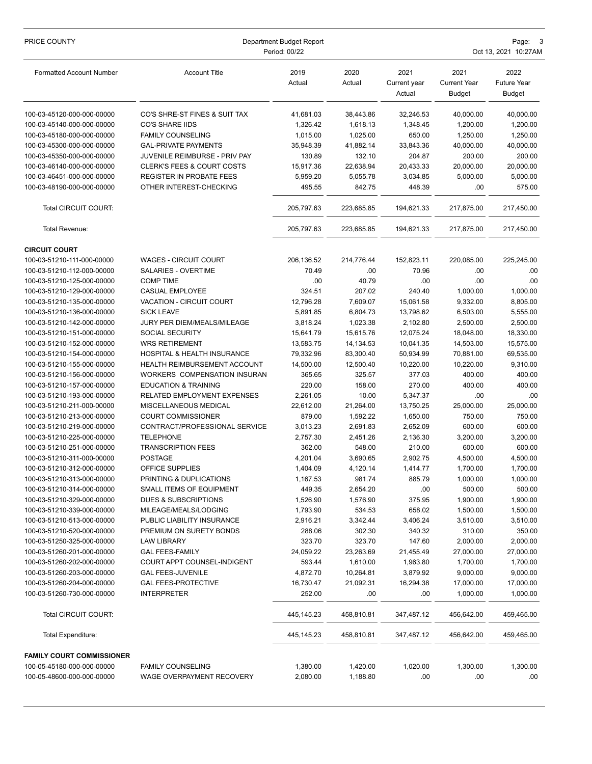| PRICE COUNTY                                             | Department Budget Report<br>Period: 00/22             |                        |                        |                                | Page:<br>Oct 13, 2021 10:27AM                |                                             |  |
|----------------------------------------------------------|-------------------------------------------------------|------------------------|------------------------|--------------------------------|----------------------------------------------|---------------------------------------------|--|
| <b>Formatted Account Number</b>                          | <b>Account Title</b>                                  | 2019<br>Actual         | 2020<br>Actual         | 2021<br>Current year<br>Actual | 2021<br><b>Current Year</b><br><b>Budget</b> | 2022<br><b>Future Year</b><br><b>Budget</b> |  |
| 100-03-45120-000-000-00000                               | CO'S SHRE-ST FINES & SUIT TAX                         | 41,681.03              | 38,443.86              | 32,246.53                      | 40,000.00                                    | 40,000.00                                   |  |
| 100-03-45140-000-000-00000                               | <b>CO'S SHARE IIDS</b>                                | 1,326.42               | 1,618.13               | 1,348.45                       | 1,200.00                                     | 1,200.00                                    |  |
| 100-03-45180-000-000-00000                               | <b>FAMILY COUNSELING</b>                              | 1,015.00               | 1,025.00               | 650.00                         | 1,250.00                                     | 1,250.00                                    |  |
| 100-03-45300-000-000-00000                               | <b>GAL-PRIVATE PAYMENTS</b>                           | 35,948.39              | 41,882.14              | 33,843.36                      | 40,000.00                                    | 40,000.00                                   |  |
| 100-03-45350-000-000-00000                               | JUVENILE REIMBURSE - PRIV PAY                         | 130.89                 | 132.10                 | 204.87                         | 200.00                                       | 200.00                                      |  |
| 100-03-46140-000-000-00000                               | <b>CLERK'S FEES &amp; COURT COSTS</b>                 | 15,917.36              | 22,638.94              | 20,433.33                      | 20,000.00                                    | 20,000.00                                   |  |
| 100-03-46451-000-000-00000                               | <b>REGISTER IN PROBATE FEES</b>                       | 5,959.20               | 5,055.78               | 3,034.85                       | 5,000.00                                     | 5,000.00                                    |  |
| 100-03-48190-000-000-00000                               | OTHER INTEREST-CHECKING                               | 495.55                 | 842.75                 | 448.39                         | .00                                          | 575.00                                      |  |
| Total CIRCUIT COURT:                                     |                                                       | 205,797.63             | 223,685.85             | 194,621.33                     | 217,875.00                                   | 217,450.00                                  |  |
| Total Revenue:                                           |                                                       | 205,797.63             | 223,685.85             | 194,621.33                     | 217,875.00                                   | 217,450.00                                  |  |
| <b>CIRCUIT COURT</b>                                     |                                                       |                        |                        |                                |                                              |                                             |  |
| 100-03-51210-111-000-00000                               | <b>WAGES - CIRCUIT COURT</b>                          | 206,136.52             | 214,776.44             | 152,823.11                     | 220,085.00                                   | 225,245.00                                  |  |
| 100-03-51210-112-000-00000                               | <b>SALARIES - OVERTIME</b>                            | 70.49                  | .00                    | 70.96                          | .00                                          | .00                                         |  |
| 100-03-51210-125-000-00000                               | <b>COMP TIME</b>                                      | .00                    | 40.79                  | .00                            | .00                                          | .00                                         |  |
| 100-03-51210-129-000-00000                               | <b>CASUAL EMPLOYEE</b>                                | 324.51                 | 207.02                 | 240.40                         | 1,000.00                                     | 1,000.00                                    |  |
| 100-03-51210-135-000-00000                               | VACATION - CIRCUIT COURT                              | 12,796.28              | 7,609.07               | 15,061.58                      | 9,332.00                                     | 8,805.00                                    |  |
| 100-03-51210-136-000-00000                               | <b>SICK LEAVE</b>                                     | 5,891.85               | 6,804.73               | 13,798.62                      | 6,503.00                                     | 5,555.00                                    |  |
| 100-03-51210-142-000-00000                               | JURY PER DIEM/MEALS/MILEAGE                           | 3,818.24               | 1,023.38               | 2,102.80                       | 2,500.00                                     | 2,500.00                                    |  |
| 100-03-51210-151-000-00000                               | SOCIAL SECURITY                                       | 15,641.79              | 15,615.76              | 12,075.24                      | 18,048.00                                    | 18,330.00                                   |  |
| 100-03-51210-152-000-00000<br>100-03-51210-154-000-00000 | <b>WRS RETIREMENT</b><br>HOSPITAL & HEALTH INSURANCE  | 13,583.75              | 14, 134.53             | 10,041.35                      | 14,503.00                                    | 15,575.00                                   |  |
| 100-03-51210-155-000-00000                               | <b>HEALTH REIMBURSEMENT ACCOUNT</b>                   | 79,332.96<br>14,500.00 | 83,300.40<br>12,500.40 | 50,934.99<br>10,220.00         | 70,881.00<br>10,220.00                       | 69,535.00<br>9,310.00                       |  |
| 100-03-51210-156-000-00000                               | WORKERS COMPENSATION INSURAN                          | 365.65                 | 325.57                 | 377.03                         | 400.00                                       | 400.00                                      |  |
| 100-03-51210-157-000-00000                               | <b>EDUCATION &amp; TRAINING</b>                       | 220.00                 | 158.00                 | 270.00                         | 400.00                                       | 400.00                                      |  |
| 100-03-51210-193-000-00000                               | RELATED EMPLOYMENT EXPENSES                           | 2,261.05               | 10.00                  | 5,347.37                       | .00                                          | .00                                         |  |
| 100-03-51210-211-000-00000                               | MISCELLANEOUS MEDICAL                                 | 22,612.00              | 21,264.00              | 13,750.25                      | 25,000.00                                    | 25,000.00                                   |  |
| 100-03-51210-213-000-00000                               | <b>COURT COMMISSIONER</b>                             | 879.00                 | 1,592.22               | 1,650.00                       | 750.00                                       | 750.00                                      |  |
| 100-03-51210-219-000-00000                               | CONTRACT/PROFESSIONAL SERVICE                         | 3,013.23               | 2,691.83               | 2,652.09                       | 600.00                                       | 600.00                                      |  |
| 100-03-51210-225-000-00000                               | <b>TELEPHONE</b>                                      | 2,757.30               | 2,451.26               | 2,136.30                       | 3,200.00                                     | 3,200.00                                    |  |
| 100-03-51210-251-000-00000                               | <b>TRANSCRIPTION FEES</b>                             | 362.00                 | 548.00                 | 210.00                         | 600.00                                       | 600.00                                      |  |
| 100-03-51210-311-000-00000                               | <b>POSTAGE</b>                                        | 4,201.04               | 3,690.65               | 2,902.75                       | 4,500.00                                     | 4,500.00                                    |  |
| 100-03-51210-312-000-00000                               | OFFICE SUPPLIES                                       | 1,404.09               | 4,120.14               | 1,414.77                       | 1,700.00                                     | 1,700.00                                    |  |
| 100-03-51210-313-000-00000                               | PRINTING & DUPLICATIONS                               | 1,167.53               | 981.74                 | 885.79                         | 1,000.00                                     | 1,000.00                                    |  |
| 100-03-51210-314-000-00000                               | SMALL ITEMS OF EQUIPMENT                              | 449.35                 | 2,654.20               | .00                            | 500.00                                       | 500.00                                      |  |
| 100-03-51210-329-000-00000                               | <b>DUES &amp; SUBSCRIPTIONS</b>                       | 1,526.90               | 1,576.90               | 375.95                         | 1,900.00                                     | 1,900.00                                    |  |
| 100-03-51210-339-000-00000<br>100-03-51210-513-000-00000 | MILEAGE/MEALS/LODGING                                 | 1,793.90               | 534.53                 | 658.02                         | 1,500.00                                     | 1,500.00                                    |  |
| 100-03-51210-520-000-00000                               | PUBLIC LIABILITY INSURANCE<br>PREMIUM ON SURETY BONDS | 2,916.21<br>288.06     | 3,342.44<br>302.30     | 3,406.24<br>340.32             | 3,510.00<br>310.00                           | 3,510.00<br>350.00                          |  |
| 100-03-51250-325-000-00000                               | LAW LIBRARY                                           | 323.70                 | 323.70                 | 147.60                         | 2,000.00                                     | 2,000.00                                    |  |
| 100-03-51260-201-000-00000                               | <b>GAL FEES-FAMILY</b>                                | 24,059.22              | 23,263.69              | 21,455.49                      | 27,000.00                                    | 27,000.00                                   |  |
| 100-03-51260-202-000-00000                               | COURT APPT COUNSEL-INDIGENT                           | 593.44                 | 1,610.00               | 1,963.80                       | 1,700.00                                     | 1,700.00                                    |  |
| 100-03-51260-203-000-00000                               | <b>GAL FEES-JUVENILE</b>                              | 4,872.70               | 10,264.81              | 3,879.92                       | 9,000.00                                     | 9,000.00                                    |  |
| 100-03-51260-204-000-00000                               | <b>GAL FEES-PROTECTIVE</b>                            | 16,730.47              | 21,092.31              | 16,294.38                      | 17,000.00                                    | 17,000.00                                   |  |
| 100-03-51260-730-000-00000                               | <b>INTERPRETER</b>                                    | 252.00                 | .00                    | .00                            | 1,000.00                                     | 1,000.00                                    |  |
| Total CIRCUIT COURT:                                     |                                                       | 445, 145. 23           | 458,810.81             | 347,487.12                     | 456,642.00                                   | 459,465.00                                  |  |
| Total Expenditure:                                       |                                                       | 445, 145. 23           | 458,810.81             | 347,487.12                     | 456,642.00                                   | 459,465.00                                  |  |
| <b>FAMILY COURT COMMISSIONER</b>                         |                                                       |                        |                        |                                |                                              |                                             |  |
| 100-05-45180-000-000-00000                               | <b>FAMILY COUNSELING</b>                              | 1,380.00               | 1,420.00               | 1,020.00                       | 1,300.00                                     | 1,300.00                                    |  |
| 100-05-48600-000-000-00000                               | WAGE OVERPAYMENT RECOVERY                             | 2,080.00               | 1,188.80               | .00.                           | .00.                                         | .00.                                        |  |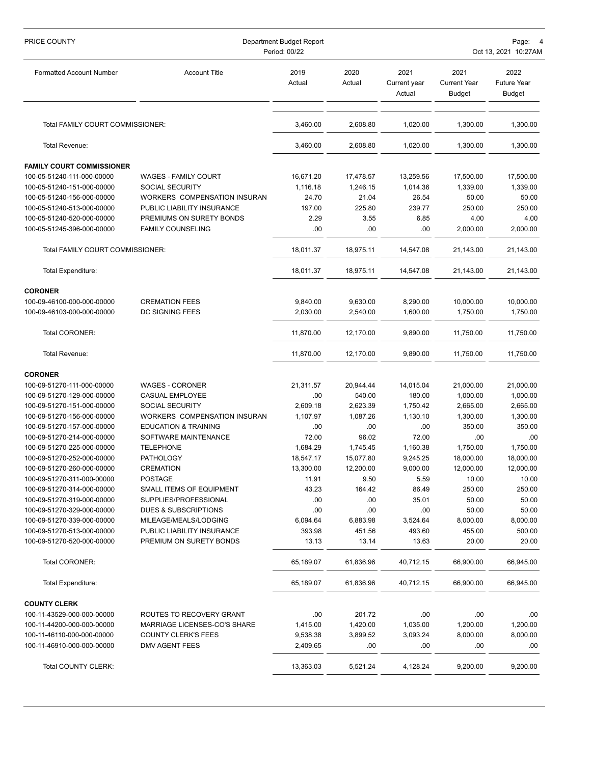| PRICE COUNTY                     | Department Budget Report<br>Period: 00/22<br>Oct 13, 2021 10:27AM |                |                |                                |                                       |                                             |
|----------------------------------|-------------------------------------------------------------------|----------------|----------------|--------------------------------|---------------------------------------|---------------------------------------------|
| <b>Formatted Account Number</b>  | <b>Account Title</b>                                              | 2019<br>Actual | 2020<br>Actual | 2021<br>Current year<br>Actual | 2021<br><b>Current Year</b><br>Budget | 2022<br><b>Future Year</b><br><b>Budget</b> |
| Total FAMILY COURT COMMISSIONER: |                                                                   | 3,460.00       | 2,608.80       | 1,020.00                       | 1,300.00                              | 1,300.00                                    |
| Total Revenue:                   |                                                                   | 3,460.00       | 2,608.80       | 1,020.00                       | 1,300.00                              | 1,300.00                                    |
| <b>FAMILY COURT COMMISSIONER</b> |                                                                   |                |                |                                |                                       |                                             |
| 100-05-51240-111-000-00000       | <b>WAGES - FAMILY COURT</b>                                       | 16,671.20      | 17,478.57      | 13,259.56                      | 17,500.00                             | 17,500.00                                   |
| 100-05-51240-151-000-00000       | SOCIAL SECURITY                                                   | 1,116.18       | 1,246.15       | 1,014.36                       | 1,339.00                              | 1,339.00                                    |
| 100-05-51240-156-000-00000       | WORKERS COMPENSATION INSURAN                                      | 24.70          | 21.04          | 26.54                          | 50.00                                 | 50.00                                       |
| 100-05-51240-513-000-00000       | PUBLIC LIABILITY INSURANCE                                        | 197.00         | 225.80         | 239.77                         | 250.00                                | 250.00                                      |
| 100-05-51240-520-000-00000       | PREMIUMS ON SURETY BONDS                                          | 2.29           | 3.55           | 6.85                           | 4.00                                  | 4.00                                        |
| 100-05-51245-396-000-00000       | <b>FAMILY COUNSELING</b>                                          | .00            | .00            | .00                            | 2,000.00                              | 2,000.00                                    |
| Total FAMILY COURT COMMISSIONER: |                                                                   | 18,011.37      | 18,975.11      | 14,547.08                      | 21,143.00                             | 21,143.00                                   |
| Total Expenditure:               |                                                                   | 18,011.37      | 18,975.11      | 14,547.08                      | 21,143.00                             | 21,143.00                                   |
| <b>CORONER</b>                   |                                                                   |                |                |                                |                                       |                                             |
| 100-09-46100-000-000-00000       | <b>CREMATION FEES</b>                                             | 9,840.00       | 9,630.00       | 8,290.00                       | 10,000.00                             | 10,000.00                                   |
| 100-09-46103-000-000-00000       | <b>DC SIGNING FEES</b>                                            | 2,030.00       | 2.540.00       | 1,600.00                       | 1,750.00                              | 1,750.00                                    |
| Total CORONER:                   |                                                                   | 11,870.00      | 12,170.00      | 9,890.00                       | 11,750.00                             | 11,750.00                                   |
| Total Revenue:                   |                                                                   | 11,870.00      | 12,170.00      | 9,890.00                       | 11,750.00                             | 11,750.00                                   |
| <b>CORONER</b>                   |                                                                   |                |                |                                |                                       |                                             |
| 100-09-51270-111-000-00000       | <b>WAGES - CORONER</b>                                            | 21,311.57      | 20,944.44      | 14,015.04                      | 21,000.00                             | 21,000.00                                   |
| 100-09-51270-129-000-00000       | CASUAL EMPLOYEE                                                   | .00            | 540.00         | 180.00                         | 1,000.00                              | 1,000.00                                    |
| 100-09-51270-151-000-00000       | SOCIAL SECURITY                                                   | 2,609.18       | 2,623.39       | 1,750.42                       | 2,665.00                              | 2,665.00                                    |
| 100-09-51270-156-000-00000       | WORKERS COMPENSATION INSURAN                                      | 1,107.97       | 1,087.26       | 1,130.10                       | 1,300.00                              | 1,300.00                                    |
| 100-09-51270-157-000-00000       | <b>EDUCATION &amp; TRAINING</b>                                   | .00            | .00            | .00                            | 350.00                                | 350.00                                      |
| 100-09-51270-214-000-00000       | SOFTWARE MAINTENANCE                                              | 72.00          | 96.02          | 72.00                          | .00                                   | .00                                         |
| 100-09-51270-225-000-00000       | TELEPHONE                                                         | 1,684.29       | 1,745.45       | 1,160.38                       | 1,750.00                              | 1,750.00                                    |
| 100-09-51270-252-000-00000       | <b>PATHOLOGY</b>                                                  | 18,547.17      | 15,077.80      | 9,245.25                       | 18,000.00                             | 18,000.00                                   |
| 100-09-51270-260-000-00000       | <b>CREMATION</b>                                                  | 13,300.00      | 12,200.00      | 9,000.00                       | 12,000.00                             | 12,000.00                                   |
| 100-09-51270-311-000-00000       | <b>POSTAGE</b>                                                    | 11.91          | 9.50           | 5.59                           | 10.00                                 | 10.00                                       |
| 100-09-51270-314-000-00000       | SMALL ITEMS OF EQUIPMENT                                          | 43.23          | 164.42         | 86.49                          | 250.00                                | 250.00                                      |
| 100-09-51270-319-000-00000       | SUPPLIES/PROFESSIONAL                                             | .00            | .00            | 35.01                          | 50.00                                 | 50.00                                       |
| 100-09-51270-329-000-00000       | DUES & SUBSCRIPTIONS                                              | .00            | .00            | .00                            | 50.00                                 | 50.00                                       |
| 100-09-51270-339-000-00000       | MILEAGE/MEALS/LODGING                                             | 6,094.64       | 6,883.98       | 3,524.64                       | 8,000.00                              | 8,000.00                                    |
| 100-09-51270-513-000-00000       | PUBLIC LIABILITY INSURANCE                                        | 393.98         | 451.56         | 493.60                         | 455.00                                | 500.00                                      |
| 100-09-51270-520-000-00000       | PREMIUM ON SURETY BONDS                                           | 13.13          | 13.14          | 13.63                          | 20.00                                 | 20.00                                       |
| Total CORONER:                   |                                                                   | 65,189.07      | 61,836.96      | 40,712.15                      | 66,900.00                             | 66,945.00                                   |
| <b>Total Expenditure:</b>        |                                                                   | 65,189.07      | 61,836.96      | 40,712.15                      | 66,900.00                             | 66,945.00                                   |
| <b>COUNTY CLERK</b>              |                                                                   |                |                |                                |                                       |                                             |
| 100-11-43529-000-000-00000       | ROUTES TO RECOVERY GRANT                                          | .00            | 201.72         | .00                            | .00                                   | .00.                                        |
| 100-11-44200-000-000-00000       | MARRIAGE LICENSES-CO'S SHARE                                      | 1,415.00       | 1,420.00       | 1,035.00                       | 1,200.00                              | 1,200.00                                    |
| 100-11-46110-000-000-00000       | <b>COUNTY CLERK'S FEES</b>                                        | 9,538.38       | 3,899.52       | 3,093.24                       | 8,000.00                              | 8,000.00                                    |
| 100-11-46910-000-000-00000       | DMV AGENT FEES                                                    | 2,409.65       | .00            | .00                            | .00                                   | .00.                                        |
| Total COUNTY CLERK:              |                                                                   | 13,363.03      | 5,521.24       | 4,128.24                       | 9,200.00                              | 9,200.00                                    |
|                                  |                                                                   |                |                |                                |                                       |                                             |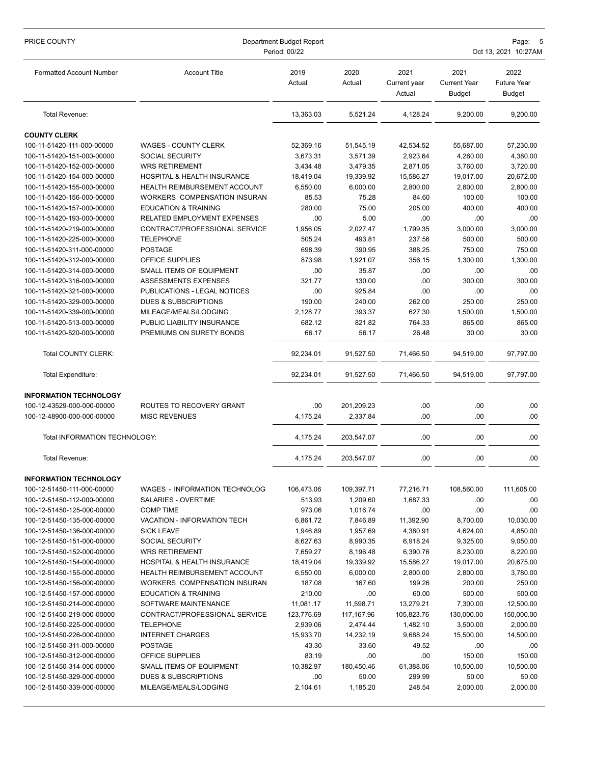| PRICE COUNTY                                             | Department Budget Report<br>Period: 00/22   |                    |                   |                                | Page:<br>Oct 13, 2021 10:27AM                |                                             |  |
|----------------------------------------------------------|---------------------------------------------|--------------------|-------------------|--------------------------------|----------------------------------------------|---------------------------------------------|--|
| <b>Formatted Account Number</b>                          | <b>Account Title</b>                        | 2019<br>Actual     | 2020<br>Actual    | 2021<br>Current year<br>Actual | 2021<br><b>Current Year</b><br><b>Budget</b> | 2022<br><b>Future Year</b><br><b>Budget</b> |  |
| Total Revenue:                                           |                                             | 13,363.03          | 5,521.24          | 4,128.24                       | 9,200.00                                     | 9,200.00                                    |  |
| <b>COUNTY CLERK</b>                                      |                                             |                    |                   |                                |                                              |                                             |  |
| 100-11-51420-111-000-00000                               | WAGES - COUNTY CLERK                        | 52,369.16          | 51,545.19         | 42,534.52                      | 55,687.00                                    | 57,230.00                                   |  |
| 100-11-51420-151-000-00000                               | <b>SOCIAL SECURITY</b>                      | 3,673.31           | 3,571.39          | 2,923.64                       | 4,260.00                                     | 4,380.00                                    |  |
| 100-11-51420-152-000-00000                               | <b>WRS RETIREMENT</b>                       | 3.434.48           | 3,479.35          | 2.871.05                       | 3,760.00                                     | 3,720.00                                    |  |
| 100-11-51420-154-000-00000                               | HOSPITAL & HEALTH INSURANCE                 | 18,419.04          | 19,339.92         | 15,586.27                      | 19,017.00                                    | 20,672.00                                   |  |
| 100-11-51420-155-000-00000                               | HEALTH REIMBURSEMENT ACCOUNT                | 6,550.00           | 6,000.00          | 2,800.00                       | 2,800.00                                     | 2,800.00                                    |  |
| 100-11-51420-156-000-00000                               | WORKERS COMPENSATION INSURAN                | 85.53              | 75.28             | 84.60                          | 100.00                                       | 100.00                                      |  |
| 100-11-51420-157-000-00000                               | <b>EDUCATION &amp; TRAINING</b>             | 280.00             | 75.00             | 205.00                         | 400.00                                       | 400.00                                      |  |
| 100-11-51420-193-000-00000                               | RELATED EMPLOYMENT EXPENSES                 | .00                | 5.00              | .00                            | .00                                          | .00                                         |  |
| 100-11-51420-219-000-00000                               | CONTRACT/PROFESSIONAL SERVICE               | 1,956.05           | 2,027.47          | 1,799.35                       | 3,000.00                                     | 3,000.00                                    |  |
| 100-11-51420-225-000-00000                               | <b>TELEPHONE</b>                            | 505.24             | 493.81            | 237.56                         | 500.00                                       | 500.00                                      |  |
| 100-11-51420-311-000-00000                               | <b>POSTAGE</b>                              | 698.39             | 390.95            | 388.25                         | 750.00                                       | 750.00                                      |  |
| 100-11-51420-312-000-00000                               | OFFICE SUPPLIES                             | 873.98             | 1,921.07          | 356.15                         | 1,300.00                                     | 1,300.00                                    |  |
| 100-11-51420-314-000-00000                               | <b>SMALL ITEMS OF EQUIPMENT</b>             | .00                | 35.87             | .00                            | .00                                          | .00.                                        |  |
| 100-11-51420-316-000-00000                               | ASSESSMENTS EXPENSES                        | 321.77             | 130.00            | .00                            | 300.00                                       | 300.00                                      |  |
| 100-11-51420-321-000-00000                               | PUBLICATIONS - LEGAL NOTICES                | .00                | 925.84            | .00                            | .00                                          | .00                                         |  |
| 100-11-51420-329-000-00000                               | <b>DUES &amp; SUBSCRIPTIONS</b>             | 190.00             | 240.00            | 262.00                         | 250.00                                       | 250.00                                      |  |
| 100-11-51420-339-000-00000                               | MILEAGE/MEALS/LODGING                       | 2,128.77           | 393.37            | 627.30                         | 1,500.00                                     | 1,500.00                                    |  |
| 100-11-51420-513-000-00000                               | PUBLIC LIABILITY INSURANCE                  | 682.12             | 821.82            | 764.33                         | 865.00                                       | 865.00                                      |  |
| 100-11-51420-520-000-00000                               | PREMIUMS ON SURETY BONDS                    | 66.17              | 56.17             | 26.48                          | 30.00                                        | 30.00                                       |  |
| Total COUNTY CLERK:                                      |                                             | 92,234.01          | 91,527.50         | 71,466.50                      | 94,519.00                                    | 97,797.00                                   |  |
| <b>Total Expenditure:</b>                                |                                             | 92,234.01          | 91,527.50         | 71,466.50                      | 94,519.00                                    | 97,797.00                                   |  |
| <b>INFORMATION TECHNOLOGY</b>                            |                                             |                    |                   |                                |                                              |                                             |  |
| 100-12-43529-000-000-00000                               | ROUTES TO RECOVERY GRANT                    | .00                | 201,209.23        | .00                            | .00                                          | .00.                                        |  |
| 100-12-48900-000-000-00000                               | <b>MISC REVENUES</b>                        | 4,175.24           | 2,337.84          | .00                            | .00                                          | .00                                         |  |
| Total INFORMATION TECHNOLOGY:                            |                                             | 4,175.24           | 203,547.07        | .00                            | .00                                          | .00                                         |  |
| Total Revenue:                                           |                                             | 4,175.24           | 203,547.07        | .00                            | .00                                          | .00                                         |  |
| <b>INFORMATION TECHNOLOGY</b>                            |                                             |                    |                   |                                |                                              |                                             |  |
| 100-12-51450-111-000-00000                               | WAGES - INFORMATION TECHNOLOG               | 106,473.06         | 109,397.71        | 77,216.71                      | 108,560.00                                   | 111,605.00                                  |  |
| 100-12-51450-112-000-00000                               | SALARIES - OVERTIME                         | 513.93             | 1,209.60          | 1,687.33                       | .00                                          | .00                                         |  |
| 100-12-51450-125-000-00000                               | <b>COMP TIME</b>                            | 973.06             | 1,016.74          | .00                            | .00                                          | .00.                                        |  |
| 100-12-51450-135-000-00000                               | <b>VACATION - INFORMATION TECH</b>          | 6,861.72           | 7,846.89          | 11,392.90                      | 8,700.00                                     | 10,030.00                                   |  |
| 100-12-51450-136-000-00000                               | <b>SICK LEAVE</b>                           | 1,946.89           | 1,957.69          | 4,380.91                       | 4,624.00                                     | 4,850.00                                    |  |
| 100-12-51450-151-000-00000                               | <b>SOCIAL SECURITY</b>                      | 8,627.63           | 8,990.35          | 6,918.24                       | 9,325.00                                     | 9,050.00                                    |  |
| 100-12-51450-152-000-00000                               | <b>WRS RETIREMENT</b>                       | 7,659.27           | 8,196.48          | 6,390.76                       | 8,230.00                                     | 8,220.00                                    |  |
| 100-12-51450-154-000-00000                               | HOSPITAL & HEALTH INSURANCE                 | 18,419.04          | 19,339.92         | 15,586.27                      | 19,017.00                                    | 20,675.00                                   |  |
| 100-12-51450-155-000-00000                               | <b>HEALTH REIMBURSEMENT ACCOUNT</b>         | 6,550.00           | 6,000.00          | 2,800.00                       | 2,800.00                                     | 3,780.00                                    |  |
| 100-12-51450-156-000-00000                               | WORKERS COMPENSATION INSURAN                | 187.08             | 167.60            | 199.26                         | 200.00                                       | 250.00                                      |  |
| 100-12-51450-157-000-00000                               | <b>EDUCATION &amp; TRAINING</b>             | 210.00             | .00               | 60.00                          | 500.00                                       | 500.00                                      |  |
| 100-12-51450-214-000-00000                               | SOFTWARE MAINTENANCE                        | 11,081.17          | 11,598.71         | 13,279.21                      | 7,300.00                                     | 12,500.00                                   |  |
| 100-12-51450-219-000-00000                               | CONTRACT/PROFESSIONAL SERVICE               | 123,776.69         | 117,167.96        | 105,823.76                     | 130,000.00                                   | 150,000.00                                  |  |
| 100-12-51450-225-000-00000                               | <b>TELEPHONE</b>                            | 2,939.06           | 2,474.44          | 1,482.10                       | 3,500.00                                     | 2,000.00                                    |  |
| 100-12-51450-226-000-00000                               | <b>INTERNET CHARGES</b><br><b>POSTAGE</b>   | 15,933.70          | 14,232.19         | 9,688.24                       | 15,500.00                                    | 14,500.00                                   |  |
| 100-12-51450-311-000-00000                               |                                             | 43.30              | 33.60             | 49.52                          | .00                                          | .00                                         |  |
| 100-12-51450-312-000-00000<br>100-12-51450-314-000-00000 | OFFICE SUPPLIES<br>SMALL ITEMS OF EQUIPMENT | 83.19<br>10,382.97 | .00<br>180,450.46 | .00<br>61,388.06               | 150.00<br>10,500.00                          | 150.00<br>10,500.00                         |  |
| 100-12-51450-329-000-00000                               | DUES & SUBSCRIPTIONS                        | .00                | 50.00             | 299.99                         | 50.00                                        | 50.00                                       |  |
| 100-12-51450-339-000-00000                               | MILEAGE/MEALS/LODGING                       | 2,104.61           | 1,185.20          | 248.54                         | 2,000.00                                     | 2,000.00                                    |  |
|                                                          |                                             |                    |                   |                                |                                              |                                             |  |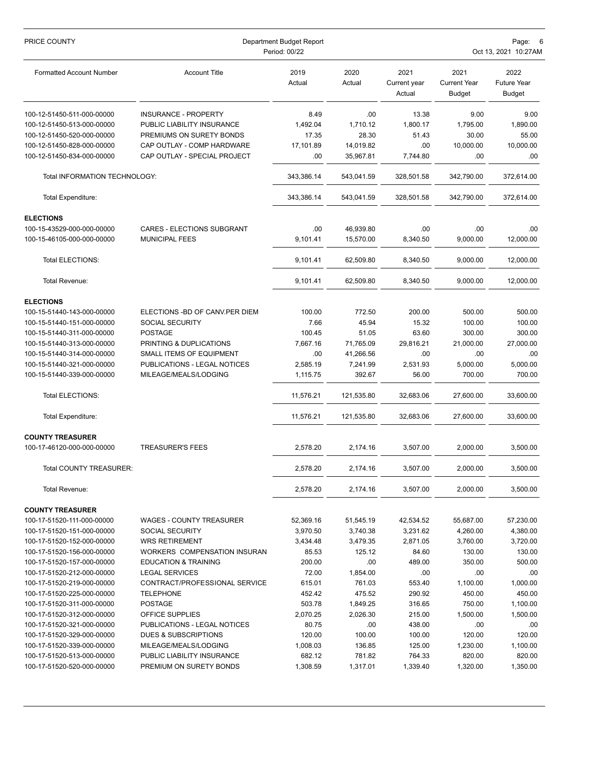| PRICE COUNTY                    | Department Budget Report<br>Period: 00/22 |                |                |                                | Page:<br>Oct 13, 2021 10:27AM                |                                             |  |
|---------------------------------|-------------------------------------------|----------------|----------------|--------------------------------|----------------------------------------------|---------------------------------------------|--|
| <b>Formatted Account Number</b> | <b>Account Title</b>                      | 2019<br>Actual | 2020<br>Actual | 2021<br>Current year<br>Actual | 2021<br><b>Current Year</b><br><b>Budget</b> | 2022<br><b>Future Year</b><br><b>Budget</b> |  |
| 100-12-51450-511-000-00000      | <b>INSURANCE - PROPERTY</b>               | 8.49           | .00            | 13.38                          | 9.00                                         | 9.00                                        |  |
| 100-12-51450-513-000-00000      | PUBLIC LIABILITY INSURANCE                | 1,492.04       | 1,710.12       | 1,800.17                       | 1,795.00                                     | 1,890.00                                    |  |
| 100-12-51450-520-000-00000      | PREMIUMS ON SURETY BONDS                  | 17.35          | 28.30          | 51.43                          | 30.00                                        | 55.00                                       |  |
| 100-12-51450-828-000-00000      | CAP OUTLAY - COMP HARDWARE                | 17,101.89      | 14,019.82      | .00                            | 10,000.00                                    | 10,000.00                                   |  |
| 100-12-51450-834-000-00000      | CAP OUTLAY - SPECIAL PROJECT              | .00            | 35,967.81      | 7,744.80                       | .00                                          | .00                                         |  |
| Total INFORMATION TECHNOLOGY:   |                                           | 343,386.14     | 543,041.59     | 328,501.58                     | 342,790.00                                   | 372,614.00                                  |  |
| <b>Total Expenditure:</b>       |                                           | 343,386.14     | 543,041.59     | 328,501.58                     | 342,790.00                                   | 372,614.00                                  |  |
| <b>ELECTIONS</b>                |                                           |                |                |                                |                                              |                                             |  |
| 100-15-43529-000-000-00000      | CARES - ELECTIONS SUBGRANT                | .00            | 46,939.80      | .00                            | .00                                          | .00.                                        |  |
| 100-15-46105-000-000-00000      | <b>MUNICIPAL FEES</b>                     | 9,101.41       | 15,570.00      | 8,340.50                       | 9,000.00                                     | 12,000.00                                   |  |
| <b>Total ELECTIONS:</b>         |                                           | 9,101.41       | 62,509.80      | 8,340.50                       | 9,000.00                                     | 12,000.00                                   |  |
| Total Revenue:                  |                                           | 9,101.41       | 62,509.80      | 8,340.50                       | 9,000.00                                     | 12,000.00                                   |  |
| <b>ELECTIONS</b>                |                                           |                |                |                                |                                              |                                             |  |
| 100-15-51440-143-000-00000      | ELECTIONS - BD OF CANV. PER DIEM          | 100.00         | 772.50         | 200.00                         | 500.00                                       | 500.00                                      |  |
| 100-15-51440-151-000-00000      | <b>SOCIAL SECURITY</b>                    | 7.66           | 45.94          | 15.32                          | 100.00                                       | 100.00                                      |  |
| 100-15-51440-311-000-00000      | <b>POSTAGE</b>                            | 100.45         | 51.05          | 63.60                          | 300.00                                       | 300.00                                      |  |
| 100-15-51440-313-000-00000      | PRINTING & DUPLICATIONS                   | 7,667.16       | 71,765.09      | 29,816.21                      | 21,000.00                                    | 27,000.00                                   |  |
| 100-15-51440-314-000-00000      | SMALL ITEMS OF EQUIPMENT                  | .00            | 41,266.56      | .00                            | .00                                          | .00                                         |  |
| 100-15-51440-321-000-00000      | PUBLICATIONS - LEGAL NOTICES              | 2,585.19       | 7,241.99       | 2,531.93                       | 5,000.00                                     | 5,000.00                                    |  |
| 100-15-51440-339-000-00000      | MILEAGE/MEALS/LODGING                     | 1,115.75       | 392.67         | 56.00                          | 700.00                                       | 700.00                                      |  |
| Total ELECTIONS:                |                                           | 11,576.21      | 121,535.80     | 32,683.06                      | 27,600.00                                    | 33,600.00                                   |  |
| <b>Total Expenditure:</b>       |                                           | 11,576.21      | 121,535.80     | 32,683.06                      | 27,600.00                                    | 33,600.00                                   |  |
| <b>COUNTY TREASURER</b>         |                                           |                |                |                                |                                              |                                             |  |
| 100-17-46120-000-000-00000      | <b>TREASURER'S FEES</b>                   | 2,578.20       | 2,174.16       | 3,507.00                       | 2,000.00                                     | 3,500.00                                    |  |
| Total COUNTY TREASURER:         |                                           | 2,578.20       | 2,174.16       | 3,507.00                       | 2,000.00                                     | 3,500.00                                    |  |
| Total Revenue:                  |                                           | 2,578.20       | 2,174.16       | 3,507.00                       | 2,000.00                                     | 3,500.00                                    |  |
| <b>COUNTY TREASURER</b>         |                                           |                |                |                                |                                              |                                             |  |
| 100-17-51520-111-000-00000      | <b>WAGES - COUNTY TREASURER</b>           | 52,369.16      | 51,545.19      | 42,534.52                      | 55,687.00                                    | 57,230.00                                   |  |
| 100-17-51520-151-000-00000      | <b>SOCIAL SECURITY</b>                    | 3,970.50       | 3,740.38       | 3,231.62                       | 4,260.00                                     | 4,380.00                                    |  |
| 100-17-51520-152-000-00000      | <b>WRS RETIREMENT</b>                     | 3,434.48       | 3,479.35       | 2,871.05                       | 3,760.00                                     | 3,720.00                                    |  |
| 100-17-51520-156-000-00000      | WORKERS COMPENSATION INSURAN              | 85.53          | 125.12         | 84.60                          | 130.00                                       | 130.00                                      |  |
| 100-17-51520-157-000-00000      | <b>EDUCATION &amp; TRAINING</b>           | 200.00         | .00            | 489.00                         | 350.00                                       | 500.00                                      |  |
| 100-17-51520-212-000-00000      | <b>LEGAL SERVICES</b>                     | 72.00          | 1,854.00       | .00                            | .00                                          | .00                                         |  |
| 100-17-51520-219-000-00000      | CONTRACT/PROFESSIONAL SERVICE             | 615.01         | 761.03         | 553.40                         | 1,100.00                                     | 1,000.00                                    |  |
| 100-17-51520-225-000-00000      | <b>TELEPHONE</b>                          | 452.42         | 475.52         | 290.92                         | 450.00                                       | 450.00                                      |  |
| 100-17-51520-311-000-00000      | <b>POSTAGE</b>                            | 503.78         | 1,849.25       | 316.65                         | 750.00                                       | 1,100.00                                    |  |
| 100-17-51520-312-000-00000      | OFFICE SUPPLIES                           | 2,070.25       | 2,026.30       | 215.00                         | 1,500.00                                     | 1,500.00                                    |  |
| 100-17-51520-321-000-00000      | PUBLICATIONS - LEGAL NOTICES              | 80.75          | .00            | 438.00                         | .00                                          | .00.                                        |  |
| 100-17-51520-329-000-00000      | DUES & SUBSCRIPTIONS                      | 120.00         | 100.00         | 100.00                         | 120.00                                       | 120.00                                      |  |
| 100-17-51520-339-000-00000      | MILEAGE/MEALS/LODGING                     | 1,008.03       | 136.85         | 125.00                         | 1,230.00                                     | 1,100.00                                    |  |
| 100-17-51520-513-000-00000      | PUBLIC LIABILITY INSURANCE                | 682.12         | 781.82         | 764.33                         | 820.00                                       | 820.00                                      |  |
| 100-17-51520-520-000-00000      | PREMIUM ON SURETY BONDS                   | 1,308.59       | 1,317.01       | 1,339.40                       | 1,320.00                                     | 1,350.00                                    |  |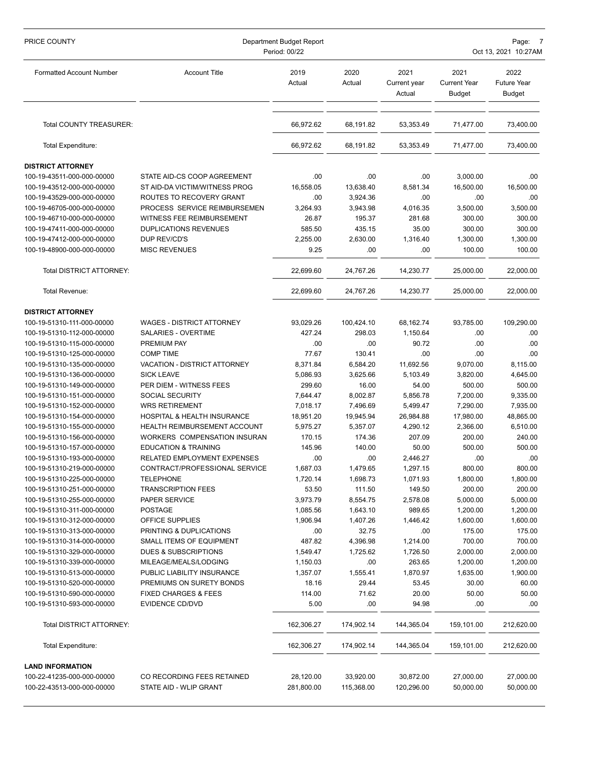| PRICE COUNTY                                             | Department Budget Report<br>Period: 00/22                 |                |                |                                | Page:<br>Oct 13, 2021 10:27AM                |                                             |  |  |
|----------------------------------------------------------|-----------------------------------------------------------|----------------|----------------|--------------------------------|----------------------------------------------|---------------------------------------------|--|--|
| <b>Formatted Account Number</b>                          | <b>Account Title</b>                                      | 2019<br>Actual | 2020<br>Actual | 2021<br>Current year<br>Actual | 2021<br><b>Current Year</b><br><b>Budget</b> | 2022<br><b>Future Year</b><br><b>Budget</b> |  |  |
| Total COUNTY TREASURER:                                  |                                                           | 66,972.62      | 68,191.82      | 53,353.49                      | 71,477.00                                    | 73,400.00                                   |  |  |
| Total Expenditure:                                       |                                                           | 66,972.62      | 68,191.82      | 53,353.49                      | 71,477.00                                    | 73,400.00                                   |  |  |
| <b>DISTRICT ATTORNEY</b>                                 |                                                           |                |                |                                |                                              |                                             |  |  |
| 100-19-43511-000-000-00000                               | STATE AID-CS COOP AGREEMENT                               | .00            | .00            | .00                            | 3,000.00                                     | .00                                         |  |  |
| 100-19-43512-000-000-00000                               | ST AID-DA VICTIM/WITNESS PROG                             | 16,558.05      | 13,638.40      | 8,581.34                       | 16,500.00                                    | 16,500.00                                   |  |  |
| 100-19-43529-000-000-00000                               | ROUTES TO RECOVERY GRANT                                  | .00            | 3,924.36       | .00                            | .00                                          | .00                                         |  |  |
| 100-19-46705-000-000-00000                               | PROCESS SERVICE REIMBURSEMEN                              | 3,264.93       | 3,943.98       | 4,016.35                       | 3,500.00                                     | 3,500.00                                    |  |  |
| 100-19-46710-000-000-00000                               | WITNESS FEE REIMBURSEMENT                                 | 26.87          | 195.37         | 281.68                         | 300.00                                       | 300.00                                      |  |  |
| 100-19-47411-000-000-00000                               | <b>DUPLICATIONS REVENUES</b>                              | 585.50         | 435.15         | 35.00                          | 300.00                                       | 300.00                                      |  |  |
| 100-19-47412-000-000-00000                               | DUP REV/CD'S                                              | 2,255.00       | 2,630.00       | 1,316.40                       | 1,300.00                                     | 1,300.00                                    |  |  |
| 100-19-48900-000-000-00000                               | <b>MISC REVENUES</b>                                      | 9.25           | .00            | .00                            | 100.00                                       | 100.00                                      |  |  |
|                                                          |                                                           |                |                |                                |                                              |                                             |  |  |
| Total DISTRICT ATTORNEY:                                 |                                                           | 22,699.60      | 24,767.26      | 14,230.77                      | 25,000.00                                    | 22,000.00                                   |  |  |
| Total Revenue:                                           |                                                           | 22,699.60      | 24,767.26      | 14,230.77                      | 25,000.00                                    | 22,000.00                                   |  |  |
| <b>DISTRICT ATTORNEY</b>                                 |                                                           |                |                |                                |                                              |                                             |  |  |
| 100-19-51310-111-000-00000                               | <b>WAGES - DISTRICT ATTORNEY</b>                          | 93,029.26      | 100,424.10     | 68,162.74                      | 93,785.00                                    | 109,290.00                                  |  |  |
| 100-19-51310-112-000-00000                               | SALARIES - OVERTIME                                       | 427.24         | 298.03         | 1,150.64                       | .00                                          | .00                                         |  |  |
| 100-19-51310-115-000-00000                               | PREMIUM PAY                                               | .00            | .00            | 90.72                          | .00                                          | .00                                         |  |  |
| 100-19-51310-125-000-00000                               | <b>COMP TIME</b>                                          | 77.67          | 130.41         | .00                            | .00                                          | .00                                         |  |  |
| 100-19-51310-135-000-00000                               | VACATION - DISTRICT ATTORNEY                              | 8,371.84       | 6,584.20       | 11,692.56                      | 9,070.00                                     | 8,115.00                                    |  |  |
| 100-19-51310-136-000-00000                               | <b>SICK LEAVE</b>                                         | 5,086.93       | 3,625.66       | 5,103.49                       | 3,820.00                                     | 4,645.00                                    |  |  |
| 100-19-51310-149-000-00000                               | PER DIEM - WITNESS FEES                                   | 299.60         | 16.00          | 54.00                          | 500.00                                       | 500.00                                      |  |  |
| 100-19-51310-151-000-00000                               | SOCIAL SECURITY                                           | 7,644.47       | 8,002.87       | 5,856.78                       | 7,200.00                                     | 9,335.00                                    |  |  |
| 100-19-51310-152-000-00000                               | <b>WRS RETIREMENT</b>                                     | 7,018.17       | 7,496.69       | 5,499.47                       | 7,290.00                                     | 7,935.00                                    |  |  |
| 100-19-51310-154-000-00000                               | HOSPITAL & HEALTH INSURANCE                               | 18,951.20      | 19,945.94      | 26,984.88                      | 17,980.00                                    | 48,865.00                                   |  |  |
| 100-19-51310-155-000-00000                               | <b>HEALTH REIMBURSEMENT ACCOUNT</b>                       | 5,975.27       | 5,357.07       | 4,290.12                       | 2,366.00                                     | 6,510.00                                    |  |  |
| 100-19-51310-156-000-00000                               | WORKERS COMPENSATION INSURAN                              | 170.15         | 174.36         | 207.09                         | 200.00                                       | 240.00                                      |  |  |
| 100-19-51310-157-000-00000                               | <b>EDUCATION &amp; TRAINING</b>                           | 145.96         | 140.00         | 50.00                          | 500.00                                       | 500.00                                      |  |  |
| 100-19-51310-193-000-00000                               | RELATED EMPLOYMENT EXPENSES                               | .00            | .00            | 2,446.27                       | .00                                          | .00                                         |  |  |
| 100-19-51310-219-000-00000                               | CONTRACT/PROFESSIONAL SERVICE                             | 1,687.03       | 1,479.65       | 1,297.15                       | 800.00                                       | 800.00                                      |  |  |
| 100-19-51310-225-000-00000                               | <b>TELEPHONE</b>                                          | 1,720.14       | 1,698.73       | 1,071.93                       | 1,800.00                                     | 1,800.00                                    |  |  |
| 100-19-51310-251-000-00000                               | <b>TRANSCRIPTION FEES</b>                                 | 53.50          | 111.50         | 149.50                         | 200.00                                       | 200.00                                      |  |  |
| 100-19-51310-255-000-00000                               | PAPER SERVICE                                             | 3,973.79       | 8,554.75       | 2,578.08                       | 5,000.00                                     | 5,000.00                                    |  |  |
| 100-19-51310-311-000-00000                               | <b>POSTAGE</b>                                            | 1,085.56       | 1,643.10       | 989.65                         | 1,200.00                                     | 1,200.00                                    |  |  |
| 100-19-51310-312-000-00000                               | OFFICE SUPPLIES                                           | 1,906.94       | 1,407.26       | 1,446.42                       | 1,600.00                                     | 1,600.00                                    |  |  |
| 100-19-51310-313-000-00000                               | PRINTING & DUPLICATIONS                                   | .00            | 32.75          | .00                            | 175.00                                       | 175.00                                      |  |  |
| 100-19-51310-314-000-00000                               | SMALL ITEMS OF EQUIPMENT                                  | 487.82         | 4,396.98       | 1,214.00                       | 700.00                                       | 700.00                                      |  |  |
| 100-19-51310-329-000-00000                               | DUES & SUBSCRIPTIONS                                      | 1,549.47       | 1,725.62       | 1,726.50                       | 2,000.00                                     | 2,000.00                                    |  |  |
| 100-19-51310-339-000-00000                               | MILEAGE/MEALS/LODGING                                     | 1,150.03       | .00            | 263.65                         | 1,200.00                                     | 1,200.00                                    |  |  |
| 100-19-51310-513-000-00000<br>100-19-51310-520-000-00000 | PUBLIC LIABILITY INSURANCE<br>PREMIUMS ON SURETY BONDS    | 1,357.07       | 1,555.41       | 1,870.97                       | 1,635.00                                     | 1,900.00                                    |  |  |
|                                                          |                                                           | 18.16          | 29.44          | 53.45                          | 30.00                                        | 60.00                                       |  |  |
| 100-19-51310-590-000-00000                               | <b>FIXED CHARGES &amp; FEES</b><br><b>EVIDENCE CD/DVD</b> | 114.00         | 71.62          | 20.00                          | 50.00                                        | 50.00                                       |  |  |
| 100-19-51310-593-000-00000                               |                                                           | 5.00           | .00            | 94.98                          | .00                                          | .00.                                        |  |  |
| Total DISTRICT ATTORNEY:                                 |                                                           | 162,306.27     | 174,902.14     | 144,365.04                     | 159,101.00                                   | 212,620.00                                  |  |  |
| Total Expenditure:                                       |                                                           | 162,306.27     | 174,902.14     | 144,365.04                     | 159,101.00                                   | 212,620.00                                  |  |  |
| <b>LAND INFORMATION</b>                                  |                                                           |                |                |                                |                                              |                                             |  |  |
| 100-22-41235-000-000-00000                               | CO RECORDING FEES RETAINED                                | 28,120.00      | 33,920.00      | 30,872.00                      | 27,000.00                                    | 27,000.00                                   |  |  |
| 100-22-43513-000-000-00000                               | STATE AID - WLIP GRANT                                    | 281,800.00     | 115,368.00     | 120,296.00                     | 50,000.00                                    | 50,000.00                                   |  |  |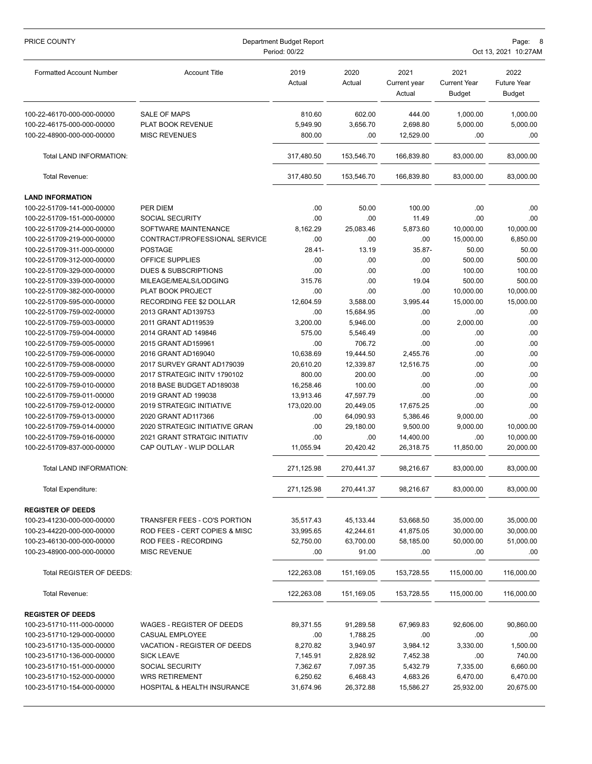| PRICE COUNTY                    | Department Budget Report<br>Period: 00/22 |                |                |                                |                                              | Page:<br>Oct 13, 2021 10:27AM               |  |  |
|---------------------------------|-------------------------------------------|----------------|----------------|--------------------------------|----------------------------------------------|---------------------------------------------|--|--|
| <b>Formatted Account Number</b> | <b>Account Title</b>                      | 2019<br>Actual | 2020<br>Actual | 2021<br>Current year<br>Actual | 2021<br><b>Current Year</b><br><b>Budget</b> | 2022<br><b>Future Year</b><br><b>Budget</b> |  |  |
| 100-22-46170-000-000-00000      | <b>SALE OF MAPS</b>                       | 810.60         | 602.00         | 444.00                         | 1,000.00                                     | 1,000.00                                    |  |  |
| 100-22-46175-000-000-00000      | PLAT BOOK REVENUE                         | 5,949.90       | 3,656.70       | 2,698.80                       | 5,000.00                                     | 5,000.00                                    |  |  |
| 100-22-48900-000-000-00000      | <b>MISC REVENUES</b>                      | 800.00         | .00            | 12,529.00                      | .00                                          | .00                                         |  |  |
| Total LAND INFORMATION:         |                                           | 317,480.50     | 153,546.70     | 166,839.80                     | 83,000.00                                    | 83,000.00                                   |  |  |
| Total Revenue:                  |                                           | 317,480.50     | 153,546.70     | 166,839.80                     | 83,000.00                                    | 83,000.00                                   |  |  |
| <b>LAND INFORMATION</b>         |                                           |                |                |                                |                                              |                                             |  |  |
| 100-22-51709-141-000-00000      | PER DIEM                                  | .00            | 50.00          | 100.00                         | .00                                          | .00                                         |  |  |
| 100-22-51709-151-000-00000      | SOCIAL SECURITY                           | .00            | .00            | 11.49                          | .00                                          | .00                                         |  |  |
| 100-22-51709-214-000-00000      | SOFTWARE MAINTENANCE                      | 8,162.29       | 25,083.46      | 5,873.60                       | 10,000.00                                    | 10,000.00                                   |  |  |
| 100-22-51709-219-000-00000      | CONTRACT/PROFESSIONAL SERVICE             | .00            | .00            | .00                            | 15,000.00                                    | 6,850.00                                    |  |  |
| 100-22-51709-311-000-00000      | <b>POSTAGE</b>                            | 28.41-         | 13.19          | 35.87-                         | 50.00                                        | 50.00                                       |  |  |
| 100-22-51709-312-000-00000      | OFFICE SUPPLIES                           | .00            | .00            | .00                            | 500.00                                       | 500.00                                      |  |  |
| 100-22-51709-329-000-00000      | <b>DUES &amp; SUBSCRIPTIONS</b>           | .00            | .00            | .00                            | 100.00                                       | 100.00                                      |  |  |
| 100-22-51709-339-000-00000      | MILEAGE/MEALS/LODGING                     | 315.76         | .00            | 19.04                          | 500.00                                       | 500.00                                      |  |  |
| 100-22-51709-382-000-00000      | PLAT BOOK PROJECT                         | .00            | .00            | .00                            | 10,000.00                                    | 10,000.00                                   |  |  |
| 100-22-51709-595-000-00000      | RECORDING FEE \$2 DOLLAR                  | 12,604.59      | 3,588.00       | 3,995.44                       | 15,000.00                                    | 15,000.00                                   |  |  |
| 100-22-51709-759-002-00000      | 2013 GRANT AD139753                       | .00            | 15,684.95      | .00                            | .00                                          | .00                                         |  |  |
| 100-22-51709-759-003-00000      | 2011 GRANT AD119539                       | 3,200.00       | 5,946.00       | .00                            | 2,000.00                                     | .00                                         |  |  |
| 100-22-51709-759-004-00000      | 2014 GRANT AD 149846                      | 575.00         | 5,546.49       | .00                            | .00                                          | .00                                         |  |  |
| 100-22-51709-759-005-00000      | 2015 GRANT AD159961                       | .00            | 706.72         | .00                            | .00                                          | .00                                         |  |  |
| 100-22-51709-759-006-00000      | 2016 GRANT AD169040                       | 10,638.69      | 19,444.50      | 2,455.76                       | .00                                          | .00                                         |  |  |
| 100-22-51709-759-008-00000      | 2017 SURVEY GRANT AD179039                | 20,610.20      | 12,339.87      | 12,516.75                      | .00                                          | .00                                         |  |  |
| 100-22-51709-759-009-00000      | 2017 STRATEGIC INITV 1790102              | 800.00         | 200.00         | .00                            | .00                                          | .00                                         |  |  |
| 100-22-51709-759-010-00000      | 2018 BASE BUDGET AD189038                 | 16,258.46      | 100.00         | .00                            | .00                                          | .00                                         |  |  |
| 100-22-51709-759-011-00000      | 2019 GRANT AD 199038                      | 13,913.46      | 47,597.79      | .00                            | .00                                          | .00                                         |  |  |
| 100-22-51709-759-012-00000      | 2019 STRATEGIC INITIATIVE                 | 173,020.00     | 20,449.05      | 17,675.25                      | .00                                          | .00                                         |  |  |
| 100-22-51709-759-013-00000      | 2020 GRANT AD117366                       | .00            | 64,090.93      | 5,386.46                       | 9,000.00                                     | .00                                         |  |  |
| 100-22-51709-759-014-00000      | 2020 STRATEGIC INITIATIVE GRAN            | .00            | 29,180.00      | 9,500.00                       | 9.000.00                                     | 10,000.00                                   |  |  |
| 100-22-51709-759-016-00000      | 2021 GRANT STRATGIC INITIATIV             | .00            | .00            | 14,400.00                      | .00                                          | 10,000.00                                   |  |  |
| 100-22-51709-837-000-00000      | CAP OUTLAY - WLIP DOLLAR                  | 11,055.94      | 20,420.42      | 26,318.75                      | 11,850.00                                    | 20,000.00                                   |  |  |
| Total LAND INFORMATION:         |                                           | 271,125.98     | 270,441.37     | 98,216.67                      | 83,000.00                                    | 83,000.00                                   |  |  |
| Total Expenditure:              |                                           | 271,125.98     | 270,441.37     | 98,216.67                      | 83,000.00                                    | 83,000.00                                   |  |  |
| <b>REGISTER OF DEEDS</b>        |                                           |                |                |                                |                                              |                                             |  |  |
| 100-23-41230-000-000-00000      | <b>TRANSFER FEES - CO'S PORTION</b>       | 35,517.43      | 45,133.44      | 53,668.50                      | 35,000.00                                    | 35,000.00                                   |  |  |
| 100-23-44220-000-000-00000      | ROD FEES - CERT COPIES & MISC             | 33,995.65      | 42,244.61      | 41,875.05                      | 30,000.00                                    | 30,000.00                                   |  |  |
| 100-23-46130-000-000-00000      | ROD FEES - RECORDING                      | 52,750.00      | 63,700.00      | 58,185.00                      | 50,000.00                                    | 51,000.00                                   |  |  |
| 100-23-48900-000-000-00000      | <b>MISC REVENUE</b>                       | .00            | 91.00          | .00                            | .00                                          | .00                                         |  |  |
| Total REGISTER OF DEEDS:        |                                           | 122,263.08     | 151,169.05     | 153,728.55                     | 115,000.00                                   | 116,000.00                                  |  |  |
| Total Revenue:                  |                                           | 122,263.08     | 151,169.05     | 153,728.55                     | 115,000.00                                   | 116,000.00                                  |  |  |
| <b>REGISTER OF DEEDS</b>        |                                           |                |                |                                |                                              |                                             |  |  |
| 100-23-51710-111-000-00000      | WAGES - REGISTER OF DEEDS                 | 89,371.55      | 91,289.58      | 67,969.83                      | 92,606.00                                    | 90,860.00                                   |  |  |
| 100-23-51710-129-000-00000      | CASUAL EMPLOYEE                           | .00            | 1,788.25       | .00                            | .00                                          | .00.                                        |  |  |
| 100-23-51710-135-000-00000      | VACATION - REGISTER OF DEEDS              | 8,270.82       | 3,940.97       | 3,984.12                       | 3,330.00                                     | 1,500.00                                    |  |  |
| 100-23-51710-136-000-00000      | <b>SICK LEAVE</b>                         | 7,145.91       | 2,828.92       | 7,452.38                       | .00                                          | 740.00                                      |  |  |
| 100-23-51710-151-000-00000      | SOCIAL SECURITY                           | 7,362.67       | 7,097.35       | 5,432.79                       | 7,335.00                                     | 6,660.00                                    |  |  |
| 100-23-51710-152-000-00000      | <b>WRS RETIREMENT</b>                     | 6,250.62       | 6,468.43       | 4,683.26                       | 6,470.00                                     | 6,470.00                                    |  |  |
| 100-23-51710-154-000-00000      | HOSPITAL & HEALTH INSURANCE               | 31,674.96      | 26,372.88      | 15,586.27                      | 25,932.00                                    | 20,675.00                                   |  |  |
|                                 |                                           |                |                |                                |                                              |                                             |  |  |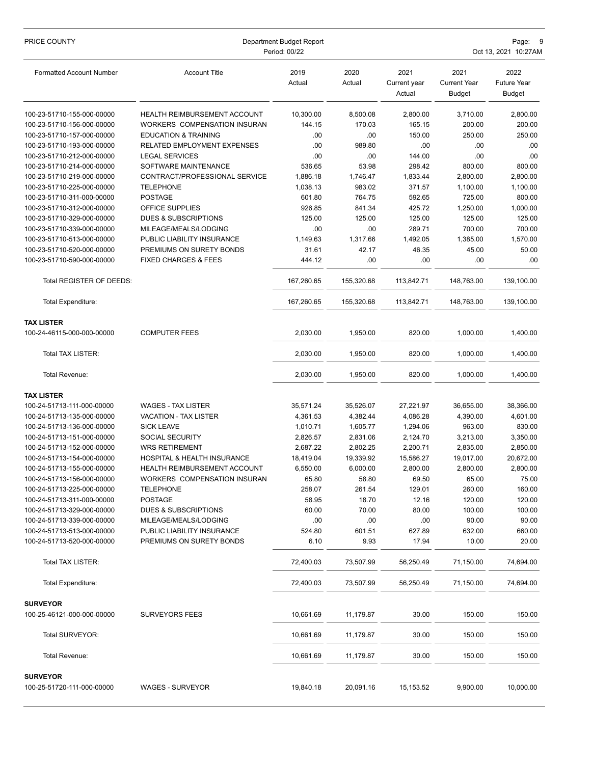| PRICE COUNTY                                             | Department Budget Report<br>Period: 00/22 |                |                |                                | Page:<br>Oct 13, 2021 10:27AM                |                                             |  |
|----------------------------------------------------------|-------------------------------------------|----------------|----------------|--------------------------------|----------------------------------------------|---------------------------------------------|--|
| <b>Formatted Account Number</b>                          | <b>Account Title</b>                      | 2019<br>Actual | 2020<br>Actual | 2021<br>Current year<br>Actual | 2021<br><b>Current Year</b><br><b>Budget</b> | 2022<br><b>Future Year</b><br><b>Budget</b> |  |
| 100-23-51710-155-000-00000                               | <b>HEALTH REIMBURSEMENT ACCOUNT</b>       | 10,300.00      | 8,500.08       | 2,800.00                       | 3,710.00                                     | 2,800.00                                    |  |
| 100-23-51710-156-000-00000                               | WORKERS COMPENSATION INSURAN              | 144.15         | 170.03         | 165.15                         | 200.00                                       | 200.00                                      |  |
| 100-23-51710-157-000-00000                               | <b>EDUCATION &amp; TRAINING</b>           | .00            | .00            | 150.00                         | 250.00                                       | 250.00                                      |  |
| 100-23-51710-193-000-00000                               | RELATED EMPLOYMENT EXPENSES               | .00            | 989.80         | .00                            | .00                                          | .00                                         |  |
| 100-23-51710-212-000-00000                               | <b>LEGAL SERVICES</b>                     | .00            | .00            | 144.00                         | .00                                          | .00                                         |  |
| 100-23-51710-214-000-00000                               | SOFTWARE MAINTENANCE                      | 536.65         | 53.98          | 298.42                         | 800.00                                       | 800.00                                      |  |
| 100-23-51710-219-000-00000                               | CONTRACT/PROFESSIONAL SERVICE             | 1,886.18       | 1,746.47       | 1,833.44                       | 2,800.00                                     | 2,800.00                                    |  |
| 100-23-51710-225-000-00000                               | TELEPHONE                                 | 1,038.13       | 983.02         | 371.57                         | 1,100.00                                     | 1,100.00                                    |  |
| 100-23-51710-311-000-00000                               | <b>POSTAGE</b>                            | 601.80         | 764.75         | 592.65                         | 725.00                                       | 800.00                                      |  |
| 100-23-51710-312-000-00000                               | OFFICE SUPPLIES                           | 926.85         | 841.34         | 425.72                         | 1,250.00                                     | 1,000.00                                    |  |
| 100-23-51710-329-000-00000                               | <b>DUES &amp; SUBSCRIPTIONS</b>           | 125.00         | 125.00         | 125.00                         | 125.00                                       | 125.00                                      |  |
| 100-23-51710-339-000-00000                               | MILEAGE/MEALS/LODGING                     | .00            | .00            | 289.71                         | 700.00                                       | 700.00                                      |  |
| 100-23-51710-513-000-00000<br>100-23-51710-520-000-00000 | PUBLIC LIABILITY INSURANCE                | 1,149.63       | 1,317.66       | 1,492.05                       | 1,385.00                                     | 1,570.00                                    |  |
|                                                          | PREMIUMS ON SURETY BONDS                  | 31.61          | 42.17          | 46.35                          | 45.00                                        | 50.00                                       |  |
| 100-23-51710-590-000-00000                               | <b>FIXED CHARGES &amp; FEES</b>           | 444.12         | .00            | .00                            | .00                                          | .00.                                        |  |
| Total REGISTER OF DEEDS:                                 |                                           | 167,260.65     | 155,320.68     | 113,842.71                     | 148,763.00                                   | 139,100.00                                  |  |
| Total Expenditure:                                       |                                           | 167,260.65     | 155,320.68     | 113,842.71                     | 148,763.00                                   | 139,100.00                                  |  |
| <b>TAX LISTER</b>                                        |                                           |                |                |                                |                                              |                                             |  |
| 100-24-46115-000-000-00000                               | <b>COMPUTER FEES</b>                      | 2,030.00       | 1,950.00       | 820.00                         | 1,000.00                                     | 1,400.00                                    |  |
| Total TAX LISTER:                                        |                                           | 2,030.00       | 1,950.00       | 820.00                         | 1,000.00                                     | 1,400.00                                    |  |
| Total Revenue:                                           |                                           | 2,030.00       | 1,950.00       | 820.00                         | 1,000.00                                     | 1,400.00                                    |  |
| <b>TAX LISTER</b>                                        |                                           |                |                |                                |                                              |                                             |  |
| 100-24-51713-111-000-00000                               | <b>WAGES - TAX LISTER</b>                 | 35,571.24      | 35,526.07      | 27,221.97                      | 36,655.00                                    | 38,366.00                                   |  |
| 100-24-51713-135-000-00000                               | <b>VACATION - TAX LISTER</b>              | 4,361.53       | 4,382.44       | 4,086.28                       | 4,390.00                                     | 4,601.00                                    |  |
| 100-24-51713-136-000-00000                               | <b>SICK LEAVE</b>                         | 1,010.71       | 1,605.77       | 1,294.06                       | 963.00                                       | 830.00                                      |  |
| 100-24-51713-151-000-00000                               | SOCIAL SECURITY                           | 2,826.57       | 2,831.06       | 2,124.70                       | 3,213.00                                     | 3,350.00                                    |  |
| 100-24-51713-152-000-00000                               | <b>WRS RETIREMENT</b>                     | 2,687.22       | 2,802.25       | 2,200.71                       | 2,835.00                                     | 2,850.00                                    |  |
| 100-24-51713-154-000-00000                               | HOSPITAL & HEALTH INSURANCE               | 18,419.04      | 19,339.92      | 15,586.27                      | 19,017.00                                    | 20,672.00                                   |  |
| 100-24-51713-155-000-00000                               | <b>HEALTH REIMBURSEMENT ACCOUNT</b>       | 6,550.00       | 6,000.00       | 2,800.00                       | 2,800.00                                     | 2,800.00                                    |  |
| 100-24-51713-156-000-00000                               | WORKERS COMPENSATION INSURAN              | 65.80          | 58.80          | 69.50                          | 65.00                                        | 75.00                                       |  |
| 100-24-51713-225-000-00000                               | TELEPHONE                                 | 258.07         | 261.54         | 129.01                         | 260.00                                       | 160.00                                      |  |
| 100-24-51713-311-000-00000                               | <b>POSTAGE</b>                            | 58.95          | 18.70          | 12.16                          | 120.00                                       | 120.00                                      |  |
| 100-24-51713-329-000-00000                               | DUES & SUBSCRIPTIONS                      | 60.00          | 70.00          | 80.00                          | 100.00                                       | 100.00                                      |  |
| 100-24-51713-339-000-00000                               | MILEAGE/MEALS/LODGING                     | .00            | .00            | .00                            | 90.00                                        | 90.00                                       |  |
| 100-24-51713-513-000-00000                               | PUBLIC LIABILITY INSURANCE                | 524.80         | 601.51         | 627.89                         | 632.00                                       | 660.00                                      |  |
| 100-24-51713-520-000-00000                               | PREMIUMS ON SURETY BONDS                  | 6.10           | 9.93           | 17.94                          | 10.00                                        | 20.00                                       |  |
| Total TAX LISTER:                                        |                                           | 72,400.03      | 73,507.99      | 56,250.49                      | 71,150.00                                    | 74,694.00                                   |  |
| Total Expenditure:                                       |                                           | 72,400.03      | 73,507.99      | 56,250.49                      | 71,150.00                                    | 74,694.00                                   |  |
| <b>SURVEYOR</b>                                          |                                           |                |                |                                |                                              |                                             |  |
| 100-25-46121-000-000-00000                               | <b>SURVEYORS FEES</b>                     | 10,661.69      | 11,179.87      | 30.00                          | 150.00                                       | 150.00                                      |  |
| Total SURVEYOR:                                          |                                           | 10,661.69      | 11,179.87      | 30.00                          | 150.00                                       | 150.00                                      |  |
| Total Revenue:                                           |                                           | 10,661.69      | 11,179.87      | 30.00                          | 150.00                                       | 150.00                                      |  |
| <b>SURVEYOR</b><br>100-25-51720-111-000-00000            | WAGES - SURVEYOR                          | 19,840.18      | 20,091.16      | 15,153.52                      | 9,900.00                                     | 10,000.00                                   |  |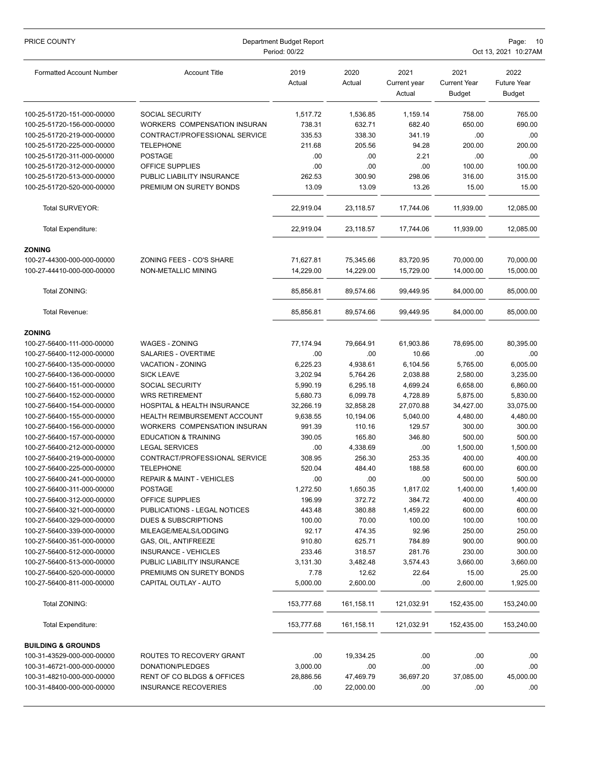| PRICE COUNTY                                             | Department Budget Report<br>Period: 00/22          |                  |                   |                                | Page:<br>-10<br>Oct 13, 2021 10:27AM         |                                             |  |
|----------------------------------------------------------|----------------------------------------------------|------------------|-------------------|--------------------------------|----------------------------------------------|---------------------------------------------|--|
| <b>Formatted Account Number</b>                          | <b>Account Title</b>                               | 2019<br>Actual   | 2020<br>Actual    | 2021<br>Current year<br>Actual | 2021<br><b>Current Year</b><br><b>Budget</b> | 2022<br><b>Future Year</b><br><b>Budget</b> |  |
| 100-25-51720-151-000-00000                               | SOCIAL SECURITY                                    | 1,517.72         | 1,536.85          | 1,159.14                       | 758.00                                       | 765.00                                      |  |
| 100-25-51720-156-000-00000                               | WORKERS COMPENSATION INSURAN                       | 738.31           | 632.71            | 682.40                         | 650.00                                       | 690.00                                      |  |
| 100-25-51720-219-000-00000                               | CONTRACT/PROFESSIONAL SERVICE                      | 335.53           | 338.30            | 341.19                         | .00                                          | .00                                         |  |
| 100-25-51720-225-000-00000                               | <b>TELEPHONE</b>                                   | 211.68           | 205.56            | 94.28                          | 200.00                                       | 200.00                                      |  |
| 100-25-51720-311-000-00000                               | <b>POSTAGE</b>                                     | .00              | .00               | 2.21                           | .00                                          | .00                                         |  |
| 100-25-51720-312-000-00000                               | OFFICE SUPPLIES                                    | .00              | .00               | .00                            | 100.00                                       | 100.00                                      |  |
| 100-25-51720-513-000-00000                               | PUBLIC LIABILITY INSURANCE                         | 262.53           | 300.90            | 298.06                         | 316.00                                       | 315.00                                      |  |
| 100-25-51720-520-000-00000                               | PREMIUM ON SURETY BONDS                            | 13.09            | 13.09             | 13.26                          | 15.00                                        | 15.00                                       |  |
| Total SURVEYOR:                                          |                                                    | 22,919.04        | 23,118.57         | 17,744.06                      | 11,939.00                                    | 12,085.00                                   |  |
| Total Expenditure:                                       |                                                    | 22,919.04        | 23,118.57         | 17,744.06                      | 11.939.00                                    | 12.085.00                                   |  |
| <b>ZONING</b>                                            |                                                    |                  |                   |                                |                                              |                                             |  |
| 100-27-44300-000-000-00000                               | ZONING FEES - CO'S SHARE                           | 71,627.81        | 75,345.66         | 83,720.95                      | 70,000.00                                    | 70,000.00                                   |  |
| 100-27-44410-000-000-00000                               | NON-METALLIC MINING                                | 14,229.00        | 14,229.00         | 15,729.00                      | 14,000.00                                    | 15,000.00                                   |  |
| Total ZONING:                                            |                                                    | 85,856.81        | 89,574.66         | 99,449.95                      | 84,000.00                                    | 85,000.00                                   |  |
| Total Revenue:                                           |                                                    | 85,856.81        | 89,574.66         | 99,449.95                      | 84,000.00                                    | 85,000.00                                   |  |
| <b>ZONING</b>                                            |                                                    |                  |                   |                                |                                              |                                             |  |
| 100-27-56400-111-000-00000                               | <b>WAGES - ZONING</b>                              | 77,174.94        | 79,664.91         | 61,903.86                      | 78,695.00                                    | 80,395.00                                   |  |
| 100-27-56400-112-000-00000                               | SALARIES - OVERTIME                                | .00              | .00               | 10.66                          | .00                                          | .00                                         |  |
| 100-27-56400-135-000-00000                               | VACATION - ZONING                                  | 6,225.23         | 4,938.61          | 6,104.56                       | 5,765.00                                     | 6,005.00                                    |  |
| 100-27-56400-136-000-00000                               | <b>SICK LEAVE</b>                                  | 3,202.94         | 5,764.26          | 2,038.88                       | 2,580.00                                     | 3,235.00                                    |  |
| 100-27-56400-151-000-00000                               | <b>SOCIAL SECURITY</b>                             | 5,990.19         | 6,295.18          | 4,699.24                       | 6,658.00                                     | 6,860.00                                    |  |
| 100-27-56400-152-000-00000                               | <b>WRS RETIREMENT</b>                              | 5,680.73         | 6,099.78          | 4,728.89                       | 5,875.00                                     | 5,830.00                                    |  |
| 100-27-56400-154-000-00000                               | HOSPITAL & HEALTH INSURANCE                        | 32,266.19        | 32,858.28         | 27,070.88                      | 34,427.00                                    | 33,075.00                                   |  |
| 100-27-56400-155-000-00000                               | <b>HEALTH REIMBURSEMENT ACCOUNT</b>                | 9,638.55         | 10,194.06         | 5,040.00                       | 4,480.00                                     | 4,480.00                                    |  |
| 100-27-56400-156-000-00000                               | WORKERS COMPENSATION INSURAN                       | 991.39           | 110.16            | 129.57                         | 300.00                                       | 300.00                                      |  |
| 100-27-56400-157-000-00000                               | <b>EDUCATION &amp; TRAINING</b>                    | 390.05           | 165.80            | 346.80                         | 500.00                                       | 500.00                                      |  |
| 100-27-56400-212-000-00000                               | <b>LEGAL SERVICES</b>                              | .00              | 4,338.69          | .00                            | 1,500.00                                     | 1,500.00                                    |  |
| 100-27-56400-219-000-00000                               | CONTRACT/PROFESSIONAL SERVICE                      | 308.95           | 256.30            | 253.35                         | 400.00                                       | 400.00                                      |  |
| 100-27-56400-225-000-00000                               | <b>TELEPHONE</b>                                   | 520.04           | 484.40            | 188.58                         | 600.00                                       | 600.00                                      |  |
| 100-27-56400-241-000-00000                               | <b>REPAIR &amp; MAINT - VEHICLES</b>               | .00              | .00               | .00                            | 500.00                                       | 500.00                                      |  |
| 100-27-56400-311-000-00000                               | <b>POSTAGE</b>                                     | 1,272.50         | 1,650.35          | 1,817.02                       | 1,400.00                                     | 1,400.00                                    |  |
| 100-27-56400-312-000-00000                               | OFFICE SUPPLIES                                    | 196.99           | 372.72            | 384.72                         | 400.00                                       | 400.00                                      |  |
| 100-27-56400-321-000-00000                               | PUBLICATIONS - LEGAL NOTICES                       | 443.48           | 380.88            | 1,459.22                       | 600.00                                       | 600.00                                      |  |
| 100-27-56400-329-000-00000                               | <b>DUES &amp; SUBSCRIPTIONS</b>                    | 100.00           | 70.00             | 100.00                         | 100.00                                       | 100.00                                      |  |
| 100-27-56400-339-000-00000                               | MILEAGE/MEALS/LODGING                              | 92.17            | 474.35            | 92.96                          | 250.00                                       | 250.00                                      |  |
| 100-27-56400-351-000-00000                               | GAS, OIL, ANTIFREEZE                               | 910.80           | 625.71            | 784.89                         | 900.00                                       | 900.00                                      |  |
| 100-27-56400-512-000-00000<br>100-27-56400-513-000-00000 | INSURANCE - VEHICLES<br>PUBLIC LIABILITY INSURANCE | 233.46           | 318.57            | 281.76<br>3,574.43             | 230.00                                       | 300.00<br>3,660.00                          |  |
| 100-27-56400-520-000-00000                               | PREMIUMS ON SURETY BONDS                           | 3,131.30<br>7.78 | 3,482.48<br>12.62 | 22.64                          | 3,660.00<br>15.00                            | 25.00                                       |  |
| 100-27-56400-811-000-00000                               | CAPITAL OUTLAY - AUTO                              | 5,000.00         | 2,600.00          | .00                            | 2,600.00                                     | 1,925.00                                    |  |
|                                                          |                                                    |                  |                   |                                |                                              |                                             |  |
| Total ZONING:                                            |                                                    | 153,777.68       | 161,158.11        | 121,032.91                     | 152,435.00                                   | 153,240.00                                  |  |
| <b>Total Expenditure:</b>                                |                                                    | 153,777.68       | 161,158.11        | 121,032.91                     | 152,435.00                                   | 153,240.00                                  |  |
| <b>BUILDING &amp; GROUNDS</b>                            |                                                    |                  |                   |                                |                                              |                                             |  |
| 100-31-43529-000-000-00000                               | ROUTES TO RECOVERY GRANT                           | .00              | 19,334.25         | .00                            | .00                                          | .00                                         |  |
| 100-31-46721-000-000-00000                               | DONATION/PLEDGES                                   | 3,000.00         | .00               | .00                            | .00                                          | .00                                         |  |
| 100-31-48210-000-000-00000                               | RENT OF CO BLDGS & OFFICES                         | 28,886.56        | 47,469.79         | 36,697.20                      | 37,085.00                                    | 45,000.00                                   |  |
| 100-31-48400-000-000-00000                               | <b>INSURANCE RECOVERIES</b>                        | .00              | 22,000.00         | .00                            | .00                                          | .00.                                        |  |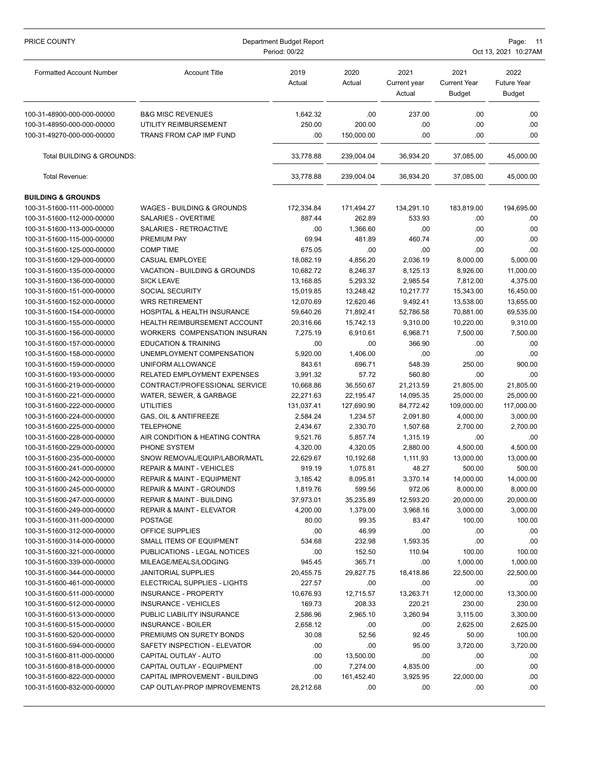| PRICE COUNTY                    | Department Budget Report<br>Period: 00/22 |                |                |                                | Page:<br>11<br>Oct 13, 2021 10:27AM          |                                      |  |  |
|---------------------------------|-------------------------------------------|----------------|----------------|--------------------------------|----------------------------------------------|--------------------------------------|--|--|
| <b>Formatted Account Number</b> | <b>Account Title</b>                      | 2019<br>Actual | 2020<br>Actual | 2021<br>Current year<br>Actual | 2021<br><b>Current Year</b><br><b>Budget</b> | 2022<br>Future Year<br><b>Budget</b> |  |  |
| 100-31-48900-000-000-00000      | <b>B&amp;G MISC REVENUES</b>              | 1,642.32       | .00            | 237.00                         | .00                                          | .00.                                 |  |  |
| 100-31-48950-000-000-00000      | UTILITY REIMBURSEMENT                     | 250.00         | 200.00         | .00                            | .00                                          | .00.                                 |  |  |
| 100-31-49270-000-000-00000      | TRANS FROM CAP IMP FUND                   | .00            | 150,000.00     | .00                            | .00                                          | 00.                                  |  |  |
| Total BUILDING & GROUNDS:       |                                           | 33,778.88      | 239,004.04     | 36,934.20                      | 37,085.00                                    | 45,000.00                            |  |  |
| Total Revenue:                  |                                           | 33,778.88      | 239,004.04     | 36,934.20                      | 37,085.00                                    | 45,000.00                            |  |  |
| <b>BUILDING &amp; GROUNDS</b>   |                                           |                |                |                                |                                              |                                      |  |  |
| 100-31-51600-111-000-00000      | WAGES - BUILDING & GROUNDS                | 172,334.84     | 171,494.27     | 134,291.10                     | 183,819.00                                   | 194,695.00                           |  |  |
| 100-31-51600-112-000-00000      | SALARIES - OVERTIME                       | 887.44         | 262.89         | 533.93                         | .00                                          | .00.                                 |  |  |
| 100-31-51600-113-000-00000      | SALARIES - RETROACTIVE                    | .00            | 1,366.60       | .00                            | .00                                          | .00.                                 |  |  |
| 100-31-51600-115-000-00000      | PREMIUM PAY                               | 69.94          | 481.89         | 460.74                         | .00                                          | .00                                  |  |  |
| 100-31-51600-125-000-00000      | <b>COMP TIME</b>                          | 675.05         | .00            | .00                            | .00                                          | .00                                  |  |  |
| 100-31-51600-129-000-00000      | <b>CASUAL EMPLOYEE</b>                    | 18,082.19      | 4,856.20       | 2,036.19                       | 8,000.00                                     | 5,000.00                             |  |  |
| 100-31-51600-135-000-00000      | <b>VACATION - BUILDING &amp; GROUNDS</b>  | 10,682.72      | 8,246.37       | 8.125.13                       | 8,926.00                                     | 11,000.00                            |  |  |
| 100-31-51600-136-000-00000      | <b>SICK LEAVE</b>                         | 13,168.85      | 5,293.32       | 2,985.54                       | 7,812.00                                     | 4,375.00                             |  |  |
| 100-31-51600-151-000-00000      | <b>SOCIAL SECURITY</b>                    | 15,019.85      | 13,248.42      | 10,217.77                      | 15,343.00                                    | 16,450.00                            |  |  |
| 100-31-51600-152-000-00000      | <b>WRS RETIREMENT</b>                     | 12,070.69      | 12,620.46      | 9,492.41                       | 13,538.00                                    | 13,655.00                            |  |  |
| 100-31-51600-154-000-00000      | HOSPITAL & HEALTH INSURANCE               | 59,640.26      | 71,892.41      | 52,786.58                      | 70,881.00                                    | 69,535.00                            |  |  |
| 100-31-51600-155-000-00000      | HEALTH REIMBURSEMENT ACCOUNT              | 20,316.66      | 15,742.13      | 9,310.00                       | 10,220.00                                    | 9,310.00                             |  |  |
| 100-31-51600-156-000-00000      | WORKERS COMPENSATION INSURAN              | 7,275.19       | 6,910.61       | 6,968.71                       | 7,500.00                                     | 7,500.00                             |  |  |
| 100-31-51600-157-000-00000      | <b>EDUCATION &amp; TRAINING</b>           | .00            | .00            | 366.90                         | .00                                          | .00                                  |  |  |
| 100-31-51600-158-000-00000      | UNEMPLOYMENT COMPENSATION                 | 5,920.00       | 1,406.00       | .00                            | .00                                          | .00                                  |  |  |
| 100-31-51600-159-000-00000      | UNIFORM ALLOWANCE                         | 843.61         | 696.71         | 548.39                         | 250.00                                       | 900.00                               |  |  |
| 100-31-51600-193-000-00000      | RELATED EMPLOYMENT EXPENSES               | 3,991.32       | 57.72          | 560.80                         | .00                                          | .00                                  |  |  |
| 100-31-51600-219-000-00000      | CONTRACT/PROFESSIONAL SERVICE             | 10,668.86      | 36,550.67      | 21,213.59                      | 21,805.00                                    | 21,805.00                            |  |  |
| 100-31-51600-221-000-00000      | WATER, SEWER, & GARBAGE                   | 22,271.63      | 22,195.47      | 14,095.35                      | 25,000.00                                    | 25,000.00                            |  |  |
| 100-31-51600-222-000-00000      | <b>UTILITIES</b>                          | 131,037.41     | 127,690.90     | 84,772.42                      | 109,000.00                                   | 117,000.00                           |  |  |
| 100-31-51600-224-000-00000      | GAS, OIL & ANTIFREEZE                     | 2,584.24       | 1,234.57       | 2,091.80                       | 4,000.00                                     | 3,000.00                             |  |  |
| 100-31-51600-225-000-00000      | TELEPHONE                                 | 2,434.67       | 2,330.70       | 1,507.68                       | 2,700.00                                     | 2,700.00                             |  |  |
| 100-31-51600-228-000-00000      | AIR CONDITION & HEATING CONTRA            | 9,521.76       | 5,857.74       | 1,315.19                       | .00                                          | .00                                  |  |  |
| 100-31-51600-229-000-00000      | PHONE SYSTEM                              | 4,320.00       | 4,320.05       | 2,880.00                       | 4,500.00                                     | 4,500.00                             |  |  |
| 100-31-51600-235-000-00000      | SNOW REMOVAL/EQUIP/LABOR/MATL             | 22,629.67      | 10,192.68      | 1,111.93                       | 13,000.00                                    | 13,000.00                            |  |  |
| 100-31-51600-241-000-00000      | REPAIR & MAINT - VEHICLES                 | 919.19         | 1,075.81       | 48.27                          | 500.00                                       | 500.00                               |  |  |
| 100-31-51600-242-000-00000      | <b>REPAIR &amp; MAINT - EQUIPMENT</b>     | 3,185.42       | 8,095.81       | 3,370.14                       | 14,000.00                                    | 14,000.00                            |  |  |
| 100-31-51600-245-000-00000      | <b>REPAIR &amp; MAINT - GROUNDS</b>       | 1,819.76       | 599.56         | 972.06                         | 8,000.00                                     | 8,000.00                             |  |  |
| 100-31-51600-247-000-00000      | <b>REPAIR &amp; MAINT - BUILDING</b>      | 37,973.01      | 35,235.89      | 12,593.20                      | 20,000.00                                    | 20,000.00                            |  |  |
| 100-31-51600-249-000-00000      | <b>REPAIR &amp; MAINT - ELEVATOR</b>      | 4,200.00       | 1,379.00       | 3,968.16                       | 3,000.00                                     | 3,000.00                             |  |  |
| 100-31-51600-311-000-00000      | <b>POSTAGE</b>                            | 80.00          | 99.35          | 83.47                          | 100.00                                       | 100.00                               |  |  |
| 100-31-51600-312-000-00000      | OFFICE SUPPLIES                           | .00            | 46.99          | .00                            | .00                                          | .00                                  |  |  |
| 100-31-51600-314-000-00000      | <b>SMALL ITEMS OF EQUIPMENT</b>           | 534.68         | 232.98         | 1,593.35                       | .00                                          | .00                                  |  |  |
| 100-31-51600-321-000-00000      | PUBLICATIONS - LEGAL NOTICES              | .00            | 152.50         | 110.94                         | 100.00                                       | 100.00                               |  |  |
| 100-31-51600-339-000-00000      | MILEAGE/MEALS/LODGING                     | 945.45         | 365.71         | .00                            | 1,000.00                                     | 1,000.00                             |  |  |
| 100-31-51600-344-000-00000      | <b>JANITORIAL SUPPLIES</b>                | 20,455.75      | 29,827.75      | 18,418.86                      | 22,500.00                                    | 22,500.00                            |  |  |
| 100-31-51600-461-000-00000      | ELECTRICAL SUPPLIES - LIGHTS              | 227.57         | .00            | .00                            | .00                                          | .00                                  |  |  |
| 100-31-51600-511-000-00000      | <b>INSURANCE - PROPERTY</b>               | 10,676.93      | 12,715.57      | 13,263.71                      | 12,000.00                                    | 13,300.00                            |  |  |
| 100-31-51600-512-000-00000      | <b>INSURANCE - VEHICLES</b>               | 169.73         | 208.33         | 220.21                         | 230.00                                       | 230.00                               |  |  |
| 100-31-51600-513-000-00000      | PUBLIC LIABILITY INSURANCE                | 2,586.96       | 2,965.10       | 3,260.94                       | 3,115.00                                     | 3,300.00                             |  |  |
| 100-31-51600-515-000-00000      | <b>INSURANCE - BOILER</b>                 | 2,658.12       | .00            | .00                            | 2,625.00                                     | 2,625.00                             |  |  |
| 100-31-51600-520-000-00000      | PREMIUMS ON SURETY BONDS                  | 30.08          | 52.56          | 92.45                          | 50.00                                        | 100.00                               |  |  |
| 100-31-51600-594-000-00000      | SAFETY INSPECTION - ELEVATOR              | .00            | .00            | 95.00                          | 3,720.00                                     | 3,720.00                             |  |  |
| 100-31-51600-811-000-00000      | CAPITAL OUTLAY - AUTO                     | .00.           | 13,500.00      | .00.                           | .00                                          | .00.                                 |  |  |
| 100-31-51600-818-000-00000      | CAPITAL OUTLAY - EQUIPMENT                | .00            | 7,274.00       | 4,835.00                       | .00                                          | .00.                                 |  |  |
| 100-31-51600-822-000-00000      | CAPITAL IMPROVEMENT - BUILDING            | .00.           | 161,452.40     | 3,925.95                       | 22,000.00                                    | .00.                                 |  |  |
| 100-31-51600-832-000-00000      | CAP OUTLAY-PROP IMPROVEMENTS              | 28,212.68      | .00            | .00                            | .00                                          | .00.                                 |  |  |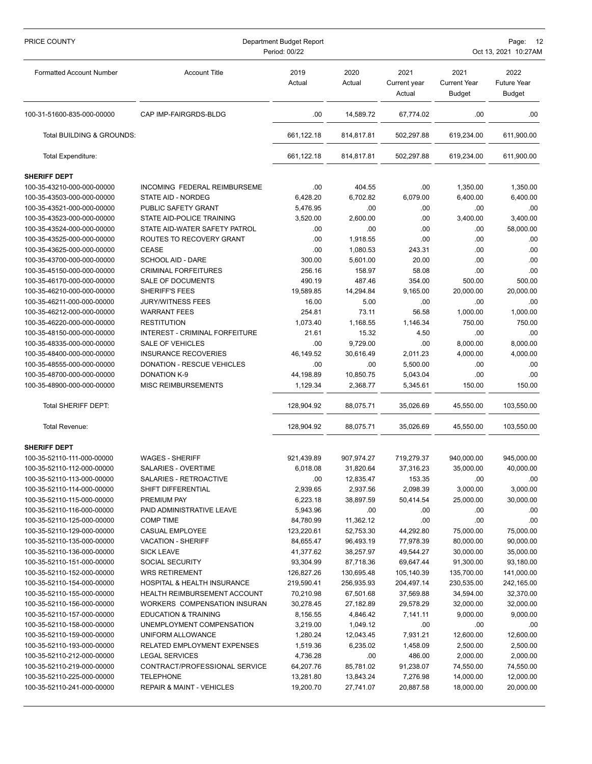| PRICE COUNTY                                             | Department Budget Report<br>Period: 00/22        |                       |                  |                                | Page:<br>12<br>Oct 13, 2021 10:27AM          |                                             |  |
|----------------------------------------------------------|--------------------------------------------------|-----------------------|------------------|--------------------------------|----------------------------------------------|---------------------------------------------|--|
| <b>Formatted Account Number</b>                          | <b>Account Title</b>                             | 2019<br>Actual        | 2020<br>Actual   | 2021<br>Current year<br>Actual | 2021<br><b>Current Year</b><br><b>Budget</b> | 2022<br><b>Future Year</b><br><b>Budget</b> |  |
| 100-31-51600-835-000-00000                               | CAP IMP-FAIRGRDS-BLDG                            | .00                   | 14,589.72        | 67,774.02                      | .00                                          | .00.                                        |  |
| Total BUILDING & GROUNDS:                                |                                                  | 661,122.18            | 814,817.81       | 502,297.88                     | 619,234.00                                   | 611,900.00                                  |  |
| Total Expenditure:                                       |                                                  | 661,122.18            | 814,817.81       | 502,297.88                     | 619,234.00                                   | 611,900.00                                  |  |
| <b>SHERIFF DEPT</b>                                      |                                                  |                       |                  |                                |                                              |                                             |  |
| 100-35-43210-000-000-00000                               | INCOMING FEDERAL REIMBURSEME                     | .00                   | 404.55           | .00                            | 1,350.00                                     | 1,350.00                                    |  |
| 100-35-43503-000-000-00000                               | STATE AID - NORDEG                               | 6,428.20              | 6,702.82         | 6,079.00                       | 6,400.00                                     | 6,400.00                                    |  |
| 100-35-43521-000-000-00000                               | PUBLIC SAFETY GRANT                              | 5,476.95              | .00              | .00                            | .00                                          | .00.                                        |  |
| 100-35-43523-000-000-00000                               | STATE AID-POLICE TRAINING                        | 3,520.00              | 2,600.00         | .00                            | 3,400.00                                     | 3,400.00                                    |  |
| 100-35-43524-000-000-00000                               | STATE AID-WATER SAFETY PATROL                    | .00                   | .00              | .00                            | .00                                          | 58,000.00                                   |  |
| 100-35-43525-000-000-00000                               | ROUTES TO RECOVERY GRANT                         | .00                   | 1,918.55         | .00                            | .00                                          | .00.                                        |  |
| 100-35-43625-000-000-00000                               | <b>CEASE</b>                                     | .00                   | 1,080.53         | 243.31                         | .00                                          | .00                                         |  |
| 100-35-43700-000-000-00000                               | <b>SCHOOL AID - DARE</b>                         | 300.00                | 5,601.00         | 20.00                          | .00                                          | .00                                         |  |
| 100-35-45150-000-000-00000                               | <b>CRIMINAL FORFEITURES</b>                      | 256.16                | 158.97           | 58.08                          | .00                                          | .00                                         |  |
| 100-35-46170-000-000-00000                               | <b>SALE OF DOCUMENTS</b>                         | 490.19                | 487.46           | 354.00                         | 500.00                                       | 500.00                                      |  |
| 100-35-46210-000-000-00000                               | SHERIFF'S FEES                                   | 19,589.85             | 14.294.84        | 9,165.00                       | 20,000.00                                    | 20,000.00                                   |  |
| 100-35-46211-000-000-00000                               | <b>JURY/WITNESS FEES</b>                         | 16.00                 | 5.00             | .00                            | .00                                          | .00                                         |  |
| 100-35-46212-000-000-00000                               | <b>WARRANT FEES</b>                              | 254.81                | 73.11            | 56.58                          | 1,000.00                                     | 1,000.00                                    |  |
| 100-35-46220-000-000-00000                               | <b>RESTITUTION</b>                               | 1,073.40              | 1,168.55         | 1,146.34                       | 750.00                                       | 750.00                                      |  |
| 100-35-48150-000-000-00000                               | INTEREST - CRIMINAL FORFEITURE                   | 21.61                 | 15.32            | 4.50                           | .00                                          | .00                                         |  |
| 100-35-48335-000-000-00000                               | <b>SALE OF VEHICLES</b>                          | .00                   | 9,729.00         | .00                            | 8,000.00                                     | 8,000.00                                    |  |
| 100-35-48400-000-000-00000                               | <b>INSURANCE RECOVERIES</b>                      | 46,149.52             | 30,616.49        | 2,011.23                       | 4,000.00                                     | 4,000.00                                    |  |
| 100-35-48555-000-000-00000                               | DONATION - RESCUE VEHICLES                       | .00                   | .00              | 5,500.00                       | .00                                          | .00                                         |  |
| 100-35-48700-000-000-00000                               | <b>DONATION K-9</b>                              | 44,198.89             | 10,850.75        | 5,043.04                       | .00                                          | .00                                         |  |
| 100-35-48900-000-000-00000                               | MISC REIMBURSEMENTS                              | 1,129.34              | 2,368.77         | 5,345.61                       | 150.00                                       | 150.00                                      |  |
| <b>Total SHERIFF DEPT:</b>                               |                                                  | 128,904.92            | 88,075.71        | 35,026.69                      | 45,550.00                                    | 103,550.00                                  |  |
| Total Revenue:                                           |                                                  | 128,904.92            | 88,075.71        | 35,026.69                      | 45,550.00                                    | 103,550.00                                  |  |
| <b>SHERIFF DEPT</b>                                      |                                                  |                       |                  |                                |                                              |                                             |  |
| 100-35-52110-111-000-00000                               | <b>WAGES - SHERIFF</b>                           | 921,439.89            | 907,974.27       | 719,279.37                     | 940,000.00                                   | 945,000.00                                  |  |
| 100-35-52110-112-000-00000                               | SALARIES - OVERTIME                              | 6,018.08              | 31,820.64        | 37,316.23                      | 35,000.00                                    | 40,000.00                                   |  |
| 100-35-52110-113-000-00000                               | SALARIES - RETROACTIVE                           | .00                   | 12,835.47        | 153.35                         | .00                                          | .00                                         |  |
| 100-35-52110-114-000-00000                               | SHIFT DIFFERENTIAL                               | 2,939.65              | 2,937.56         | 2,098.39                       | 3,000.00                                     | 3,000.00                                    |  |
| 100-35-52110-115-000-00000                               | PREMIUM PAY                                      | 6,223.18              | 38,897.59        | 50,414.54                      | 25,000.00                                    | 30,000.00                                   |  |
| 100-35-52110-116-000-00000                               | PAID ADMINISTRATIVE LEAVE                        | 5,943.96              | .00              | .00                            | .00                                          | .00                                         |  |
| 100-35-52110-125-000-00000                               | <b>COMP TIME</b>                                 | 84,780.99             | 11,362.12        | .00                            | .00                                          | .00                                         |  |
| 100-35-52110-129-000-00000                               | CASUAL EMPLOYEE                                  | 123,220.61            | 52,753.30        | 44,292.80                      | 75,000.00                                    | 75,000.00                                   |  |
| 100-35-52110-135-000-00000                               | <b>VACATION - SHERIFF</b>                        | 84,655.47             | 96,493.19        | 77,978.39                      | 80,000.00                                    | 90,000.00                                   |  |
| 100-35-52110-136-000-00000                               | <b>SICK LEAVE</b>                                | 41,377.62             | 38,257.97        | 49,544.27                      | 30,000.00                                    | 35,000.00                                   |  |
| 100-35-52110-151-000-00000                               | SOCIAL SECURITY                                  | 93,304.99             | 87,718.36        | 69,647.44                      | 91,300.00                                    | 93,180.00                                   |  |
| 100-35-52110-152-000-00000                               | <b>WRS RETIREMENT</b>                            | 126,827.26            | 130,695.48       | 105,140.39                     | 135,700.00                                   | 141,000.00                                  |  |
| 100-35-52110-154-000-00000                               | HOSPITAL & HEALTH INSURANCE                      | 219,590.41            | 256,935.93       | 204,497.14                     | 230,535.00                                   | 242,165.00                                  |  |
| 100-35-52110-155-000-00000                               | <b>HEALTH REIMBURSEMENT ACCOUNT</b>              | 70,210.98             | 67,501.68        | 37,569.88                      | 34,594.00                                    | 32,370.00                                   |  |
| 100-35-52110-156-000-00000                               | WORKERS COMPENSATION INSURAN                     | 30,278.45             | 27,182.89        | 29,578.29                      | 32,000.00                                    | 32,000.00                                   |  |
| 100-35-52110-157-000-00000                               | <b>EDUCATION &amp; TRAINING</b>                  | 8,156.55              | 4,846.42         | 7,141.11                       | 9,000.00                                     | 9,000.00                                    |  |
| 100-35-52110-158-000-00000                               | UNEMPLOYMENT COMPENSATION                        | 3,219.00              | 1,049.12         | .00                            | .00                                          | .00                                         |  |
| 100-35-52110-159-000-00000                               | UNIFORM ALLOWANCE<br>RELATED EMPLOYMENT EXPENSES | 1,280.24              | 12,043.45        | 7,931.21                       | 12,600.00                                    | 12,600.00                                   |  |
| 100-35-52110-193-000-00000<br>100-35-52110-212-000-00000 | <b>LEGAL SERVICES</b>                            | 1,519.36              | 6,235.02         | 1,458.09                       | 2,500.00                                     | 2,500.00                                    |  |
| 100-35-52110-219-000-00000                               | CONTRACT/PROFESSIONAL SERVICE                    | 4,736.28<br>64,207.76 | .00<br>85,781.02 | 486.00<br>91,238.07            | 2,000.00<br>74,550.00                        | 2,000.00<br>74,550.00                       |  |
| 100-35-52110-225-000-00000                               | <b>TELEPHONE</b>                                 | 13,281.80             | 13,843.24        | 7,276.98                       | 14,000.00                                    | 12,000.00                                   |  |
| 100-35-52110-241-000-00000                               | <b>REPAIR &amp; MAINT - VEHICLES</b>             | 19,200.70             | 27,741.07        | 20,887.58                      | 18,000.00                                    | 20,000.00                                   |  |
|                                                          |                                                  |                       |                  |                                |                                              |                                             |  |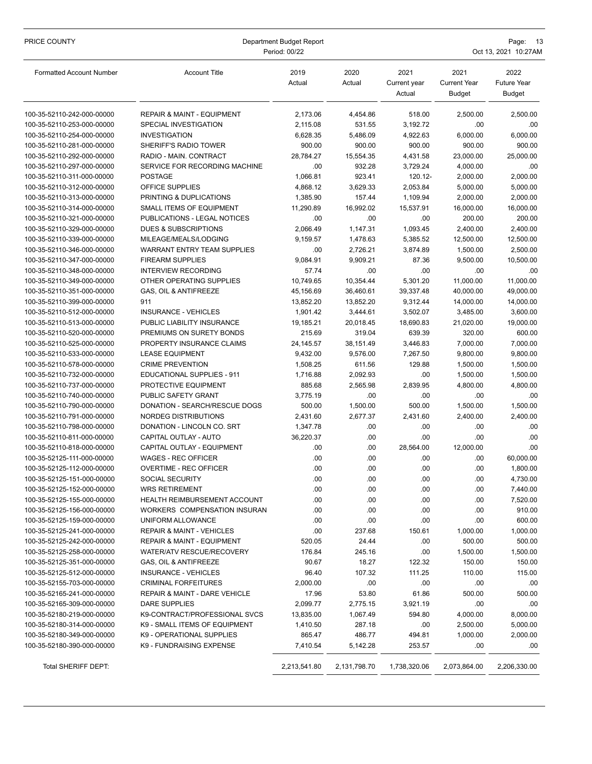| PRICE COUNTY                                             | Department Budget Report<br>Period: 00/22                          |                |                 |                                |                                              | Page: 13<br>Oct 13, 2021 10:27AM     |  |  |
|----------------------------------------------------------|--------------------------------------------------------------------|----------------|-----------------|--------------------------------|----------------------------------------------|--------------------------------------|--|--|
| <b>Formatted Account Number</b>                          | <b>Account Title</b>                                               | 2019<br>Actual | 2020<br>Actual  | 2021<br>Current year<br>Actual | 2021<br><b>Current Year</b><br><b>Budget</b> | 2022<br><b>Future Year</b><br>Budget |  |  |
| 100-35-52110-242-000-00000                               | <b>REPAIR &amp; MAINT - EQUIPMENT</b>                              | 2,173.06       | 4,454.86        | 518.00                         | 2,500.00                                     | 2,500.00                             |  |  |
| 100-35-52110-253-000-00000                               | SPECIAL INVESTIGATION                                              | 2,115.08       | 531.55          | 3,192.72                       | .00                                          | .00                                  |  |  |
| 100-35-52110-254-000-00000                               | <b>INVESTIGATION</b>                                               | 6,628.35       | 5,486.09        | 4,922.63                       | 6,000.00                                     | 6,000.00                             |  |  |
| 100-35-52110-281-000-00000                               | SHERIFF'S RADIO TOWER                                              | 900.00         | 900.00          | 900.00                         | 900.00                                       | 900.00                               |  |  |
| 100-35-52110-292-000-00000                               | RADIO - MAIN. CONTRACT                                             | 28,784.27      | 15,554.35       | 4,431.58                       | 23,000.00                                    | 25.000.00                            |  |  |
| 100-35-52110-297-000-00000                               | SERVICE FOR RECORDING MACHINE                                      | .00            | 932.28          | 3,729.24                       | 4,000.00                                     | .00.                                 |  |  |
| 100-35-52110-311-000-00000                               | <b>POSTAGE</b>                                                     | 1,066.81       | 923.41          | 120.12-                        | 2,000.00                                     | 2,000.00                             |  |  |
| 100-35-52110-312-000-00000                               | <b>OFFICE SUPPLIES</b>                                             | 4,868.12       | 3,629.33        | 2,053.84                       | 5,000.00                                     | 5,000.00                             |  |  |
| 100-35-52110-313-000-00000                               | PRINTING & DUPLICATIONS                                            | 1,385.90       | 157.44          | 1,109.94                       | 2,000.00                                     | 2,000.00                             |  |  |
| 100-35-52110-314-000-00000                               | SMALL ITEMS OF EQUIPMENT                                           | 11,290.89      | 16,992.02       | 15,537.91                      | 16,000.00                                    | 16,000.00                            |  |  |
| 100-35-52110-321-000-00000                               | PUBLICATIONS - LEGAL NOTICES                                       | .00            | .00             | .00                            | 200.00                                       | 200.00                               |  |  |
| 100-35-52110-329-000-00000                               | <b>DUES &amp; SUBSCRIPTIONS</b>                                    | 2,066.49       | 1,147.31        | 1,093.45                       | 2,400.00                                     | 2,400.00                             |  |  |
| 100-35-52110-339-000-00000                               | MILEAGE/MEALS/LODGING                                              | 9,159.57       | 1,478.63        | 5,385.52                       | 12,500.00                                    | 12,500.00                            |  |  |
| 100-35-52110-346-000-00000                               | WARRANT ENTRY TEAM SUPPLIES                                        | .00            | 2,726.21        | 3,874.89                       | 1,500.00                                     | 2,500.00                             |  |  |
| 100-35-52110-347-000-00000                               | <b>FIREARM SUPPLIES</b>                                            | 9,084.91       | 9,909.21        | 87.36                          | 9,500.00                                     | 10,500.00                            |  |  |
| 100-35-52110-348-000-00000                               | <b>INTERVIEW RECORDING</b>                                         | 57.74          | .00             | .00                            | .00                                          | .00.                                 |  |  |
| 100-35-52110-349-000-00000                               | OTHER OPERATING SUPPLIES                                           | 10,749.65      | 10,354.44       | 5,301.20                       | 11,000.00                                    | 11,000.00                            |  |  |
| 100-35-52110-351-000-00000                               | GAS, OIL & ANTIFREEZE                                              | 45,156.69      | 36,460.61       | 39,337.48                      | 40,000.00                                    | 49,000.00                            |  |  |
| 100-35-52110-399-000-00000                               | 911                                                                | 13,852.20      | 13,852.20       | 9,312.44                       | 14,000.00                                    | 14,000.00                            |  |  |
| 100-35-52110-512-000-00000                               | <b>INSURANCE - VEHICLES</b>                                        | 1,901.42       | 3,444.61        | 3,502.07                       | 3,485.00                                     | 3,600.00                             |  |  |
| 100-35-52110-513-000-00000                               | PUBLIC LIABILITY INSURANCE                                         | 19,185.21      | 20,018.45       | 18,690.83                      | 21,020.00                                    | 19,000.00                            |  |  |
| 100-35-52110-520-000-00000                               | PREMIUMS ON SURETY BONDS                                           | 215.69         | 319.04          | 639.39                         | 320.00                                       | 600.00                               |  |  |
| 100-35-52110-525-000-00000                               | PROPERTY INSURANCE CLAIMS                                          | 24, 145.57     | 38,151.49       | 3,446.83                       | 7,000.00                                     | 7,000.00                             |  |  |
| 100-35-52110-533-000-00000                               | <b>LEASE EQUIPMENT</b>                                             | 9,432.00       | 9,576.00        | 7,267.50                       | 9,800.00                                     | 9,800.00                             |  |  |
| 100-35-52110-578-000-00000                               | <b>CRIME PREVENTION</b>                                            | 1,508.25       | 611.56          | 129.88                         | 1,500.00                                     | 1,500.00                             |  |  |
| 100-35-52110-732-000-00000                               | EDUCATIONAL SUPPLIES - 911                                         | 1,716.88       | 2,092.93        | .00                            | 1,500.00                                     | 1,500.00                             |  |  |
| 100-35-52110-737-000-00000                               | PROTECTIVE EQUIPMENT                                               | 885.68         | 2,565.98        | 2,839.95                       | 4,800.00                                     | 4,800.00                             |  |  |
| 100-35-52110-740-000-00000                               | PUBLIC SAFETY GRANT                                                | 3,775.19       | .00             | .00                            | .00                                          | .00.                                 |  |  |
| 100-35-52110-790-000-00000                               | DONATION - SEARCH/RESCUE DOGS                                      | 500.00         | 1,500.00        | 500.00                         | 1,500.00                                     | 1,500.00                             |  |  |
| 100-35-52110-791-000-00000                               | NORDEG DISTRIBUTIONS                                               | 2,431.60       | 2,677.37        | 2,431.60                       | 2,400.00                                     | 2,400.00                             |  |  |
| 100-35-52110-798-000-00000                               | DONATION - LINCOLN CO. SRT                                         | 1,347.78       | .00             | .00                            | .00                                          | .00                                  |  |  |
| 100-35-52110-811-000-00000                               | CAPITAL OUTLAY - AUTO                                              | 36,220.37      | .00             | .00                            | .00                                          | .00                                  |  |  |
| 100-35-52110-818-000-00000                               | CAPITAL OUTLAY - EQUIPMENT                                         | .00            | .00             | 28,564.00                      | 12,000.00                                    | .00                                  |  |  |
| 100-35-52125-111-000-00000                               | <b>WAGES - REC OFFICER</b>                                         | .00            | .00             | .00                            | .00                                          | 60,000.00                            |  |  |
| 100-35-52125-112-000-00000                               | OVERTIME - REC OFFICER                                             | .00            | .00             | .00                            | .00                                          | 1,800.00                             |  |  |
| 100-35-52125-151-000-00000                               | <b>SOCIAL SECURITY</b>                                             | .00            | .00             | .00                            | .00                                          | 4,730.00                             |  |  |
| 100-35-52125-152-000-00000                               | <b>WRS RETIREMENT</b>                                              | .00            | .00             | .00                            | .00                                          | 7,440.00                             |  |  |
| 100-35-52125-155-000-00000                               | HEALTH REIMBURSEMENT ACCOUNT                                       | .00            | .00             | .00                            | .00                                          | 7,520.00                             |  |  |
| 100-35-52125-156-000-00000                               | WORKERS COMPENSATION INSURAN                                       | .00            | .00             | .00                            | .00                                          | 910.00                               |  |  |
| 100-35-52125-159-000-00000                               | UNIFORM ALLOWANCE                                                  | .00            | .00             | .00                            | .00                                          | 600.00                               |  |  |
| 100-35-52125-241-000-00000<br>100-35-52125-242-000-00000 | REPAIR & MAINT - VEHICLES<br><b>REPAIR &amp; MAINT - EQUIPMENT</b> | .00<br>520.05  | 237.68<br>24.44 | 150.61<br>.00                  | 1,000.00<br>500.00                           | 1,000.00<br>500.00                   |  |  |
| 100-35-52125-258-000-00000                               | WATER/ATV RESCUE/RECOVERY                                          | 176.84         | 245.16          | .00                            | 1,500.00                                     | 1,500.00                             |  |  |
| 100-35-52125-351-000-00000                               | GAS, OIL & ANTIFREEZE                                              | 90.67          | 18.27           | 122.32                         | 150.00                                       | 150.00                               |  |  |
| 100-35-52125-512-000-00000                               | <b>INSURANCE - VEHICLES</b>                                        | 96.40          | 107.32          | 111.25                         | 110.00                                       | 115.00                               |  |  |
| 100-35-52155-703-000-00000                               | <b>CRIMINAL FORFEITURES</b>                                        | 2,000.00       | .00             | .00                            | .00                                          | .00                                  |  |  |
| 100-35-52165-241-000-00000                               | REPAIR & MAINT - DARE VEHICLE                                      | 17.96          | 53.80           | 61.86                          | 500.00                                       | 500.00                               |  |  |
| 100-35-52165-309-000-00000                               | DARE SUPPLIES                                                      | 2,099.77       | 2,775.15        | 3,921.19                       | .00                                          | .00                                  |  |  |
| 100-35-52180-219-000-00000                               | K9-CONTRACT/PROFESSIONAL SVCS                                      | 13,835.00      | 1,067.49        | 594.80                         | 4,000.00                                     | 8,000.00                             |  |  |
| 100-35-52180-314-000-00000                               | K9 - SMALL ITEMS OF EQUIPMENT                                      | 1,410.50       | 287.18          | .00                            | 2,500.00                                     | 5,000.00                             |  |  |
| 100-35-52180-349-000-00000                               | K9 - OPERATIONAL SUPPLIES                                          | 865.47         | 486.77          | 494.81                         | 1,000.00                                     | 2,000.00                             |  |  |
| 100-35-52180-390-000-00000                               | K9 - FUNDRAISING EXPENSE                                           | 7,410.54       | 5,142.28        | 253.57                         | .00                                          | .00                                  |  |  |
| Total SHERIFF DEPT:                                      |                                                                    | 2,213,541.80   | 2,131,798.70    | 1,738,320.06                   | 2,073,864.00                                 | 2,206,330.00                         |  |  |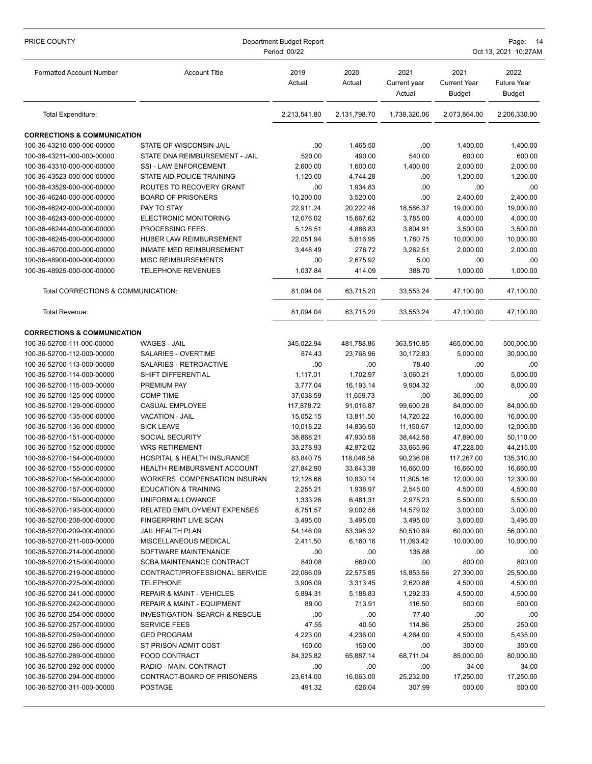| PRICE COUNTY                                             | Department Budget Report<br>Period: 00/22 |                  |                  |                                |                                              | Page:<br>- 14<br>Oct 13, 2021 10:27AM       |  |  |
|----------------------------------------------------------|-------------------------------------------|------------------|------------------|--------------------------------|----------------------------------------------|---------------------------------------------|--|--|
| <b>Formatted Account Number</b>                          | <b>Account Title</b>                      | 2019<br>Actual   | 2020<br>Actual   | 2021<br>Current year<br>Actual | 2021<br><b>Current Year</b><br><b>Budget</b> | 2022<br><b>Future Year</b><br><b>Budget</b> |  |  |
| Total Expenditure:                                       |                                           | 2,213,541.80     | 2,131,798.70     | 1,738,320.06                   | 2,073,864.00                                 | 2,206,330.00                                |  |  |
| <b>CORRECTIONS &amp; COMMUNICATION</b>                   |                                           |                  |                  |                                |                                              |                                             |  |  |
| 100-36-43210-000-000-00000                               | STATE OF WISCONSIN-JAIL                   | .00              | 1,465.50         | .00                            | 1,400.00                                     | 1,400.00                                    |  |  |
| 100-36-43211-000-000-00000                               | STATE DNA REIMBURSEMENT - JAIL            | 520.00           | 490.00           | 540.00                         | 600.00                                       | 600.00                                      |  |  |
| 100-36-43310-000-000-00000                               | SSI - LAW ENFORCEMENT                     | 2,600.00         | 1,600.00         | 1,400.00                       | 2,000.00                                     | 2,000.00                                    |  |  |
| 100-36-43523-000-000-00000                               | STATE AID-POLICE TRAINING                 | 1,120.00         | 4,744.28         | .00                            | 1,200.00                                     | 1,200.00                                    |  |  |
| 100-36-43529-000-000-00000                               | ROUTES TO RECOVERY GRANT                  | .00              | 1,934.83         | .00                            | .00                                          | .00                                         |  |  |
| 100-36-46240-000-000-00000                               | <b>BOARD OF PRISONERS</b>                 | 10,200.00        | 3,520.00         | .00                            | 2,400.00                                     | 2,400.00                                    |  |  |
| 100-36-46242-000-000-00000                               | PAY TO STAY                               | 22,911.24        | 20,222.46        | 18,586.37                      | 19,000.00                                    | 19,000.00                                   |  |  |
| 100-36-46243-000-000-00000                               | ELECTRONIC MONITORING                     | 12,076.02        | 15,667.62        | 3,785.00                       | 4,000.00                                     | 4,000.00                                    |  |  |
| 100-36-46244-000-000-00000                               | PROCESSING FEES                           | 5,128.51         | 4,886.83         | 3,804.91                       | 3,500.00                                     | 3,500.00                                    |  |  |
| 100-36-46245-000-000-00000                               | HUBER LAW REIMBURSEMENT                   | 22,051.94        | 5,816.95         | 1,780.75                       | 10,000.00                                    | 10,000.00                                   |  |  |
| 100-36-46700-000-000-00000                               | INMATE MED REIMBURSEMENT                  | 3,448.49         | 276.72           | 3,262.51                       | 2,000.00                                     | 2,000.00                                    |  |  |
| 100-36-48900-000-000-00000                               | <b>MISC REIMBURSEMENTS</b>                | .00              | 2,675.92         | 5.00                           | .00                                          | .00.                                        |  |  |
| 100-36-48925-000-000-00000                               | TELEPHONE REVENUES                        | 1,037.84         | 414.09           | 388.70                         | 1,000.00                                     | 1,000.00                                    |  |  |
| Total CORRECTIONS & COMMUNICATION:                       |                                           | 81,094.04        | 63,715.20        | 33,553.24                      | 47,100.00                                    | 47,100.00                                   |  |  |
| Total Revenue:                                           |                                           | 81,094.04        | 63,715.20        | 33,553.24                      | 47,100.00                                    | 47,100.00                                   |  |  |
| <b>CORRECTIONS &amp; COMMUNICATION</b>                   |                                           |                  |                  |                                |                                              |                                             |  |  |
| 100-36-52700-111-000-00000                               | <b>WAGES - JAIL</b>                       | 345,022.94       | 481,788.86       | 363,510.85                     | 465,000.00                                   | 500,000.00                                  |  |  |
| 100-36-52700-112-000-00000                               | SALARIES - OVERTIME                       | 874.43           | 23,768.96        | 30,172.83                      | 5,000.00                                     | 30,000.00                                   |  |  |
| 100-36-52700-113-000-00000                               | SALARIES - RETROACTIVE                    | .00              | .00              | 78.40                          | .00                                          | .00                                         |  |  |
| 100-36-52700-114-000-00000                               | SHIFT DIFFERENTIAL                        | 1,117.01         | 1,702.97         | 3,060.21                       | 1,000.00                                     | 5,000.00                                    |  |  |
| 100-36-52700-115-000-00000                               | PREMIUM PAY                               | 3,777.04         | 16,193.14        | 9,904.32                       | .00                                          | 8,000.00                                    |  |  |
| 100-36-52700-125-000-00000                               | <b>COMP TIME</b>                          | 37,038.59        | 11,659.73        | .00                            | 36,000.00                                    | .00                                         |  |  |
| 100-36-52700-129-000-00000                               | CASUAL EMPLOYEE                           | 117,878.72       | 91,016.87        | 99,600.28                      | 84,000.00                                    | 84,000.00                                   |  |  |
| 100-36-52700-135-000-00000                               | <b>VACATION - JAIL</b>                    | 15,052.15        | 13,811.50        | 14,720.22                      | 16,000.00                                    | 16,000.00                                   |  |  |
| 100-36-52700-136-000-00000                               | <b>SICK LEAVE</b>                         | 10,018.22        | 14,836.50        | 11,150.67                      | 12,000.00                                    | 12,000.00                                   |  |  |
| 100-36-52700-151-000-00000                               | <b>SOCIAL SECURITY</b>                    | 38,868.21        | 47,930.58        | 38,442.58                      | 47,890.00                                    | 50,110.00                                   |  |  |
| 100-36-52700-152-000-00000                               | <b>WRS RETIREMENT</b>                     | 33,278.93        | 42,872.02        | 33,665.96                      | 47,228.00                                    | 44,215.00                                   |  |  |
| 100-36-52700-154-000-00000                               | HOSPITAL & HEALTH INSURANCE               | 83,840.75        | 118,046.58       | 90,236.08                      | 117,267.00                                   | 135,310.00                                  |  |  |
| 100-36-52700-155-000-00000                               | HEALTH REIMBURSMENT ACCOUNT               | 27,842.90        | 33,643.38        | 16,660.00                      | 16,660.00                                    | 16,660.00                                   |  |  |
| 100-36-52700-156-000-00000                               | WORKERS COMPENSATION INSURAN              | 12,128.66        | 10,830.14        | 11,805.16                      | 12,000.00                                    | 12,300.00                                   |  |  |
| 100-36-52700-157-000-00000                               | <b>EDUCATION &amp; TRAINING</b>           | 2,255.21         | 1,938.97         | 2,545.00                       | 4,500.00                                     | 4,500.00                                    |  |  |
| 100-36-52700-159-000-00000                               | UNIFORM ALLOWANCE                         | 1,333.26         | 6,481.31         | 2,975.23                       | 5,500.00                                     | 5,500.00                                    |  |  |
| 100-36-52700-193-000-00000                               | RELATED EMPLOYMENT EXPENSES               | 8,751.57         | 9,002.56         | 14,579.02                      | 3,000.00                                     | 3,000.00                                    |  |  |
| 100-36-52700-208-000-00000                               | <b>FINGERPRINT LIVE SCAN</b>              | 3,495.00         | 3,495.00         | 3,495.00                       | 3,600.00                                     | 3,495.00                                    |  |  |
| 100-36-52700-209-000-00000                               | JAIL HEALTH PLAN                          | 54,146.09        | 53,398.32        | 50,510.89                      | 60,000.00                                    | 56,000.00                                   |  |  |
| 100-36-52700-211-000-00000                               | MISCELLANEOUS MEDICAL                     | 2,411.50         | 6,160.16         | 11,093.42                      | 10,000.00                                    | 10,000.00                                   |  |  |
| 100-36-52700-214-000-00000                               | SOFTWARE MAINTENANCE                      | .00              | .00              | 136.88                         | .00                                          | .00.                                        |  |  |
| 100-36-52700-215-000-00000                               | <b>SCBA MAINTENANCE CONTRACT</b>          | 840.08           | 660.00           | .00                            | 800.00                                       | 800.00                                      |  |  |
| 100-36-52700-219-000-00000                               | CONTRACT/PROFESSIONAL SERVICE             | 22,066.09        | 22,575.85        | 15,853.56                      | 27,300.00                                    | 25,500.00                                   |  |  |
| 100-36-52700-225-000-00000                               | <b>TELEPHONE</b>                          | 3,906.09         | 3,313.45         | 2,620.86                       | 4,500.00                                     | 4,500.00                                    |  |  |
| 100-36-52700-241-000-00000                               | <b>REPAIR &amp; MAINT - VEHICLES</b>      | 5,894.31         | 5,188.83         | 1,292.33                       | 4,500.00                                     | 4,500.00                                    |  |  |
| 100-36-52700-242-000-00000                               | <b>REPAIR &amp; MAINT - EQUIPMENT</b>     | 89.00            | 713.91           | 116.50                         | 500.00                                       | 500.00                                      |  |  |
| 100-36-52700-254-000-00000                               | <b>INVESTIGATION- SEARCH &amp; RESCUE</b> | .00              | .00              | 77.40                          | .00                                          | .00.                                        |  |  |
| 100-36-52700-257-000-00000                               | <b>SERVICE FEES</b>                       | 47.55            | 40.50            | 114.86                         | 250.00                                       | 250.00                                      |  |  |
| 100-36-52700-259-000-00000<br>100-36-52700-286-000-00000 | <b>GED PROGRAM</b>                        | 4,223.00         | 4,236.00         | 4,264.00                       | 4,500.00                                     | 5,435.00                                    |  |  |
|                                                          | ST PRISON ADMIT COST                      | 150.00           | 150.00           | .00                            | 300.00                                       | 300.00                                      |  |  |
| 100-36-52700-289-000-00000<br>100-36-52700-292-000-00000 | FOOD CONTRACT<br>RADIO - MAIN. CONTRACT   | 84,325.82<br>.00 | 65,887.14<br>.00 | 68,711.04<br>.00               | 85,000.00<br>34.00                           | 80,000.00<br>34.00                          |  |  |
| 100-36-52700-294-000-00000                               | CONTRACT-BOARD OF PRISONERS               | 23,614.00        | 16,063.00        | 25,232.00                      | 17,250.00                                    | 17,250.00                                   |  |  |
| 100-36-52700-311-000-00000                               | <b>POSTAGE</b>                            | 491.32           | 626.04           | 307.99                         | 500.00                                       | 500.00                                      |  |  |
|                                                          |                                           |                  |                  |                                |                                              |                                             |  |  |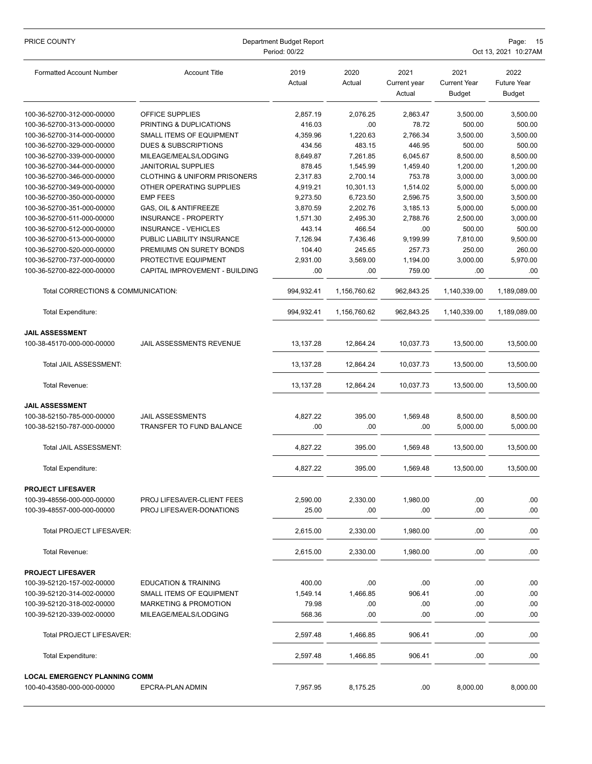| PRICE COUNTY                                                       | Department Budget Report<br>Period: 00/22 |                |                |                                | Page:<br>- 15<br>Oct 13, 2021 10:27AM        |                                             |  |
|--------------------------------------------------------------------|-------------------------------------------|----------------|----------------|--------------------------------|----------------------------------------------|---------------------------------------------|--|
| <b>Formatted Account Number</b>                                    | <b>Account Title</b>                      | 2019<br>Actual | 2020<br>Actual | 2021<br>Current year<br>Actual | 2021<br><b>Current Year</b><br><b>Budget</b> | 2022<br><b>Future Year</b><br><b>Budget</b> |  |
| 100-36-52700-312-000-00000                                         | OFFICE SUPPLIES                           | 2,857.19       | 2,076.25       | 2,863.47                       | 3,500.00                                     | 3,500.00                                    |  |
| 100-36-52700-313-000-00000                                         | PRINTING & DUPLICATIONS                   | 416.03         | .00            | 78.72                          | 500.00                                       | 500.00                                      |  |
| 100-36-52700-314-000-00000                                         | <b>SMALL ITEMS OF EQUIPMENT</b>           | 4,359.96       | 1,220.63       | 2,766.34                       | 3,500.00                                     | 3,500.00                                    |  |
| 100-36-52700-329-000-00000                                         | <b>DUES &amp; SUBSCRIPTIONS</b>           | 434.56         | 483.15         | 446.95                         | 500.00                                       | 500.00                                      |  |
| 100-36-52700-339-000-00000                                         | MILEAGE/MEALS/LODGING                     | 8,649.87       | 7,261.85       | 6,045.67                       | 8,500.00                                     | 8,500.00                                    |  |
| 100-36-52700-344-000-00000                                         | <b>JANITORIAL SUPPLIES</b>                | 878.45         | 1,545.99       | 1,459.40                       | 1,200.00                                     | 1,200.00                                    |  |
| 100-36-52700-346-000-00000                                         | <b>CLOTHING &amp; UNIFORM PRISONERS</b>   | 2,317.83       | 2,700.14       | 753.78                         | 3,000.00                                     | 3,000.00                                    |  |
| 100-36-52700-349-000-00000                                         | OTHER OPERATING SUPPLIES                  | 4,919.21       | 10,301.13      | 1,514.02                       | 5,000.00                                     | 5,000.00                                    |  |
| 100-36-52700-350-000-00000                                         | <b>EMP FEES</b>                           | 9,273.50       | 6,723.50       | 2,596.75                       | 3,500.00                                     | 3,500.00                                    |  |
| 100-36-52700-351-000-00000                                         | GAS, OIL & ANTIFREEZE                     | 3,870.59       | 2,202.76       | 3,185.13                       | 5,000.00                                     | 5,000.00                                    |  |
| 100-36-52700-511-000-00000                                         | <b>INSURANCE - PROPERTY</b>               | 1,571.30       | 2,495.30       | 2,788.76                       | 2,500.00                                     | 3,000.00                                    |  |
| 100-36-52700-512-000-00000                                         | <b>INSURANCE - VEHICLES</b>               | 443.14         | 466.54         | .00                            | 500.00                                       | 500.00                                      |  |
| 100-36-52700-513-000-00000                                         | PUBLIC LIABILITY INSURANCE                | 7,126.94       | 7,436.46       | 9,199.99                       | 7,810.00                                     | 9,500.00                                    |  |
| 100-36-52700-520-000-00000                                         | PREMIUMS ON SURETY BONDS                  | 104.40         | 245.65         | 257.73                         | 250.00                                       | 260.00                                      |  |
| 100-36-52700-737-000-00000                                         | PROTECTIVE EQUIPMENT                      | 2,931.00       | 3,569.00       | 1,194.00                       | 3,000.00                                     | 5,970.00                                    |  |
| 100-36-52700-822-000-00000                                         | CAPITAL IMPROVEMENT - BUILDING            | .00            | .00            | 759.00                         | .00                                          | .00.                                        |  |
| Total CORRECTIONS & COMMUNICATION:                                 |                                           | 994,932.41     | 1,156,760.62   | 962,843.25                     | 1,140,339.00                                 | 1,189,089.00                                |  |
| Total Expenditure:                                                 |                                           | 994,932.41     | 1,156,760.62   | 962,843.25                     | 1,140,339.00                                 | 1,189,089.00                                |  |
| <b>JAIL ASSESSMENT</b>                                             |                                           |                |                |                                |                                              |                                             |  |
| 100-38-45170-000-000-00000                                         | JAIL ASSESSMENTS REVENUE                  | 13,137.28      | 12,864.24      | 10,037.73                      | 13,500.00                                    | 13,500.00                                   |  |
| Total JAIL ASSESSMENT:                                             |                                           | 13,137.28      | 12,864.24      | 10,037.73                      | 13,500.00                                    | 13,500.00                                   |  |
| Total Revenue:                                                     |                                           | 13,137.28      | 12,864.24      | 10,037.73                      | 13,500.00                                    | 13,500.00                                   |  |
| <b>JAIL ASSESSMENT</b>                                             |                                           |                |                |                                |                                              |                                             |  |
| 100-38-52150-785-000-00000                                         | JAIL ASSESSMENTS                          | 4,827.22       | 395.00         | 1,569.48                       | 8,500.00                                     | 8,500.00                                    |  |
| 100-38-52150-787-000-00000                                         | <b>TRANSFER TO FUND BALANCE</b>           | .00            | .00            | .00                            | 5,000.00                                     | 5,000.00                                    |  |
|                                                                    |                                           |                |                |                                |                                              |                                             |  |
| Total JAIL ASSESSMENT:                                             |                                           | 4,827.22       | 395.00         | 1,569.48                       | 13,500.00                                    | 13,500.00                                   |  |
| <b>Total Expenditure:</b>                                          |                                           | 4,827.22       | 395.00         | 1,569.48                       | 13,500.00                                    | 13,500.00                                   |  |
| <b>PROJECT LIFESAVER</b>                                           |                                           |                |                |                                |                                              |                                             |  |
| 100-39-48556-000-000-00000                                         | PROJ LIFESAVER-CLIENT FEES                | 2,590.00       | 2,330.00       | 1,980.00                       | .00                                          | .00                                         |  |
| 100-39-48557-000-000-00000                                         | PROJ LIFESAVER-DONATIONS                  | 25.00          | .00            | .00                            | .00                                          | .00                                         |  |
| <b>Total PROJECT LIFESAVER:</b>                                    |                                           | 2,615.00       | 2,330.00       | 1,980.00                       | .00                                          | .00.                                        |  |
| Total Revenue:                                                     |                                           | 2,615.00       | 2,330.00       | 1,980.00                       | .00                                          | .00                                         |  |
|                                                                    |                                           |                |                |                                |                                              |                                             |  |
| <b>PROJECT LIFESAVER</b><br>100-39-52120-157-002-00000             | <b>EDUCATION &amp; TRAINING</b>           | 400.00         | .00            | .00                            | .00                                          | .00.                                        |  |
| 100-39-52120-314-002-00000                                         | SMALL ITEMS OF EQUIPMENT                  | 1,549.14       | 1,466.85       | 906.41                         | .00                                          | .00                                         |  |
| 100-39-52120-318-002-00000                                         | <b>MARKETING &amp; PROMOTION</b>          | 79.98          | .00            | .00                            | .00                                          | .00                                         |  |
| 100-39-52120-339-002-00000                                         | MILEAGE/MEALS/LODGING                     | 568.36         | .00            | .00                            | .00                                          | .00                                         |  |
|                                                                    |                                           |                |                |                                |                                              |                                             |  |
| Total PROJECT LIFESAVER:                                           |                                           | 2,597.48       | 1,466.85       | 906.41                         | .00                                          | .00                                         |  |
| Total Expenditure:                                                 |                                           | 2,597.48       | 1,466.85       | 906.41                         | .00                                          | .00.                                        |  |
| <b>LOCAL EMERGENCY PLANNING COMM</b><br>100-40-43580-000-000-00000 | EPCRA-PLAN ADMIN                          | 7,957.95       | 8,175.25       | .00                            | 8,000.00                                     | 8,000.00                                    |  |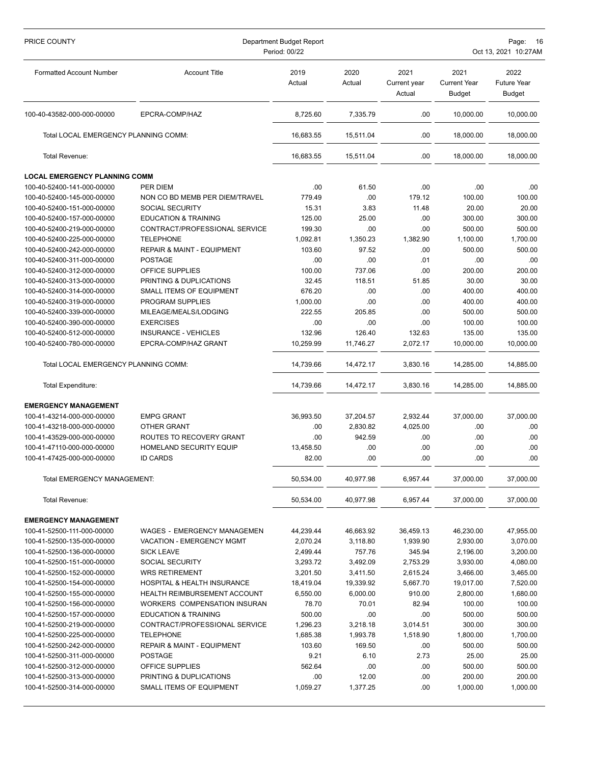| PRICE COUNTY                                             | Department Budget Report<br>Page:<br>Period: 00/22<br>Oct 13, 2021 10:27AM |                    |                |                                |                                              |                                             |
|----------------------------------------------------------|----------------------------------------------------------------------------|--------------------|----------------|--------------------------------|----------------------------------------------|---------------------------------------------|
| <b>Formatted Account Number</b>                          | <b>Account Title</b>                                                       | 2019<br>Actual     | 2020<br>Actual | 2021<br>Current year<br>Actual | 2021<br><b>Current Year</b><br><b>Budget</b> | 2022<br><b>Future Year</b><br><b>Budget</b> |
| 100-40-43582-000-000-00000                               | EPCRA-COMP/HAZ                                                             | 8,725.60           | 7,335.79       | .00                            | 10,000.00                                    | 10,000.00                                   |
| Total LOCAL EMERGENCY PLANNING COMM:                     |                                                                            | 16.683.55          | 15,511.04      | .00                            | 18.000.00                                    | 18,000.00                                   |
| Total Revenue:                                           |                                                                            | 16,683.55          | 15,511.04      | .00                            | 18,000.00                                    | 18,000.00                                   |
| <b>LOCAL EMERGENCY PLANNING COMM</b>                     |                                                                            |                    |                |                                |                                              |                                             |
| 100-40-52400-141-000-00000                               | <b>PER DIEM</b>                                                            | .00                | 61.50          | .00                            | .00                                          | .00                                         |
| 100-40-52400-145-000-00000                               | NON CO BD MEMB PER DIEM/TRAVEL                                             | 779.49             | .00            | 179.12                         | 100.00                                       | 100.00                                      |
| 100-40-52400-151-000-00000                               | <b>SOCIAL SECURITY</b>                                                     | 15.31              | 3.83           | 11.48                          | 20.00                                        | 20.00                                       |
| 100-40-52400-157-000-00000                               | <b>EDUCATION &amp; TRAINING</b>                                            | 125.00             | 25.00          | .00                            | 300.00                                       | 300.00                                      |
| 100-40-52400-219-000-00000                               | CONTRACT/PROFESSIONAL SERVICE                                              | 199.30             | .00            | .00                            | 500.00                                       | 500.00                                      |
| 100-40-52400-225-000-00000                               | <b>TELEPHONE</b>                                                           | 1,092.81           | 1,350.23       | 1,382.90                       | 1,100.00                                     | 1,700.00                                    |
| 100-40-52400-242-000-00000                               | <b>REPAIR &amp; MAINT - EQUIPMENT</b>                                      | 103.60             | 97.52          | .00                            | 500.00                                       | 500.00                                      |
| 100-40-52400-311-000-00000                               | <b>POSTAGE</b>                                                             | .00                | .00            | .01                            | .00                                          | .00                                         |
| 100-40-52400-312-000-00000                               | OFFICE SUPPLIES                                                            | 100.00             | 737.06         | .00                            | 200.00                                       | 200.00                                      |
| 100-40-52400-313-000-00000                               | PRINTING & DUPLICATIONS                                                    | 32.45              | 118.51         | 51.85                          | 30.00                                        | 30.00                                       |
| 100-40-52400-314-000-00000                               | <b>SMALL ITEMS OF EQUIPMENT</b>                                            | 676.20             | .00            | .00                            | 400.00                                       | 400.00                                      |
| 100-40-52400-319-000-00000                               | PROGRAM SUPPLIES                                                           | 1,000.00<br>222.55 | .00<br>205.85  | .00                            | 400.00                                       | 400.00                                      |
| 100-40-52400-339-000-00000<br>100-40-52400-390-000-00000 | MILEAGE/MEALS/LODGING<br><b>EXERCISES</b>                                  | .00                | .00            | .00<br>.00                     | 500.00<br>100.00                             | 500.00<br>100.00                            |
| 100-40-52400-512-000-00000                               | INSURANCE - VEHICLES                                                       | 132.96             | 126.40         | 132.63                         | 135.00                                       | 135.00                                      |
| 100-40-52400-780-000-00000                               | EPCRA-COMP/HAZ GRANT                                                       | 10,259.99          | 11,746.27      | 2,072.17                       | 10,000.00                                    | 10,000.00                                   |
|                                                          |                                                                            |                    |                |                                |                                              |                                             |
| Total LOCAL EMERGENCY PLANNING COMM:                     |                                                                            | 14,739.66          | 14,472.17      | 3,830.16                       | 14,285.00                                    | 14,885.00                                   |
| <b>Total Expenditure:</b>                                |                                                                            | 14,739.66          | 14,472.17      | 3,830.16                       | 14,285.00                                    | 14,885.00                                   |
| <b>EMERGENCY MANAGEMENT</b>                              |                                                                            |                    |                |                                |                                              |                                             |
| 100-41-43214-000-000-00000                               | <b>EMPG GRANT</b>                                                          | 36,993.50          | 37,204.57      | 2,932.44                       | 37,000.00                                    | 37.000.00                                   |
| 100-41-43218-000-000-00000                               | OTHER GRANT                                                                | .00                | 2,830.82       | 4,025.00                       | .00                                          | .00                                         |
| 100-41-43529-000-000-00000                               | ROUTES TO RECOVERY GRANT                                                   | .00                | 942.59         | .00                            | .00                                          | .00                                         |
| 100-41-47110-000-000-00000                               | HOMELAND SECURITY EQUIP                                                    | 13,458.50          | .00            | .00                            | .00                                          | .00                                         |
| 100-41-47425-000-000-00000                               | <b>ID CARDS</b>                                                            | 82.00              | .00            | .00                            | .00                                          | .00                                         |
| <b>Total EMERGENCY MANAGEMENT:</b>                       |                                                                            | 50,534.00          | 40,977.98      | 6,957.44                       | 37,000.00                                    | 37,000.00                                   |
| Total Revenue:                                           |                                                                            | 50,534.00          | 40,977.98      | 6,957.44                       | 37,000.00                                    | 37,000.00                                   |
| <b>EMERGENCY MANAGEMENT</b>                              |                                                                            |                    |                |                                |                                              |                                             |
| 100-41-52500-111-000-00000                               | <b>WAGES - EMERGENCY MANAGEMEN</b>                                         | 44,239.44          | 46,663.92      | 36,459.13                      | 46,230.00                                    | 47,955.00                                   |
| 100-41-52500-135-000-00000                               | VACATION - EMERGENCY MGMT                                                  | 2,070.24           | 3,118.80       | 1,939.90                       | 2,930.00                                     | 3,070.00                                    |
| 100-41-52500-136-000-00000                               | <b>SICK LEAVE</b>                                                          | 2,499.44           | 757.76         | 345.94                         | 2,196.00                                     | 3,200.00                                    |
| 100-41-52500-151-000-00000                               | <b>SOCIAL SECURITY</b>                                                     | 3,293.72           | 3,492.09       | 2,753.29                       | 3,930.00                                     | 4,080.00                                    |
| 100-41-52500-152-000-00000                               | <b>WRS RETIREMENT</b>                                                      | 3,201.50           | 3,411.50       | 2,615.24                       | 3,466.00                                     | 3,465.00                                    |
| 100-41-52500-154-000-00000                               | <b>HOSPITAL &amp; HEALTH INSURANCE</b>                                     | 18,419.04          | 19,339.92      | 5,667.70                       | 19,017.00                                    | 7,520.00                                    |
| 100-41-52500-155-000-00000                               | HEALTH REIMBURSEMENT ACCOUNT                                               | 6,550.00           | 6,000.00       | 910.00                         | 2,800.00                                     | 1,680.00                                    |
| 100-41-52500-156-000-00000                               | WORKERS COMPENSATION INSURAN                                               | 78.70              | 70.01          | 82.94                          | 100.00                                       | 100.00                                      |
| 100-41-52500-157-000-00000                               | <b>EDUCATION &amp; TRAINING</b>                                            | 500.00             | .00            | .00                            | 500.00                                       | 500.00                                      |
| 100-41-52500-219-000-00000                               | CONTRACT/PROFESSIONAL SERVICE                                              | 1,296.23           | 3,218.18       | 3,014.51                       | 300.00                                       | 300.00                                      |
| 100-41-52500-225-000-00000                               | <b>TELEPHONE</b>                                                           | 1,685.38           | 1,993.78       | 1,518.90                       | 1,800.00                                     | 1,700.00                                    |
| 100-41-52500-242-000-00000                               | <b>REPAIR &amp; MAINT - EQUIPMENT</b>                                      | 103.60             | 169.50         | .00                            | 500.00                                       | 500.00                                      |
| 100-41-52500-311-000-00000                               | <b>POSTAGE</b>                                                             | 9.21               | 6.10           | 2.73                           | 25.00                                        | 25.00                                       |
| 100-41-52500-312-000-00000                               | OFFICE SUPPLIES                                                            | 562.64             | .00            | .00                            | 500.00                                       | 500.00                                      |
| 100-41-52500-313-000-00000                               | PRINTING & DUPLICATIONS                                                    | .00                | 12.00          | .00                            | 200.00                                       | 200.00                                      |
| 100-41-52500-314-000-00000                               | SMALL ITEMS OF EQUIPMENT                                                   | 1,059.27           | 1,377.25       | .00                            | 1,000.00                                     | 1,000.00                                    |
|                                                          |                                                                            |                    |                |                                |                                              |                                             |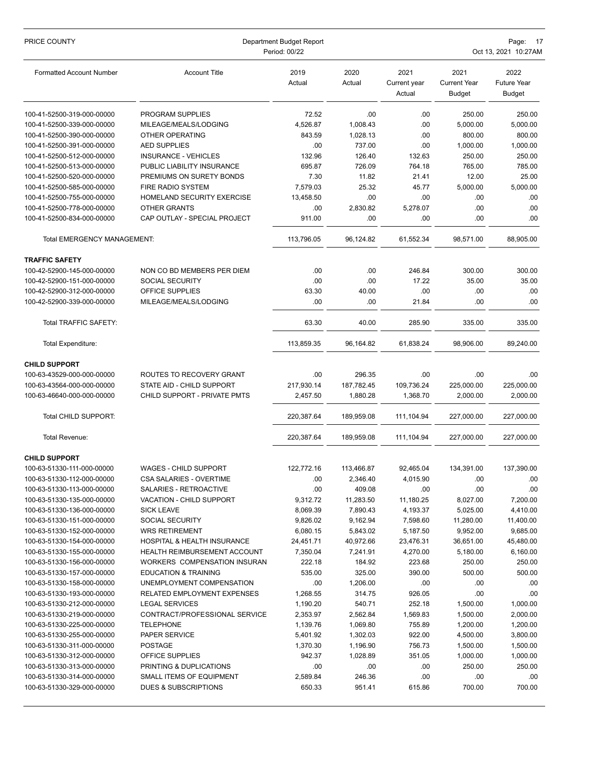| PRICE COUNTY                                             | Department Budget Report<br>Period: 00/22  |                      |                      |                                |                                              | Page:<br>- 17<br>Oct 13, 2021 10:27AM |  |  |
|----------------------------------------------------------|--------------------------------------------|----------------------|----------------------|--------------------------------|----------------------------------------------|---------------------------------------|--|--|
| <b>Formatted Account Number</b>                          | <b>Account Title</b>                       | 2019<br>Actual       | 2020<br>Actual       | 2021<br>Current year<br>Actual | 2021<br><b>Current Year</b><br><b>Budget</b> | 2022<br>Future Year<br><b>Budget</b>  |  |  |
| 100-41-52500-319-000-00000                               | PROGRAM SUPPLIES                           | 72.52                | .00                  | .00                            | 250.00                                       | 250.00                                |  |  |
| 100-41-52500-339-000-00000                               | MILEAGE/MEALS/LODGING                      | 4,526.87             | 1,008.43             | .00                            | 5,000.00                                     | 5,000.00                              |  |  |
| 100-41-52500-390-000-00000                               | OTHER OPERATING                            | 843.59               | 1,028.13             | .00                            | 800.00                                       | 800.00                                |  |  |
| 100-41-52500-391-000-00000                               | <b>AED SUPPLIES</b>                        | .00                  | 737.00               | .00                            | 1,000.00                                     | 1,000.00                              |  |  |
| 100-41-52500-512-000-00000                               | <b>INSURANCE - VEHICLES</b>                | 132.96               | 126.40               | 132.63                         | 250.00                                       | 250.00                                |  |  |
| 100-41-52500-513-000-00000                               | PUBLIC LIABILITY INSURANCE                 | 695.87               | 726.09               | 764.18                         | 765.00                                       | 785.00                                |  |  |
| 100-41-52500-520-000-00000                               | PREMIUMS ON SURETY BONDS                   | 7.30                 | 11.82                | 21.41                          | 12.00                                        | 25.00                                 |  |  |
| 100-41-52500-585-000-00000                               | <b>FIRE RADIO SYSTEM</b>                   | 7,579.03             | 25.32                | 45.77                          | 5,000.00                                     | 5,000.00                              |  |  |
| 100-41-52500-755-000-00000                               | HOMELAND SECURITY EXERCISE                 | 13,458.50            | .00                  | .00                            | .00                                          | .00                                   |  |  |
| 100-41-52500-778-000-00000                               | OTHER GRANTS                               | .00                  | 2,830.82             | 5,278.07                       | .00                                          | .00                                   |  |  |
| 100-41-52500-834-000-00000                               | CAP OUTLAY - SPECIAL PROJECT               | 911.00               | .00                  | .00                            | .00                                          | .00                                   |  |  |
| Total EMERGENCY MANAGEMENT:                              |                                            | 113,796.05           | 96,124.82            | 61,552.34                      | 98,571.00                                    | 88,905.00                             |  |  |
| <b>TRAFFIC SAFETY</b>                                    |                                            |                      |                      |                                |                                              |                                       |  |  |
| 100-42-52900-145-000-00000                               | NON CO BD MEMBERS PER DIEM                 | .00                  | .00                  | 246.84                         | 300.00                                       | 300.00                                |  |  |
| 100-42-52900-151-000-00000                               | <b>SOCIAL SECURITY</b>                     | .00                  | .00                  | 17.22                          | 35.00                                        | 35.00                                 |  |  |
| 100-42-52900-312-000-00000                               | OFFICE SUPPLIES                            | 63.30                | 40.00                | .00                            | .00                                          | .00                                   |  |  |
| 100-42-52900-339-000-00000                               | MILEAGE/MEALS/LODGING                      | .00                  | .00                  | 21.84                          | .00                                          | .00                                   |  |  |
| Total TRAFFIC SAFETY:                                    |                                            | 63.30                | 40.00                | 285.90                         | 335.00                                       | 335.00                                |  |  |
| Total Expenditure:                                       |                                            | 113,859.35           | 96,164.82            | 61,838.24                      | 98,906.00                                    | 89,240.00                             |  |  |
| <b>CHILD SUPPORT</b>                                     |                                            |                      |                      |                                |                                              |                                       |  |  |
| 100-63-43529-000-000-00000                               | ROUTES TO RECOVERY GRANT                   | .00                  | 296.35               | .00                            | .00                                          | .00                                   |  |  |
| 100-63-43564-000-000-00000                               | STATE AID - CHILD SUPPORT                  | 217,930.14           | 187,782.45           | 109,736.24                     | 225,000.00                                   | 225,000.00                            |  |  |
| 100-63-46640-000-000-00000                               | CHILD SUPPORT - PRIVATE PMTS               | 2,457.50             | 1,880.28             | 1,368.70                       | 2,000.00                                     | 2,000.00                              |  |  |
| Total CHILD SUPPORT:                                     |                                            | 220,387.64           | 189,959.08           | 111,104.94                     | 227,000.00                                   | 227,000.00                            |  |  |
| Total Revenue:                                           |                                            | 220,387.64           | 189,959.08           | 111,104.94                     | 227,000.00                                   | 227,000.00                            |  |  |
| <b>CHILD SUPPORT</b>                                     |                                            |                      |                      |                                |                                              |                                       |  |  |
| 100-63-51330-111-000-00000                               | WAGES - CHILD SUPPORT                      | 122,772.16           | 113,466.87           | 92,465.04                      | 134,391.00                                   | 137,390.00                            |  |  |
| 100-63-51330-112-000-00000                               | <b>CSA SALARIES - OVERTIME</b>             | .00                  | 2,346.40             | 4,015.90                       | .00                                          | .00                                   |  |  |
| 100-63-51330-113-000-00000                               | SALARIES - RETROACTIVE                     | .00                  | 409.08               | .00                            | .00                                          | .00.                                  |  |  |
| 100-63-51330-135-000-00000                               | VACATION - CHILD SUPPORT                   | 9,312.72             | 11,283.50            | 11,180.25                      | 8,027.00                                     | 7,200.00                              |  |  |
| 100-63-51330-136-000-00000                               | <b>SICK LEAVE</b>                          | 8,069.39             | 7,890.43             | 4,193.37                       | 5,025.00                                     | 4,410.00                              |  |  |
| 100-63-51330-151-000-00000                               | <b>SOCIAL SECURITY</b>                     | 9,826.02             | 9,162.94             | 7,598.60                       | 11,280.00                                    | 11,400.00                             |  |  |
| 100-63-51330-152-000-00000                               | <b>WRS RETIREMENT</b>                      | 6,080.15             | 5,843.02             | 5,187.50                       | 9,952.00                                     | 9,685.00                              |  |  |
| 100-63-51330-154-000-00000                               | <b>HOSPITAL &amp; HEALTH INSURANCE</b>     | 24,451.71            | 40,972.66            | 23,476.31                      | 36,651.00                                    | 45,480.00                             |  |  |
| 100-63-51330-155-000-00000                               | <b>HEALTH REIMBURSEMENT ACCOUNT</b>        | 7,350.04             | 7,241.91             | 4,270.00                       | 5,180.00                                     | 6,160.00                              |  |  |
| 100-63-51330-156-000-00000                               | WORKERS COMPENSATION INSURAN               | 222.18               | 184.92               | 223.68                         | 250.00                                       | 250.00                                |  |  |
| 100-63-51330-157-000-00000                               | <b>EDUCATION &amp; TRAINING</b>            | 535.00               | 325.00               | 390.00                         | 500.00                                       | 500.00                                |  |  |
| 100-63-51330-158-000-00000                               | UNEMPLOYMENT COMPENSATION                  | .00                  | 1,206.00             | .00                            | .00                                          | .00                                   |  |  |
| 100-63-51330-193-000-00000                               | RELATED EMPLOYMENT EXPENSES                | 1,268.55             | 314.75               | 926.05                         | .00                                          | .00                                   |  |  |
| 100-63-51330-212-000-00000                               | <b>LEGAL SERVICES</b>                      | 1,190.20             | 540.71               | 252.18                         | 1,500.00                                     | 1,000.00                              |  |  |
| 100-63-51330-219-000-00000                               | CONTRACT/PROFESSIONAL SERVICE<br>TELEPHONE | 2,353.97             | 2,562.84             | 1,569.83                       | 1,500.00                                     | 2,000.00                              |  |  |
| 100-63-51330-225-000-00000<br>100-63-51330-255-000-00000 | PAPER SERVICE                              | 1,139.76<br>5,401.92 | 1,069.80<br>1,302.03 | 755.89<br>922.00               | 1,200.00<br>4,500.00                         | 1,200.00<br>3,800.00                  |  |  |
| 100-63-51330-311-000-00000                               | POSTAGE                                    | 1,370.30             | 1,196.90             | 756.73                         | 1,500.00                                     | 1,500.00                              |  |  |
| 100-63-51330-312-000-00000                               | OFFICE SUPPLIES                            | 942.37               | 1,028.89             | 351.05                         | 1,000.00                                     | 1,000.00                              |  |  |
| 100-63-51330-313-000-00000                               | PRINTING & DUPLICATIONS                    | .00                  | .00                  | .00                            | 250.00                                       | 250.00                                |  |  |
| 100-63-51330-314-000-00000                               | SMALL ITEMS OF EQUIPMENT                   | 2,589.84             | 246.36               | .00                            | .00                                          | .00.                                  |  |  |
| 100-63-51330-329-000-00000                               | DUES & SUBSCRIPTIONS                       | 650.33               | 951.41               | 615.86                         | 700.00                                       | 700.00                                |  |  |
|                                                          |                                            |                      |                      |                                |                                              |                                       |  |  |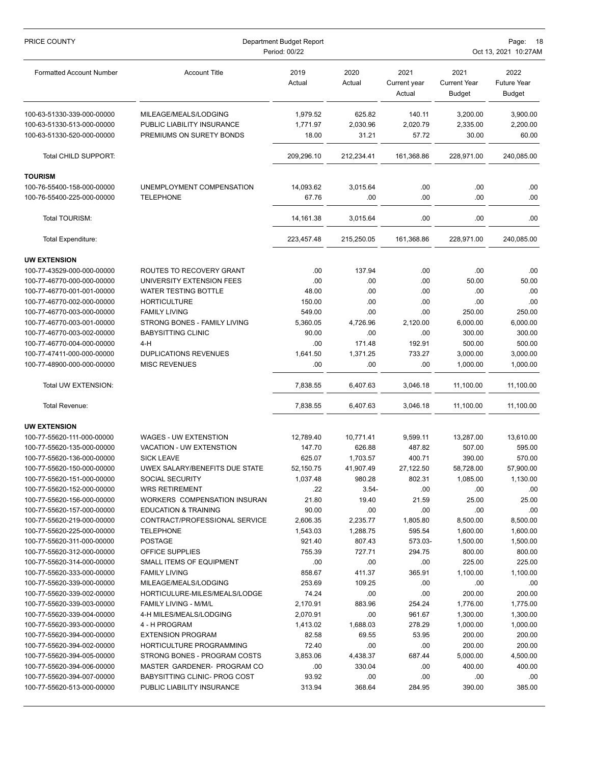| PRICE COUNTY                                                                           | Department Budget Report<br>Page: 18<br>Period: 00/22<br>Oct 13, 2021 10:27AM   |                               |                             |                                |                                              |                                      |
|----------------------------------------------------------------------------------------|---------------------------------------------------------------------------------|-------------------------------|-----------------------------|--------------------------------|----------------------------------------------|--------------------------------------|
| <b>Formatted Account Number</b>                                                        | <b>Account Title</b>                                                            | 2019<br>Actual                | 2020<br>Actual              | 2021<br>Current year<br>Actual | 2021<br><b>Current Year</b><br><b>Budget</b> | 2022<br><b>Future Year</b><br>Budget |
| 100-63-51330-339-000-00000<br>100-63-51330-513-000-00000<br>100-63-51330-520-000-00000 | MILEAGE/MEALS/LODGING<br>PUBLIC LIABILITY INSURANCE<br>PREMIUMS ON SURETY BONDS | 1,979.52<br>1,771.97<br>18.00 | 625.82<br>2,030.96<br>31.21 | 140.11<br>2,020.79<br>57.72    | 3,200.00<br>2,335.00<br>30.00                | 3,900.00<br>2,200.00<br>60.00        |
| Total CHILD SUPPORT:                                                                   |                                                                                 | 209,296.10                    | 212,234.41                  | 161,368.86                     | 228,971.00                                   | 240,085.00                           |
| <b>TOURISM</b>                                                                         |                                                                                 |                               |                             |                                |                                              |                                      |
| 100-76-55400-158-000-00000<br>100-76-55400-225-000-00000                               | UNEMPLOYMENT COMPENSATION<br><b>TELEPHONE</b>                                   | 14,093.62<br>67.76            | 3,015.64<br>.00             | .00<br>.00                     | .00<br>.00                                   | .00<br>.00                           |
| Total TOURISM:                                                                         |                                                                                 | 14,161.38                     | 3,015.64                    | .00                            | .00                                          | .00                                  |
| <b>Total Expenditure:</b>                                                              |                                                                                 | 223,457.48                    | 215,250.05                  | 161,368.86                     | 228,971.00                                   | 240,085.00                           |
| <b>UW EXTENSION</b>                                                                    |                                                                                 |                               |                             |                                |                                              |                                      |
| 100-77-43529-000-000-00000                                                             | ROUTES TO RECOVERY GRANT                                                        | .00                           | 137.94                      | .00                            | .00                                          | .00                                  |
| 100-77-46770-000-000-00000                                                             | UNIVERSITY EXTENSION FEES                                                       | .00                           | .00                         | .00                            | 50.00                                        | 50.00                                |
| 100-77-46770-001-001-00000                                                             | <b>WATER TESTING BOTTLE</b>                                                     | 48.00                         | .00                         | .00                            | .00                                          | .00                                  |
| 100-77-46770-002-000-00000                                                             | <b>HORTICULTURE</b>                                                             | 150.00                        | .00                         | .00                            | .00                                          | .00                                  |
| 100-77-46770-003-000-00000                                                             | <b>FAMILY LIVING</b>                                                            | 549.00                        | .00                         | .00                            | 250.00                                       | 250.00                               |
| 100-77-46770-003-001-00000                                                             | STRONG BONES - FAMILY LIVING                                                    | 5,360.05                      | 4,726.96                    | 2,120.00                       | 6,000.00                                     | 6,000.00                             |
| 100-77-46770-003-002-00000                                                             | <b>BABYSITTING CLINIC</b>                                                       | 90.00                         | .00                         | .00                            | 300.00                                       | 300.00                               |
| 100-77-46770-004-000-00000                                                             | $4-H$                                                                           | .00                           | 171.48                      | 192.91                         | 500.00                                       | 500.00                               |
| 100-77-47411-000-000-00000                                                             | <b>DUPLICATIONS REVENUES</b>                                                    | 1,641.50                      | 1,371.25                    | 733.27                         | 3,000.00                                     | 3,000.00                             |
| 100-77-48900-000-000-00000                                                             | <b>MISC REVENUES</b>                                                            | .00                           | .00                         | .00                            | 1,000.00                                     | 1,000.00                             |
| Total UW EXTENSION:                                                                    |                                                                                 | 7,838.55                      | 6,407.63                    | 3,046.18                       | 11,100.00                                    | 11,100.00                            |
| Total Revenue:                                                                         |                                                                                 | 7,838.55                      | 6,407.63                    | 3,046.18                       | 11,100.00                                    | 11,100.00                            |
| <b>UW EXTENSION</b>                                                                    |                                                                                 |                               |                             |                                |                                              |                                      |
| 100-77-55620-111-000-00000                                                             | WAGES - UW EXTENSTION                                                           | 12,789.40                     | 10,771.41                   | 9,599.11                       | 13,287.00                                    | 13,610.00                            |
| 100-77-55620-135-000-00000                                                             | VACATION - UW EXTENSTION                                                        | 147.70                        | 626.88                      | 487.82                         | 507.00                                       | 595.00                               |
| 100-77-55620-136-000-00000                                                             | <b>SICK LEAVE</b>                                                               | 625.07                        | 1,703.57                    | 400.71                         | 390.00                                       | 570.00                               |
| 100-77-55620-150-000-00000                                                             | UWEX SALARY/BENEFITS DUE STATE                                                  | 52,150.75                     | 41,907.49                   | 27,122.50                      | 58,728.00                                    | 57,900.00                            |
| 100-77-55620-151-000-00000                                                             | <b>SOCIAL SECURITY</b>                                                          | 1,037.48                      | 980.28                      | 802.31                         | 1,085.00                                     | 1,130.00                             |
| 100-77-55620-152-000-00000                                                             | <b>WRS RETIREMENT</b>                                                           | .22                           | $3.54 -$                    | .00                            | .00.                                         | .00.                                 |
| 100-77-55620-156-000-00000                                                             | WORKERS COMPENSATION INSURAN                                                    | 21.80                         | 19.40                       | 21.59                          | 25.00                                        | 25.00                                |
| 100-77-55620-157-000-00000                                                             | <b>EDUCATION &amp; TRAINING</b>                                                 | 90.00                         | .00                         | .00                            | .00                                          | .00                                  |
| 100-77-55620-219-000-00000                                                             | CONTRACT/PROFESSIONAL SERVICE                                                   | 2,606.35                      | 2,235.77                    | 1,805.80                       | 8,500.00                                     | 8,500.00                             |
| 100-77-55620-225-000-00000                                                             | <b>TELEPHONE</b>                                                                | 1,543.03                      | 1,288.75                    | 595.54                         | 1,600.00                                     | 1,600.00                             |
| 100-77-55620-311-000-00000                                                             | <b>POSTAGE</b>                                                                  | 921.40                        | 807.43                      | 573.03-                        | 1,500.00                                     | 1,500.00                             |
| 100-77-55620-312-000-00000                                                             | OFFICE SUPPLIES                                                                 | 755.39                        | 727.71                      | 294.75                         | 800.00                                       | 800.00                               |
| 100-77-55620-314-000-00000                                                             | SMALL ITEMS OF EQUIPMENT                                                        | .00                           | .00                         | .00                            | 225.00                                       | 225.00                               |
| 100-77-55620-333-000-00000                                                             | <b>FAMILY LIVING</b>                                                            | 858.67                        | 411.37                      | 365.91                         | 1,100.00                                     | 1,100.00                             |
| 100-77-55620-339-000-00000                                                             | MILEAGE/MEALS/LODGING                                                           | 253.69                        | 109.25                      | .00                            | .00                                          | .00.                                 |
| 100-77-55620-339-002-00000                                                             | HORTICULURE-MILES/MEALS/LODGE                                                   | 74.24                         | .00                         | .00                            | 200.00                                       | 200.00                               |
| 100-77-55620-339-003-00000                                                             | FAMILY LIVING - M/M/L                                                           | 2,170.91                      | 883.96                      | 254.24                         | 1,776.00                                     | 1,775.00                             |
| 100-77-55620-339-004-00000                                                             | 4-H MILES/MEALS/LODGING                                                         | 2,070.91                      | .00                         | 961.67                         | 1,300.00                                     | 1,300.00                             |
| 100-77-55620-393-000-00000                                                             | 4 - H PROGRAM                                                                   | 1,413.02                      | 1,688.03                    | 278.29                         | 1,000.00                                     | 1,000.00                             |
| 100-77-55620-394-000-00000                                                             | <b>EXTENSION PROGRAM</b>                                                        | 82.58                         | 69.55                       | 53.95                          | 200.00                                       | 200.00                               |
| 100-77-55620-394-002-00000                                                             | HORTICULTURE PROGRAMMING                                                        | 72.40                         | .00                         | .00                            | 200.00                                       | 200.00                               |
| 100-77-55620-394-005-00000                                                             | STRONG BONES - PROGRAM COSTS                                                    | 3,853.06                      | 4,438.37                    | 687.44                         | 5,000.00                                     | 4,500.00                             |
| 100-77-55620-394-006-00000                                                             | MASTER GARDENER- PROGRAM CO                                                     | .00                           | 330.04                      | .00                            | 400.00                                       | 400.00                               |
| 100-77-55620-394-007-00000                                                             | BABYSITTING CLINIC- PROG COST                                                   | 93.92                         | .00                         | .00                            | .00                                          | .00                                  |
| 100-77-55620-513-000-00000                                                             | PUBLIC LIABILITY INSURANCE                                                      | 313.94                        | 368.64                      | 284.95                         | 390.00                                       | 385.00                               |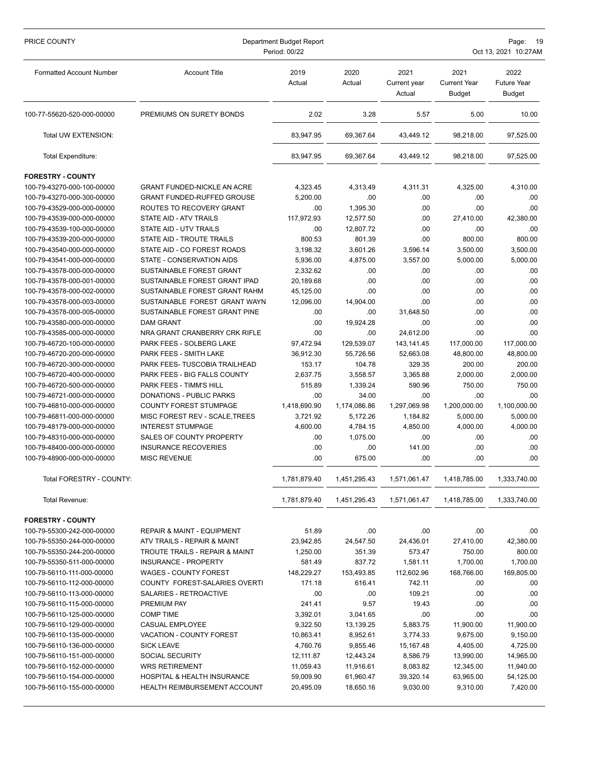| PRICE COUNTY                                             | Department Budget Report<br>Period: 00/22                      |                        |                       |                                |                                              | Page:<br>19<br>Oct 13, 2021 10:27AM         |  |  |
|----------------------------------------------------------|----------------------------------------------------------------|------------------------|-----------------------|--------------------------------|----------------------------------------------|---------------------------------------------|--|--|
| <b>Formatted Account Number</b>                          | <b>Account Title</b>                                           | 2019<br>Actual         | 2020<br>Actual        | 2021<br>Current year<br>Actual | 2021<br><b>Current Year</b><br><b>Budget</b> | 2022<br><b>Future Year</b><br><b>Budget</b> |  |  |
| 100-77-55620-520-000-00000                               | PREMIUMS ON SURETY BONDS                                       | 2.02                   | 3.28                  | 5.57                           | 5.00                                         | 10.00                                       |  |  |
| Total UW EXTENSION:                                      |                                                                | 83,947.95              | 69,367.64             | 43,449.12                      | 98.218.00                                    | 97,525.00                                   |  |  |
| Total Expenditure:                                       |                                                                | 83,947.95              | 69,367.64             | 43.449.12                      | 98,218.00                                    | 97,525.00                                   |  |  |
| <b>FORESTRY - COUNTY</b>                                 |                                                                |                        |                       |                                |                                              |                                             |  |  |
| 100-79-43270-000-100-00000                               | <b>GRANT FUNDED-NICKLE AN ACRE</b>                             | 4,323.45               | 4,313.49              | 4,311.31                       | 4,325.00                                     | 4,310.00                                    |  |  |
| 100-79-43270-000-300-00000                               | <b>GRANT FUNDED-RUFFED GROUSE</b>                              | 5,200.00               | .00                   | .00                            | .00                                          | .00                                         |  |  |
| 100-79-43529-000-000-00000                               | ROUTES TO RECOVERY GRANT                                       | .00                    | 1,395.30              | .00                            | .00                                          | .00                                         |  |  |
| 100-79-43539-000-000-00000                               | STATE AID - ATV TRAILS                                         | 117,972.93             | 12,577.50             | .00                            | 27,410.00                                    | 42,380.00                                   |  |  |
| 100-79-43539-100-000-00000                               | <b>STATE AID - UTV TRAILS</b>                                  | .00                    | 12,807.72             | .00                            | .00                                          | .00                                         |  |  |
| 100-79-43539-200-000-00000                               | STATE AID - TROUTE TRAILS                                      | 800.53                 | 801.39                | .00                            | 800.00                                       | 800.00                                      |  |  |
| 100-79-43540-000-000-00000                               | STATE AID - CO FOREST ROADS                                    | 3,198.32               | 3,601.26              | 3,596.14                       | 3.500.00                                     | 3,500.00                                    |  |  |
| 100-79-43541-000-000-00000                               | STATE - CONSERVATION AIDS                                      | 5,936.00               | 4,875.00              | 3,557.00                       | 5,000.00                                     | 5,000.00                                    |  |  |
| 100-79-43578-000-000-00000                               | SUSTAINABLE FOREST GRANT                                       | 2,332.62               | .00                   | .00                            | .00                                          | .00                                         |  |  |
| 100-79-43578-000-001-00000<br>100-79-43578-000-002-00000 | SUSTAINABLE FOREST GRANT IPAD<br>SUSTAINABLE FOREST GRANT RAHM | 20,189.68<br>45,125.00 | .00<br>.00            | .00<br>.00                     | .00<br>.00                                   | .00<br>.00                                  |  |  |
| 100-79-43578-000-003-00000                               | SUSTAINABLE FOREST GRANT WAYN                                  | 12,096.00              | 14,904.00             | .00                            | .00                                          | .00                                         |  |  |
| 100-79-43578-000-005-00000                               | SUSTAINABLE FOREST GRANT PINE                                  | .00                    | .00                   | 31,648.50                      | .00                                          | .00                                         |  |  |
| 100-79-43580-000-000-00000                               | <b>DAM GRANT</b>                                               | .00                    | 19,924.28             | .00                            | .00                                          | .00                                         |  |  |
| 100-79-43585-000-000-00000                               | NRA GRANT CRANBERRY CRK RIFLE                                  | .00                    | .00                   | 24,612.00                      | .00                                          | .00.                                        |  |  |
| 100-79-46720-100-000-00000                               | PARK FEES - SOLBERG LAKE                                       | 97,472.94              | 129,539.07            | 143,141.45                     | 117,000.00                                   | 117,000.00                                  |  |  |
| 100-79-46720-200-000-00000                               | PARK FEES - SMITH LAKE                                         | 36,912.30              | 55,726.56             | 52,663.08                      | 48,800.00                                    | 48,800.00                                   |  |  |
| 100-79-46720-300-000-00000                               | PARK FEES- TUSCOBIA TRAILHEAD                                  | 153.17                 | 104.78                | 329.35                         | 200.00                                       | 200.00                                      |  |  |
| 100-79-46720-400-000-00000                               | PARK FEES - BIG FALLS COUNTY                                   | 2,637.75               | 3,558.57              | 3,365.88                       | 2,000.00                                     | 2,000.00                                    |  |  |
| 100-79-46720-500-000-00000                               | PARK FEES - TIMM'S HILL                                        | 515.89                 | 1,339.24              | 590.96                         | 750.00                                       | 750.00                                      |  |  |
| 100-79-46721-000-000-00000                               | DONATIONS - PUBLIC PARKS                                       | .00                    | 34.00                 | .00                            | .00                                          | .00                                         |  |  |
| 100-79-46810-000-000-00000                               | COUNTY FOREST STUMPAGE                                         | 1,418,690.90           | 1,174,086.86          | 1,297,069.98                   | 1,200,000.00                                 | 1,100,000.00                                |  |  |
| 100-79-46811-000-000-00000                               | MISC FOREST REV - SCALE, TREES                                 | 3,721.92               | 5.172.26              | 1,184.82                       | 5,000.00                                     | 5,000.00                                    |  |  |
| 100-79-48179-000-000-00000                               | <b>INTEREST STUMPAGE</b>                                       | 4,600.00               | 4,784.15              | 4,850.00                       | 4,000.00                                     | 4,000.00                                    |  |  |
| 100-79-48310-000-000-00000                               | SALES OF COUNTY PROPERTY                                       | .00                    | 1,075.00              | .00                            | .00                                          | .00.                                        |  |  |
| 100-79-48400-000-000-00000<br>100-79-48900-000-000-00000 | <b>INSURANCE RECOVERIES</b><br><b>MISC REVENUE</b>             | .00                    | .00                   | 141.00                         | .00                                          | .00                                         |  |  |
|                                                          |                                                                | .00                    | 675.00                | .00                            | .00                                          | .00                                         |  |  |
| Total FORESTRY - COUNTY:                                 |                                                                | 1,781,879.40           | 1,451,295.43          | 1,571,061.47                   | 1,418,785.00                                 | 1,333,740.00                                |  |  |
| Total Revenue:                                           |                                                                | 1,781,879.40           | 1,451,295.43          | 1,571,061.47                   | 1,418,785.00                                 | 1,333,740.00                                |  |  |
| <b>FORESTRY - COUNTY</b>                                 |                                                                |                        |                       |                                |                                              |                                             |  |  |
| 100-79-55300-242-000-00000                               | <b>REPAIR &amp; MAINT - EQUIPMENT</b>                          | 51.89                  | .00                   | .00                            | .00                                          | .00                                         |  |  |
| 100-79-55350-244-000-00000                               | ATV TRAILS - REPAIR & MAINT                                    | 23,942.85              | 24,547.50             | 24,436.01                      | 27,410.00                                    | 42,380.00                                   |  |  |
| 100-79-55350-244-200-00000                               | <b>TROUTE TRAILS - REPAIR &amp; MAINT</b>                      | 1,250.00               | 351.39                | 573.47                         | 750.00                                       | 800.00                                      |  |  |
| 100-79-55350-511-000-00000                               | INSURANCE - PROPERTY                                           | 581.49                 | 837.72                | 1,581.11                       | 1,700.00                                     | 1,700.00                                    |  |  |
| 100-79-56110-111-000-00000                               | <b>WAGES - COUNTY FOREST</b>                                   | 148,229.27             | 153,493.85            | 112,602.96                     | 168,766.00                                   | 169,805.00                                  |  |  |
| 100-79-56110-112-000-00000                               | COUNTY FOREST-SALARIES OVERTI                                  | 171.18                 | 616.41                | 742.11                         | .00                                          | .00                                         |  |  |
| 100-79-56110-113-000-00000                               | SALARIES - RETROACTIVE                                         | .00                    | .00                   | 109.21                         | .00                                          | .00                                         |  |  |
| 100-79-56110-115-000-00000                               | PREMIUM PAY                                                    | 241.41                 | 9.57                  | 19.43                          | .00                                          | .00                                         |  |  |
| 100-79-56110-125-000-00000                               | <b>COMP TIME</b>                                               | 3,392.01               | 3,041.65              | .00                            | .00                                          | .00                                         |  |  |
| 100-79-56110-129-000-00000<br>100-79-56110-135-000-00000 | CASUAL EMPLOYEE<br>VACATION - COUNTY FOREST                    | 9,322.50<br>10,863.41  | 13,139.25<br>8,952.61 | 5,883.75<br>3,774.33           | 11,900.00<br>9,675.00                        | 11,900.00<br>9,150.00                       |  |  |
| 100-79-56110-136-000-00000                               | <b>SICK LEAVE</b>                                              | 4,760.76               | 9,855.46              | 15,167.48                      | 4,405.00                                     | 4,725.00                                    |  |  |
| 100-79-56110-151-000-00000                               | <b>SOCIAL SECURITY</b>                                         | 12,111.87              | 12,443.24             | 8,586.79                       | 13,990.00                                    | 14,965.00                                   |  |  |
| 100-79-56110-152-000-00000                               | <b>WRS RETIREMENT</b>                                          | 11,059.43              | 11,916.61             | 8,083.82                       | 12,345.00                                    | 11,940.00                                   |  |  |
| 100-79-56110-154-000-00000                               | HOSPITAL & HEALTH INSURANCE                                    | 59,009.90              | 61,960.47             | 39,320.14                      | 63,965.00                                    | 54,125.00                                   |  |  |
| 100-79-56110-155-000-00000                               | HEALTH REIMBURSEMENT ACCOUNT                                   | 20,495.09              | 18,650.16             | 9,030.00                       | 9,310.00                                     | 7,420.00                                    |  |  |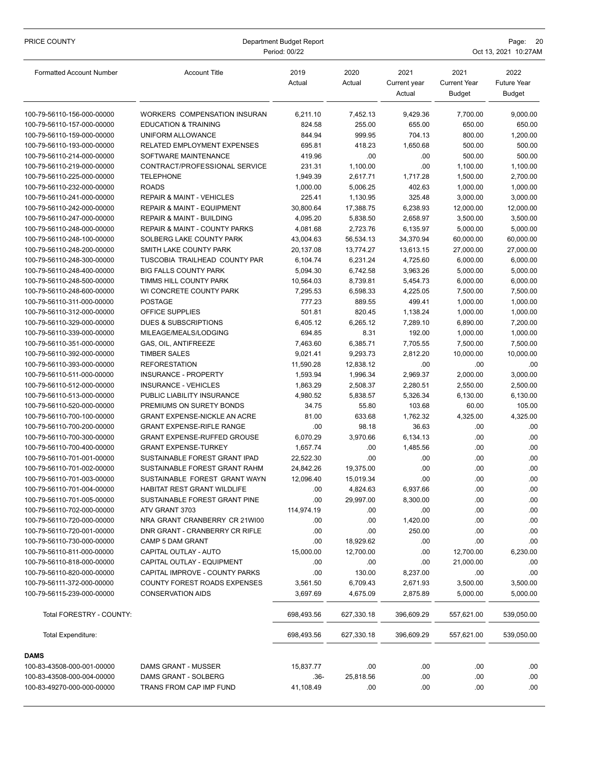| PRICE COUNTY                                             | Department Budget Report<br>Period: 00/22                 |                      |                   |                                |                                       | Page:<br>- 20<br>Oct 13, 2021 10:27AM       |  |  |
|----------------------------------------------------------|-----------------------------------------------------------|----------------------|-------------------|--------------------------------|---------------------------------------|---------------------------------------------|--|--|
| <b>Formatted Account Number</b>                          | <b>Account Title</b>                                      | 2019<br>Actual       | 2020<br>Actual    | 2021<br>Current year<br>Actual | 2021<br>Current Year<br><b>Budget</b> | 2022<br><b>Future Year</b><br><b>Budget</b> |  |  |
| 100-79-56110-156-000-00000                               | WORKERS COMPENSATION INSURAN                              | 6,211.10             | 7,452.13          | 9,429.36                       | 7,700.00                              | 9,000.00                                    |  |  |
| 100-79-56110-157-000-00000                               | <b>EDUCATION &amp; TRAINING</b>                           | 824.58               | 255.00            | 655.00                         | 650.00                                | 650.00                                      |  |  |
| 100-79-56110-159-000-00000                               | UNIFORM ALLOWANCE                                         | 844.94               | 999.95            | 704.13                         | 800.00                                | 1,200.00                                    |  |  |
| 100-79-56110-193-000-00000                               | RELATED EMPLOYMENT EXPENSES                               | 695.81               | 418.23            | 1,650.68                       | 500.00                                | 500.00                                      |  |  |
| 100-79-56110-214-000-00000                               | SOFTWARE MAINTENANCE                                      | 419.96               | .00               | .00                            | 500.00                                | 500.00                                      |  |  |
| 100-79-56110-219-000-00000                               | CONTRACT/PROFESSIONAL SERVICE                             | 231.31               | 1,100.00          | .00                            | 1,100.00                              | 1,100.00                                    |  |  |
| 100-79-56110-225-000-00000                               | <b>TELEPHONE</b>                                          | 1,949.39             | 2,617.71          | 1,717.28                       | 1,500.00                              | 2,700.00                                    |  |  |
| 100-79-56110-232-000-00000                               | <b>ROADS</b>                                              | 1,000.00             | 5,006.25          | 402.63                         | 1,000.00                              | 1,000.00                                    |  |  |
| 100-79-56110-241-000-00000                               | <b>REPAIR &amp; MAINT - VEHICLES</b>                      | 225.41               | 1,130.95          | 325.48                         | 3,000.00                              | 3,000.00                                    |  |  |
| 100-79-56110-242-000-00000                               | <b>REPAIR &amp; MAINT - EQUIPMENT</b>                     | 30,800.64            | 17,388.75         | 6,238.93                       | 12,000.00                             | 12,000.00                                   |  |  |
| 100-79-56110-247-000-00000                               | <b>REPAIR &amp; MAINT - BUILDING</b>                      | 4,095.20             | 5,838.50          | 2,658.97                       | 3,500.00                              | 3,500.00                                    |  |  |
| 100-79-56110-248-000-00000                               | REPAIR & MAINT - COUNTY PARKS                             | 4.081.68             | 2,723.76          | 6,135.97                       | 5,000.00                              | 5,000.00                                    |  |  |
| 100-79-56110-248-100-00000                               | SOLBERG LAKE COUNTY PARK                                  | 43,004.63            | 56,534.13         | 34,370.94                      | 60,000.00                             | 60,000.00                                   |  |  |
| 100-79-56110-248-200-00000                               | SMITH LAKE COUNTY PARK                                    | 20,137.08            | 13,774.27         | 13,613.15                      | 27,000.00                             | 27,000.00                                   |  |  |
| 100-79-56110-248-300-00000                               | TUSCOBIA TRAILHEAD COUNTY PAR                             | 6,104.74             | 6,231.24          | 4,725.60                       | 6,000.00                              | 6,000.00                                    |  |  |
| 100-79-56110-248-400-00000                               | <b>BIG FALLS COUNTY PARK</b>                              | 5,094.30             | 6,742.58          | 3,963.26                       | 5,000.00                              | 5,000.00                                    |  |  |
| 100-79-56110-248-500-00000                               | TIMMS HILL COUNTY PARK                                    | 10,564.03            | 8,739.81          | 5,454.73                       | 6,000.00                              | 6,000.00                                    |  |  |
| 100-79-56110-248-600-00000                               | WI CONCRETE COUNTY PARK                                   | 7,295.53             | 6,598.33          | 4,225.05                       | 7,500.00                              | 7,500.00                                    |  |  |
| 100-79-56110-311-000-00000                               | <b>POSTAGE</b>                                            | 777.23               | 889.55            | 499.41                         | 1,000.00                              | 1,000.00                                    |  |  |
| 100-79-56110-312-000-00000                               | OFFICE SUPPLIES                                           | 501.81               | 820.45            | 1,138.24                       | 1,000.00                              | 1,000.00                                    |  |  |
| 100-79-56110-329-000-00000                               | DUES & SUBSCRIPTIONS                                      | 6,405.12             | 6,265.12          | 7,289.10                       | 6,890.00                              | 7,200.00                                    |  |  |
| 100-79-56110-339-000-00000                               | MILEAGE/MEALS/LODGING                                     | 694.85               | 8.31              | 192.00                         | 1,000.00                              | 1,000.00                                    |  |  |
| 100-79-56110-351-000-00000                               | GAS, OIL, ANTIFREEZE                                      | 7,463.60             | 6,385.71          | 7,705.55                       | 7,500.00                              | 7,500.00                                    |  |  |
| 100-79-56110-392-000-00000                               | <b>TIMBER SALES</b>                                       | 9,021.41             | 9,293.73          | 2,812.20                       | 10,000.00                             | 10,000.00                                   |  |  |
| 100-79-56110-393-000-00000                               | <b>REFORESTATION</b>                                      | 11,590.28            | 12,838.12         | .00                            | .00                                   | .00.                                        |  |  |
| 100-79-56110-511-000-00000                               | INSURANCE - PROPERTY                                      | 1,593.94             | 1,996.34          | 2,969.37                       | 2,000.00                              | 3,000.00                                    |  |  |
| 100-79-56110-512-000-00000                               | <b>INSURANCE - VEHICLES</b><br>PUBLIC LIABILITY INSURANCE | 1,863.29<br>4,980.52 | 2,508.37          | 2,280.51                       | 2,550.00                              | 2,500.00                                    |  |  |
| 100-79-56110-513-000-00000                               | PREMIUMS ON SURETY BONDS                                  | 34.75                | 5,838.57<br>55.80 | 5,326.34<br>103.68             | 6,130.00                              | 6,130.00<br>105.00                          |  |  |
| 100-79-56110-520-000-00000<br>100-79-56110-700-100-00000 | <b>GRANT EXPENSE-NICKLE AN ACRE</b>                       | 81.00                | 633.68            | 1,762.32                       | 60.00<br>4,325.00                     | 4,325.00                                    |  |  |
| 100-79-56110-700-200-00000                               | <b>GRANT EXPENSE-RIFLE RANGE</b>                          | .00                  | 98.18             | 36.63                          | .00                                   | .00                                         |  |  |
| 100-79-56110-700-300-00000                               | <b>GRANT EXPENSE-RUFFED GROUSE</b>                        | 6,070.29             | 3,970.66          | 6,134.13                       | .00                                   | .00.                                        |  |  |
| 100-79-56110-700-400-00000                               | <b>GRANT EXPENSE-TURKEY</b>                               | 1,657.74             | .00               | 1,485.56                       | .00                                   | .00                                         |  |  |
| 100-79-56110-701-001-00000                               | SUSTAINABLE FOREST GRANT IPAD                             | 22,522.30            | .00               | .00                            | .00                                   | .00                                         |  |  |
| 100-79-56110-701-002-00000                               | SUSTAINABLE FOREST GRANT RAHM                             | 24,842.26            | 19,375.00         | .00                            | .00                                   | .00                                         |  |  |
| 100-79-56110-701-003-00000                               | SUSTAINABLE FOREST GRANT WAYN                             | 12,096.40            | 15,019.34         | .00                            | .00                                   | .00                                         |  |  |
| 100-79-56110-701-004-00000                               | HABITAT REST GRANT WILDLIFE                               | .00                  | 4,824.63          | 6,937.66                       | .00                                   | .00                                         |  |  |
| 100-79-56110-701-005-00000                               | SUSTAINABLE FOREST GRANT PINE                             | .00                  | 29,997.00         | 8,300.00                       | .00                                   | .00                                         |  |  |
| 100-79-56110-702-000-00000                               | ATV GRANT 3703                                            | 114,974.19           | .00               | .00                            | .00                                   | .00                                         |  |  |
| 100-79-56110-720-000-00000                               | NRA GRANT CRANBERRY CR 21WI00                             | .00                  | .00               | 1,420.00                       | .00                                   | .00                                         |  |  |
| 100-79-56110-720-001-00000                               | DNR GRANT - CRANBERRY CR RIFLE                            | .00                  | .00               | 250.00                         | .00                                   | .00                                         |  |  |
| 100-79-56110-730-000-00000                               | CAMP 5 DAM GRANT                                          | .00                  | 18,929.62         | .00                            | .00                                   | .00                                         |  |  |
| 100-79-56110-811-000-00000                               | CAPITAL OUTLAY - AUTO                                     | 15,000.00            | 12,700.00         | .00                            | 12,700.00                             | 6,230.00                                    |  |  |
| 100-79-56110-818-000-00000                               | CAPITAL OUTLAY - EQUIPMENT                                | .00                  | .00               | .00                            | 21,000.00                             | .00                                         |  |  |
| 100-79-56110-820-000-00000                               | CAPITAL IMPROVE - COUNTY PARKS                            | .00                  | 130.00            | 8,237.00                       | .00                                   | .00                                         |  |  |
| 100-79-56111-372-000-00000                               | <b>COUNTY FOREST ROADS EXPENSES</b>                       | 3,561.50             | 6,709.43          | 2,671.93                       | 3,500.00                              | 3,500.00                                    |  |  |
| 100-79-56115-239-000-00000                               | <b>CONSERVATION AIDS</b>                                  | 3,697.69             | 4,675.09          | 2,875.89                       | 5,000.00                              | 5,000.00                                    |  |  |
| Total FORESTRY - COUNTY:                                 |                                                           | 698,493.56           | 627,330.18        | 396,609.29                     | 557,621.00                            | 539,050.00                                  |  |  |
| <b>Total Expenditure:</b>                                |                                                           | 698,493.56           | 627,330.18        | 396,609.29                     | 557,621.00                            | 539,050.00                                  |  |  |
| <b>DAMS</b>                                              |                                                           |                      |                   |                                |                                       |                                             |  |  |
| 100-83-43508-000-001-00000                               | DAMS GRANT - MUSSER                                       | 15,837.77            | .00               | .00                            | .00                                   | .00                                         |  |  |
| 100-83-43508-000-004-00000                               | DAMS GRANT - SOLBERG                                      | $.36-$               | 25,818.56         | .00                            | .00                                   | .00                                         |  |  |
| 100-83-49270-000-000-00000                               | TRANS FROM CAP IMP FUND                                   | 41,108.49            | .00               | .00                            | .00                                   | .00                                         |  |  |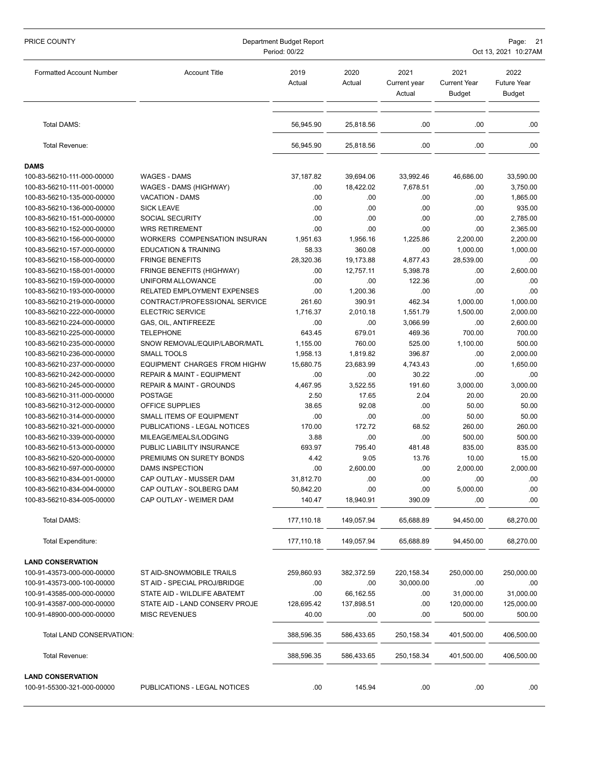| PRICE COUNTY                                             | Department Budget Report<br>Period: 00/22           |                     |                    |                                | Page: 21<br>Oct 13, 2021 10:27AM             |                                             |  |  |
|----------------------------------------------------------|-----------------------------------------------------|---------------------|--------------------|--------------------------------|----------------------------------------------|---------------------------------------------|--|--|
| <b>Formatted Account Number</b>                          | <b>Account Title</b>                                | 2019<br>Actual      | 2020<br>Actual     | 2021<br>Current year<br>Actual | 2021<br><b>Current Year</b><br><b>Budget</b> | 2022<br><b>Future Year</b><br><b>Budget</b> |  |  |
| Total DAMS:                                              |                                                     | 56,945.90           | 25,818.56          | .00                            | .00                                          | .00.                                        |  |  |
| Total Revenue:                                           |                                                     | 56,945.90           | 25,818.56          | .00                            | .00                                          | .00.                                        |  |  |
| <b>DAMS</b>                                              |                                                     |                     |                    |                                |                                              |                                             |  |  |
| 100-83-56210-111-000-00000                               | <b>WAGES - DAMS</b>                                 | 37,187.82           | 39,694.06          | 33,992.46                      | 46,686.00                                    | 33,590.00                                   |  |  |
| 100-83-56210-111-001-00000                               | WAGES - DAMS (HIGHWAY)                              | .00                 | 18,422.02          | 7,678.51                       | .00                                          | 3,750.00                                    |  |  |
| 100-83-56210-135-000-00000                               | <b>VACATION - DAMS</b>                              | .00                 | .00                | .00                            | .00                                          | 1,865.00                                    |  |  |
| 100-83-56210-136-000-00000                               | <b>SICK LEAVE</b>                                   | .00                 | .00                | .00                            | .00                                          | 935.00                                      |  |  |
| 100-83-56210-151-000-00000                               | <b>SOCIAL SECURITY</b>                              | .00                 | .00                | .00                            | .00                                          | 2,785.00                                    |  |  |
| 100-83-56210-152-000-00000                               | <b>WRS RETIREMENT</b>                               | .00                 | .00                | .00                            | .00                                          | 2,365.00                                    |  |  |
| 100-83-56210-156-000-00000                               | WORKERS COMPENSATION INSURAN                        | 1,951.63            | 1,956.16           | 1,225.86                       | 2,200.00                                     | 2,200.00                                    |  |  |
| 100-83-56210-157-000-00000                               | <b>EDUCATION &amp; TRAINING</b>                     | 58.33               | 360.08             | .00                            | 1,000.00                                     | 1,000.00                                    |  |  |
| 100-83-56210-158-000-00000                               | <b>FRINGE BENEFITS</b>                              | 28,320.36           | 19,173.88          | 4,877.43                       | 28,539.00                                    | .00.                                        |  |  |
| 100-83-56210-158-001-00000                               | <b>FRINGE BENEFITS (HIGHWAY)</b>                    | .00                 | 12,757.11          | 5,398.78                       | .00                                          | 2,600.00                                    |  |  |
| 100-83-56210-159-000-00000                               | UNIFORM ALLOWANCE                                   | .00                 | .00                | 122.36                         | .00                                          | .00                                         |  |  |
| 100-83-56210-193-000-00000                               | <b>RELATED EMPLOYMENT EXPENSES</b>                  | .00                 | 1,200.36           | .00                            | .00                                          | .00                                         |  |  |
| 100-83-56210-219-000-00000                               | CONTRACT/PROFESSIONAL SERVICE                       | 261.60              | 390.91<br>2.010.18 | 462.34                         | 1,000.00                                     | 1,000.00                                    |  |  |
| 100-83-56210-222-000-00000<br>100-83-56210-224-000-00000 | <b>ELECTRIC SERVICE</b><br>GAS, OIL, ANTIFREEZE     | 1,716.37<br>.00     | .00                | 1,551.79<br>3,066.99           | 1,500.00<br>.00                              | 2,000.00<br>2,600.00                        |  |  |
| 100-83-56210-225-000-00000                               | <b>TELEPHONE</b>                                    | 643.45              | 679.01             | 469.36                         | 700.00                                       | 700.00                                      |  |  |
| 100-83-56210-235-000-00000                               | SNOW REMOVAL/EQUIP/LABOR/MATL                       | 1,155.00            | 760.00             | 525.00                         | 1,100.00                                     | 500.00                                      |  |  |
| 100-83-56210-236-000-00000                               | <b>SMALL TOOLS</b>                                  | 1,958.13            | 1,819.82           | 396.87                         | .00                                          | 2,000.00                                    |  |  |
| 100-83-56210-237-000-00000                               | <b>EQUIPMENT CHARGES FROM HIGHW</b>                 | 15,680.75           | 23,683.99          | 4,743.43                       | .00                                          | 1,650.00                                    |  |  |
| 100-83-56210-242-000-00000                               | REPAIR & MAINT - EQUIPMENT                          | .00                 | .00                | 30.22                          | .00                                          | .00                                         |  |  |
| 100-83-56210-245-000-00000                               | <b>REPAIR &amp; MAINT - GROUNDS</b>                 | 4,467.95            | 3,522.55           | 191.60                         | 3,000.00                                     | 3,000.00                                    |  |  |
| 100-83-56210-311-000-00000                               | <b>POSTAGE</b>                                      | 2.50                | 17.65              | 2.04                           | 20.00                                        | 20.00                                       |  |  |
| 100-83-56210-312-000-00000                               | OFFICE SUPPLIES                                     | 38.65               | 92.08              | .00                            | 50.00                                        | 50.00                                       |  |  |
| 100-83-56210-314-000-00000                               | SMALL ITEMS OF EQUIPMENT                            | .00                 | .00                | .00                            | 50.00                                        | 50.00                                       |  |  |
| 100-83-56210-321-000-00000                               | PUBLICATIONS - LEGAL NOTICES                        | 170.00              | 172.72             | 68.52                          | 260.00                                       | 260.00                                      |  |  |
| 100-83-56210-339-000-00000                               | MILEAGE/MEALS/LODGING                               | 3.88                | .00                | .00                            | 500.00                                       | 500.00                                      |  |  |
| 100-83-56210-513-000-00000                               | PUBLIC LIABILITY INSURANCE                          | 693.97              | 795.40             | 481.48                         | 835.00                                       | 835.00                                      |  |  |
| 100-83-56210-520-000-00000                               | PREMIUMS ON SURETY BONDS                            | 4.42                | 9.05               | 13.76                          | 10.00                                        | 15.00                                       |  |  |
| 100-83-56210-597-000-00000                               | <b>DAMS INSPECTION</b>                              | .00                 | 2,600.00           | 00                             | 2,000.00                                     | 2,000.00                                    |  |  |
| 100-83-56210-834-001-00000                               | CAP OUTLAY - MUSSER DAM                             | 31,812.70           | .00                | .00                            | .00                                          | .00                                         |  |  |
| 100-83-56210-834-004-00000<br>100-83-56210-834-005-00000 | CAP OUTLAY - SOLBERG DAM<br>CAP OUTLAY - WEIMER DAM | 50,842.20<br>140.47 | .00<br>18,940.91   | .00<br>390.09                  | 5,000.00<br>.00                              | .00<br>.00.                                 |  |  |
|                                                          |                                                     |                     |                    |                                |                                              |                                             |  |  |
| Total DAMS:                                              |                                                     | 177,110.18          | 149,057.94         | 65,688.89                      | 94,450.00                                    | 68,270.00                                   |  |  |
| Total Expenditure:                                       |                                                     | 177,110.18          | 149,057.94         | 65,688.89                      | 94,450.00                                    | 68,270.00                                   |  |  |
| <b>LAND CONSERVATION</b>                                 |                                                     |                     |                    |                                |                                              |                                             |  |  |
| 100-91-43573-000-000-00000                               | ST AID-SNOWMOBILE TRAILS                            | 259,860.93          | 382,372.59         | 220, 158.34                    | 250,000.00                                   | 250,000.00                                  |  |  |
| 100-91-43573-000-100-00000                               | ST AID - SPECIAL PROJ/BRIDGE                        | .00                 | .00                | 30,000.00                      | .00                                          | .00                                         |  |  |
| 100-91-43585-000-000-00000                               | STATE AID - WILDLIFE ABATEMT                        | .00                 | 66,162.55          | .00                            | 31,000.00                                    | 31,000.00                                   |  |  |
| 100-91-43587-000-000-00000                               | STATE AID - LAND CONSERV PROJE                      | 128,695.42          | 137,898.51         | .00                            | 120,000.00                                   | 125,000.00                                  |  |  |
| 100-91-48900-000-000-00000                               | <b>MISC REVENUES</b>                                | 40.00               | .00                | .00                            | 500.00                                       | 500.00                                      |  |  |
| Total LAND CONSERVATION:                                 |                                                     | 388,596.35          | 586,433.65         | 250,158.34                     | 401,500.00                                   | 406,500.00                                  |  |  |
| Total Revenue:                                           |                                                     | 388,596.35          | 586,433.65         | 250,158.34                     | 401,500.00                                   | 406,500.00                                  |  |  |
| <b>LAND CONSERVATION</b><br>100-91-55300-321-000-00000   | PUBLICATIONS - LEGAL NOTICES                        | .00                 | 145.94             | .00                            | .00                                          | .00.                                        |  |  |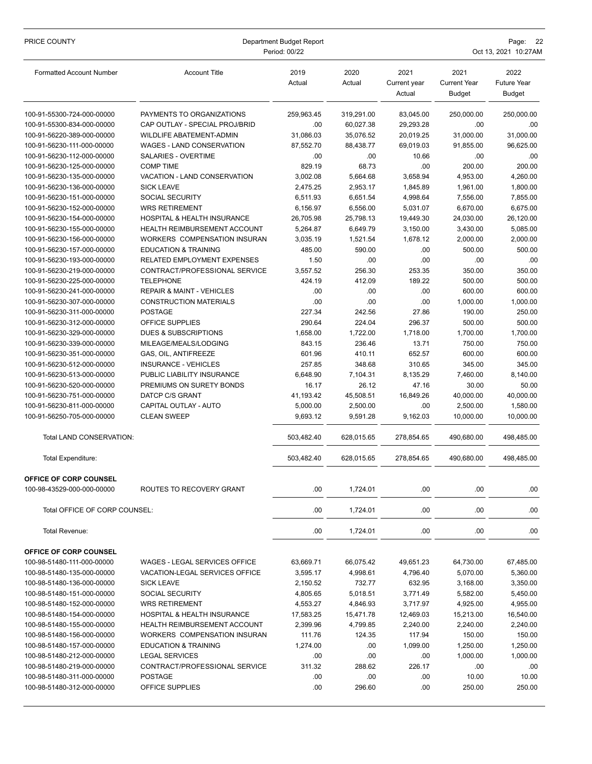| PRICE COUNTY                    | Department Budget Report<br>Period: 00/22 |                |                |                                | Page:<br>Oct 13, 2021 10:27AM                |                                             |  |  |
|---------------------------------|-------------------------------------------|----------------|----------------|--------------------------------|----------------------------------------------|---------------------------------------------|--|--|
| <b>Formatted Account Number</b> | <b>Account Title</b>                      | 2019<br>Actual | 2020<br>Actual | 2021<br>Current year<br>Actual | 2021<br><b>Current Year</b><br><b>Budget</b> | 2022<br><b>Future Year</b><br><b>Budget</b> |  |  |
| 100-91-55300-724-000-00000      | PAYMENTS TO ORGANIZATIONS                 | 259,963.45     | 319,291.00     | 83,045.00                      | 250,000.00                                   | 250,000.00                                  |  |  |
| 100-91-55300-834-000-00000      | CAP OUTLAY - SPECIAL PROJ/BRID            | .00            | 60,027.38      | 29,293.28                      | .00                                          | .00                                         |  |  |
| 100-91-56220-389-000-00000      | <b>WILDLIFE ABATEMENT-ADMIN</b>           | 31,086.03      | 35,076.52      | 20,019.25                      | 31,000.00                                    | 31,000.00                                   |  |  |
| 100-91-56230-111-000-00000      | WAGES - LAND CONSERVATION                 | 87,552.70      | 88,438.77      | 69,019.03                      | 91,855.00                                    | 96,625.00                                   |  |  |
| 100-91-56230-112-000-00000      | SALARIES - OVERTIME                       | .00            | .00            | 10.66                          | .00                                          | .00                                         |  |  |
| 100-91-56230-125-000-00000      | <b>COMP TIME</b>                          | 829.19         | 68.73          | .00                            | 200.00                                       | 200.00                                      |  |  |
| 100-91-56230-135-000-00000      | VACATION - LAND CONSERVATION              | 3,002.08       | 5,664.68       | 3,658.94                       | 4,953.00                                     | 4,260.00                                    |  |  |
| 100-91-56230-136-000-00000      | <b>SICK LEAVE</b>                         | 2,475.25       | 2,953.17       | 1,845.89                       | 1,961.00                                     | 1,800.00                                    |  |  |
| 100-91-56230-151-000-00000      | <b>SOCIAL SECURITY</b>                    | 6,511.93       | 6,651.54       | 4,998.64                       | 7,556.00                                     | 7,855.00                                    |  |  |
| 100-91-56230-152-000-00000      | <b>WRS RETIREMENT</b>                     | 6,156.97       | 6,556.00       | 5,031.07                       | 6,670.00                                     | 6,675.00                                    |  |  |
| 100-91-56230-154-000-00000      | HOSPITAL & HEALTH INSURANCE               | 26,705.98      | 25,798.13      | 19,449.30                      | 24,030.00                                    | 26,120.00                                   |  |  |
| 100-91-56230-155-000-00000      | HEALTH REIMBURSEMENT ACCOUNT              | 5.264.87       | 6,649.79       | 3,150.00                       | 3,430.00                                     | 5,085.00                                    |  |  |
| 100-91-56230-156-000-00000      | WORKERS COMPENSATION INSURAN              | 3,035.19       | 1,521.54       | 1,678.12                       | 2,000.00                                     | 2,000.00                                    |  |  |
| 100-91-56230-157-000-00000      | <b>EDUCATION &amp; TRAINING</b>           | 485.00         | 590.00         | .00                            | 500.00                                       | 500.00                                      |  |  |
| 100-91-56230-193-000-00000      | RELATED EMPLOYMENT EXPENSES               | 1.50           | .00            | .00                            | .00                                          | .00                                         |  |  |
| 100-91-56230-219-000-00000      | CONTRACT/PROFESSIONAL SERVICE             | 3,557.52       | 256.30         | 253.35                         | 350.00                                       | 350.00                                      |  |  |
| 100-91-56230-225-000-00000      | <b>TELEPHONE</b>                          | 424.19         | 412.09         | 189.22                         | 500.00                                       | 500.00                                      |  |  |
| 100-91-56230-241-000-00000      | <b>REPAIR &amp; MAINT - VEHICLES</b>      | .00            | .00            | .00                            | 600.00                                       | 600.00                                      |  |  |
| 100-91-56230-307-000-00000      | <b>CONSTRUCTION MATERIALS</b>             | .00            | .00            | .00                            | 1,000.00                                     | 1,000.00                                    |  |  |
| 100-91-56230-311-000-00000      | <b>POSTAGE</b>                            | 227.34         | 242.56         | 27.86                          | 190.00                                       | 250.00                                      |  |  |
| 100-91-56230-312-000-00000      | OFFICE SUPPLIES                           | 290.64         | 224.04         | 296.37                         | 500.00                                       | 500.00                                      |  |  |
| 100-91-56230-329-000-00000      | <b>DUES &amp; SUBSCRIPTIONS</b>           | 1,658.00       | 1,722.00       | 1,718.00                       | 1,700.00                                     | 1,700.00                                    |  |  |
| 100-91-56230-339-000-00000      | MILEAGE/MEALS/LODGING                     | 843.15         | 236.46         | 13.71                          | 750.00                                       | 750.00                                      |  |  |
| 100-91-56230-351-000-00000      | GAS, OIL, ANTIFREEZE                      | 601.96         | 410.11         | 652.57                         | 600.00                                       | 600.00                                      |  |  |
| 100-91-56230-512-000-00000      | <b>INSURANCE - VEHICLES</b>               | 257.85         | 348.68         | 310.65                         | 345.00                                       | 345.00                                      |  |  |
| 100-91-56230-513-000-00000      | PUBLIC LIABILITY INSURANCE                | 6,648.90       | 7,104.31       | 8,135.29                       | 7,460.00                                     | 8,140.00                                    |  |  |
| 100-91-56230-520-000-00000      | PREMIUMS ON SURETY BONDS                  | 16.17          | 26.12          | 47.16                          | 30.00                                        | 50.00                                       |  |  |
| 100-91-56230-751-000-00000      | DATCP C/S GRANT                           | 41,193.42      | 45,508.51      | 16,849.26                      | 40,000.00                                    | 40,000.00                                   |  |  |
| 100-91-56230-811-000-00000      | CAPITAL OUTLAY - AUTO                     | 5,000.00       | 2,500.00       | .00                            | 2,500.00                                     | 1,580.00                                    |  |  |
| 100-91-56250-705-000-00000      | <b>CLEAN SWEEP</b>                        | 9,693.12       | 9,591.28       | 9,162.03                       | 10,000.00                                    | 10,000.00                                   |  |  |
| Total LAND CONSERVATION:        |                                           | 503,482.40     | 628,015.65     | 278,854.65                     | 490,680.00                                   | 498,485.00                                  |  |  |
| Total Expenditure:              |                                           | 503,482.40     | 628,015.65     | 278,854.65                     | 490,680.00                                   | 498,485.00                                  |  |  |
| OFFICE OF CORP COUNSEL          |                                           |                |                |                                |                                              |                                             |  |  |
| 100-98-43529-000-000-00000      | ROUTES TO RECOVERY GRANT                  | .00            | 1,724.01       | .00                            | .00                                          | .00.                                        |  |  |
| Total OFFICE OF CORP COUNSEL:   |                                           | .00            | 1,724.01       | .00.                           | .00                                          | .00.                                        |  |  |
| Total Revenue:                  |                                           | .00.           | 1,724.01       | .00                            | .00                                          | .00                                         |  |  |
| OFFICE OF CORP COUNSEL          |                                           |                |                |                                |                                              |                                             |  |  |
| 100-98-51480-111-000-00000      | WAGES - LEGAL SERVICES OFFICE             | 63,669.71      | 66,075.42      | 49,651.23                      | 64,730.00                                    | 67,485.00                                   |  |  |
| 100-98-51480-135-000-00000      | VACATION-LEGAL SERVICES OFFICE            | 3,595.17       | 4,998.61       | 4,796.40                       | 5,070.00                                     | 5,360.00                                    |  |  |
| 100-98-51480-136-000-00000      | <b>SICK LEAVE</b>                         | 2,150.52       | 732.77         | 632.95                         | 3,168.00                                     | 3,350.00                                    |  |  |
| 100-98-51480-151-000-00000      | <b>SOCIAL SECURITY</b>                    | 4,805.65       | 5,018.51       | 3,771.49                       | 5,582.00                                     | 5,450.00                                    |  |  |
| 100-98-51480-152-000-00000      | <b>WRS RETIREMENT</b>                     | 4,553.27       | 4,846.93       | 3,717.97                       | 4,925.00                                     | 4,955.00                                    |  |  |
| 100-98-51480-154-000-00000      | <b>HOSPITAL &amp; HEALTH INSURANCE</b>    | 17,583.25      | 15,471.78      | 12,469.03                      | 15,213.00                                    | 16,540.00                                   |  |  |
| 100-98-51480-155-000-00000      | <b>HEALTH REIMBURSEMENT ACCOUNT</b>       | 2,399.96       | 4,799.85       | 2,240.00                       | 2,240.00                                     | 2,240.00                                    |  |  |
| 100-98-51480-156-000-00000      | WORKERS COMPENSATION INSURAN              | 111.76         | 124.35         | 117.94                         | 150.00                                       | 150.00                                      |  |  |
| 100-98-51480-157-000-00000      | <b>EDUCATION &amp; TRAINING</b>           | 1,274.00       | .00.           | 1,099.00                       | 1,250.00                                     | 1,250.00                                    |  |  |
| 100-98-51480-212-000-00000      | <b>LEGAL SERVICES</b>                     | .00            | .00            | .00                            | 1,000.00                                     | 1,000.00                                    |  |  |
| 100-98-51480-219-000-00000      | CONTRACT/PROFESSIONAL SERVICE             | 311.32         | 288.62         | 226.17                         | .00                                          | .00.                                        |  |  |
| 100-98-51480-311-000-00000      | <b>POSTAGE</b>                            | .00            | .00            | .00.                           | 10.00                                        | 10.00                                       |  |  |
| 100-98-51480-312-000-00000      | OFFICE SUPPLIES                           | .00            | 296.60         | .00                            | 250.00                                       | 250.00                                      |  |  |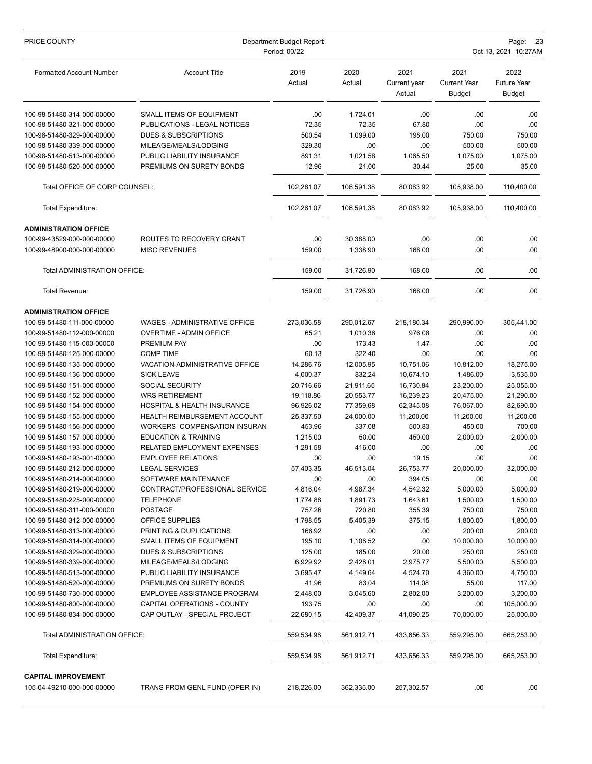| PRICE COUNTY                    | Department Budget Report<br>Period: 00/22 |                |                |                                |                                              | Page: 23<br>Oct 13, 2021 10:27AM            |  |  |
|---------------------------------|-------------------------------------------|----------------|----------------|--------------------------------|----------------------------------------------|---------------------------------------------|--|--|
| <b>Formatted Account Number</b> | <b>Account Title</b>                      | 2019<br>Actual | 2020<br>Actual | 2021<br>Current year<br>Actual | 2021<br><b>Current Year</b><br><b>Budget</b> | 2022<br><b>Future Year</b><br><b>Budget</b> |  |  |
| 100-98-51480-314-000-00000      | SMALL ITEMS OF EQUIPMENT                  | .00            | 1,724.01       | .00                            | .00                                          | .00                                         |  |  |
| 100-98-51480-321-000-00000      | PUBLICATIONS - LEGAL NOTICES              | 72.35          | 72.35          | 67.80                          | .00                                          | .00                                         |  |  |
| 100-98-51480-329-000-00000      | <b>DUES &amp; SUBSCRIPTIONS</b>           | 500.54         | 1,099.00       | 198.00                         | 750.00                                       | 750.00                                      |  |  |
| 100-98-51480-339-000-00000      | MILEAGE/MEALS/LODGING                     | 329.30         | .00            | .00                            | 500.00                                       | 500.00                                      |  |  |
| 100-98-51480-513-000-00000      | PUBLIC LIABILITY INSURANCE                | 891.31         | 1,021.58       | 1,065.50                       | 1,075.00                                     | 1,075.00                                    |  |  |
| 100-98-51480-520-000-00000      | PREMIUMS ON SURETY BONDS                  | 12.96          | 21.00          | 30.44                          | 25.00                                        | 35.00                                       |  |  |
| Total OFFICE OF CORP COUNSEL:   |                                           | 102,261.07     | 106,591.38     | 80,083.92                      | 105,938.00                                   | 110,400.00                                  |  |  |
| Total Expenditure:              |                                           | 102,261.07     | 106,591.38     | 80,083.92                      | 105,938.00                                   | 110,400.00                                  |  |  |
| <b>ADMINISTRATION OFFICE</b>    |                                           |                |                |                                |                                              |                                             |  |  |
| 100-99-43529-000-000-00000      | ROUTES TO RECOVERY GRANT                  | .00            | 30,388.00      | .00                            | .00                                          | .00                                         |  |  |
| 100-99-48900-000-000-00000      | <b>MISC REVENUES</b>                      | 159.00         | 1,338.90       | 168.00                         | .00                                          | .00                                         |  |  |
| Total ADMINISTRATION OFFICE:    |                                           | 159.00         | 31.726.90      | 168.00                         | .00                                          | .00                                         |  |  |
| Total Revenue:                  |                                           | 159.00         | 31,726.90      | 168.00                         | .00                                          | .00                                         |  |  |
| <b>ADMINISTRATION OFFICE</b>    |                                           |                |                |                                |                                              |                                             |  |  |
| 100-99-51480-111-000-00000      | <b>WAGES - ADMINISTRATIVE OFFICE</b>      | 273,036.58     | 290,012.67     | 218,180.34                     | 290,990.00                                   | 305,441.00                                  |  |  |
| 100-99-51480-112-000-00000      | <b>OVERTIME - ADMIN OFFICE</b>            | 65.21          | 1,010.36       | 976.08                         | .00                                          | .00                                         |  |  |
| 100-99-51480-115-000-00000      | PREMIUM PAY                               | .00            | 173.43         | $1.47 -$                       | .00                                          | .00                                         |  |  |
| 100-99-51480-125-000-00000      | <b>COMP TIME</b>                          | 60.13          | 322.40         | .00                            | .00                                          | .00                                         |  |  |
| 100-99-51480-135-000-00000      | VACATION-ADMINISTRATIVE OFFICE            | 14,286.76      | 12,005.95      | 10,751.06                      | 10,812.00                                    | 18,275.00                                   |  |  |
| 100-99-51480-136-000-00000      | <b>SICK LEAVE</b>                         | 4,000.37       | 832.24         | 10,674.10                      | 1,486.00                                     | 3,535.00                                    |  |  |
| 100-99-51480-151-000-00000      | <b>SOCIAL SECURITY</b>                    | 20,716.66      | 21,911.65      | 16,730.84                      | 23,200.00                                    | 25,055.00                                   |  |  |
| 100-99-51480-152-000-00000      | <b>WRS RETIREMENT</b>                     | 19,118.86      | 20,553.77      | 16,239.23                      | 20,475.00                                    | 21,290.00                                   |  |  |
| 100-99-51480-154-000-00000      | HOSPITAL & HEALTH INSURANCE               | 96,926.02      | 77,359.68      | 62,345.08                      | 76,067.00                                    | 82,690.00                                   |  |  |
| 100-99-51480-155-000-00000      | <b>HEALTH REIMBURSEMENT ACCOUNT</b>       | 25,337.50      | 24,000.00      | 11,200.00                      | 11,200.00                                    | 11,200.00                                   |  |  |
| 100-99-51480-156-000-00000      | WORKERS COMPENSATION INSURAN              | 453.96         | 337.08         | 500.83                         | 450.00                                       | 700.00                                      |  |  |
| 100-99-51480-157-000-00000      | <b>EDUCATION &amp; TRAINING</b>           | 1,215.00       | 50.00          | 450.00                         | 2,000.00                                     | 2,000.00                                    |  |  |
| 100-99-51480-193-000-00000      | RELATED EMPLOYMENT EXPENSES               | 1,291.58       | 416.00         | .00                            | .00                                          | .00                                         |  |  |
| 100-99-51480-193-001-00000      | <b>EMPLOYEE RELATIONS</b>                 | .00            | .00            | 19.15                          | .00                                          | .00                                         |  |  |
| 100-99-51480-212-000-00000      | <b>LEGAL SERVICES</b>                     | 57,403.35      | 46,513.04      | 26,753.77                      | 20,000.00                                    | 32,000.00                                   |  |  |
| 100-99-51480-214-000-00000      | SOFTWARE MAINTENANCE                      | .00            | .00            | 394.05                         | .00                                          | .00                                         |  |  |
| 100-99-51480-219-000-00000      | CONTRACT/PROFESSIONAL SERVICE             | 4,816.04       | 4,987.34       | 4,542.32                       | 5,000.00                                     | 5,000.00                                    |  |  |
| 100-99-51480-225-000-00000      | <b>TELEPHONE</b>                          | 1,774.88       | 1,891.73       | 1,643.61                       | 1,500.00                                     | 1,500.00                                    |  |  |
| 100-99-51480-311-000-00000      | <b>POSTAGE</b>                            | 757.26         | 720.80         | 355.39                         | 750.00                                       | 750.00                                      |  |  |
| 100-99-51480-312-000-00000      | <b>OFFICE SUPPLIES</b>                    | 1,798.55       | 5,405.39       | 375.15                         | 1,800.00                                     | 1,800.00                                    |  |  |
| 100-99-51480-313-000-00000      | PRINTING & DUPLICATIONS                   | 166.92         | .00            | .00                            | 200.00                                       | 200.00                                      |  |  |
| 100-99-51480-314-000-00000      | SMALL ITEMS OF EQUIPMENT                  | 195.10         | 1,108.52       | .00                            | 10,000.00                                    | 10,000.00                                   |  |  |
| 100-99-51480-329-000-00000      | DUES & SUBSCRIPTIONS                      | 125.00         | 185.00         | 20.00                          | 250.00                                       | 250.00                                      |  |  |
| 100-99-51480-339-000-00000      | MILEAGE/MEALS/LODGING                     | 6,929.92       | 2,428.01       | 2,975.77                       | 5,500.00                                     | 5,500.00                                    |  |  |
| 100-99-51480-513-000-00000      | PUBLIC LIABILITY INSURANCE                | 3,695.47       | 4,149.64       | 4,524.70                       | 4,360.00                                     | 4,750.00                                    |  |  |
| 100-99-51480-520-000-00000      | PREMIUMS ON SURETY BONDS                  | 41.96          | 83.04          | 114.08                         | 55.00                                        | 117.00                                      |  |  |
| 100-99-51480-730-000-00000      | EMPLOYEE ASSISTANCE PROGRAM               | 2,448.00       | 3,045.60       | 2,802.00                       | 3,200.00                                     | 3,200.00                                    |  |  |
| 100-99-51480-800-000-00000      | CAPITAL OPERATIONS - COUNTY               | 193.75         | .00            | .00                            | .00                                          | 105,000.00                                  |  |  |
| 100-99-51480-834-000-00000      | CAP OUTLAY - SPECIAL PROJECT              | 22,680.15      | 42,409.37      | 41,090.25                      | 70,000.00                                    | 25,000.00                                   |  |  |
| Total ADMINISTRATION OFFICE:    |                                           | 559,534.98     | 561,912.71     | 433,656.33                     | 559,295.00                                   | 665,253.00                                  |  |  |
| Total Expenditure:              |                                           | 559,534.98     | 561,912.71     | 433,656.33                     | 559,295.00                                   | 665,253.00                                  |  |  |
| <b>CAPITAL IMPROVEMENT</b>      |                                           |                |                |                                |                                              |                                             |  |  |
| 105-04-49210-000-000-00000      | TRANS FROM GENL FUND (OPER IN)            | 218,226.00     | 362,335.00     | 257,302.57                     | .00                                          | .00.                                        |  |  |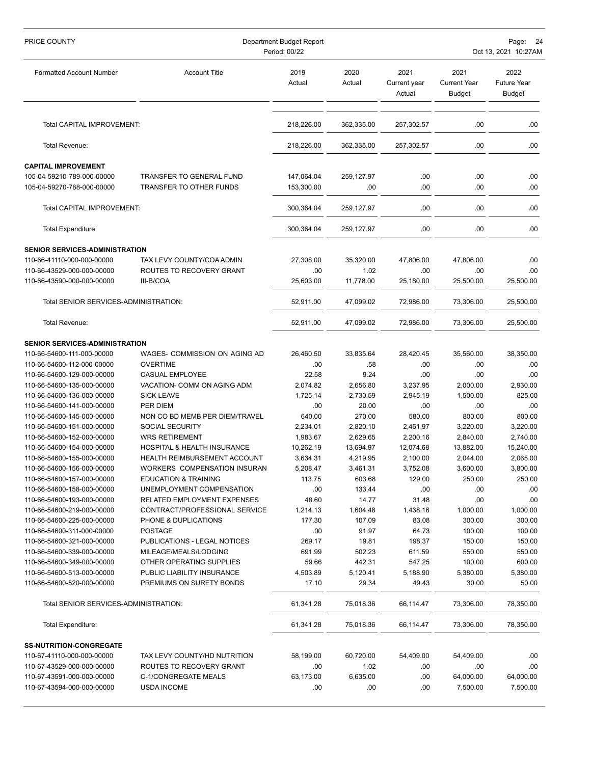| PRICE COUNTY                                             | Department Budget Report<br>Period: 00/22            |                    |                    |                                | Page: 24<br>Oct 13, 2021 10:27AM             |                                             |  |
|----------------------------------------------------------|------------------------------------------------------|--------------------|--------------------|--------------------------------|----------------------------------------------|---------------------------------------------|--|
|                                                          |                                                      |                    |                    |                                |                                              |                                             |  |
| <b>Formatted Account Number</b>                          | <b>Account Title</b>                                 | 2019<br>Actual     | 2020<br>Actual     | 2021<br>Current year<br>Actual | 2021<br><b>Current Year</b><br><b>Budget</b> | 2022<br><b>Future Year</b><br><b>Budget</b> |  |
| Total CAPITAL IMPROVEMENT:                               |                                                      | 218,226.00         | 362,335.00         | 257,302.57                     | .00                                          | .00.                                        |  |
| <b>Total Revenue:</b>                                    |                                                      | 218,226.00         | 362,335.00         | 257,302.57                     | .00                                          | .00                                         |  |
| <b>CAPITAL IMPROVEMENT</b>                               |                                                      |                    |                    |                                |                                              |                                             |  |
| 105-04-59210-789-000-00000                               | TRANSFER TO GENERAL FUND                             | 147,064.04         | 259,127.97         | .00                            | .00                                          | .00.                                        |  |
| 105-04-59270-788-000-00000                               | TRANSFER TO OTHER FUNDS                              | 153,300.00         | .00                | .00                            | .00                                          | .00                                         |  |
| Total CAPITAL IMPROVEMENT:                               |                                                      | 300,364.04         | 259,127.97         | .00                            | .00                                          | .00                                         |  |
| <b>Total Expenditure:</b>                                |                                                      | 300,364.04         | 259,127.97         | .00                            | .00                                          | .00.                                        |  |
| SENIOR SERVICES-ADMINISTRATION                           |                                                      |                    |                    |                                |                                              |                                             |  |
| 110-66-41110-000-000-00000                               | TAX LEVY COUNTY/COA ADMIN                            | 27,308.00          | 35,320.00          | 47,806.00                      | 47,806.00                                    | .00.                                        |  |
| 110-66-43529-000-000-00000                               | ROUTES TO RECOVERY GRANT                             | .00                | 1.02               | .00                            | .00                                          | .00.                                        |  |
| 110-66-43590-000-000-00000                               | III-B/COA                                            | 25,603.00          | 11,778.00          | 25,180.00                      | 25,500.00                                    | 25,500.00                                   |  |
| Total SENIOR SERVICES-ADMINISTRATION:                    |                                                      | 52,911.00          | 47,099.02          | 72,986.00                      | 73,306.00                                    | 25,500.00                                   |  |
| Total Revenue:                                           |                                                      | 52,911.00          | 47,099.02          | 72,986.00                      | 73,306.00                                    | 25,500.00                                   |  |
| <b>SENIOR SERVICES-ADMINISTRATION</b>                    |                                                      |                    |                    |                                |                                              |                                             |  |
| 110-66-54600-111-000-00000                               | WAGES- COMMISSION ON AGING AD                        | 26,460.50          | 33,835.64          | 28,420.45                      | 35,560.00                                    | 38,350.00                                   |  |
| 110-66-54600-112-000-00000                               | <b>OVERTIME</b>                                      | .00                | .58                | .00                            | .00                                          | .00                                         |  |
| 110-66-54600-129-000-00000                               | <b>CASUAL EMPLOYEE</b>                               | 22.58              | 9.24               | .00                            | .00                                          | .00                                         |  |
| 110-66-54600-135-000-00000                               | VACATION- COMM ON AGING ADM                          | 2,074.82           | 2,656.80           | 3,237.95                       | 2,000.00                                     | 2,930.00                                    |  |
| 110-66-54600-136-000-00000                               | <b>SICK LEAVE</b>                                    | 1,725.14           | 2,730.59           | 2,945.19                       | 1,500.00                                     | 825.00                                      |  |
| 110-66-54600-141-000-00000                               | PER DIEM                                             | .00                | 20.00              | .00                            | .00                                          | .00                                         |  |
| 110-66-54600-145-000-00000                               | NON CO BD MEMB PER DIEM/TRAVEL                       | 640.00             | 270.00             | 580.00                         | 800.00                                       | 800.00                                      |  |
| 110-66-54600-151-000-00000                               | <b>SOCIAL SECURITY</b>                               | 2,234.01           | 2,820.10           | 2,461.97                       | 3,220.00                                     | 3,220.00                                    |  |
| 110-66-54600-152-000-00000                               | <b>WRS RETIREMENT</b>                                | 1,983.67           | 2,629.65           | 2,200.16                       | 2,840.00                                     | 2,740.00                                    |  |
| 110-66-54600-154-000-00000                               | HOSPITAL & HEALTH INSURANCE                          | 10,262.19          | 13,694.97          | 12,074.68                      | 13,882.00                                    | 15,240.00                                   |  |
| 110-66-54600-155-000-00000                               | <b>HEALTH REIMBURSEMENT ACCOUNT</b>                  | 3,634.31           | 4,219.95           | 2,100.00                       | 2,044.00                                     | 2,065.00                                    |  |
| 110-66-54600-156-000-00000                               | WORKERS COMPENSATION INSURAN<br>EDUCATION & TRAINING | 5,208.47<br>113.75 | 3,461.31<br>603.68 | 3,752.08<br>129.00             | 3,600.00<br>250.00                           | 3,800.00<br>250.00                          |  |
| 110-66-54600-157-000-00000<br>110-66-54600-158-000-00000 | UNEMPLOYMENT COMPENSATION                            | .00                | 133.44             | .00                            | .00                                          | .00                                         |  |
| 110-66-54600-193-000-00000                               | RELATED EMPLOYMENT EXPENSES                          | 48.60              | 14.77              | 31.48                          | .00                                          | .00                                         |  |
| 110-66-54600-219-000-00000                               | CONTRACT/PROFESSIONAL SERVICE                        | 1,214.13           | 1,604.48           | 1,438.16                       | 1,000.00                                     | 1,000.00                                    |  |
| 110-66-54600-225-000-00000                               | PHONE & DUPLICATIONS                                 | 177.30             | 107.09             | 83.08                          | 300.00                                       | 300.00                                      |  |
| 110-66-54600-311-000-00000                               | <b>POSTAGE</b>                                       | .00                | 91.97              | 64.73                          | 100.00                                       | 100.00                                      |  |
| 110-66-54600-321-000-00000                               | PUBLICATIONS - LEGAL NOTICES                         | 269.17             | 19.81              | 198.37                         | 150.00                                       | 150.00                                      |  |
| 110-66-54600-339-000-00000                               | MILEAGE/MEALS/LODGING                                | 691.99             | 502.23             | 611.59                         | 550.00                                       | 550.00                                      |  |
| 110-66-54600-349-000-00000                               | OTHER OPERATING SUPPLIES                             | 59.66              | 442.31             | 547.25                         | 100.00                                       | 600.00                                      |  |
| 110-66-54600-513-000-00000                               | PUBLIC LIABILITY INSURANCE                           | 4,503.89           | 5,120.41           | 5,188.90                       | 5,380.00                                     | 5,380.00                                    |  |
| 110-66-54600-520-000-00000                               | PREMIUMS ON SURETY BONDS                             | 17.10              | 29.34              | 49.43                          | 30.00                                        | 50.00                                       |  |
| Total SENIOR SERVICES-ADMINISTRATION:                    |                                                      | 61,341.28          | 75,018.36          | 66,114.47                      | 73,306.00                                    | 78,350.00                                   |  |
| Total Expenditure:                                       |                                                      | 61,341.28          | 75,018.36          | 66,114.47                      | 73,306.00                                    | 78,350.00                                   |  |
| <b>SS-NUTRITION-CONGREGATE</b>                           |                                                      |                    |                    |                                |                                              |                                             |  |
| 110-67-41110-000-000-00000                               | TAX LEVY COUNTY/HD NUTRITION                         | 58,199.00          | 60,720.00          | 54,409.00                      | 54,409.00                                    | .00                                         |  |
| 110-67-43529-000-000-00000                               | ROUTES TO RECOVERY GRANT                             | .00                | 1.02               | .00                            | .00.                                         | .00.                                        |  |
| 110-67-43591-000-000-00000                               | C-1/CONGREGATE MEALS                                 | 63,173.00          | 6,635.00           | .00                            | 64,000.00                                    | 64,000.00                                   |  |
| 110-67-43594-000-000-00000                               | <b>USDA INCOME</b>                                   | .00                | .00                | .00                            | 7,500.00                                     | 7,500.00                                    |  |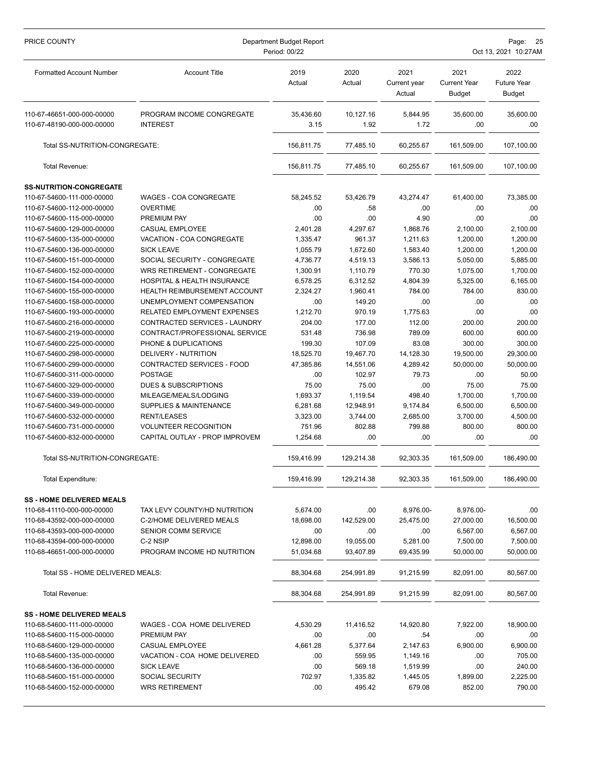| PRICE COUNTY                                             | Department Budget Report<br>Period: 00/22                  | Page:<br>-25<br>Oct 13, 2021 10:27AM |                      |                                |                                              |                                             |
|----------------------------------------------------------|------------------------------------------------------------|--------------------------------------|----------------------|--------------------------------|----------------------------------------------|---------------------------------------------|
| <b>Formatted Account Number</b>                          | <b>Account Title</b>                                       | 2019<br>Actual                       | 2020<br>Actual       | 2021<br>Current year<br>Actual | 2021<br><b>Current Year</b><br><b>Budget</b> | 2022<br><b>Future Year</b><br><b>Budget</b> |
| 110-67-46651-000-000-00000                               | PROGRAM INCOME CONGREGATE                                  | 35,436.60                            | 10,127.16            | 5,844.95                       | 35,600.00                                    | 35,600.00                                   |
| 110-67-48190-000-000-00000                               | <b>INTEREST</b>                                            | 3.15                                 | 1.92                 | 1.72                           | .00                                          | .00                                         |
| Total SS-NUTRITION-CONGREGATE:                           |                                                            | 156,811.75                           | 77.485.10            | 60,255.67                      | 161,509.00                                   | 107,100.00                                  |
| Total Revenue:                                           |                                                            | 156,811.75                           | 77,485.10            | 60.255.67                      | 161.509.00                                   | 107,100.00                                  |
| <b>SS-NUTRITION-CONGREGATE</b>                           |                                                            |                                      |                      |                                |                                              |                                             |
| 110-67-54600-111-000-00000                               | WAGES - COA CONGREGATE                                     | 58,245.52                            | 53,426.79            | 43,274.47                      | 61,400.00                                    | 73,385.00                                   |
| 110-67-54600-112-000-00000                               | <b>OVERTIME</b>                                            | .00                                  | .58                  | .00                            | .00                                          | .00.                                        |
| 110-67-54600-115-000-00000                               | PREMIUM PAY                                                | .00                                  | .00                  | 4.90                           | .00                                          | .00                                         |
| 110-67-54600-129-000-00000                               | <b>CASUAL EMPLOYEE</b>                                     | 2,401.28                             | 4.297.67             | 1,868.76                       | 2,100.00                                     | 2,100.00                                    |
| 110-67-54600-135-000-00000                               | VACATION - COA CONGREGATE                                  | 1,335.47                             | 961.37               | 1,211.63                       | 1,200.00                                     | 1,200.00                                    |
| 110-67-54600-136-000-00000                               | <b>SICK LEAVE</b>                                          | 1,055.79                             | 1,672.60             | 1,583.40                       | 1,200.00                                     | 1,200.00                                    |
| 110-67-54600-151-000-00000                               | SOCIAL SECURITY - CONGREGATE                               | 4,736.77                             | 4,519.13             | 3,586.13                       | 5,050.00                                     | 5,885.00                                    |
| 110-67-54600-152-000-00000<br>110-67-54600-154-000-00000 | WRS RETIREMENT - CONGREGATE<br>HOSPITAL & HEALTH INSURANCE | 1,300.91                             | 1,110.79<br>6,312.52 | 770.30                         | 1,075.00<br>5,325.00                         | 1,700.00<br>6,165.00                        |
| 110-67-54600-155-000-00000                               | HEALTH REIMBURSEMENT ACCOUNT                               | 6,578.25<br>2,324.27                 | 1,960.41             | 4,804.39<br>784.00             | 784.00                                       | 830.00                                      |
| 110-67-54600-158-000-00000                               | UNEMPLOYMENT COMPENSATION                                  | .00                                  | 149.20               | .00                            | .00                                          | .00                                         |
| 110-67-54600-193-000-00000                               | RELATED EMPLOYMENT EXPENSES                                | 1,212.70                             | 970.19               | 1,775.63                       | .00                                          | .00                                         |
| 110-67-54600-216-000-00000                               | CONTRACTED SERVICES - LAUNDRY                              | 204.00                               | 177.00               | 112.00                         | 200.00                                       | 200.00                                      |
| 110-67-54600-219-000-00000                               | CONTRACT/PROFESSIONAL SERVICE                              | 531.48                               | 736.98               | 789.09                         | 600.00                                       | 600.00                                      |
| 110-67-54600-225-000-00000                               | PHONE & DUPLICATIONS                                       | 199.30                               | 107.09               | 83.08                          | 300.00                                       | 300.00                                      |
| 110-67-54600-298-000-00000                               | DELIVERY - NUTRITION                                       | 18,525.70                            | 19,467.70            | 14,128.30                      | 19,500.00                                    | 29,300.00                                   |
| 110-67-54600-299-000-00000                               | CONTRACTED SERVICES - FOOD                                 | 47,385.86                            | 14,551.06            | 4,289.42                       | 50,000.00                                    | 50,000.00                                   |
| 110-67-54600-311-000-00000                               | <b>POSTAGE</b>                                             | .00                                  | 102.97               | 79.73                          | .00                                          | 50.00                                       |
| 110-67-54600-329-000-00000                               | <b>DUES &amp; SUBSCRIPTIONS</b>                            | 75.00                                | 75.00                | .00                            | 75.00                                        | 75.00                                       |
| 110-67-54600-339-000-00000                               | MILEAGE/MEALS/LODGING                                      | 1,693.37                             | 1,119.54             | 498.40                         | 1,700.00                                     | 1,700.00                                    |
| 110-67-54600-349-000-00000                               | <b>SUPPLIES &amp; MAINTENANCE</b>                          | 6,281.68                             | 12,948.91            | 9,174.84                       | 6,500.00                                     | 6,500.00                                    |
| 110-67-54600-532-000-00000                               | RENT/LEASES                                                | 3,323.00                             | 3,744.00             | 2,685.00                       | 3,700.00                                     | 4,500.00                                    |
| 110-67-54600-731-000-00000                               | <b>VOLUNTEER RECOGNITION</b>                               | 751.96                               | 802.88               | 799.88                         | 800.00                                       | 800.00                                      |
| 110-67-54600-832-000-00000                               | CAPITAL OUTLAY - PROP IMPROVEM                             | 1,254.68                             | .00                  | .00                            | .00                                          | .00                                         |
| Total SS-NUTRITION-CONGREGATE:                           |                                                            | 159,416.99                           | 129,214.38           | 92,303.35                      | 161,509.00                                   | 186,490.00                                  |
| <b>Total Expenditure:</b>                                |                                                            | 159,416.99                           | 129,214.38           | 92,303.35                      | 161,509.00                                   | 186,490.00                                  |
| <b>SS - HOME DELIVERED MEALS</b>                         |                                                            |                                      |                      |                                |                                              |                                             |
| 110-68-41110-000-000-00000                               | TAX LEVY COUNTY/HD NUTRITION                               | 5,674.00                             | .00                  | 8,976.00-                      | 8,976.00-                                    | .00.                                        |
| 110-68-43592-000-000-00000                               | C-2/HOME DELIVERED MEALS                                   | 18,698.00                            | 142,529.00           | 25,475.00                      | 27,000.00                                    | 16,500.00                                   |
| 110-68-43593-000-000-00000                               | SENIOR COMM SERVICE                                        | .00                                  | .00                  | .00                            | 6,567.00                                     | 6,567.00                                    |
| 110-68-43594-000-000-00000                               | C-2 NSIP                                                   | 12,898.00                            | 19,055.00            | 5,281.00                       | 7,500.00                                     | 7,500.00                                    |
| 110-68-46651-000-000-00000                               | PROGRAM INCOME HD NUTRITION                                | 51,034.68                            | 93,407.89            | 69,435.99                      | 50,000.00                                    | 50,000.00                                   |
| Total SS - HOME DELIVERED MEALS:                         |                                                            | 88,304.68                            | 254,991.89           | 91,215.99                      | 82,091.00                                    | 80,567.00                                   |
| Total Revenue:                                           |                                                            | 88,304.68                            | 254,991.89           | 91,215.99                      | 82,091.00                                    | 80,567.00                                   |
| <b>SS - HOME DELIVERED MEALS</b>                         |                                                            |                                      |                      |                                |                                              |                                             |
| 110-68-54600-111-000-00000                               | WAGES - COA HOME DELIVERED                                 | 4,530.29                             | 11,416.52            | 14,920.80                      | 7,922.00                                     | 18,900.00                                   |
| 110-68-54600-115-000-00000                               | PREMIUM PAY                                                | .00                                  | .00                  | .54                            | .00                                          | .00.                                        |
| 110-68-54600-129-000-00000                               | CASUAL EMPLOYEE                                            | 4,661.28                             | 5,377.64             | 2,147.63                       | 6,900.00                                     | 6,900.00                                    |
| 110-68-54600-135-000-00000                               | VACATION - COA HOME DELIVERED                              | .00                                  | 559.95               | 1,149.16                       | .00                                          | 705.00                                      |
| 110-68-54600-136-000-00000                               | <b>SICK LEAVE</b>                                          | .00                                  | 569.18               | 1,519.99                       | .00                                          | 240.00                                      |
| 110-68-54600-151-000-00000                               | SOCIAL SECURITY                                            | 702.97                               | 1,335.82             | 1,445.05                       | 1,899.00                                     | 2,225.00                                    |
| 110-68-54600-152-000-00000                               | <b>WRS RETIREMENT</b>                                      | .00                                  | 495.42               | 679.08                         | 852.00                                       | 790.00                                      |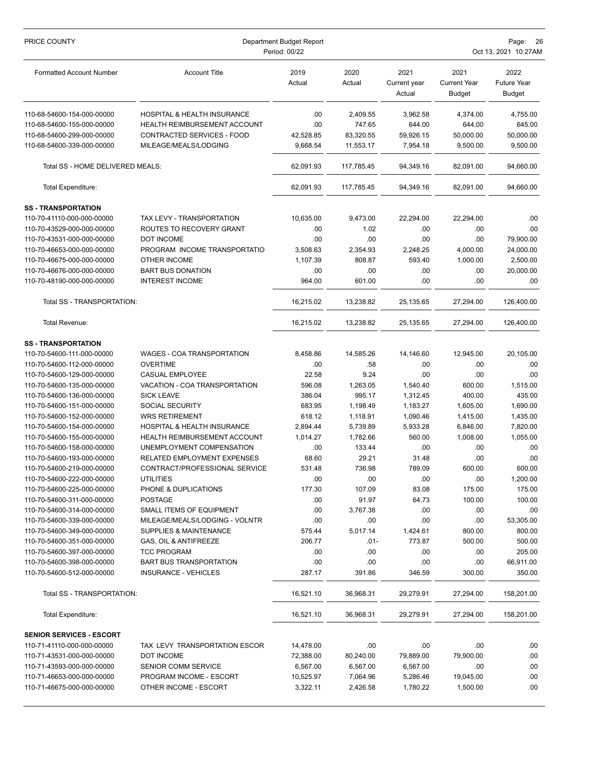| PRICE COUNTY                                             | Department Budget Report<br>Period: 00/22  |                |                   |                                | Page:<br>- 26<br>Oct 13, 2021 10:27AM        |                                             |  |  |
|----------------------------------------------------------|--------------------------------------------|----------------|-------------------|--------------------------------|----------------------------------------------|---------------------------------------------|--|--|
| <b>Formatted Account Number</b>                          | <b>Account Title</b>                       | 2019<br>Actual | 2020<br>Actual    | 2021<br>Current year<br>Actual | 2021<br><b>Current Year</b><br><b>Budget</b> | 2022<br><b>Future Year</b><br><b>Budget</b> |  |  |
| 110-68-54600-154-000-00000                               | HOSPITAL & HEALTH INSURANCE                | .00            | 2,409.55          | 3,962.58                       | 4,374.00                                     | 4,755.00                                    |  |  |
| 110-68-54600-155-000-00000                               | HEALTH REIMBURSEMENT ACCOUNT               | .00            | 747.65            | 644.00                         | 644.00                                       | 645.00                                      |  |  |
| 110-68-54600-299-000-00000                               | CONTRACTED SERVICES - FOOD                 | 42,528.85      | 83,320.55         | 59,926.15                      | 50,000.00                                    | 50,000.00                                   |  |  |
| 110-68-54600-339-000-00000                               | MILEAGE/MEALS/LODGING                      | 9,668.54       | 11,553.17         | 7,954.18                       | 9,500.00                                     | 9,500.00                                    |  |  |
| Total SS - HOME DELIVERED MEALS:                         |                                            | 62,091.93      | 117.785.45        | 94,349.16                      | 82,091.00                                    | 94,660.00                                   |  |  |
| <b>Total Expenditure:</b>                                |                                            | 62,091.93      | 117,785.45        | 94,349.16                      | 82,091.00                                    | 94,660.00                                   |  |  |
| <b>SS-TRANSPORTATION</b>                                 |                                            |                |                   |                                |                                              |                                             |  |  |
| 110-70-41110-000-000-00000                               | TAX LEVY - TRANSPORTATION                  | 10,635.00      | 9,473.00          | 22,294.00                      | 22,294.00                                    | .00                                         |  |  |
| 110-70-43529-000-000-00000                               | ROUTES TO RECOVERY GRANT                   | .00            | 1.02              | .00                            | .00                                          | .00.                                        |  |  |
| 110-70-43531-000-000-00000                               | <b>DOT INCOME</b>                          | .00            | .00               | .00                            | .00                                          | 79,900.00                                   |  |  |
| 110-70-46653-000-000-00000                               | PROGRAM INCOME TRANSPORTATIO               | 3,508.63       | 2,354.93          | 2,248.25                       | 4,000.00                                     | 24,000.00                                   |  |  |
| 110-70-46675-000-000-00000                               | OTHER INCOME                               | 1,107.39       | 808.87            | 593.40                         | 1,000.00                                     | 2,500.00                                    |  |  |
| 110-70-46676-000-000-00000                               | <b>BART BUS DONATION</b>                   | .00            | .00               | .00                            | .00                                          | 20,000.00                                   |  |  |
| 110-70-48190-000-000-00000                               | <b>INTEREST INCOME</b>                     | 964.00         | 601.00            | .00                            | .00                                          | .00                                         |  |  |
| Total SS - TRANSPORTATION:                               |                                            | 16,215.02      | 13,238.82         | 25,135.65                      | 27,294.00                                    | 126,400.00                                  |  |  |
| Total Revenue:                                           |                                            | 16,215.02      | 13,238.82         | 25,135.65                      | 27,294.00                                    | 126,400.00                                  |  |  |
| <b>SS-TRANSPORTATION</b>                                 |                                            |                |                   |                                |                                              |                                             |  |  |
| 110-70-54600-111-000-00000                               | WAGES - COA TRANSPORTATION                 | 8,458.86       | 14,585.26         | 14,146.60                      | 12,945.00                                    | 20,105.00                                   |  |  |
| 110-70-54600-112-000-00000                               | <b>OVERTIME</b>                            | .00            | .58               | .00                            | .00                                          | .00                                         |  |  |
| 110-70-54600-129-000-00000                               | CASUAL EMPLOYEE                            | 22.58          | 9.24              | .00                            | .00                                          | .00                                         |  |  |
| 110-70-54600-135-000-00000                               | VACATION - COA TRANSPORTATION              | 596.08         | 1,263.05          | 1,540.40                       | 600.00                                       | 1,515.00                                    |  |  |
| 110-70-54600-136-000-00000                               | <b>SICK LEAVE</b>                          | 386.04         | 995.17            | 1,312.45                       | 400.00                                       | 435.00                                      |  |  |
| 110-70-54600-151-000-00000                               | <b>SOCIAL SECURITY</b>                     | 683.95         | 1,198.49          | 1,183.27                       | 1,605.00                                     | 1,690.00                                    |  |  |
| 110-70-54600-152-000-00000                               | <b>WRS RETIREMENT</b>                      | 618.12         | 1,118.91          | 1,090.46                       | 1,415.00                                     | 1,435.00                                    |  |  |
| 110-70-54600-154-000-00000                               | HOSPITAL & HEALTH INSURANCE                | 2,894.44       | 5,739.89          | 5,933.28                       | 6,846.00                                     | 7,820.00                                    |  |  |
| 110-70-54600-155-000-00000                               | <b>HEALTH REIMBURSEMENT ACCOUNT</b>        | 1,014.27       | 1,782.66          | 560.00                         | 1,008.00                                     | 1,055.00                                    |  |  |
| 110-70-54600-158-000-00000                               | UNEMPLOYMENT COMPENSATION                  | .00            | 133.44            | .00                            | .00                                          | .00                                         |  |  |
| 110-70-54600-193-000-00000                               | RELATED EMPLOYMENT EXPENSES                | 68.60          | 29.21             | 31.48                          | .00                                          | .00                                         |  |  |
| 110-70-54600-219-000-00000                               | CONTRACT/PROFESSIONAL SERVICE              | 531.48         | 736.98            | 789.09                         | 600.00                                       | 600.00                                      |  |  |
| 110-70-54600-222-000-00000                               | <b>UTILITIES</b>                           | .00            | .00               | .00                            | .00                                          | 1,200.00                                    |  |  |
| 110-70-54600-225-000-00000<br>110-70-54600-311-000-00000 | PHONE & DUPLICATIONS                       | 177.30         | 107.09            | 83.08                          | 175.00                                       | 175.00                                      |  |  |
| 110-70-54600-314-000-00000                               | <b>POSTAGE</b><br>SMALL ITEMS OF EQUIPMENT | .00<br>.00     | 91.97<br>3,767.38 | 64.73<br>.00                   | 100.00<br>.00                                | 100.00<br>.00                               |  |  |
| 110-70-54600-339-000-00000                               | MILEAGE/MEALS/LODGING - VOLNTR             | .00            | .00               | .00                            | .00                                          | 53,305.00                                   |  |  |
| 110-70-54600-349-000-00000                               | <b>SUPPLIES &amp; MAINTENANCE</b>          | 575.44         | 5,017.14          | 1,424.61                       | 800.00                                       | 800.00                                      |  |  |
| 110-70-54600-351-000-00000                               | GAS, OIL & ANTIFREEZE                      | 206.77         | $.01 -$           | 773.87                         | 500.00                                       | 500.00                                      |  |  |
| 110-70-54600-397-000-00000                               | <b>TCC PROGRAM</b>                         | .00            | .00               | .00                            | .00                                          | 205.00                                      |  |  |
| 110-70-54600-398-000-00000                               | <b>BART BUS TRANSPORTATION</b>             | .00            | .00               | .00                            | .00                                          | 66,911.00                                   |  |  |
| 110-70-54600-512-000-00000                               | <b>INSURANCE - VEHICLES</b>                | 287.17         | 391.86            | 346.59                         | 300.00                                       | 350.00                                      |  |  |
| Total SS - TRANSPORTATION:                               |                                            | 16,521.10      | 36,968.31         | 29,279.91                      | 27,294.00                                    | 158,201.00                                  |  |  |
| Total Expenditure:                                       |                                            | 16,521.10      | 36,968.31         | 29,279.91                      | 27,294.00                                    | 158,201.00                                  |  |  |
| <b>SENIOR SERVICES - ESCORT</b>                          |                                            |                |                   |                                |                                              |                                             |  |  |
| 110-71-41110-000-000-00000                               | TAX LEVY TRANSPORTATION ESCOR              | 14,478.00      | .00               | .00                            | .00                                          | .00.                                        |  |  |
| 110-71-43531-000-000-00000                               | <b>DOT INCOME</b>                          | 72,388.00      | 80,240.00         | 79,889.00                      | 79,900.00                                    | .00                                         |  |  |
| 110-71-43593-000-000-00000                               | SENIOR COMM SERVICE                        | 6,567.00       | 6,567.00          | 6,567.00                       | .00                                          | .00                                         |  |  |
| 110-71-46653-000-000-00000                               | PROGRAM INCOME - ESCORT                    | 10,525.97      | 7,064.96          | 5,286.46                       | 19,045.00                                    | .00                                         |  |  |
| 110-71-46675-000-000-00000                               | OTHER INCOME - ESCORT                      | 3,322.11       | 2,426.58          | 1,780.22                       | 1,500.00                                     | .00                                         |  |  |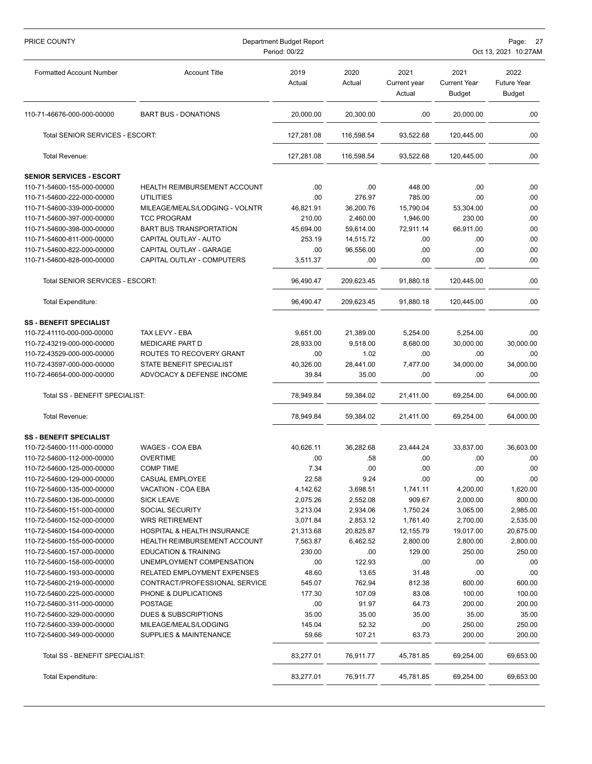| PRICE COUNTY                    | Department Budget Report<br>Period: 00/22 |                |                |                                |                                              | Page: 27<br>Oct 13, 2021 10:27AM            |  |  |
|---------------------------------|-------------------------------------------|----------------|----------------|--------------------------------|----------------------------------------------|---------------------------------------------|--|--|
| <b>Formatted Account Number</b> | <b>Account Title</b>                      | 2019<br>Actual | 2020<br>Actual | 2021<br>Current year<br>Actual | 2021<br><b>Current Year</b><br><b>Budget</b> | 2022<br><b>Future Year</b><br><b>Budget</b> |  |  |
| 110-71-46676-000-000-00000      | <b>BART BUS - DONATIONS</b>               | 20,000.00      | 20,300.00      | .00                            | 20,000.00                                    | .00                                         |  |  |
| Total SENIOR SERVICES - ESCORT: |                                           | 127,281.08     | 116,598.54     | 93,522.68                      | 120,445.00                                   | .00                                         |  |  |
| Total Revenue:                  |                                           | 127,281.08     | 116,598.54     | 93,522.68                      | 120,445.00                                   | .00.                                        |  |  |
| <b>SENIOR SERVICES - ESCORT</b> |                                           |                |                |                                |                                              |                                             |  |  |
| 110-71-54600-155-000-00000      | <b>HEALTH REIMBURSEMENT ACCOUNT</b>       | .00            | .00            | 448.00                         | .00                                          | .00                                         |  |  |
| 110-71-54600-222-000-00000      | <b>UTILITIES</b>                          | .00            | 276.97         | 785.00                         | .00                                          | .00                                         |  |  |
| 110-71-54600-339-000-00000      | MILEAGE/MEALS/LODGING - VOLNTR            | 46,821.91      | 36,200.76      | 15,790.04                      | 53,304.00                                    | .00                                         |  |  |
| 110-71-54600-397-000-00000      | <b>TCC PROGRAM</b>                        | 210.00         | 2,460.00       | 1,946.00                       | 230.00                                       | .00                                         |  |  |
| 110-71-54600-398-000-00000      | <b>BART BUS TRANSPORTATION</b>            | 45,694.00      | 59,614.00      | 72,911.14                      | 66,911.00                                    | .00                                         |  |  |
| 110-71-54600-811-000-00000      | CAPITAL OUTLAY - AUTO                     | 253.19         | 14,515.72      | .00                            | .00                                          | .00                                         |  |  |
| 110-71-54600-822-000-00000      | CAPITAL OUTLAY - GARAGE                   | .00            | 96,556.00      | .00                            | .00                                          | .00                                         |  |  |
| 110-71-54600-828-000-00000      | CAPITAL OUTLAY - COMPUTERS                | 3,511.37       | .00            | .00                            | .00                                          | .00                                         |  |  |
| Total SENIOR SERVICES - ESCORT: |                                           | 96,490.47      | 209,623.45     | 91,880.18                      | 120,445.00                                   | .00                                         |  |  |
| <b>Total Expenditure:</b>       |                                           | 96,490.47      | 209,623.45     | 91,880.18                      | 120,445.00                                   | .00                                         |  |  |
| <b>SS - BENEFIT SPECIALIST</b>  |                                           |                |                |                                |                                              |                                             |  |  |
| 110-72-41110-000-000-00000      | TAX LEVY - EBA                            | 9,651.00       | 21,389.00      | 5,254.00                       | 5,254.00                                     | .00                                         |  |  |
| 110-72-43219-000-000-00000      | <b>MEDICARE PART D</b>                    | 28,933.00      | 9,518.00       | 8,680.00                       | 30,000.00                                    | 30,000.00                                   |  |  |
| 110-72-43529-000-000-00000      | ROUTES TO RECOVERY GRANT                  | .00            | 1.02           | .00                            | .00                                          | .00                                         |  |  |
| 110-72-43597-000-000-00000      | STATE BENEFIT SPECIALIST                  | 40,326.00      | 28,441.00      | 7,477.00                       | 34,000.00                                    | 34,000.00                                   |  |  |
| 110-72-46654-000-000-00000      | ADVOCACY & DEFENSE INCOME                 | 39.84          | 35.00          | .00                            | .00                                          | .00.                                        |  |  |
| Total SS - BENEFIT SPECIALIST:  |                                           | 78,949.84      | 59,384.02      | 21,411.00                      | 69,254.00                                    | 64,000.00                                   |  |  |
| Total Revenue:                  |                                           | 78,949.84      | 59,384.02      | 21,411.00                      | 69,254.00                                    | 64,000.00                                   |  |  |
| <b>SS - BENEFIT SPECIALIST</b>  |                                           |                |                |                                |                                              |                                             |  |  |
| 110-72-54600-111-000-00000      | WAGES - COA EBA                           | 40,626.11      | 36,282.68      | 23,444.24                      | 33,837.00                                    | 36,603.00                                   |  |  |
| 110-72-54600-112-000-00000      | <b>OVERTIME</b>                           | .00            | .58            | .00                            | .00                                          | .00                                         |  |  |
| 110-72-54600-125-000-00000      | <b>COMP TIME</b>                          | 7.34           | .00            | .00                            | .00                                          | .00.                                        |  |  |
| 110-72-54600-129-000-00000      | CASUAL EMPLOYEE                           | 22.58          | 9.24           | .00                            | .00                                          | .00.                                        |  |  |
| 110-72-54600-135-000-00000      | VACATION - COA EBA                        | 4,142.62       | 3,698.51       | 1,741.11                       | 4,200.00                                     | 1,620.00                                    |  |  |
| 110-72-54600-136-000-00000      | <b>SICK LEAVE</b>                         | 2,075.26       | 2,552.08       | 909.67                         | 2,000.00                                     | 800.00                                      |  |  |
| 110-72-54600-151-000-00000      | <b>SOCIAL SECURITY</b>                    | 3,213.04       | 2,934.06       | 1,750.24                       | 3,065.00                                     | 2,985.00                                    |  |  |
| 110-72-54600-152-000-00000      | <b>WRS RETIREMENT</b>                     | 3,071.84       | 2,853.12       | 1,761.40                       | 2,700.00                                     | 2,535.00                                    |  |  |
| 110-72-54600-154-000-00000      | <b>HOSPITAL &amp; HEALTH INSURANCE</b>    | 21,313.68      | 20,825.87      | 12,155.79                      | 19,017.00                                    | 20,675.00                                   |  |  |
| 110-72-54600-155-000-00000      | <b>HEALTH REIMBURSEMENT ACCOUNT</b>       | 7,563.87       | 6,462.52       | 2,800.00                       | 2,800.00                                     | 2,800.00                                    |  |  |
| 110-72-54600-157-000-00000      | <b>EDUCATION &amp; TRAINING</b>           | 230.00         | .00            | 129.00                         | 250.00                                       | 250.00                                      |  |  |
| 110-72-54600-158-000-00000      | UNEMPLOYMENT COMPENSATION                 | .00            | 122.93         | .00                            | .00                                          | .00                                         |  |  |
| 110-72-54600-193-000-00000      | RELATED EMPLOYMENT EXPENSES               | 48.60          | 13.65          | 31.48                          | .00                                          | .00                                         |  |  |
| 110-72-54600-219-000-00000      | CONTRACT/PROFESSIONAL SERVICE             | 545.07         | 762.94         | 812.38                         | 600.00                                       | 600.00                                      |  |  |
| 110-72-54600-225-000-00000      | PHONE & DUPLICATIONS                      | 177.30         | 107.09         | 83.08                          | 100.00                                       | 100.00                                      |  |  |
| 110-72-54600-311-000-00000      | <b>POSTAGE</b>                            | .00            | 91.97          | 64.73                          | 200.00                                       | 200.00                                      |  |  |
| 110-72-54600-329-000-00000      | DUES & SUBSCRIPTIONS                      | 35.00          | 35.00          | 35.00                          | 35.00                                        | 35.00                                       |  |  |
| 110-72-54600-339-000-00000      | MILEAGE/MEALS/LODGING                     | 145.04         | 52.32          | .00                            | 250.00                                       | 250.00                                      |  |  |
| 110-72-54600-349-000-00000      | SUPPLIES & MAINTENANCE                    | 59.66          | 107.21         | 63.73                          | 200.00                                       | 200.00                                      |  |  |
| Total SS - BENEFIT SPECIALIST:  |                                           | 83,277.01      | 76,911.77      | 45,781.85                      | 69,254.00                                    | 69,653.00                                   |  |  |
| Total Expenditure:              |                                           | 83,277.01      | 76,911.77      | 45,781.85                      | 69,254.00                                    | 69,653.00                                   |  |  |
|                                 |                                           |                |                |                                |                                              |                                             |  |  |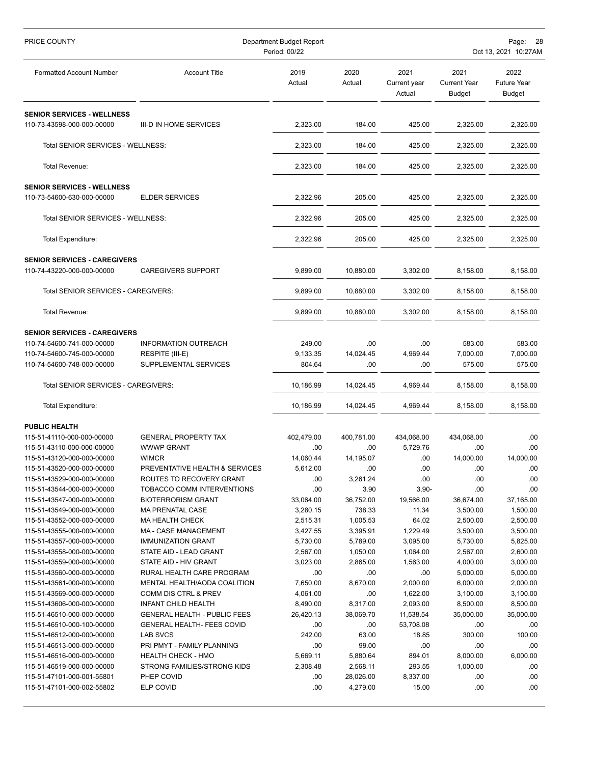| PRICE COUNTY                                                    | Department Budget Report<br>Period: 00/22 |                |                |                                |                                              | Page:<br>-28<br>Oct 13, 2021 10:27AM        |  |  |
|-----------------------------------------------------------------|-------------------------------------------|----------------|----------------|--------------------------------|----------------------------------------------|---------------------------------------------|--|--|
| <b>Formatted Account Number</b>                                 | <b>Account Title</b>                      | 2019<br>Actual | 2020<br>Actual | 2021<br>Current year<br>Actual | 2021<br><b>Current Year</b><br><b>Budget</b> | 2022<br><b>Future Year</b><br><b>Budget</b> |  |  |
| <b>SENIOR SERVICES - WELLNESS</b>                               |                                           |                |                |                                |                                              |                                             |  |  |
| 110-73-43598-000-000-00000                                      | III-D IN HOME SERVICES                    | 2,323.00       | 184.00         | 425.00                         | 2,325.00                                     | 2,325.00                                    |  |  |
| Total SENIOR SERVICES - WELLNESS:                               |                                           | 2,323.00       | 184.00         | 425.00                         | 2,325.00                                     | 2,325.00                                    |  |  |
| Total Revenue:                                                  |                                           | 2,323.00       | 184.00         | 425.00                         | 2,325.00                                     | 2,325.00                                    |  |  |
| <b>SENIOR SERVICES - WELLNESS</b><br>110-73-54600-630-000-00000 | <b>ELDER SERVICES</b>                     | 2,322.96       | 205.00         | 425.00                         | 2,325.00                                     | 2,325.00                                    |  |  |
| Total SENIOR SERVICES - WELLNESS:                               |                                           | 2,322.96       | 205.00         | 425.00                         | 2,325.00                                     | 2,325.00                                    |  |  |
| Total Expenditure:                                              |                                           | 2,322.96       | 205.00         | 425.00                         | 2,325.00                                     | 2,325.00                                    |  |  |
| <b>SENIOR SERVICES - CAREGIVERS</b>                             |                                           |                |                |                                |                                              |                                             |  |  |
| 110-74-43220-000-000-00000                                      | <b>CAREGIVERS SUPPORT</b>                 | 9,899.00       | 10,880.00      | 3.302.00                       | 8,158.00                                     | 8,158.00                                    |  |  |
| Total SENIOR SERVICES - CAREGIVERS:                             |                                           | 9,899.00       | 10,880.00      | 3,302.00                       | 8,158.00                                     | 8,158.00                                    |  |  |
| Total Revenue:                                                  |                                           | 9,899.00       | 10,880.00      | 3,302.00                       | 8,158.00                                     | 8,158.00                                    |  |  |
| <b>SENIOR SERVICES - CAREGIVERS</b>                             |                                           |                |                |                                |                                              |                                             |  |  |
| 110-74-54600-741-000-00000                                      | <b>INFORMATION OUTREACH</b>               | 249.00         | .00            | .00                            | 583.00                                       | 583.00                                      |  |  |
| 110-74-54600-745-000-00000                                      | RESPITE (III-E)                           | 9,133.35       | 14,024.45      | 4,969.44                       | 7,000.00                                     | 7,000.00                                    |  |  |
| 110-74-54600-748-000-00000                                      | SUPPLEMENTAL SERVICES                     | 804.64         | .00            | .00                            | 575.00                                       | 575.00                                      |  |  |
| Total SENIOR SERVICES - CAREGIVERS:                             |                                           | 10,186.99      | 14,024.45      | 4,969.44                       | 8,158.00                                     | 8,158.00                                    |  |  |
| Total Expenditure:                                              |                                           | 10,186.99      | 14,024.45      | 4,969.44                       | 8,158.00                                     | 8,158.00                                    |  |  |
| <b>PUBLIC HEALTH</b>                                            |                                           |                |                |                                |                                              |                                             |  |  |
| 115-51-41110-000-000-00000                                      | <b>GENERAL PROPERTY TAX</b>               | 402,479.00     | 400,781.00     | 434,068.00                     | 434,068.00                                   | .00.                                        |  |  |
| 115-51-43110-000-000-00000                                      | <b>WWWP GRANT</b>                         | .00            | .00            | 5,729.76                       | .00                                          | .00                                         |  |  |
| 115-51-43120-000-000-00000                                      | WIMCR                                     | 14,060.44      | 14,195.07      | .00                            | 14,000.00                                    | 14,000.00                                   |  |  |
| 115-51-43520-000-000-00000                                      | PREVENTATIVE HEALTH & SERVICES            | 5,612.00       | .00            | .00                            | .00                                          | .00.                                        |  |  |
| 115-51-43529-000-000-00000                                      | ROUTES TO RECOVERY GRANT                  | .00            | 3,261.24       | .00                            | .00                                          | .00                                         |  |  |
| 115-51-43544-000-000-00000                                      | TOBACCO COMM INTERVENTIONS                | .00            | 3.90           | $3.90 -$                       | .00                                          | .00.                                        |  |  |
| 115-51-43547-000-000-00000                                      | <b>BIOTERRORISM GRANT</b>                 | 33,064.00      | 36,752.00      | 19,566.00                      | 36,674.00                                    | 37,165.00                                   |  |  |
| 115-51-43549-000-000-00000                                      | <b>MA PRENATAL CASE</b>                   | 3,280.15       | 738.33         | 11.34                          | 3,500.00                                     | 1,500.00                                    |  |  |
| 115-51-43552-000-000-00000                                      | MA HEALTH CHECK                           | 2,515.31       | 1,005.53       | 64.02                          | 2,500.00                                     | 2,500.00                                    |  |  |
| 115-51-43555-000-000-00000                                      | <b>MA - CASE MANAGEMENT</b>               | 3,427.55       | 3,395.91       | 1,229.49                       | 3,500.00                                     | 3,500.00                                    |  |  |
| 115-51-43557-000-000-00000                                      | <b>IMMUNIZATION GRANT</b>                 | 5,730.00       | 5,789.00       | 3,095.00                       | 5,730.00                                     | 5,825.00                                    |  |  |
| 115-51-43558-000-000-00000                                      | STATE AID - LEAD GRANT                    | 2,567.00       | 1,050.00       | 1,064.00                       | 2,567.00                                     | 2,600.00                                    |  |  |
| 115-51-43559-000-000-00000                                      | STATE AID - HIV GRANT                     | 3,023.00       | 2,865.00       | 1,563.00                       | 4,000.00                                     | 3,000.00                                    |  |  |
| 115-51-43560-000-000-00000                                      | RURAL HEALTH CARE PROGRAM                 | .00            | .00            | .00                            | 5,000.00                                     | 5,000.00                                    |  |  |
| 115-51-43561-000-000-00000                                      | MENTAL HEALTH/AODA COALITION              | 7,650.00       | 8,670.00       | 2,000.00                       | 6,000.00                                     | 2,000.00                                    |  |  |
| 115-51-43569-000-000-00000                                      | <b>COMM DIS CTRL &amp; PREV</b>           | 4,061.00       | .00            | 1,622.00                       | 3,100.00                                     | 3,100.00                                    |  |  |
| 115-51-43606-000-000-00000                                      | <b>INFANT CHILD HEALTH</b>                | 8,490.00       | 8,317.00       | 2,093.00                       | 8,500.00                                     | 8,500.00                                    |  |  |
| 115-51-46510-000-000-00000                                      | <b>GENERAL HEALTH - PUBLIC FEES</b>       | 26,420.13      | 38,069.70      | 11,538.54                      | 35,000.00                                    | 35,000.00                                   |  |  |
| 115-51-46510-000-100-00000                                      | <b>GENERAL HEALTH- FEES COVID</b>         | .00            | .00            | 53,708.08                      | .00                                          | .00                                         |  |  |
| 115-51-46512-000-000-00000                                      | LAB SVCS                                  | 242.00         | 63.00          | 18.85                          | 300.00                                       | 100.00                                      |  |  |
| 115-51-46513-000-000-00000                                      | PRI PMYT - FAMILY PLANNING                | .00            | 99.00          | .00                            | .00                                          | .00                                         |  |  |
| 115-51-46516-000-000-00000                                      | <b>HEALTH CHECK - HMO</b>                 | 5,669.11       | 5,880.64       | 894.01                         | 8,000.00                                     | 6,000.00                                    |  |  |
| 115-51-46519-000-000-00000                                      | STRONG FAMILIES/STRONG KIDS               | 2,308.48       | 2,568.11       | 293.55                         | 1,000.00                                     | .00                                         |  |  |
| 115-51-47101-000-001-55801                                      | PHEP COVID                                | .00            | 28,026.00      | 8,337.00                       | .00                                          | .00.                                        |  |  |
| 115-51-47101-000-002-55802                                      | ELP COVID                                 | .00            | 4,279.00       | 15.00                          | .00                                          | .00.                                        |  |  |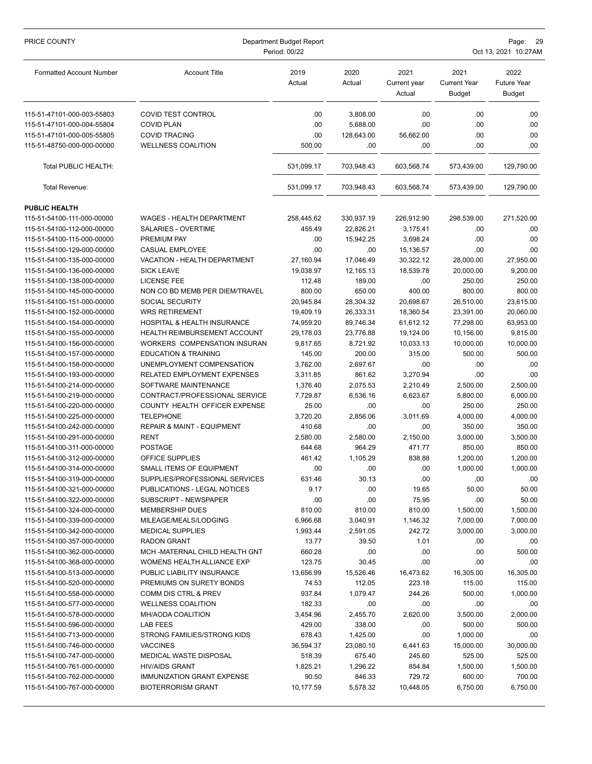| <b>Account Title</b><br>2019<br>2020<br>2021<br>2021<br>2022<br><b>Formatted Account Number</b><br>Actual<br><b>Current Year</b><br><b>Future Year</b><br>Actual<br>Current year<br>Actual<br><b>Budget</b><br><b>Budget</b><br>.00<br>115-51-47101-000-003-55803<br><b>COVID TEST CONTROL</b><br>3,808.00<br>.00<br>.00<br>.00<br><b>COVID PLAN</b><br>.00<br>.00<br>.00<br>.00<br>115-51-47101-000-004-55804<br>5,688.00<br>115-51-47101-000-005-55805<br><b>COVID TRACING</b><br>.00<br>128,643.00<br>56,662.00<br>.00<br>.00.<br>115-51-48750-000-000-00000<br><b>WELLNESS COALITION</b><br>500.00<br>.00<br>.00<br>.00<br>.00.<br>Total PUBLIC HEALTH:<br>531,099.17<br>129,790.00<br>703,948.43<br>603,568.74<br>573,439.00<br>531,099.17<br>Total Revenue:<br>703,948.43<br>603,568.74<br>573,439.00<br>129,790.00<br><b>PUBLIC HEALTH</b><br>271,520.00<br>115-51-54100-111-000-00000<br>WAGES - HEALTH DEPARTMENT<br>258,445.62<br>330,937.19<br>226,912.90<br>298,539.00<br>455.49<br>22,826.21<br>115-51-54100-112-000-00000<br>SALARIES - OVERTIME<br>3.175.41<br>.00<br>.00<br>PREMIUM PAY<br>.00<br>15,942.25<br>3,698.24<br>.00<br>.00<br>115-51-54100-115-000-00000<br>.00<br>.00<br>15,136.57<br>.00<br>.00.<br>115-51-54100-129-000-00000<br>CASUAL EMPLOYEE<br>17,046.49<br>30,322.12<br>27,950.00<br>115-51-54100-135-000-00000<br>VACATION - HEALTH DEPARTMENT<br>27,160.94<br>28,000.00<br><b>SICK LEAVE</b><br>18,539.78<br>20,000.00<br>9,200.00<br>115-51-54100-136-000-00000<br>19,038.97<br>12,165.13<br><b>LICENSE FEE</b><br>250.00<br>115-51-54100-138-000-00000<br>112.48<br>189.00<br>.00<br>250.00<br>800.00<br>650.00<br>400.00<br>800.00<br>800.00<br>115-51-54100-145-000-00000<br>NON CO BD MEMB PER DIEM/TRAVEL<br>115-51-54100-151-000-00000<br><b>SOCIAL SECURITY</b><br>20,945.84<br>28,304.32<br>20,698.67<br>26,510.00<br>23,615.00<br><b>WRS RETIREMENT</b><br>19,409.19<br>23,391.00<br>20,060.00<br>115-51-54100-152-000-00000<br>26,333.31<br>18,360.54<br>89,746.34<br>77,298.00<br>63,953.00<br>115-51-54100-154-000-00000<br>HOSPITAL & HEALTH INSURANCE<br>74,959.20<br>61,612.12<br>9,815.00<br>115-51-54100-155-000-00000<br>HEALTH REIMBURSEMENT ACCOUNT<br>29,178.03<br>23,776.88<br>19,124.00<br>10,156.00<br>115-51-54100-156-000-00000<br>WORKERS COMPENSATION INSURAN<br>8,721.92<br>10,033.13<br>10,000.00<br>10,000.00<br>9,817.65<br>500.00<br>115-51-54100-157-000-00000<br><b>EDUCATION &amp; TRAINING</b><br>145.00<br>200.00<br>315.00<br>500.00<br>UNEMPLOYMENT COMPENSATION<br>3,762.00<br>2,697.67<br>.00<br>.00<br>.00<br>115-51-54100-158-000-00000<br>RELATED EMPLOYMENT EXPENSES<br>.00<br>.00<br>115-51-54100-193-000-00000<br>3,311.85<br>861.62<br>3,270.94<br>2,500.00<br>115-51-54100-214-000-00000<br>SOFTWARE MAINTENANCE<br>1,376.40<br>2,075.53<br>2,210.49<br>2,500.00<br>CONTRACT/PROFESSIONAL SERVICE<br>6,000.00<br>115-51-54100-219-000-00000<br>7,729.87<br>6,536.16<br>6,623.67<br>5,800.00<br>115-51-54100-220-000-00000<br>COUNTY HEALTH OFFICER EXPENSE<br>25.00<br>.00<br>.00<br>250.00<br>250.00<br><b>TELEPHONE</b><br>3,720.20<br>2,856.06<br>3,011.69<br>4,000.00<br>4,000.00<br>115-51-54100-225-000-00000<br>350.00<br>350.00<br>115-51-54100-242-000-00000<br>REPAIR & MAINT - EQUIPMENT<br>410.68<br>.00<br>.00<br><b>RENT</b><br>3,500.00<br>115-51-54100-291-000-00000<br>2,580.00<br>2,580.00<br>2,150.00<br>3,000.00<br>115-51-54100-311-000-00000<br><b>POSTAGE</b><br>644.68<br>964.29<br>471.77<br>850.00<br>850.00<br>OFFICE SUPPLIES<br>838.88<br>1,200.00<br>115-51-54100-312-000-00000<br>461.42<br>1,105.29<br>1,200.00<br>1,000.00<br>115-51-54100-314-000-00000<br>SMALL ITEMS OF EQUIPMENT<br>.00<br>.00<br>.00<br>1,000.00<br>SUPPLIES/PROFESSIONAL SERVICES<br>.00<br>115-51-54100-319-000-00000<br>631.46<br>30.13<br>.00<br>.00<br>9.17<br>19.65<br>50.00<br>115-51-54100-321-000-00000<br>PUBLICATIONS - LEGAL NOTICES<br>.00<br>50.00<br>.00<br>.00<br>75.95<br>.00<br>50.00<br>115-51-54100-322-000-00000<br>SUBSCRIPT - NEWSPAPER<br>810.00<br>115-51-54100-324-000-00000<br><b>MEMBERSHIP DUES</b><br>810.00<br>810.00<br>1,500.00<br>1,500.00<br>6,966.68<br>7,000.00<br>7,000.00<br>115-51-54100-339-000-00000<br>MILEAGE/MEALS/LODGING<br>3,040.91<br>1,146.32<br><b>MEDICAL SUPPLIES</b><br>3,000.00<br>115-51-54100-342-000-00000<br>1,993.44<br>2,591.05<br>242.72<br>3,000.00<br>115-51-54100-357-000-00000<br>RADON GRANT<br>13.77<br>39.50<br>1.01<br>.00<br>.00<br>500.00<br>115-51-54100-362-000-00000<br>MCH-MATERNAL CHILD HEALTH GNT<br>660.28<br>.00<br>.00<br>.00<br>123.75<br>115-51-54100-368-000-00000<br>WOMENS HEALTH ALLIANCE EXP<br>30.45<br>.00<br>.00<br>.00<br>115-51-54100-513-000-00000<br>13,656.99<br>16,305.00<br>16,305.00<br>PUBLIC LIABILITY INSURANCE<br>15,526.46<br>16,473.62<br>PREMIUMS ON SURETY BONDS<br>115.00<br>115-51-54100-520-000-00000<br>74.53<br>112.05<br>223.18<br>115.00<br>115-51-54100-558-000-00000<br>COMM DIS CTRL & PREV<br>937.84<br>1,079.47<br>244.26<br>500.00<br>1,000.00<br>182.33<br>115-51-54100-577-000-00000<br><b>WELLNESS COALITION</b><br>.00<br>.00<br>.00<br>.00<br>MH/AODA COALITION<br>2,455.70<br>3,500.00<br>2,000.00<br>115-51-54100-578-000-00000<br>3,454.96<br>2,620.00<br>429.00<br>338.00<br>500.00<br>115-51-54100-596-000-00000<br>LAB FEES<br>.00<br>500.00<br>STRONG FAMILIES/STRONG KIDS<br>678.43<br>115-51-54100-713-000-00000<br>1,425.00<br>.00<br>1,000.00<br>.00<br>30,000.00<br>115-51-54100-746-000-00000<br><b>VACCINES</b><br>36,594.37<br>23,080.10<br>6,441.63<br>15,000.00<br>525.00<br>115-51-54100-747-000-00000<br><b>MEDICAL WASTE DISPOSAL</b><br>518.39<br>675.40<br>245.60<br>525.00<br>1,500.00<br>115-51-54100-761-000-00000<br><b>HIV/AIDS GRANT</b><br>1,825.21<br>1,296.22<br>854.84<br>1,500.00<br>700.00<br>115-51-54100-762-000-00000<br><b>IMMUNIZATION GRANT EXPENSE</b><br>90.50<br>846.33<br>729.72<br>600.00 | PRICE COUNTY               | Department Budget Report<br>Period: 00/22 |           |          |           |          | Page:<br>- 29<br>Oct 13, 2021 10:27AM |  |  |
|---------------------------------------------------------------------------------------------------------------------------------------------------------------------------------------------------------------------------------------------------------------------------------------------------------------------------------------------------------------------------------------------------------------------------------------------------------------------------------------------------------------------------------------------------------------------------------------------------------------------------------------------------------------------------------------------------------------------------------------------------------------------------------------------------------------------------------------------------------------------------------------------------------------------------------------------------------------------------------------------------------------------------------------------------------------------------------------------------------------------------------------------------------------------------------------------------------------------------------------------------------------------------------------------------------------------------------------------------------------------------------------------------------------------------------------------------------------------------------------------------------------------------------------------------------------------------------------------------------------------------------------------------------------------------------------------------------------------------------------------------------------------------------------------------------------------------------------------------------------------------------------------------------------------------------------------------------------------------------------------------------------------------------------------------------------------------------------------------------------------------------------------------------------------------------------------------------------------------------------------------------------------------------------------------------------------------------------------------------------------------------------------------------------------------------------------------------------------------------------------------------------------------------------------------------------------------------------------------------------------------------------------------------------------------------------------------------------------------------------------------------------------------------------------------------------------------------------------------------------------------------------------------------------------------------------------------------------------------------------------------------------------------------------------------------------------------------------------------------------------------------------------------------------------------------------------------------------------------------------------------------------------------------------------------------------------------------------------------------------------------------------------------------------------------------------------------------------------------------------------------------------------------------------------------------------------------------------------------------------------------------------------------------------------------------------------------------------------------------------------------------------------------------------------------------------------------------------------------------------------------------------------------------------------------------------------------------------------------------------------------------------------------------------------------------------------------------------------------------------------------------------------------------------------------------------------------------------------------------------------------------------------------------------------------------------------------------------------------------------------------------------------------------------------------------------------------------------------------------------------------------------------------------------------------------------------------------------------------------------------------------------------------------------------------------------------------------------------------------------------------------------------------------------------------------------------------------------------------------------------------------------------------------------------------------------------------------------------------------------------------------------------------------------------------------------------------------------------------------------------------------------------------------------------------------------------------------------------------------------------------------------------------------------------------------------------------------------------------------------------------------------------------------------------------------------------------------------------------------------------------------------------------------------------------------------------------------------------------------------------------------------------------------------------------------------------------------------------------------------------------------------------------------------------------------------------------------------------------------------------------------------------------------------------------------------------------------------------|----------------------------|-------------------------------------------|-----------|----------|-----------|----------|---------------------------------------|--|--|
|                                                                                                                                                                                                                                                                                                                                                                                                                                                                                                                                                                                                                                                                                                                                                                                                                                                                                                                                                                                                                                                                                                                                                                                                                                                                                                                                                                                                                                                                                                                                                                                                                                                                                                                                                                                                                                                                                                                                                                                                                                                                                                                                                                                                                                                                                                                                                                                                                                                                                                                                                                                                                                                                                                                                                                                                                                                                                                                                                                                                                                                                                                                                                                                                                                                                                                                                                                                                                                                                                                                                                                                                                                                                                                                                                                                                                                                                                                                                                                                                                                                                                                                                                                                                                                                                                                                                                                                                                                                                                                                                                                                                                                                                                                                                                                                                                                                                                                                                                                                                                                                                                                                                                                                                                                                                                                                                                                                                                                                                                                                                                                                                                                                                                                                                                                                                                                                                                                                                                                     |                            |                                           |           |          |           |          |                                       |  |  |
|                                                                                                                                                                                                                                                                                                                                                                                                                                                                                                                                                                                                                                                                                                                                                                                                                                                                                                                                                                                                                                                                                                                                                                                                                                                                                                                                                                                                                                                                                                                                                                                                                                                                                                                                                                                                                                                                                                                                                                                                                                                                                                                                                                                                                                                                                                                                                                                                                                                                                                                                                                                                                                                                                                                                                                                                                                                                                                                                                                                                                                                                                                                                                                                                                                                                                                                                                                                                                                                                                                                                                                                                                                                                                                                                                                                                                                                                                                                                                                                                                                                                                                                                                                                                                                                                                                                                                                                                                                                                                                                                                                                                                                                                                                                                                                                                                                                                                                                                                                                                                                                                                                                                                                                                                                                                                                                                                                                                                                                                                                                                                                                                                                                                                                                                                                                                                                                                                                                                                                     |                            |                                           |           |          |           |          |                                       |  |  |
|                                                                                                                                                                                                                                                                                                                                                                                                                                                                                                                                                                                                                                                                                                                                                                                                                                                                                                                                                                                                                                                                                                                                                                                                                                                                                                                                                                                                                                                                                                                                                                                                                                                                                                                                                                                                                                                                                                                                                                                                                                                                                                                                                                                                                                                                                                                                                                                                                                                                                                                                                                                                                                                                                                                                                                                                                                                                                                                                                                                                                                                                                                                                                                                                                                                                                                                                                                                                                                                                                                                                                                                                                                                                                                                                                                                                                                                                                                                                                                                                                                                                                                                                                                                                                                                                                                                                                                                                                                                                                                                                                                                                                                                                                                                                                                                                                                                                                                                                                                                                                                                                                                                                                                                                                                                                                                                                                                                                                                                                                                                                                                                                                                                                                                                                                                                                                                                                                                                                                                     |                            |                                           |           |          |           |          |                                       |  |  |
|                                                                                                                                                                                                                                                                                                                                                                                                                                                                                                                                                                                                                                                                                                                                                                                                                                                                                                                                                                                                                                                                                                                                                                                                                                                                                                                                                                                                                                                                                                                                                                                                                                                                                                                                                                                                                                                                                                                                                                                                                                                                                                                                                                                                                                                                                                                                                                                                                                                                                                                                                                                                                                                                                                                                                                                                                                                                                                                                                                                                                                                                                                                                                                                                                                                                                                                                                                                                                                                                                                                                                                                                                                                                                                                                                                                                                                                                                                                                                                                                                                                                                                                                                                                                                                                                                                                                                                                                                                                                                                                                                                                                                                                                                                                                                                                                                                                                                                                                                                                                                                                                                                                                                                                                                                                                                                                                                                                                                                                                                                                                                                                                                                                                                                                                                                                                                                                                                                                                                                     |                            |                                           |           |          |           |          |                                       |  |  |
|                                                                                                                                                                                                                                                                                                                                                                                                                                                                                                                                                                                                                                                                                                                                                                                                                                                                                                                                                                                                                                                                                                                                                                                                                                                                                                                                                                                                                                                                                                                                                                                                                                                                                                                                                                                                                                                                                                                                                                                                                                                                                                                                                                                                                                                                                                                                                                                                                                                                                                                                                                                                                                                                                                                                                                                                                                                                                                                                                                                                                                                                                                                                                                                                                                                                                                                                                                                                                                                                                                                                                                                                                                                                                                                                                                                                                                                                                                                                                                                                                                                                                                                                                                                                                                                                                                                                                                                                                                                                                                                                                                                                                                                                                                                                                                                                                                                                                                                                                                                                                                                                                                                                                                                                                                                                                                                                                                                                                                                                                                                                                                                                                                                                                                                                                                                                                                                                                                                                                                     |                            |                                           |           |          |           |          |                                       |  |  |
|                                                                                                                                                                                                                                                                                                                                                                                                                                                                                                                                                                                                                                                                                                                                                                                                                                                                                                                                                                                                                                                                                                                                                                                                                                                                                                                                                                                                                                                                                                                                                                                                                                                                                                                                                                                                                                                                                                                                                                                                                                                                                                                                                                                                                                                                                                                                                                                                                                                                                                                                                                                                                                                                                                                                                                                                                                                                                                                                                                                                                                                                                                                                                                                                                                                                                                                                                                                                                                                                                                                                                                                                                                                                                                                                                                                                                                                                                                                                                                                                                                                                                                                                                                                                                                                                                                                                                                                                                                                                                                                                                                                                                                                                                                                                                                                                                                                                                                                                                                                                                                                                                                                                                                                                                                                                                                                                                                                                                                                                                                                                                                                                                                                                                                                                                                                                                                                                                                                                                                     |                            |                                           |           |          |           |          |                                       |  |  |
|                                                                                                                                                                                                                                                                                                                                                                                                                                                                                                                                                                                                                                                                                                                                                                                                                                                                                                                                                                                                                                                                                                                                                                                                                                                                                                                                                                                                                                                                                                                                                                                                                                                                                                                                                                                                                                                                                                                                                                                                                                                                                                                                                                                                                                                                                                                                                                                                                                                                                                                                                                                                                                                                                                                                                                                                                                                                                                                                                                                                                                                                                                                                                                                                                                                                                                                                                                                                                                                                                                                                                                                                                                                                                                                                                                                                                                                                                                                                                                                                                                                                                                                                                                                                                                                                                                                                                                                                                                                                                                                                                                                                                                                                                                                                                                                                                                                                                                                                                                                                                                                                                                                                                                                                                                                                                                                                                                                                                                                                                                                                                                                                                                                                                                                                                                                                                                                                                                                                                                     |                            |                                           |           |          |           |          |                                       |  |  |
|                                                                                                                                                                                                                                                                                                                                                                                                                                                                                                                                                                                                                                                                                                                                                                                                                                                                                                                                                                                                                                                                                                                                                                                                                                                                                                                                                                                                                                                                                                                                                                                                                                                                                                                                                                                                                                                                                                                                                                                                                                                                                                                                                                                                                                                                                                                                                                                                                                                                                                                                                                                                                                                                                                                                                                                                                                                                                                                                                                                                                                                                                                                                                                                                                                                                                                                                                                                                                                                                                                                                                                                                                                                                                                                                                                                                                                                                                                                                                                                                                                                                                                                                                                                                                                                                                                                                                                                                                                                                                                                                                                                                                                                                                                                                                                                                                                                                                                                                                                                                                                                                                                                                                                                                                                                                                                                                                                                                                                                                                                                                                                                                                                                                                                                                                                                                                                                                                                                                                                     |                            |                                           |           |          |           |          |                                       |  |  |
|                                                                                                                                                                                                                                                                                                                                                                                                                                                                                                                                                                                                                                                                                                                                                                                                                                                                                                                                                                                                                                                                                                                                                                                                                                                                                                                                                                                                                                                                                                                                                                                                                                                                                                                                                                                                                                                                                                                                                                                                                                                                                                                                                                                                                                                                                                                                                                                                                                                                                                                                                                                                                                                                                                                                                                                                                                                                                                                                                                                                                                                                                                                                                                                                                                                                                                                                                                                                                                                                                                                                                                                                                                                                                                                                                                                                                                                                                                                                                                                                                                                                                                                                                                                                                                                                                                                                                                                                                                                                                                                                                                                                                                                                                                                                                                                                                                                                                                                                                                                                                                                                                                                                                                                                                                                                                                                                                                                                                                                                                                                                                                                                                                                                                                                                                                                                                                                                                                                                                                     |                            |                                           |           |          |           |          |                                       |  |  |
|                                                                                                                                                                                                                                                                                                                                                                                                                                                                                                                                                                                                                                                                                                                                                                                                                                                                                                                                                                                                                                                                                                                                                                                                                                                                                                                                                                                                                                                                                                                                                                                                                                                                                                                                                                                                                                                                                                                                                                                                                                                                                                                                                                                                                                                                                                                                                                                                                                                                                                                                                                                                                                                                                                                                                                                                                                                                                                                                                                                                                                                                                                                                                                                                                                                                                                                                                                                                                                                                                                                                                                                                                                                                                                                                                                                                                                                                                                                                                                                                                                                                                                                                                                                                                                                                                                                                                                                                                                                                                                                                                                                                                                                                                                                                                                                                                                                                                                                                                                                                                                                                                                                                                                                                                                                                                                                                                                                                                                                                                                                                                                                                                                                                                                                                                                                                                                                                                                                                                                     |                            |                                           |           |          |           |          |                                       |  |  |
|                                                                                                                                                                                                                                                                                                                                                                                                                                                                                                                                                                                                                                                                                                                                                                                                                                                                                                                                                                                                                                                                                                                                                                                                                                                                                                                                                                                                                                                                                                                                                                                                                                                                                                                                                                                                                                                                                                                                                                                                                                                                                                                                                                                                                                                                                                                                                                                                                                                                                                                                                                                                                                                                                                                                                                                                                                                                                                                                                                                                                                                                                                                                                                                                                                                                                                                                                                                                                                                                                                                                                                                                                                                                                                                                                                                                                                                                                                                                                                                                                                                                                                                                                                                                                                                                                                                                                                                                                                                                                                                                                                                                                                                                                                                                                                                                                                                                                                                                                                                                                                                                                                                                                                                                                                                                                                                                                                                                                                                                                                                                                                                                                                                                                                                                                                                                                                                                                                                                                                     |                            |                                           |           |          |           |          |                                       |  |  |
|                                                                                                                                                                                                                                                                                                                                                                                                                                                                                                                                                                                                                                                                                                                                                                                                                                                                                                                                                                                                                                                                                                                                                                                                                                                                                                                                                                                                                                                                                                                                                                                                                                                                                                                                                                                                                                                                                                                                                                                                                                                                                                                                                                                                                                                                                                                                                                                                                                                                                                                                                                                                                                                                                                                                                                                                                                                                                                                                                                                                                                                                                                                                                                                                                                                                                                                                                                                                                                                                                                                                                                                                                                                                                                                                                                                                                                                                                                                                                                                                                                                                                                                                                                                                                                                                                                                                                                                                                                                                                                                                                                                                                                                                                                                                                                                                                                                                                                                                                                                                                                                                                                                                                                                                                                                                                                                                                                                                                                                                                                                                                                                                                                                                                                                                                                                                                                                                                                                                                                     |                            |                                           |           |          |           |          |                                       |  |  |
|                                                                                                                                                                                                                                                                                                                                                                                                                                                                                                                                                                                                                                                                                                                                                                                                                                                                                                                                                                                                                                                                                                                                                                                                                                                                                                                                                                                                                                                                                                                                                                                                                                                                                                                                                                                                                                                                                                                                                                                                                                                                                                                                                                                                                                                                                                                                                                                                                                                                                                                                                                                                                                                                                                                                                                                                                                                                                                                                                                                                                                                                                                                                                                                                                                                                                                                                                                                                                                                                                                                                                                                                                                                                                                                                                                                                                                                                                                                                                                                                                                                                                                                                                                                                                                                                                                                                                                                                                                                                                                                                                                                                                                                                                                                                                                                                                                                                                                                                                                                                                                                                                                                                                                                                                                                                                                                                                                                                                                                                                                                                                                                                                                                                                                                                                                                                                                                                                                                                                                     |                            |                                           |           |          |           |          |                                       |  |  |
|                                                                                                                                                                                                                                                                                                                                                                                                                                                                                                                                                                                                                                                                                                                                                                                                                                                                                                                                                                                                                                                                                                                                                                                                                                                                                                                                                                                                                                                                                                                                                                                                                                                                                                                                                                                                                                                                                                                                                                                                                                                                                                                                                                                                                                                                                                                                                                                                                                                                                                                                                                                                                                                                                                                                                                                                                                                                                                                                                                                                                                                                                                                                                                                                                                                                                                                                                                                                                                                                                                                                                                                                                                                                                                                                                                                                                                                                                                                                                                                                                                                                                                                                                                                                                                                                                                                                                                                                                                                                                                                                                                                                                                                                                                                                                                                                                                                                                                                                                                                                                                                                                                                                                                                                                                                                                                                                                                                                                                                                                                                                                                                                                                                                                                                                                                                                                                                                                                                                                                     |                            |                                           |           |          |           |          |                                       |  |  |
|                                                                                                                                                                                                                                                                                                                                                                                                                                                                                                                                                                                                                                                                                                                                                                                                                                                                                                                                                                                                                                                                                                                                                                                                                                                                                                                                                                                                                                                                                                                                                                                                                                                                                                                                                                                                                                                                                                                                                                                                                                                                                                                                                                                                                                                                                                                                                                                                                                                                                                                                                                                                                                                                                                                                                                                                                                                                                                                                                                                                                                                                                                                                                                                                                                                                                                                                                                                                                                                                                                                                                                                                                                                                                                                                                                                                                                                                                                                                                                                                                                                                                                                                                                                                                                                                                                                                                                                                                                                                                                                                                                                                                                                                                                                                                                                                                                                                                                                                                                                                                                                                                                                                                                                                                                                                                                                                                                                                                                                                                                                                                                                                                                                                                                                                                                                                                                                                                                                                                                     |                            |                                           |           |          |           |          |                                       |  |  |
|                                                                                                                                                                                                                                                                                                                                                                                                                                                                                                                                                                                                                                                                                                                                                                                                                                                                                                                                                                                                                                                                                                                                                                                                                                                                                                                                                                                                                                                                                                                                                                                                                                                                                                                                                                                                                                                                                                                                                                                                                                                                                                                                                                                                                                                                                                                                                                                                                                                                                                                                                                                                                                                                                                                                                                                                                                                                                                                                                                                                                                                                                                                                                                                                                                                                                                                                                                                                                                                                                                                                                                                                                                                                                                                                                                                                                                                                                                                                                                                                                                                                                                                                                                                                                                                                                                                                                                                                                                                                                                                                                                                                                                                                                                                                                                                                                                                                                                                                                                                                                                                                                                                                                                                                                                                                                                                                                                                                                                                                                                                                                                                                                                                                                                                                                                                                                                                                                                                                                                     |                            |                                           |           |          |           |          |                                       |  |  |
|                                                                                                                                                                                                                                                                                                                                                                                                                                                                                                                                                                                                                                                                                                                                                                                                                                                                                                                                                                                                                                                                                                                                                                                                                                                                                                                                                                                                                                                                                                                                                                                                                                                                                                                                                                                                                                                                                                                                                                                                                                                                                                                                                                                                                                                                                                                                                                                                                                                                                                                                                                                                                                                                                                                                                                                                                                                                                                                                                                                                                                                                                                                                                                                                                                                                                                                                                                                                                                                                                                                                                                                                                                                                                                                                                                                                                                                                                                                                                                                                                                                                                                                                                                                                                                                                                                                                                                                                                                                                                                                                                                                                                                                                                                                                                                                                                                                                                                                                                                                                                                                                                                                                                                                                                                                                                                                                                                                                                                                                                                                                                                                                                                                                                                                                                                                                                                                                                                                                                                     |                            |                                           |           |          |           |          |                                       |  |  |
|                                                                                                                                                                                                                                                                                                                                                                                                                                                                                                                                                                                                                                                                                                                                                                                                                                                                                                                                                                                                                                                                                                                                                                                                                                                                                                                                                                                                                                                                                                                                                                                                                                                                                                                                                                                                                                                                                                                                                                                                                                                                                                                                                                                                                                                                                                                                                                                                                                                                                                                                                                                                                                                                                                                                                                                                                                                                                                                                                                                                                                                                                                                                                                                                                                                                                                                                                                                                                                                                                                                                                                                                                                                                                                                                                                                                                                                                                                                                                                                                                                                                                                                                                                                                                                                                                                                                                                                                                                                                                                                                                                                                                                                                                                                                                                                                                                                                                                                                                                                                                                                                                                                                                                                                                                                                                                                                                                                                                                                                                                                                                                                                                                                                                                                                                                                                                                                                                                                                                                     |                            |                                           |           |          |           |          |                                       |  |  |
|                                                                                                                                                                                                                                                                                                                                                                                                                                                                                                                                                                                                                                                                                                                                                                                                                                                                                                                                                                                                                                                                                                                                                                                                                                                                                                                                                                                                                                                                                                                                                                                                                                                                                                                                                                                                                                                                                                                                                                                                                                                                                                                                                                                                                                                                                                                                                                                                                                                                                                                                                                                                                                                                                                                                                                                                                                                                                                                                                                                                                                                                                                                                                                                                                                                                                                                                                                                                                                                                                                                                                                                                                                                                                                                                                                                                                                                                                                                                                                                                                                                                                                                                                                                                                                                                                                                                                                                                                                                                                                                                                                                                                                                                                                                                                                                                                                                                                                                                                                                                                                                                                                                                                                                                                                                                                                                                                                                                                                                                                                                                                                                                                                                                                                                                                                                                                                                                                                                                                                     |                            |                                           |           |          |           |          |                                       |  |  |
|                                                                                                                                                                                                                                                                                                                                                                                                                                                                                                                                                                                                                                                                                                                                                                                                                                                                                                                                                                                                                                                                                                                                                                                                                                                                                                                                                                                                                                                                                                                                                                                                                                                                                                                                                                                                                                                                                                                                                                                                                                                                                                                                                                                                                                                                                                                                                                                                                                                                                                                                                                                                                                                                                                                                                                                                                                                                                                                                                                                                                                                                                                                                                                                                                                                                                                                                                                                                                                                                                                                                                                                                                                                                                                                                                                                                                                                                                                                                                                                                                                                                                                                                                                                                                                                                                                                                                                                                                                                                                                                                                                                                                                                                                                                                                                                                                                                                                                                                                                                                                                                                                                                                                                                                                                                                                                                                                                                                                                                                                                                                                                                                                                                                                                                                                                                                                                                                                                                                                                     |                            |                                           |           |          |           |          |                                       |  |  |
|                                                                                                                                                                                                                                                                                                                                                                                                                                                                                                                                                                                                                                                                                                                                                                                                                                                                                                                                                                                                                                                                                                                                                                                                                                                                                                                                                                                                                                                                                                                                                                                                                                                                                                                                                                                                                                                                                                                                                                                                                                                                                                                                                                                                                                                                                                                                                                                                                                                                                                                                                                                                                                                                                                                                                                                                                                                                                                                                                                                                                                                                                                                                                                                                                                                                                                                                                                                                                                                                                                                                                                                                                                                                                                                                                                                                                                                                                                                                                                                                                                                                                                                                                                                                                                                                                                                                                                                                                                                                                                                                                                                                                                                                                                                                                                                                                                                                                                                                                                                                                                                                                                                                                                                                                                                                                                                                                                                                                                                                                                                                                                                                                                                                                                                                                                                                                                                                                                                                                                     |                            |                                           |           |          |           |          |                                       |  |  |
|                                                                                                                                                                                                                                                                                                                                                                                                                                                                                                                                                                                                                                                                                                                                                                                                                                                                                                                                                                                                                                                                                                                                                                                                                                                                                                                                                                                                                                                                                                                                                                                                                                                                                                                                                                                                                                                                                                                                                                                                                                                                                                                                                                                                                                                                                                                                                                                                                                                                                                                                                                                                                                                                                                                                                                                                                                                                                                                                                                                                                                                                                                                                                                                                                                                                                                                                                                                                                                                                                                                                                                                                                                                                                                                                                                                                                                                                                                                                                                                                                                                                                                                                                                                                                                                                                                                                                                                                                                                                                                                                                                                                                                                                                                                                                                                                                                                                                                                                                                                                                                                                                                                                                                                                                                                                                                                                                                                                                                                                                                                                                                                                                                                                                                                                                                                                                                                                                                                                                                     |                            |                                           |           |          |           |          |                                       |  |  |
|                                                                                                                                                                                                                                                                                                                                                                                                                                                                                                                                                                                                                                                                                                                                                                                                                                                                                                                                                                                                                                                                                                                                                                                                                                                                                                                                                                                                                                                                                                                                                                                                                                                                                                                                                                                                                                                                                                                                                                                                                                                                                                                                                                                                                                                                                                                                                                                                                                                                                                                                                                                                                                                                                                                                                                                                                                                                                                                                                                                                                                                                                                                                                                                                                                                                                                                                                                                                                                                                                                                                                                                                                                                                                                                                                                                                                                                                                                                                                                                                                                                                                                                                                                                                                                                                                                                                                                                                                                                                                                                                                                                                                                                                                                                                                                                                                                                                                                                                                                                                                                                                                                                                                                                                                                                                                                                                                                                                                                                                                                                                                                                                                                                                                                                                                                                                                                                                                                                                                                     |                            |                                           |           |          |           |          |                                       |  |  |
|                                                                                                                                                                                                                                                                                                                                                                                                                                                                                                                                                                                                                                                                                                                                                                                                                                                                                                                                                                                                                                                                                                                                                                                                                                                                                                                                                                                                                                                                                                                                                                                                                                                                                                                                                                                                                                                                                                                                                                                                                                                                                                                                                                                                                                                                                                                                                                                                                                                                                                                                                                                                                                                                                                                                                                                                                                                                                                                                                                                                                                                                                                                                                                                                                                                                                                                                                                                                                                                                                                                                                                                                                                                                                                                                                                                                                                                                                                                                                                                                                                                                                                                                                                                                                                                                                                                                                                                                                                                                                                                                                                                                                                                                                                                                                                                                                                                                                                                                                                                                                                                                                                                                                                                                                                                                                                                                                                                                                                                                                                                                                                                                                                                                                                                                                                                                                                                                                                                                                                     |                            |                                           |           |          |           |          |                                       |  |  |
|                                                                                                                                                                                                                                                                                                                                                                                                                                                                                                                                                                                                                                                                                                                                                                                                                                                                                                                                                                                                                                                                                                                                                                                                                                                                                                                                                                                                                                                                                                                                                                                                                                                                                                                                                                                                                                                                                                                                                                                                                                                                                                                                                                                                                                                                                                                                                                                                                                                                                                                                                                                                                                                                                                                                                                                                                                                                                                                                                                                                                                                                                                                                                                                                                                                                                                                                                                                                                                                                                                                                                                                                                                                                                                                                                                                                                                                                                                                                                                                                                                                                                                                                                                                                                                                                                                                                                                                                                                                                                                                                                                                                                                                                                                                                                                                                                                                                                                                                                                                                                                                                                                                                                                                                                                                                                                                                                                                                                                                                                                                                                                                                                                                                                                                                                                                                                                                                                                                                                                     |                            |                                           |           |          |           |          |                                       |  |  |
|                                                                                                                                                                                                                                                                                                                                                                                                                                                                                                                                                                                                                                                                                                                                                                                                                                                                                                                                                                                                                                                                                                                                                                                                                                                                                                                                                                                                                                                                                                                                                                                                                                                                                                                                                                                                                                                                                                                                                                                                                                                                                                                                                                                                                                                                                                                                                                                                                                                                                                                                                                                                                                                                                                                                                                                                                                                                                                                                                                                                                                                                                                                                                                                                                                                                                                                                                                                                                                                                                                                                                                                                                                                                                                                                                                                                                                                                                                                                                                                                                                                                                                                                                                                                                                                                                                                                                                                                                                                                                                                                                                                                                                                                                                                                                                                                                                                                                                                                                                                                                                                                                                                                                                                                                                                                                                                                                                                                                                                                                                                                                                                                                                                                                                                                                                                                                                                                                                                                                                     |                            |                                           |           |          |           |          |                                       |  |  |
|                                                                                                                                                                                                                                                                                                                                                                                                                                                                                                                                                                                                                                                                                                                                                                                                                                                                                                                                                                                                                                                                                                                                                                                                                                                                                                                                                                                                                                                                                                                                                                                                                                                                                                                                                                                                                                                                                                                                                                                                                                                                                                                                                                                                                                                                                                                                                                                                                                                                                                                                                                                                                                                                                                                                                                                                                                                                                                                                                                                                                                                                                                                                                                                                                                                                                                                                                                                                                                                                                                                                                                                                                                                                                                                                                                                                                                                                                                                                                                                                                                                                                                                                                                                                                                                                                                                                                                                                                                                                                                                                                                                                                                                                                                                                                                                                                                                                                                                                                                                                                                                                                                                                                                                                                                                                                                                                                                                                                                                                                                                                                                                                                                                                                                                                                                                                                                                                                                                                                                     |                            |                                           |           |          |           |          |                                       |  |  |
|                                                                                                                                                                                                                                                                                                                                                                                                                                                                                                                                                                                                                                                                                                                                                                                                                                                                                                                                                                                                                                                                                                                                                                                                                                                                                                                                                                                                                                                                                                                                                                                                                                                                                                                                                                                                                                                                                                                                                                                                                                                                                                                                                                                                                                                                                                                                                                                                                                                                                                                                                                                                                                                                                                                                                                                                                                                                                                                                                                                                                                                                                                                                                                                                                                                                                                                                                                                                                                                                                                                                                                                                                                                                                                                                                                                                                                                                                                                                                                                                                                                                                                                                                                                                                                                                                                                                                                                                                                                                                                                                                                                                                                                                                                                                                                                                                                                                                                                                                                                                                                                                                                                                                                                                                                                                                                                                                                                                                                                                                                                                                                                                                                                                                                                                                                                                                                                                                                                                                                     |                            |                                           |           |          |           |          |                                       |  |  |
|                                                                                                                                                                                                                                                                                                                                                                                                                                                                                                                                                                                                                                                                                                                                                                                                                                                                                                                                                                                                                                                                                                                                                                                                                                                                                                                                                                                                                                                                                                                                                                                                                                                                                                                                                                                                                                                                                                                                                                                                                                                                                                                                                                                                                                                                                                                                                                                                                                                                                                                                                                                                                                                                                                                                                                                                                                                                                                                                                                                                                                                                                                                                                                                                                                                                                                                                                                                                                                                                                                                                                                                                                                                                                                                                                                                                                                                                                                                                                                                                                                                                                                                                                                                                                                                                                                                                                                                                                                                                                                                                                                                                                                                                                                                                                                                                                                                                                                                                                                                                                                                                                                                                                                                                                                                                                                                                                                                                                                                                                                                                                                                                                                                                                                                                                                                                                                                                                                                                                                     |                            |                                           |           |          |           |          |                                       |  |  |
|                                                                                                                                                                                                                                                                                                                                                                                                                                                                                                                                                                                                                                                                                                                                                                                                                                                                                                                                                                                                                                                                                                                                                                                                                                                                                                                                                                                                                                                                                                                                                                                                                                                                                                                                                                                                                                                                                                                                                                                                                                                                                                                                                                                                                                                                                                                                                                                                                                                                                                                                                                                                                                                                                                                                                                                                                                                                                                                                                                                                                                                                                                                                                                                                                                                                                                                                                                                                                                                                                                                                                                                                                                                                                                                                                                                                                                                                                                                                                                                                                                                                                                                                                                                                                                                                                                                                                                                                                                                                                                                                                                                                                                                                                                                                                                                                                                                                                                                                                                                                                                                                                                                                                                                                                                                                                                                                                                                                                                                                                                                                                                                                                                                                                                                                                                                                                                                                                                                                                                     |                            |                                           |           |          |           |          |                                       |  |  |
|                                                                                                                                                                                                                                                                                                                                                                                                                                                                                                                                                                                                                                                                                                                                                                                                                                                                                                                                                                                                                                                                                                                                                                                                                                                                                                                                                                                                                                                                                                                                                                                                                                                                                                                                                                                                                                                                                                                                                                                                                                                                                                                                                                                                                                                                                                                                                                                                                                                                                                                                                                                                                                                                                                                                                                                                                                                                                                                                                                                                                                                                                                                                                                                                                                                                                                                                                                                                                                                                                                                                                                                                                                                                                                                                                                                                                                                                                                                                                                                                                                                                                                                                                                                                                                                                                                                                                                                                                                                                                                                                                                                                                                                                                                                                                                                                                                                                                                                                                                                                                                                                                                                                                                                                                                                                                                                                                                                                                                                                                                                                                                                                                                                                                                                                                                                                                                                                                                                                                                     |                            |                                           |           |          |           |          |                                       |  |  |
|                                                                                                                                                                                                                                                                                                                                                                                                                                                                                                                                                                                                                                                                                                                                                                                                                                                                                                                                                                                                                                                                                                                                                                                                                                                                                                                                                                                                                                                                                                                                                                                                                                                                                                                                                                                                                                                                                                                                                                                                                                                                                                                                                                                                                                                                                                                                                                                                                                                                                                                                                                                                                                                                                                                                                                                                                                                                                                                                                                                                                                                                                                                                                                                                                                                                                                                                                                                                                                                                                                                                                                                                                                                                                                                                                                                                                                                                                                                                                                                                                                                                                                                                                                                                                                                                                                                                                                                                                                                                                                                                                                                                                                                                                                                                                                                                                                                                                                                                                                                                                                                                                                                                                                                                                                                                                                                                                                                                                                                                                                                                                                                                                                                                                                                                                                                                                                                                                                                                                                     |                            |                                           |           |          |           |          |                                       |  |  |
|                                                                                                                                                                                                                                                                                                                                                                                                                                                                                                                                                                                                                                                                                                                                                                                                                                                                                                                                                                                                                                                                                                                                                                                                                                                                                                                                                                                                                                                                                                                                                                                                                                                                                                                                                                                                                                                                                                                                                                                                                                                                                                                                                                                                                                                                                                                                                                                                                                                                                                                                                                                                                                                                                                                                                                                                                                                                                                                                                                                                                                                                                                                                                                                                                                                                                                                                                                                                                                                                                                                                                                                                                                                                                                                                                                                                                                                                                                                                                                                                                                                                                                                                                                                                                                                                                                                                                                                                                                                                                                                                                                                                                                                                                                                                                                                                                                                                                                                                                                                                                                                                                                                                                                                                                                                                                                                                                                                                                                                                                                                                                                                                                                                                                                                                                                                                                                                                                                                                                                     |                            |                                           |           |          |           |          |                                       |  |  |
|                                                                                                                                                                                                                                                                                                                                                                                                                                                                                                                                                                                                                                                                                                                                                                                                                                                                                                                                                                                                                                                                                                                                                                                                                                                                                                                                                                                                                                                                                                                                                                                                                                                                                                                                                                                                                                                                                                                                                                                                                                                                                                                                                                                                                                                                                                                                                                                                                                                                                                                                                                                                                                                                                                                                                                                                                                                                                                                                                                                                                                                                                                                                                                                                                                                                                                                                                                                                                                                                                                                                                                                                                                                                                                                                                                                                                                                                                                                                                                                                                                                                                                                                                                                                                                                                                                                                                                                                                                                                                                                                                                                                                                                                                                                                                                                                                                                                                                                                                                                                                                                                                                                                                                                                                                                                                                                                                                                                                                                                                                                                                                                                                                                                                                                                                                                                                                                                                                                                                                     |                            |                                           |           |          |           |          |                                       |  |  |
|                                                                                                                                                                                                                                                                                                                                                                                                                                                                                                                                                                                                                                                                                                                                                                                                                                                                                                                                                                                                                                                                                                                                                                                                                                                                                                                                                                                                                                                                                                                                                                                                                                                                                                                                                                                                                                                                                                                                                                                                                                                                                                                                                                                                                                                                                                                                                                                                                                                                                                                                                                                                                                                                                                                                                                                                                                                                                                                                                                                                                                                                                                                                                                                                                                                                                                                                                                                                                                                                                                                                                                                                                                                                                                                                                                                                                                                                                                                                                                                                                                                                                                                                                                                                                                                                                                                                                                                                                                                                                                                                                                                                                                                                                                                                                                                                                                                                                                                                                                                                                                                                                                                                                                                                                                                                                                                                                                                                                                                                                                                                                                                                                                                                                                                                                                                                                                                                                                                                                                     |                            |                                           |           |          |           |          |                                       |  |  |
|                                                                                                                                                                                                                                                                                                                                                                                                                                                                                                                                                                                                                                                                                                                                                                                                                                                                                                                                                                                                                                                                                                                                                                                                                                                                                                                                                                                                                                                                                                                                                                                                                                                                                                                                                                                                                                                                                                                                                                                                                                                                                                                                                                                                                                                                                                                                                                                                                                                                                                                                                                                                                                                                                                                                                                                                                                                                                                                                                                                                                                                                                                                                                                                                                                                                                                                                                                                                                                                                                                                                                                                                                                                                                                                                                                                                                                                                                                                                                                                                                                                                                                                                                                                                                                                                                                                                                                                                                                                                                                                                                                                                                                                                                                                                                                                                                                                                                                                                                                                                                                                                                                                                                                                                                                                                                                                                                                                                                                                                                                                                                                                                                                                                                                                                                                                                                                                                                                                                                                     |                            |                                           |           |          |           |          |                                       |  |  |
|                                                                                                                                                                                                                                                                                                                                                                                                                                                                                                                                                                                                                                                                                                                                                                                                                                                                                                                                                                                                                                                                                                                                                                                                                                                                                                                                                                                                                                                                                                                                                                                                                                                                                                                                                                                                                                                                                                                                                                                                                                                                                                                                                                                                                                                                                                                                                                                                                                                                                                                                                                                                                                                                                                                                                                                                                                                                                                                                                                                                                                                                                                                                                                                                                                                                                                                                                                                                                                                                                                                                                                                                                                                                                                                                                                                                                                                                                                                                                                                                                                                                                                                                                                                                                                                                                                                                                                                                                                                                                                                                                                                                                                                                                                                                                                                                                                                                                                                                                                                                                                                                                                                                                                                                                                                                                                                                                                                                                                                                                                                                                                                                                                                                                                                                                                                                                                                                                                                                                                     |                            |                                           |           |          |           |          |                                       |  |  |
|                                                                                                                                                                                                                                                                                                                                                                                                                                                                                                                                                                                                                                                                                                                                                                                                                                                                                                                                                                                                                                                                                                                                                                                                                                                                                                                                                                                                                                                                                                                                                                                                                                                                                                                                                                                                                                                                                                                                                                                                                                                                                                                                                                                                                                                                                                                                                                                                                                                                                                                                                                                                                                                                                                                                                                                                                                                                                                                                                                                                                                                                                                                                                                                                                                                                                                                                                                                                                                                                                                                                                                                                                                                                                                                                                                                                                                                                                                                                                                                                                                                                                                                                                                                                                                                                                                                                                                                                                                                                                                                                                                                                                                                                                                                                                                                                                                                                                                                                                                                                                                                                                                                                                                                                                                                                                                                                                                                                                                                                                                                                                                                                                                                                                                                                                                                                                                                                                                                                                                     |                            |                                           |           |          |           |          |                                       |  |  |
|                                                                                                                                                                                                                                                                                                                                                                                                                                                                                                                                                                                                                                                                                                                                                                                                                                                                                                                                                                                                                                                                                                                                                                                                                                                                                                                                                                                                                                                                                                                                                                                                                                                                                                                                                                                                                                                                                                                                                                                                                                                                                                                                                                                                                                                                                                                                                                                                                                                                                                                                                                                                                                                                                                                                                                                                                                                                                                                                                                                                                                                                                                                                                                                                                                                                                                                                                                                                                                                                                                                                                                                                                                                                                                                                                                                                                                                                                                                                                                                                                                                                                                                                                                                                                                                                                                                                                                                                                                                                                                                                                                                                                                                                                                                                                                                                                                                                                                                                                                                                                                                                                                                                                                                                                                                                                                                                                                                                                                                                                                                                                                                                                                                                                                                                                                                                                                                                                                                                                                     |                            |                                           |           |          |           |          |                                       |  |  |
|                                                                                                                                                                                                                                                                                                                                                                                                                                                                                                                                                                                                                                                                                                                                                                                                                                                                                                                                                                                                                                                                                                                                                                                                                                                                                                                                                                                                                                                                                                                                                                                                                                                                                                                                                                                                                                                                                                                                                                                                                                                                                                                                                                                                                                                                                                                                                                                                                                                                                                                                                                                                                                                                                                                                                                                                                                                                                                                                                                                                                                                                                                                                                                                                                                                                                                                                                                                                                                                                                                                                                                                                                                                                                                                                                                                                                                                                                                                                                                                                                                                                                                                                                                                                                                                                                                                                                                                                                                                                                                                                                                                                                                                                                                                                                                                                                                                                                                                                                                                                                                                                                                                                                                                                                                                                                                                                                                                                                                                                                                                                                                                                                                                                                                                                                                                                                                                                                                                                                                     |                            |                                           |           |          |           |          |                                       |  |  |
|                                                                                                                                                                                                                                                                                                                                                                                                                                                                                                                                                                                                                                                                                                                                                                                                                                                                                                                                                                                                                                                                                                                                                                                                                                                                                                                                                                                                                                                                                                                                                                                                                                                                                                                                                                                                                                                                                                                                                                                                                                                                                                                                                                                                                                                                                                                                                                                                                                                                                                                                                                                                                                                                                                                                                                                                                                                                                                                                                                                                                                                                                                                                                                                                                                                                                                                                                                                                                                                                                                                                                                                                                                                                                                                                                                                                                                                                                                                                                                                                                                                                                                                                                                                                                                                                                                                                                                                                                                                                                                                                                                                                                                                                                                                                                                                                                                                                                                                                                                                                                                                                                                                                                                                                                                                                                                                                                                                                                                                                                                                                                                                                                                                                                                                                                                                                                                                                                                                                                                     |                            |                                           |           |          |           |          |                                       |  |  |
|                                                                                                                                                                                                                                                                                                                                                                                                                                                                                                                                                                                                                                                                                                                                                                                                                                                                                                                                                                                                                                                                                                                                                                                                                                                                                                                                                                                                                                                                                                                                                                                                                                                                                                                                                                                                                                                                                                                                                                                                                                                                                                                                                                                                                                                                                                                                                                                                                                                                                                                                                                                                                                                                                                                                                                                                                                                                                                                                                                                                                                                                                                                                                                                                                                                                                                                                                                                                                                                                                                                                                                                                                                                                                                                                                                                                                                                                                                                                                                                                                                                                                                                                                                                                                                                                                                                                                                                                                                                                                                                                                                                                                                                                                                                                                                                                                                                                                                                                                                                                                                                                                                                                                                                                                                                                                                                                                                                                                                                                                                                                                                                                                                                                                                                                                                                                                                                                                                                                                                     |                            |                                           |           |          |           |          |                                       |  |  |
|                                                                                                                                                                                                                                                                                                                                                                                                                                                                                                                                                                                                                                                                                                                                                                                                                                                                                                                                                                                                                                                                                                                                                                                                                                                                                                                                                                                                                                                                                                                                                                                                                                                                                                                                                                                                                                                                                                                                                                                                                                                                                                                                                                                                                                                                                                                                                                                                                                                                                                                                                                                                                                                                                                                                                                                                                                                                                                                                                                                                                                                                                                                                                                                                                                                                                                                                                                                                                                                                                                                                                                                                                                                                                                                                                                                                                                                                                                                                                                                                                                                                                                                                                                                                                                                                                                                                                                                                                                                                                                                                                                                                                                                                                                                                                                                                                                                                                                                                                                                                                                                                                                                                                                                                                                                                                                                                                                                                                                                                                                                                                                                                                                                                                                                                                                                                                                                                                                                                                                     |                            |                                           |           |          |           |          |                                       |  |  |
|                                                                                                                                                                                                                                                                                                                                                                                                                                                                                                                                                                                                                                                                                                                                                                                                                                                                                                                                                                                                                                                                                                                                                                                                                                                                                                                                                                                                                                                                                                                                                                                                                                                                                                                                                                                                                                                                                                                                                                                                                                                                                                                                                                                                                                                                                                                                                                                                                                                                                                                                                                                                                                                                                                                                                                                                                                                                                                                                                                                                                                                                                                                                                                                                                                                                                                                                                                                                                                                                                                                                                                                                                                                                                                                                                                                                                                                                                                                                                                                                                                                                                                                                                                                                                                                                                                                                                                                                                                                                                                                                                                                                                                                                                                                                                                                                                                                                                                                                                                                                                                                                                                                                                                                                                                                                                                                                                                                                                                                                                                                                                                                                                                                                                                                                                                                                                                                                                                                                                                     |                            |                                           |           |          |           |          |                                       |  |  |
|                                                                                                                                                                                                                                                                                                                                                                                                                                                                                                                                                                                                                                                                                                                                                                                                                                                                                                                                                                                                                                                                                                                                                                                                                                                                                                                                                                                                                                                                                                                                                                                                                                                                                                                                                                                                                                                                                                                                                                                                                                                                                                                                                                                                                                                                                                                                                                                                                                                                                                                                                                                                                                                                                                                                                                                                                                                                                                                                                                                                                                                                                                                                                                                                                                                                                                                                                                                                                                                                                                                                                                                                                                                                                                                                                                                                                                                                                                                                                                                                                                                                                                                                                                                                                                                                                                                                                                                                                                                                                                                                                                                                                                                                                                                                                                                                                                                                                                                                                                                                                                                                                                                                                                                                                                                                                                                                                                                                                                                                                                                                                                                                                                                                                                                                                                                                                                                                                                                                                                     |                            |                                           |           |          |           |          |                                       |  |  |
|                                                                                                                                                                                                                                                                                                                                                                                                                                                                                                                                                                                                                                                                                                                                                                                                                                                                                                                                                                                                                                                                                                                                                                                                                                                                                                                                                                                                                                                                                                                                                                                                                                                                                                                                                                                                                                                                                                                                                                                                                                                                                                                                                                                                                                                                                                                                                                                                                                                                                                                                                                                                                                                                                                                                                                                                                                                                                                                                                                                                                                                                                                                                                                                                                                                                                                                                                                                                                                                                                                                                                                                                                                                                                                                                                                                                                                                                                                                                                                                                                                                                                                                                                                                                                                                                                                                                                                                                                                                                                                                                                                                                                                                                                                                                                                                                                                                                                                                                                                                                                                                                                                                                                                                                                                                                                                                                                                                                                                                                                                                                                                                                                                                                                                                                                                                                                                                                                                                                                                     |                            |                                           |           |          |           |          |                                       |  |  |
|                                                                                                                                                                                                                                                                                                                                                                                                                                                                                                                                                                                                                                                                                                                                                                                                                                                                                                                                                                                                                                                                                                                                                                                                                                                                                                                                                                                                                                                                                                                                                                                                                                                                                                                                                                                                                                                                                                                                                                                                                                                                                                                                                                                                                                                                                                                                                                                                                                                                                                                                                                                                                                                                                                                                                                                                                                                                                                                                                                                                                                                                                                                                                                                                                                                                                                                                                                                                                                                                                                                                                                                                                                                                                                                                                                                                                                                                                                                                                                                                                                                                                                                                                                                                                                                                                                                                                                                                                                                                                                                                                                                                                                                                                                                                                                                                                                                                                                                                                                                                                                                                                                                                                                                                                                                                                                                                                                                                                                                                                                                                                                                                                                                                                                                                                                                                                                                                                                                                                                     |                            |                                           |           |          |           |          |                                       |  |  |
|                                                                                                                                                                                                                                                                                                                                                                                                                                                                                                                                                                                                                                                                                                                                                                                                                                                                                                                                                                                                                                                                                                                                                                                                                                                                                                                                                                                                                                                                                                                                                                                                                                                                                                                                                                                                                                                                                                                                                                                                                                                                                                                                                                                                                                                                                                                                                                                                                                                                                                                                                                                                                                                                                                                                                                                                                                                                                                                                                                                                                                                                                                                                                                                                                                                                                                                                                                                                                                                                                                                                                                                                                                                                                                                                                                                                                                                                                                                                                                                                                                                                                                                                                                                                                                                                                                                                                                                                                                                                                                                                                                                                                                                                                                                                                                                                                                                                                                                                                                                                                                                                                                                                                                                                                                                                                                                                                                                                                                                                                                                                                                                                                                                                                                                                                                                                                                                                                                                                                                     |                            |                                           |           |          |           |          |                                       |  |  |
|                                                                                                                                                                                                                                                                                                                                                                                                                                                                                                                                                                                                                                                                                                                                                                                                                                                                                                                                                                                                                                                                                                                                                                                                                                                                                                                                                                                                                                                                                                                                                                                                                                                                                                                                                                                                                                                                                                                                                                                                                                                                                                                                                                                                                                                                                                                                                                                                                                                                                                                                                                                                                                                                                                                                                                                                                                                                                                                                                                                                                                                                                                                                                                                                                                                                                                                                                                                                                                                                                                                                                                                                                                                                                                                                                                                                                                                                                                                                                                                                                                                                                                                                                                                                                                                                                                                                                                                                                                                                                                                                                                                                                                                                                                                                                                                                                                                                                                                                                                                                                                                                                                                                                                                                                                                                                                                                                                                                                                                                                                                                                                                                                                                                                                                                                                                                                                                                                                                                                                     |                            |                                           |           |          |           |          |                                       |  |  |
|                                                                                                                                                                                                                                                                                                                                                                                                                                                                                                                                                                                                                                                                                                                                                                                                                                                                                                                                                                                                                                                                                                                                                                                                                                                                                                                                                                                                                                                                                                                                                                                                                                                                                                                                                                                                                                                                                                                                                                                                                                                                                                                                                                                                                                                                                                                                                                                                                                                                                                                                                                                                                                                                                                                                                                                                                                                                                                                                                                                                                                                                                                                                                                                                                                                                                                                                                                                                                                                                                                                                                                                                                                                                                                                                                                                                                                                                                                                                                                                                                                                                                                                                                                                                                                                                                                                                                                                                                                                                                                                                                                                                                                                                                                                                                                                                                                                                                                                                                                                                                                                                                                                                                                                                                                                                                                                                                                                                                                                                                                                                                                                                                                                                                                                                                                                                                                                                                                                                                                     |                            |                                           |           |          |           |          |                                       |  |  |
|                                                                                                                                                                                                                                                                                                                                                                                                                                                                                                                                                                                                                                                                                                                                                                                                                                                                                                                                                                                                                                                                                                                                                                                                                                                                                                                                                                                                                                                                                                                                                                                                                                                                                                                                                                                                                                                                                                                                                                                                                                                                                                                                                                                                                                                                                                                                                                                                                                                                                                                                                                                                                                                                                                                                                                                                                                                                                                                                                                                                                                                                                                                                                                                                                                                                                                                                                                                                                                                                                                                                                                                                                                                                                                                                                                                                                                                                                                                                                                                                                                                                                                                                                                                                                                                                                                                                                                                                                                                                                                                                                                                                                                                                                                                                                                                                                                                                                                                                                                                                                                                                                                                                                                                                                                                                                                                                                                                                                                                                                                                                                                                                                                                                                                                                                                                                                                                                                                                                                                     |                            |                                           |           |          |           |          |                                       |  |  |
|                                                                                                                                                                                                                                                                                                                                                                                                                                                                                                                                                                                                                                                                                                                                                                                                                                                                                                                                                                                                                                                                                                                                                                                                                                                                                                                                                                                                                                                                                                                                                                                                                                                                                                                                                                                                                                                                                                                                                                                                                                                                                                                                                                                                                                                                                                                                                                                                                                                                                                                                                                                                                                                                                                                                                                                                                                                                                                                                                                                                                                                                                                                                                                                                                                                                                                                                                                                                                                                                                                                                                                                                                                                                                                                                                                                                                                                                                                                                                                                                                                                                                                                                                                                                                                                                                                                                                                                                                                                                                                                                                                                                                                                                                                                                                                                                                                                                                                                                                                                                                                                                                                                                                                                                                                                                                                                                                                                                                                                                                                                                                                                                                                                                                                                                                                                                                                                                                                                                                                     |                            |                                           |           |          |           |          |                                       |  |  |
|                                                                                                                                                                                                                                                                                                                                                                                                                                                                                                                                                                                                                                                                                                                                                                                                                                                                                                                                                                                                                                                                                                                                                                                                                                                                                                                                                                                                                                                                                                                                                                                                                                                                                                                                                                                                                                                                                                                                                                                                                                                                                                                                                                                                                                                                                                                                                                                                                                                                                                                                                                                                                                                                                                                                                                                                                                                                                                                                                                                                                                                                                                                                                                                                                                                                                                                                                                                                                                                                                                                                                                                                                                                                                                                                                                                                                                                                                                                                                                                                                                                                                                                                                                                                                                                                                                                                                                                                                                                                                                                                                                                                                                                                                                                                                                                                                                                                                                                                                                                                                                                                                                                                                                                                                                                                                                                                                                                                                                                                                                                                                                                                                                                                                                                                                                                                                                                                                                                                                                     | 115-51-54100-767-000-00000 | <b>BIOTERRORISM GRANT</b>                 | 10,177.59 | 5,578.32 | 10,448.05 | 6,750.00 | 6,750.00                              |  |  |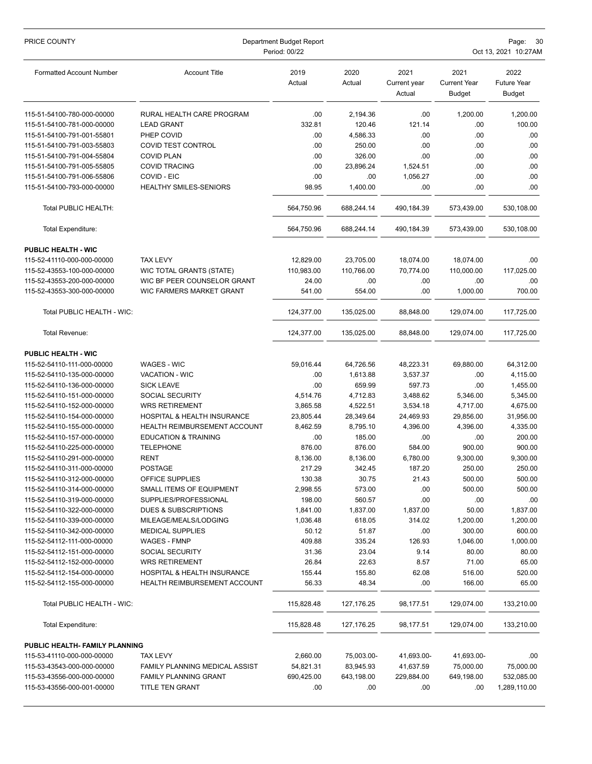| PRICE COUNTY                    | Department Budget Report<br>Period: 00/22 |                |                |                                | Page:<br>30<br>Oct 13, 2021 10:27AM          |                                             |  |
|---------------------------------|-------------------------------------------|----------------|----------------|--------------------------------|----------------------------------------------|---------------------------------------------|--|
| <b>Formatted Account Number</b> | <b>Account Title</b>                      | 2019<br>Actual | 2020<br>Actual | 2021<br>Current year<br>Actual | 2021<br><b>Current Year</b><br><b>Budget</b> | 2022<br><b>Future Year</b><br><b>Budget</b> |  |
| 115-51-54100-780-000-00000      | RURAL HEALTH CARE PROGRAM                 | .00            | 2,194.36       | .00                            | 1,200.00                                     | 1,200.00                                    |  |
| 115-51-54100-781-000-00000      | <b>LEAD GRANT</b>                         | 332.81         | 120.46         | 121.14                         | .00                                          | 100.00                                      |  |
| 115-51-54100-791-001-55801      | PHEP COVID                                | .00            | 4,586.33       | .00                            | .00                                          | .00                                         |  |
| 115-51-54100-791-003-55803      | COVID TEST CONTROL                        | .00            | 250.00         | .00                            | .00                                          | .00                                         |  |
| 115-51-54100-791-004-55804      | <b>COVID PLAN</b>                         | .00            | 326.00         | .00                            | .00                                          | .00                                         |  |
| 115-51-54100-791-005-55805      | <b>COVID TRACING</b>                      | .00            | 23.896.24      | 1,524.51                       | .00                                          | .00                                         |  |
| 115-51-54100-791-006-55806      | COVID - EIC                               | .00            | .00            | 1,056.27                       | .00                                          | .00                                         |  |
| 115-51-54100-793-000-00000      | <b>HEALTHY SMILES-SENIORS</b>             | 98.95          | 1,400.00       | .00                            | .00                                          | .00                                         |  |
| Total PUBLIC HEALTH:            |                                           | 564,750.96     | 688,244.14     | 490,184.39                     | 573,439.00                                   | 530,108.00                                  |  |
| Total Expenditure:              |                                           | 564,750.96     | 688,244.14     | 490,184.39                     | 573,439.00                                   | 530,108.00                                  |  |
| <b>PUBLIC HEALTH - WIC</b>      |                                           |                |                |                                |                                              |                                             |  |
| 115-52-41110-000-000-00000      | <b>TAX LEVY</b>                           | 12,829.00      | 23,705.00      | 18,074.00                      | 18,074.00                                    | .00.                                        |  |
| 115-52-43553-100-000-00000      | WIC TOTAL GRANTS (STATE)                  | 110,983.00     | 110,766.00     | 70.774.00                      | 110,000.00                                   | 117,025.00                                  |  |
| 115-52-43553-200-000-00000      | WIC BF PEER COUNSELOR GRANT               | 24.00          | .00            | .00                            | .00                                          | .00                                         |  |
| 115-52-43553-300-000-00000      | WIC FARMERS MARKET GRANT                  | 541.00         | 554.00         | .00                            | 1,000.00                                     | 700.00                                      |  |
| Total PUBLIC HEALTH - WIC:      |                                           | 124,377.00     | 135,025.00     | 88,848.00                      | 129,074.00                                   | 117,725.00                                  |  |
| Total Revenue:                  |                                           | 124,377.00     | 135,025.00     | 88,848.00                      | 129,074.00                                   | 117,725.00                                  |  |
| <b>PUBLIC HEALTH - WIC</b>      |                                           |                |                |                                |                                              |                                             |  |
| 115-52-54110-111-000-00000      | <b>WAGES - WIC</b>                        | 59,016.44      | 64,726.56      | 48,223.31                      | 69,880.00                                    | 64,312.00                                   |  |
| 115-52-54110-135-000-00000      | VACATION - WIC                            | .00            | 1,613.88       | 3,537.37                       | .00                                          | 4,115.00                                    |  |
| 115-52-54110-136-000-00000      | <b>SICK LEAVE</b>                         | .00            | 659.99         | 597.73                         | .00                                          | 1,455.00                                    |  |
| 115-52-54110-151-000-00000      | SOCIAL SECURITY                           | 4,514.76       | 4,712.83       | 3,488.62                       | 5,346.00                                     | 5,345.00                                    |  |
| 115-52-54110-152-000-00000      | <b>WRS RETIREMENT</b>                     | 3,865.58       | 4,522.51       | 3,534.18                       | 4,717.00                                     | 4,675.00                                    |  |
| 115-52-54110-154-000-00000      | <b>HOSPITAL &amp; HEALTH INSURANCE</b>    | 23,805.44      | 28,349.64      | 24,469.93                      | 29,856.00                                    | 31,956.00                                   |  |
| 115-52-54110-155-000-00000      | HEALTH REIMBURSEMENT ACCOUNT              | 8,462.59       | 8,795.10       | 4,396.00                       | 4,396.00                                     | 4,335.00                                    |  |
| 115-52-54110-157-000-00000      | <b>EDUCATION &amp; TRAINING</b>           | .00            | 185.00         | .00                            | .00                                          | 200.00                                      |  |
| 115-52-54110-225-000-00000      | <b>TELEPHONE</b>                          | 876.00         | 876.00         | 584.00                         | 900.00                                       | 900.00                                      |  |
| 115-52-54110-291-000-00000      | RENT                                      | 8,136.00       | 8,136.00       | 6,780.00                       | 9,300.00                                     | 9,300.00                                    |  |
| 115-52-54110-311-000-00000      | <b>POSTAGE</b>                            | 217.29         | 342.45         | 187.20                         | 250.00                                       | 250.00                                      |  |
| 115-52-54110-312-000-00000      | OFFICE SUPPLIES                           | 130.38         | 30.75          | 21.43                          | 500.00                                       | 500.00                                      |  |
| 115-52-54110-314-000-00000      | SMALL ITEMS OF EQUIPMENT                  | 2,998.55       | 573.00         | .00                            | 500.00                                       | 500.00                                      |  |
| 115-52-54110-319-000-00000      | SUPPLIES/PROFESSIONAL                     | 198.00         | 560.57         | .00                            | .00                                          | .00.                                        |  |
| 115-52-54110-322-000-00000      | DUES & SUBSCRIPTIONS                      | 1,841.00       | 1,837.00       | 1,837.00                       | 50.00                                        | 1,837.00                                    |  |
| 115-52-54110-339-000-00000      | MILEAGE/MEALS/LODGING                     | 1,036.48       | 618.05         | 314.02                         | 1,200.00                                     | 1,200.00                                    |  |
| 115-52-54110-342-000-00000      | <b>MEDICAL SUPPLIES</b>                   | 50.12          | 51.87          | .00                            | 300.00                                       | 600.00                                      |  |
| 115-52-54112-111-000-00000      | <b>WAGES - FMNP</b>                       | 409.88         | 335.24         | 126.93                         | 1,046.00                                     | 1,000.00                                    |  |
| 115-52-54112-151-000-00000      | SOCIAL SECURITY                           | 31.36          | 23.04          | 9.14                           | 80.00                                        | 80.00                                       |  |
| 115-52-54112-152-000-00000      | <b>WRS RETIREMENT</b>                     | 26.84          | 22.63          | 8.57                           | 71.00                                        | 65.00                                       |  |
| 115-52-54112-154-000-00000      | HOSPITAL & HEALTH INSURANCE               | 155.44         | 155.80         | 62.08                          | 516.00                                       | 520.00                                      |  |
| 115-52-54112-155-000-00000      | <b>HEALTH REIMBURSEMENT ACCOUNT</b>       | 56.33          | 48.34          | .00                            | 166.00                                       | 65.00                                       |  |
| Total PUBLIC HEALTH - WIC:      |                                           | 115,828.48     | 127, 176.25    | 98,177.51                      | 129,074.00                                   | 133,210.00                                  |  |
| Total Expenditure:              |                                           | 115,828.48     | 127, 176.25    | 98,177.51                      | 129,074.00                                   | 133,210.00                                  |  |
| PUBLIC HEALTH- FAMILY PLANNING  |                                           |                |                |                                |                                              |                                             |  |
| 115-53-41110-000-000-00000      | <b>TAX LEVY</b>                           | 2,660.00       | 75,003.00-     | 41,693.00-                     | 41,693.00-                                   | .00                                         |  |
| 115-53-43543-000-000-00000      | FAMILY PLANNING MEDICAL ASSIST            | 54,821.31      | 83,945.93      | 41,637.59                      | 75,000.00                                    | 75,000.00                                   |  |
| 115-53-43556-000-000-00000      | <b>FAMILY PLANNING GRANT</b>              | 690,425.00     | 643,198.00     | 229,884.00                     | 649,198.00                                   | 532,085.00                                  |  |
| 115-53-43556-000-001-00000      | TITLE TEN GRANT                           | .00            | .00            | .00                            | .00                                          | 1,289,110.00                                |  |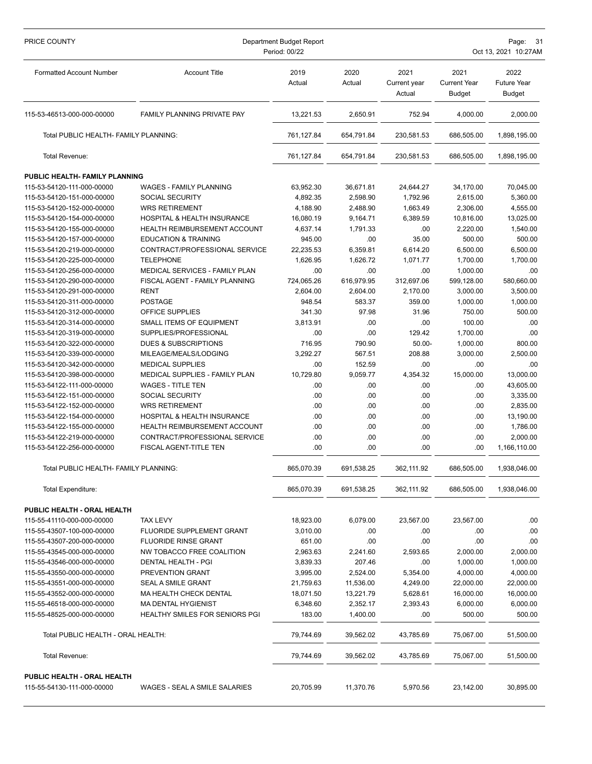| PRICE COUNTY                                              | Department Budget Report<br>Period: 00/22 |                |                |                                |                                              | Page:<br>- 31<br>Oct 13, 2021 10:27AM       |  |  |
|-----------------------------------------------------------|-------------------------------------------|----------------|----------------|--------------------------------|----------------------------------------------|---------------------------------------------|--|--|
| <b>Formatted Account Number</b>                           | <b>Account Title</b>                      | 2019<br>Actual | 2020<br>Actual | 2021<br>Current year<br>Actual | 2021<br><b>Current Year</b><br><b>Budget</b> | 2022<br><b>Future Year</b><br><b>Budget</b> |  |  |
| 115-53-46513-000-000-00000                                | <b>FAMILY PLANNING PRIVATE PAY</b>        | 13,221.53      | 2,650.91       | 752.94                         | 4,000.00                                     | 2,000.00                                    |  |  |
| Total PUBLIC HEALTH- FAMILY PLANNING:                     |                                           | 761,127.84     | 654,791.84     | 230,581.53                     | 686,505.00                                   | 1,898,195.00                                |  |  |
| Total Revenue:                                            |                                           | 761,127.84     | 654.791.84     | 230,581.53                     | 686,505.00                                   | 1,898,195.00                                |  |  |
| PUBLIC HEALTH- FAMILY PLANNING                            |                                           |                |                |                                |                                              |                                             |  |  |
| 115-53-54120-111-000-00000                                | <b>WAGES - FAMILY PLANNING</b>            | 63,952.30      | 36,671.81      | 24,644.27                      | 34,170.00                                    | 70,045.00                                   |  |  |
| 115-53-54120-151-000-00000                                | <b>SOCIAL SECURITY</b>                    | 4,892.35       | 2,598.90       | 1,792.96                       | 2,615.00                                     | 5,360.00                                    |  |  |
| 115-53-54120-152-000-00000                                | <b>WRS RETIREMENT</b>                     | 4,188.90       | 2,488.90       | 1,663.49                       | 2,306.00                                     | 4,555.00                                    |  |  |
| 115-53-54120-154-000-00000                                | HOSPITAL & HEALTH INSURANCE               | 16,080.19      | 9,164.71       | 6,389.59                       | 10,816.00                                    | 13,025.00                                   |  |  |
| 115-53-54120-155-000-00000                                | HEALTH REIMBURSEMENT ACCOUNT              | 4,637.14       | 1,791.33       | .00                            | 2,220.00                                     | 1,540.00                                    |  |  |
| 115-53-54120-157-000-00000                                | <b>EDUCATION &amp; TRAINING</b>           | 945.00         | .00            | 35.00                          | 500.00                                       | 500.00                                      |  |  |
| 115-53-54120-219-000-00000                                | CONTRACT/PROFESSIONAL SERVICE             | 22,235.53      | 6,359.81       | 6,614.20                       | 6,500.00                                     | 6,500.00                                    |  |  |
| 115-53-54120-225-000-00000                                | <b>TELEPHONE</b>                          | 1,626.95       | 1,626.72       | 1,071.77                       | 1,700.00                                     | 1,700.00                                    |  |  |
| 115-53-54120-256-000-00000                                | MEDICAL SERVICES - FAMILY PLAN            | .00            | .00            | .00                            | 1,000.00                                     | .00                                         |  |  |
| 115-53-54120-290-000-00000                                | FISCAL AGENT - FAMILY PLANNING            | 724,065.26     | 616,979.95     | 312,697.06                     | 599,128.00                                   | 580,660.00                                  |  |  |
| 115-53-54120-291-000-00000                                | <b>RENT</b>                               | 2,604.00       | 2,604.00       | 2,170.00                       | 3,000.00                                     | 3,500.00                                    |  |  |
| 115-53-54120-311-000-00000                                | <b>POSTAGE</b>                            | 948.54         | 583.37         | 359.00                         | 1,000.00                                     | 1,000.00                                    |  |  |
| 115-53-54120-312-000-00000                                | OFFICE SUPPLIES                           | 341.30         | 97.98          | 31.96                          | 750.00                                       | 500.00                                      |  |  |
| 115-53-54120-314-000-00000                                | SMALL ITEMS OF EQUIPMENT                  | 3,813.91       | .00            | .00                            | 100.00                                       | .00                                         |  |  |
| 115-53-54120-319-000-00000                                | SUPPLIES/PROFESSIONAL                     | .00            | .00            | 129.42                         | 1,700.00                                     | .00                                         |  |  |
| 115-53-54120-322-000-00000                                | <b>DUES &amp; SUBSCRIPTIONS</b>           | 716.95         | 790.90         | $50.00 -$                      | 1,000.00                                     | 800.00                                      |  |  |
| 115-53-54120-339-000-00000                                | MILEAGE/MEALS/LODGING                     | 3,292.27       | 567.51         | 208.88                         |                                              |                                             |  |  |
|                                                           | <b>MEDICAL SUPPLIES</b>                   | .00            | 152.59         | .00                            | 3,000.00<br>.00                              | 2,500.00<br>.00                             |  |  |
| 115-53-54120-342-000-00000                                | MEDICAL SUPPLIES - FAMILY PLAN            | 10,729.80      | 9,059.77       |                                |                                              |                                             |  |  |
| 115-53-54120-398-000-00000                                |                                           |                |                | 4,354.32                       | 15,000.00                                    | 13,000.00                                   |  |  |
| 115-53-54122-111-000-00000                                | <b>WAGES - TITLE TEN</b>                  | .00            | .00            | .00                            | .00                                          | 43,605.00                                   |  |  |
| 115-53-54122-151-000-00000                                | SOCIAL SECURITY                           | .00            | .00            | .00                            | .00                                          | 3,335.00                                    |  |  |
| 115-53-54122-152-000-00000                                | <b>WRS RETIREMENT</b>                     | .00            | .00            | .00                            | .00                                          | 2,835.00                                    |  |  |
| 115-53-54122-154-000-00000                                | HOSPITAL & HEALTH INSURANCE               | .00            | .00            | .00                            | .00                                          | 13,190.00                                   |  |  |
| 115-53-54122-155-000-00000                                | <b>HEALTH REIMBURSEMENT ACCOUNT</b>       | .00            | .00            | .00                            | .00                                          | 1,786.00                                    |  |  |
| 115-53-54122-219-000-00000                                | CONTRACT/PROFESSIONAL SERVICE             | .00            | .00            | .00                            | .00                                          | 2,000.00                                    |  |  |
| 115-53-54122-256-000-00000                                | <b>FISCAL AGENT-TITLE TEN</b>             | .00            | .00            | .00                            | .00                                          | 1,166,110.00                                |  |  |
| Total PUBLIC HEALTH- FAMILY PLANNING:                     |                                           | 865,070.39     | 691,538.25     | 362,111.92                     | 686,505.00                                   | 1,938,046.00                                |  |  |
| Total Expenditure:                                        |                                           | 865,070.39     | 691,538.25     | 362,111.92                     | 686,505.00                                   | 1,938,046.00                                |  |  |
| PUBLIC HEALTH - ORAL HEALTH                               |                                           |                |                |                                |                                              |                                             |  |  |
| 115-55-41110-000-000-00000                                | <b>TAX LEVY</b>                           | 18,923.00      | 6,079.00       | 23,567.00                      | 23,567.00                                    | .00.                                        |  |  |
| 115-55-43507-100-000-00000                                | FLUORIDE SUPPLEMENT GRANT                 | 3,010.00       | .00            | .00                            | .00                                          | .00                                         |  |  |
| 115-55-43507-200-000-00000                                | <b>FLUORIDE RINSE GRANT</b>               | 651.00         | .00            | .00                            | .00                                          | .00                                         |  |  |
| 115-55-43545-000-000-00000                                | NW TOBACCO FREE COALITION                 | 2,963.63       | 2,241.60       | 2,593.65                       | 2,000.00                                     | 2,000.00                                    |  |  |
| 115-55-43546-000-000-00000                                | DENTAL HEALTH - PGI                       | 3,839.33       | 207.46         | .00                            | 1,000.00                                     | 1,000.00                                    |  |  |
| 115-55-43550-000-000-00000                                | PREVENTION GRANT                          | 3,995.00       | 2,524.00       | 5,354.00                       | 4,000.00                                     | 4,000.00                                    |  |  |
| 115-55-43551-000-000-00000                                | SEAL A SMILE GRANT                        | 21,759.63      | 11,536.00      | 4,249.00                       | 22,000.00                                    | 22,000.00                                   |  |  |
| 115-55-43552-000-000-00000                                | MA HEALTH CHECK DENTAL                    | 18,071.50      | 13,221.79      | 5,628.61                       | 16,000.00                                    | 16,000.00                                   |  |  |
| 115-55-46518-000-000-00000                                | <b>MA DENTAL HYGIENIST</b>                | 6,348.60       | 2,352.17       | 2,393.43                       | 6,000.00                                     | 6,000.00                                    |  |  |
| 115-55-48525-000-000-00000                                | <b>HEALTHY SMILES FOR SENIORS PGI</b>     | 183.00         | 1,400.00       | .00                            | 500.00                                       | 500.00                                      |  |  |
| Total PUBLIC HEALTH - ORAL HEALTH:                        |                                           | 79,744.69      | 39,562.02      | 43,785.69                      | 75,067.00                                    | 51,500.00                                   |  |  |
| Total Revenue:                                            |                                           | 79,744.69      | 39,562.02      | 43,785.69                      | 75,067.00                                    | 51,500.00                                   |  |  |
| PUBLIC HEALTH - ORAL HEALTH<br>115-55-54130-111-000-00000 | WAGES - SEAL A SMILE SALARIES             | 20,705.99      | 11,370.76      | 5,970.56                       | 23,142.00                                    | 30,895.00                                   |  |  |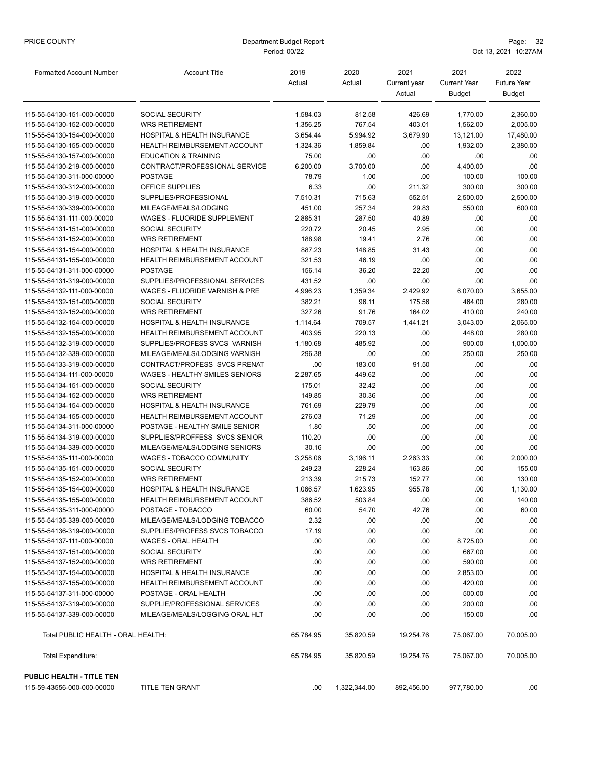| PRICE COUNTY                       | Department Budget Report<br>Period: 00/22 |                |                |                                | Page:<br>Oct 13, 2021 10:27AM                |                                             |  |  |
|------------------------------------|-------------------------------------------|----------------|----------------|--------------------------------|----------------------------------------------|---------------------------------------------|--|--|
| <b>Formatted Account Number</b>    | <b>Account Title</b>                      | 2019<br>Actual | 2020<br>Actual | 2021<br>Current year<br>Actual | 2021<br><b>Current Year</b><br><b>Budget</b> | 2022<br><b>Future Year</b><br><b>Budget</b> |  |  |
| 115-55-54130-151-000-00000         | <b>SOCIAL SECURITY</b>                    | 1,584.03       | 812.58         | 426.69                         | 1,770.00                                     | 2,360.00                                    |  |  |
| 115-55-54130-152-000-00000         | <b>WRS RETIREMENT</b>                     | 1,356.25       | 767.54         | 403.01                         | 1,562.00                                     | 2,005.00                                    |  |  |
| 115-55-54130-154-000-00000         | HOSPITAL & HEALTH INSURANCE               | 3,654.44       | 5,994.92       | 3,679.90                       | 13,121.00                                    | 17,480.00                                   |  |  |
| 115-55-54130-155-000-00000         | <b>HEALTH REIMBURSEMENT ACCOUNT</b>       | 1,324.36       | 1,859.84       | .00                            | 1,932.00                                     | 2,380.00                                    |  |  |
| 115-55-54130-157-000-00000         | <b>EDUCATION &amp; TRAINING</b>           | 75.00          | .00            | .00                            | .00                                          | .00.                                        |  |  |
| 115-55-54130-219-000-00000         | CONTRACT/PROFESSIONAL SERVICE             | 6,200.00       | 3,700.00       | .00                            | 4,400.00                                     | .00                                         |  |  |
| 115-55-54130-311-000-00000         | <b>POSTAGE</b>                            | 78.79          | 1.00           | .00                            | 100.00                                       | 100.00                                      |  |  |
| 115-55-54130-312-000-00000         | OFFICE SUPPLIES                           | 6.33           | .00            | 211.32                         | 300.00                                       | 300.00                                      |  |  |
| 115-55-54130-319-000-00000         | SUPPLIES/PROFESSIONAL                     | 7,510.31       | 715.63         | 552.51                         | 2,500.00                                     | 2,500.00                                    |  |  |
| 115-55-54130-339-000-00000         | MILEAGE/MEALS/LODGING                     | 451.00         | 257.34         | 29.83                          | 550.00                                       | 600.00                                      |  |  |
| 115-55-54131-111-000-00000         | WAGES - FLUORIDE SUPPLEMENT               | 2,885.31       | 287.50         | 40.89                          | .00                                          | .00                                         |  |  |
| 115-55-54131-151-000-00000         | <b>SOCIAL SECURITY</b>                    | 220.72         | 20.45          | 2.95                           | .00                                          | .00                                         |  |  |
| 115-55-54131-152-000-00000         | <b>WRS RETIREMENT</b>                     | 188.98         | 19.41          | 2.76                           | .00                                          | .00                                         |  |  |
| 115-55-54131-154-000-00000         | HOSPITAL & HEALTH INSURANCE               | 887.23         | 148.85         | 31.43                          | .00                                          | .00                                         |  |  |
| 115-55-54131-155-000-00000         | <b>HEALTH REIMBURSEMENT ACCOUNT</b>       | 321.53         | 46.19          | .00                            | .00                                          | .00                                         |  |  |
| 115-55-54131-311-000-00000         | <b>POSTAGE</b>                            | 156.14         | 36.20          | 22.20                          | .00                                          | .00                                         |  |  |
| 115-55-54131-319-000-00000         | SUPPLIES/PROFESSIONAL SERVICES            | 431.52         | .00            | .00                            | .00                                          | .00                                         |  |  |
| 115-55-54132-111-000-00000         | WAGES - FLUORIDE VARNISH & PRE            | 4,996.23       | 1,359.34       | 2,429.92                       | 6,070.00                                     | 3,655.00                                    |  |  |
| 115-55-54132-151-000-00000         | <b>SOCIAL SECURITY</b>                    | 382.21         | 96.11          | 175.56                         | 464.00                                       | 280.00                                      |  |  |
| 115-55-54132-152-000-00000         | <b>WRS RETIREMENT</b>                     | 327.26         | 91.76          | 164.02                         | 410.00                                       | 240.00                                      |  |  |
| 115-55-54132-154-000-00000         | HOSPITAL & HEALTH INSURANCE               | 1,114.64       | 709.57         | 1,441.21                       | 3,043.00                                     | 2,065.00                                    |  |  |
| 115-55-54132-155-000-00000         | <b>HEALTH REIMBURSEMENT ACCOUNT</b>       | 403.95         | 220.13         | .00                            | 448.00                                       | 280.00                                      |  |  |
| 115-55-54132-319-000-00000         | SUPPLIES/PROFESS SVCS VARNISH             | 1,180.68       | 485.92         | .00                            | 900.00                                       | 1,000.00                                    |  |  |
| 115-55-54132-339-000-00000         | MILEAGE/MEALS/LODGING VARNISH             | 296.38         | .00            | .00                            | 250.00                                       | 250.00                                      |  |  |
| 115-55-54133-319-000-00000         | CONTRACT/PROFESS SVCS PRENAT              | .00            | 183.00         | 91.50                          | .00                                          | .00.                                        |  |  |
| 115-55-54134-111-000-00000         | WAGES - HEALTHY SMILES SENIORS            | 2,287.65       | 449.62         | .00                            | .00                                          | .00                                         |  |  |
| 115-55-54134-151-000-00000         | SOCIAL SECURITY                           | 175.01         | 32.42          | .00                            | .00                                          | .00                                         |  |  |
| 115-55-54134-152-000-00000         | <b>WRS RETIREMENT</b>                     | 149.85         | 30.36          | .00                            | .00                                          | .00                                         |  |  |
| 115-55-54134-154-000-00000         | HOSPITAL & HEALTH INSURANCE               | 761.69         | 229.79         | .00                            | .00                                          | .00                                         |  |  |
| 115-55-54134-155-000-00000         | <b>HEALTH REIMBURSEMENT ACCOUNT</b>       | 276.03         | 71.29          | .00                            | .00                                          | .00                                         |  |  |
| 115-55-54134-311-000-00000         | POSTAGE - HEALTHY SMILE SENIOR            | 1.80           | .50            | .00                            | .00                                          | .00                                         |  |  |
| 115-55-54134-319-000-00000         | SUPPLIES/PROFFESS SVCS SENIOR             | 110.20         | .00            | .00                            | .00                                          | .00                                         |  |  |
| 115-55-54134-339-000-00000         | MILEAGE/MEALS/LODGING SENIORS             | 30.16          | .00            | .00                            | .00                                          | .00                                         |  |  |
| 115-55-54135-111-000-00000         | WAGES - TOBACCO COMMUNITY                 | 3,258.06       | 3,196.11       | 2,263.33                       | .00                                          | 2,000.00                                    |  |  |
| 115-55-54135-151-000-00000         | SOCIAL SECURITY                           | 249.23         | 228.24         | 163.86                         | .00                                          | 155.00                                      |  |  |
| 115-55-54135-152-000-00000         | <b>WRS RETIREMENT</b>                     | 213.39         | 215.73         | 152.77                         | .00                                          | 130.00                                      |  |  |
| 115-55-54135-154-000-00000         | HOSPITAL & HEALTH INSURANCE               | 1,066.57       | 1,623.95       | 955.78                         | .00                                          | 1,130.00                                    |  |  |
| 115-55-54135-155-000-00000         | HEALTH REIMBURSEMENT ACCOUNT              | 386.52         | 503.84         | .00                            | .00                                          | 140.00                                      |  |  |
| 115-55-54135-311-000-00000         | POSTAGE - TOBACCO                         | 60.00          | 54.70          | 42.76                          | .00                                          | 60.00                                       |  |  |
| 115-55-54135-339-000-00000         | MILEAGE/MEALS/LODGING TOBACCO             | 2.32           | .00            | .00                            | .00                                          | .00.                                        |  |  |
| 115-55-54136-319-000-00000         | SUPPLIES/PROFESS SVCS TOBACCO             | 17.19          | .00            | .00                            | .00                                          | .00                                         |  |  |
| 115-55-54137-111-000-00000         | WAGES - ORAL HEALTH                       | .00            | .00            | .00                            | 8,725.00                                     | .00                                         |  |  |
| 115-55-54137-151-000-00000         | <b>SOCIAL SECURITY</b>                    | .00            | .00            | .00                            | 667.00                                       | .00                                         |  |  |
| 115-55-54137-152-000-00000         | <b>WRS RETIREMENT</b>                     | .00            | .00            | .00                            | 590.00                                       | .00                                         |  |  |
| 115-55-54137-154-000-00000         | HOSPITAL & HEALTH INSURANCE               | .00            | .00            | .00                            | 2,853.00                                     | .00                                         |  |  |
| 115-55-54137-155-000-00000         | HEALTH REIMBURSEMENT ACCOUNT              | .00            | .00            | .00                            | 420.00                                       | .00                                         |  |  |
| 115-55-54137-311-000-00000         | POSTAGE - ORAL HEALTH                     | .00            | .00            | .00                            | 500.00                                       | .00                                         |  |  |
| 115-55-54137-319-000-00000         | SUPPLIE/PROFESSIONAL SERVICES             | .00            | .00            | .00                            | 200.00                                       | .00                                         |  |  |
| 115-55-54137-339-000-00000         | MILEAGE/MEALS/LOGGING ORAL HLT            | .00            | .00.           | .00.                           | 150.00                                       | .00.                                        |  |  |
| Total PUBLIC HEALTH - ORAL HEALTH: |                                           | 65,784.95      | 35,820.59      | 19,254.76                      | 75,067.00                                    | 70,005.00                                   |  |  |
| <b>Total Expenditure:</b>          |                                           | 65,784.95      | 35,820.59      | 19,254.76                      | 75,067.00                                    | 70,005.00                                   |  |  |
| PUBLIC HEALTH - TITLE TEN          |                                           |                |                |                                |                                              |                                             |  |  |
| 115-59-43556-000-000-00000         | <b>TITLE TEN GRANT</b>                    | .00            | 1,322,344.00   | 892,456.00                     | 977,780.00                                   | .00.                                        |  |  |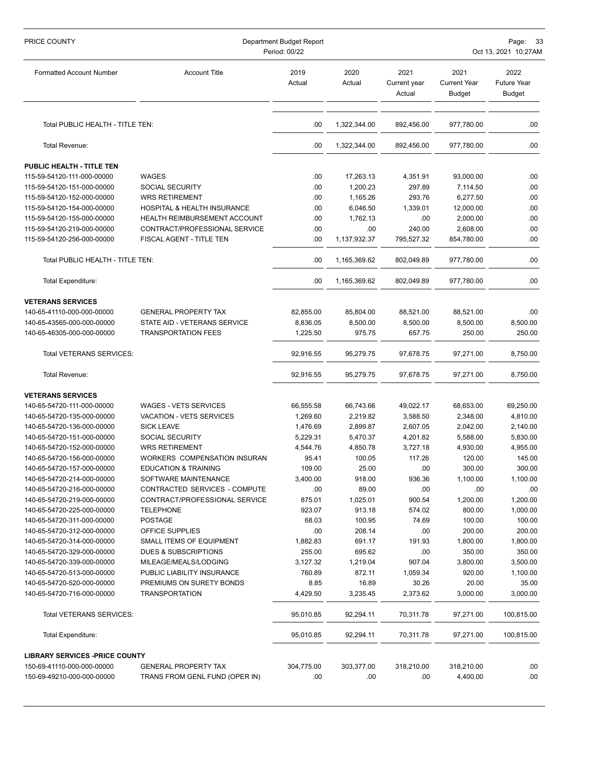| PRICE COUNTY                          | Department Budget Report<br>Period: 00/22 |                |                |                                | Page: 33<br>Oct 13, 2021 10:27AM             |                                             |  |
|---------------------------------------|-------------------------------------------|----------------|----------------|--------------------------------|----------------------------------------------|---------------------------------------------|--|
| <b>Formatted Account Number</b>       | <b>Account Title</b>                      | 2019<br>Actual | 2020<br>Actual | 2021<br>Current year<br>Actual | 2021<br><b>Current Year</b><br><b>Budget</b> | 2022<br><b>Future Year</b><br><b>Budget</b> |  |
| Total PUBLIC HEALTH - TITLE TEN:      |                                           | .00            | 1,322,344.00   | 892,456.00                     | 977,780.00                                   | .00                                         |  |
| Total Revenue:                        |                                           | .00            | 1,322,344.00   | 892,456.00                     | 977,780.00                                   | .00.                                        |  |
| PUBLIC HEALTH - TITLE TEN             |                                           |                |                |                                |                                              |                                             |  |
| 115-59-54120-111-000-00000            | WAGES                                     | .00            | 17,263.13      | 4,351.91                       | 93,000.00                                    | .00                                         |  |
| 115-59-54120-151-000-00000            | SOCIAL SECURITY                           | .00            | 1,200.23       | 297.89                         | 7,114.50                                     | .00                                         |  |
| 115-59-54120-152-000-00000            | <b>WRS RETIREMENT</b>                     | .00            | 1,165.26       | 293.76                         | 6,277.50                                     | .00                                         |  |
| 115-59-54120-154-000-00000            | HOSPITAL & HEALTH INSURANCE               | .00            | 6,046.50       | 1,339.01                       | 12,000.00                                    | .00                                         |  |
| 115-59-54120-155-000-00000            | <b>HEALTH REIMBURSEMENT ACCOUNT</b>       | .00            | 1,762.13       | .00                            | 2,000.00                                     | .00                                         |  |
| 115-59-54120-219-000-00000            | CONTRACT/PROFESSIONAL SERVICE             | .00            | .00            | 240.00                         | 2,608.00                                     | .00                                         |  |
| 115-59-54120-256-000-00000            | <b>FISCAL AGENT - TITLE TEN</b>           | .00            | 1,137,932.37   | 795,527.32                     | 854,780.00                                   | .00                                         |  |
| Total PUBLIC HEALTH - TITLE TEN:      |                                           | .00            | 1,165,369.62   | 802,049.89                     | 977,780.00                                   | .00.                                        |  |
| Total Expenditure:                    |                                           | .00            | 1,165,369.62   | 802,049.89                     | 977,780.00                                   | .00                                         |  |
| <b>VETERANS SERVICES</b>              |                                           |                |                |                                |                                              |                                             |  |
| 140-65-41110-000-000-00000            | <b>GENERAL PROPERTY TAX</b>               | 82,855.00      | 85,804.00      | 88,521.00                      | 88,521.00                                    | .00                                         |  |
| 140-65-43565-000-000-00000            | STATE AID - VETERANS SERVICE              | 8,836.05       | 8,500.00       | 8,500.00                       | 8,500.00                                     | 8,500.00                                    |  |
| 140-65-46305-000-000-00000            | <b>TRANSPORTATION FEES</b>                | 1,225.50       | 975.75         | 657.75                         | 250.00                                       | 250.00                                      |  |
| Total VETERANS SERVICES:              |                                           | 92,916.55      | 95,279.75      | 97,678.75                      | 97,271.00                                    | 8,750.00                                    |  |
| Total Revenue:                        |                                           | 92,916.55      | 95,279.75      | 97,678.75                      | 97,271.00                                    | 8,750.00                                    |  |
| <b>VETERANS SERVICES</b>              |                                           |                |                |                                |                                              |                                             |  |
| 140-65-54720-111-000-00000            | <b>WAGES - VETS SERVICES</b>              | 66,555.58      | 66,743.66      | 49,022.17                      | 68,653.00                                    | 69,250.00                                   |  |
| 140-65-54720-135-000-00000            | VACATION - VETS SERVICES                  | 1,269.60       | 2,219.82       | 3,588.50                       | 2,348.00                                     | 4,810.00                                    |  |
| 140-65-54720-136-000-00000            | <b>SICK LEAVE</b>                         | 1,476.69       | 2,899.87       | 2,607.05                       | 2,042.00                                     | 2,140.00                                    |  |
| 140-65-54720-151-000-00000            | SOCIAL SECURITY                           | 5,229.31       | 5,470.37       | 4,201.82                       | 5,588.00                                     | 5,830.00                                    |  |
| 140-65-54720-152-000-00000            | <b>WRS RETIREMENT</b>                     | 4,544.76       | 4,850.78       | 3,727.18                       | 4,930.00                                     | 4,955.00                                    |  |
| 140-65-54720-156-000-00000            | WORKERS COMPENSATION INSURAN              | 95.41          | 100.05         | 117.26                         | 120.00                                       | 145.00                                      |  |
| 140-65-54720-157-000-00000            | <b>EDUCATION &amp; TRAINING</b>           | 109.00         | 25.00          | .00                            | 300.00                                       | 300.00                                      |  |
| 140-65-54720-214-000-00000            | SOFTWARE MAINTENANCE                      | 3,400.00       | 918.00         | 936.36                         | 1,100.00                                     | 1,100.00                                    |  |
| 140-65-54720-216-000-00000            | CONTRACTED SERVICES - COMPUTE             | .00            | 89.00          | .00                            | .00                                          | .00                                         |  |
| 140-65-54720-219-000-00000            | CONTRACT/PROFESSIONAL SERVICE             | 875.01         | 1,025.01       | 900.54                         | 1,200.00                                     | 1,200.00                                    |  |
| 140-65-54720-225-000-00000            | <b>TELEPHONE</b>                          | 923.07         | 913.18         | 574.02                         | 800.00                                       | 1,000.00                                    |  |
| 140-65-54720-311-000-00000            | <b>POSTAGE</b>                            | 68.03          | 100.95         | 74.69                          | 100.00                                       | 100.00                                      |  |
| 140-65-54720-312-000-00000            | OFFICE SUPPLIES                           | .00            | 208.14         | .00                            | 200.00                                       | 200.00                                      |  |
| 140-65-54720-314-000-00000            | SMALL ITEMS OF EQUIPMENT                  | 1,882.83       | 691.17         | 191.93                         | 1,800.00                                     | 1,800.00                                    |  |
| 140-65-54720-329-000-00000            | <b>DUES &amp; SUBSCRIPTIONS</b>           | 255.00         | 695.62         | .00                            | 350.00                                       | 350.00                                      |  |
| 140-65-54720-339-000-00000            | MILEAGE/MEALS/LODGING                     | 3,127.32       | 1,219.04       | 907.04                         | 3,800.00                                     | 3,500.00                                    |  |
| 140-65-54720-513-000-00000            | PUBLIC LIABILITY INSURANCE                | 760.89         | 872.11         | 1,059.34                       | 920.00                                       | 1,100.00                                    |  |
| 140-65-54720-520-000-00000            | PREMIUMS ON SURETY BONDS                  | 8.85           | 16.89          | 30.26                          | 20.00                                        | 35.00                                       |  |
| 140-65-54720-716-000-00000            | <b>TRANSPORTATION</b>                     | 4,429.50       | 3,235.45       | 2,373.62                       | 3,000.00                                     | 3,000.00                                    |  |
| Total VETERANS SERVICES:              |                                           | 95,010.85      | 92,294.11      | 70,311.78                      | 97,271.00                                    | 100,815.00                                  |  |
| Total Expenditure:                    |                                           | 95,010.85      | 92,294.11      | 70,311.78                      | 97,271.00                                    | 100,815.00                                  |  |
| <b>LIBRARY SERVICES -PRICE COUNTY</b> |                                           |                |                |                                |                                              |                                             |  |
| 150-69-41110-000-000-00000            | <b>GENERAL PROPERTY TAX</b>               | 304,775.00     | 303,377.00     | 318,210.00                     | 318,210.00                                   | .00.                                        |  |
| 150-69-49210-000-000-00000            | TRANS FROM GENL FUND (OPER IN)            | .00            | .00            | .00                            | 4,400.00                                     | .00.                                        |  |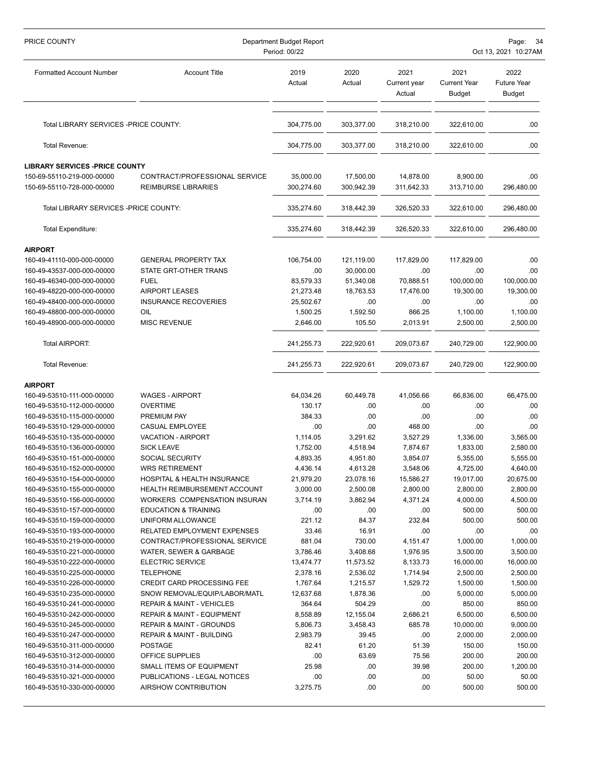| PRICE COUNTY                                             | Department Budget Report<br>Period: 00/22                                     | Page:<br>Oct 13, 2021 10:27AM |                     |                                |                                              |                                             |
|----------------------------------------------------------|-------------------------------------------------------------------------------|-------------------------------|---------------------|--------------------------------|----------------------------------------------|---------------------------------------------|
| <b>Formatted Account Number</b>                          | <b>Account Title</b>                                                          | 2019<br>Actual                | 2020<br>Actual      | 2021<br>Current year<br>Actual | 2021<br><b>Current Year</b><br><b>Budget</b> | 2022<br><b>Future Year</b><br><b>Budget</b> |
| Total LIBRARY SERVICES - PRICE COUNTY:                   |                                                                               | 304,775.00                    | 303,377.00          | 318,210.00                     | 322,610.00                                   | .00                                         |
| Total Revenue:                                           |                                                                               | 304,775.00                    | 303,377.00          | 318,210.00                     | 322,610.00                                   | .00.                                        |
| <b>LIBRARY SERVICES -PRICE COUNTY</b>                    |                                                                               |                               |                     |                                |                                              |                                             |
| 150-69-55110-219-000-00000                               | CONTRACT/PROFESSIONAL SERVICE                                                 | 35,000.00                     | 17,500.00           | 14,878.00                      | 8,900.00                                     | .00                                         |
| 150-69-55110-728-000-00000                               | <b>REIMBURSE LIBRARIES</b>                                                    | 300,274.60                    | 300,942.39          | 311,642.33                     | 313,710.00                                   | 296,480.00                                  |
| Total LIBRARY SERVICES - PRICE COUNTY:                   |                                                                               | 335,274.60                    | 318,442.39          | 326,520.33                     | 322,610.00                                   | 296,480.00                                  |
| <b>Total Expenditure:</b>                                |                                                                               | 335,274.60                    | 318,442.39          | 326,520.33                     | 322,610.00                                   | 296,480.00                                  |
| <b>AIRPORT</b>                                           |                                                                               |                               |                     |                                |                                              |                                             |
| 160-49-41110-000-000-00000                               | <b>GENERAL PROPERTY TAX</b>                                                   | 106,754.00                    | 121,119.00          | 117,829.00                     | 117,829.00                                   | .00                                         |
| 160-49-43537-000-000-00000                               | STATE GRT-OTHER TRANS                                                         | .00                           | 30,000.00           | .00                            | .00                                          | .00                                         |
| 160-49-46340-000-000-00000                               | <b>FUEL</b>                                                                   | 83,579.33                     | 51,340.08           | 70,888.51                      | 100,000.00                                   | 100,000.00                                  |
| 160-49-48220-000-000-00000                               | <b>AIRPORT LEASES</b>                                                         | 21,273.48                     | 18,763.53           | 17,476.00                      | 19,300.00                                    | 19,300.00                                   |
| 160-49-48400-000-000-00000                               | <b>INSURANCE RECOVERIES</b>                                                   | 25,502.67                     | .00                 | .00                            | .00                                          | .00                                         |
| 160-49-48800-000-000-00000                               | OIL                                                                           | 1,500.25                      | 1,592.50            | 866.25                         | 1,100.00                                     | 1,100.00                                    |
| 160-49-48900-000-000-00000                               | <b>MISC REVENUE</b>                                                           | 2,646.00                      | 105.50              | 2,013.91                       | 2,500.00                                     | 2,500.00                                    |
| Total AIRPORT:                                           |                                                                               | 241,255.73                    | 222,920.61          | 209,073.67                     | 240,729.00                                   | 122,900.00                                  |
| Total Revenue:                                           |                                                                               | 241,255.73                    | 222,920.61          | 209,073.67                     | 240,729.00                                   | 122,900.00                                  |
| <b>AIRPORT</b>                                           |                                                                               |                               |                     |                                |                                              |                                             |
| 160-49-53510-111-000-00000                               | <b>WAGES - AIRPORT</b>                                                        | 64,034.26                     | 60,449.78           | 41,056.66                      | 66,836.00                                    | 66,475.00                                   |
| 160-49-53510-112-000-00000                               | <b>OVERTIME</b>                                                               | 130.17                        | .00                 | .00                            | .00                                          | .00                                         |
| 160-49-53510-115-000-00000                               | <b>PREMIUM PAY</b>                                                            | 384.33                        | .00                 | .00                            | .00                                          | .00                                         |
| 160-49-53510-129-000-00000                               | <b>CASUAL EMPLOYEE</b>                                                        | .00                           | .00                 | 468.00                         | .00                                          | .00                                         |
| 160-49-53510-135-000-00000                               | <b>VACATION - AIRPORT</b>                                                     | 1,114.05                      | 3,291.62            | 3,527.29                       | 1,336.00                                     | 3,565.00                                    |
| 160-49-53510-136-000-00000                               | <b>SICK LEAVE</b>                                                             | 1,752.00                      | 4,518.94            | 7,874.67                       | 1,833.00                                     | 2,580.00                                    |
| 160-49-53510-151-000-00000                               | <b>SOCIAL SECURITY</b>                                                        | 4,893.35                      | 4,951.80            | 3,854.07                       | 5,355.00                                     | 5,555.00                                    |
| 160-49-53510-152-000-00000                               | WRS RETIREMENT                                                                | 4,436.14                      | 4,613.28            | 3,548.06                       | 4,725.00                                     | 4,640.00                                    |
| 160-49-53510-154-000-00000                               | HOSPITAL & HEALTH INSURANCE                                                   | 21,979.20                     | 23,078.16           | 15,586.27                      | 19,017.00                                    | 20,675.00                                   |
| 160-49-53510-155-000-00000                               | HEALTH REIMBURSEMENT ACCOUNT                                                  | 3,000.00                      | 2,500.08            | 2,800.00                       | 2,800.00                                     | 2,800.00                                    |
| 160-49-53510-156-000-00000                               | WORKERS COMPENSATION INSURAN                                                  | 3,714.19                      | 3,862.94            | 4,371.24                       | 4,000.00                                     | 4,500.00                                    |
| 160-49-53510-157-000-00000                               | <b>EDUCATION &amp; TRAINING</b>                                               | .00.                          | .00                 | .00                            | 500.00                                       | 500.00                                      |
| 160-49-53510-159-000-00000                               | UNIFORM ALLOWANCE                                                             | 221.12                        | 84.37               | 232.84                         | 500.00                                       | 500.00                                      |
| 160-49-53510-193-000-00000                               | RELATED EMPLOYMENT EXPENSES                                                   | 33.46                         | 16.91               | .00                            | .00                                          | .00                                         |
| 160-49-53510-219-000-00000                               | CONTRACT/PROFESSIONAL SERVICE                                                 | 881.04                        | 730.00              | 4,151.47                       | 1,000.00                                     | 1,000.00                                    |
| 160-49-53510-221-000-00000                               | WATER, SEWER & GARBAGE                                                        | 3,786.46                      | 3,408.68            | 1,976.95                       | 3,500.00                                     | 3,500.00                                    |
| 160-49-53510-222-000-00000                               | <b>ELECTRIC SERVICE</b>                                                       | 13,474.77                     | 11,573.52           | 8,133.73                       | 16,000.00                                    | 16,000.00                                   |
| 160-49-53510-225-000-00000                               | <b>TELEPHONE</b>                                                              | 2,378.16                      | 2,536.02            | 1,714.94                       | 2,500.00                                     | 2,500.00                                    |
| 160-49-53510-226-000-00000                               | <b>CREDIT CARD PROCESSING FEE</b><br>SNOW REMOVAL/EQUIP/LABOR/MATL            | 1,767.64                      | 1,215.57            | 1,529.72                       | 1,500.00<br>5,000.00                         | 1,500.00                                    |
| 160-49-53510-235-000-00000                               |                                                                               | 12,637.68                     | 1,878.36            | .00                            | 850.00                                       | 5,000.00<br>850.00                          |
| 160-49-53510-241-000-00000<br>160-49-53510-242-000-00000 | <b>REPAIR &amp; MAINT - VEHICLES</b><br><b>REPAIR &amp; MAINT - EQUIPMENT</b> | 364.64<br>8,558.89            | 504.29<br>12,155.04 | .00<br>2,686.21                | 6,500.00                                     | 6,500.00                                    |
| 160-49-53510-245-000-00000                               | <b>REPAIR &amp; MAINT - GROUNDS</b>                                           | 5,806.73                      | 3,458.43            | 685.78                         | 10,000.00                                    | 9,000.00                                    |
| 160-49-53510-247-000-00000                               | REPAIR & MAINT - BUILDING                                                     | 2,983.79                      | 39.45               | .00                            | 2,000.00                                     | 2,000.00                                    |
| 160-49-53510-311-000-00000                               | <b>POSTAGE</b>                                                                | 82.41                         | 61.20               | 51.39                          | 150.00                                       | 150.00                                      |
| 160-49-53510-312-000-00000                               | OFFICE SUPPLIES                                                               | .00                           | 63.69               | 75.56                          | 200.00                                       | 200.00                                      |
| 160-49-53510-314-000-00000                               | SMALL ITEMS OF EQUIPMENT                                                      | 25.98                         | .00                 | 39.98                          | 200.00                                       | 1,200.00                                    |
| 160-49-53510-321-000-00000                               | PUBLICATIONS - LEGAL NOTICES                                                  | .00                           | .00                 | .00                            | 50.00                                        | 50.00                                       |
| 160-49-53510-330-000-00000                               | AIRSHOW CONTRIBUTION                                                          | 3,275.75                      | .00                 | .00                            | 500.00                                       | 500.00                                      |
|                                                          |                                                                               |                               |                     |                                |                                              |                                             |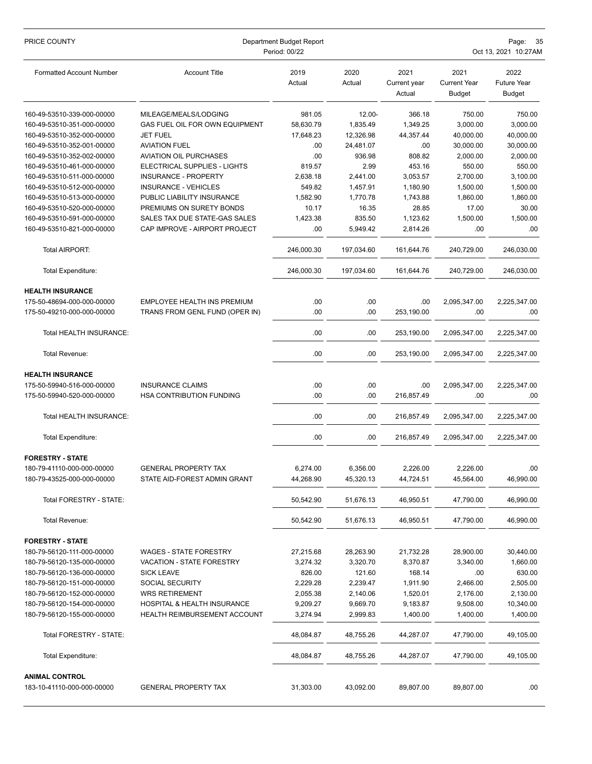| PRICE COUNTY                                        | Department Budget Report<br>Period: 00/22 |                |                |                                | Page:<br>-35<br>Oct 13, 2021 10:27AM         |                                             |  |
|-----------------------------------------------------|-------------------------------------------|----------------|----------------|--------------------------------|----------------------------------------------|---------------------------------------------|--|
| <b>Formatted Account Number</b>                     | <b>Account Title</b>                      | 2019<br>Actual | 2020<br>Actual | 2021<br>Current year<br>Actual | 2021<br><b>Current Year</b><br><b>Budget</b> | 2022<br><b>Future Year</b><br><b>Budget</b> |  |
| 160-49-53510-339-000-00000                          | MILEAGE/MEALS/LODGING                     | 981.05         | 12.00-         | 366.18                         | 750.00                                       | 750.00                                      |  |
| 160-49-53510-351-000-00000                          | GAS FUEL OIL FOR OWN EQUIPMENT            | 58,630.79      | 1,835.49       | 1,349.25                       | 3,000.00                                     | 3,000.00                                    |  |
| 160-49-53510-352-000-00000                          | <b>JET FUEL</b>                           | 17,648.23      | 12,326.98      | 44,357.44                      | 40,000.00                                    | 40,000.00                                   |  |
| 160-49-53510-352-001-00000                          | <b>AVIATION FUEL</b>                      | .00            | 24,481.07      | .00                            | 30,000.00                                    | 30,000.00                                   |  |
| 160-49-53510-352-002-00000                          | <b>AVIATION OIL PURCHASES</b>             | .00            | 936.98         | 808.82                         | 2,000.00                                     | 2,000.00                                    |  |
| 160-49-53510-461-000-00000                          | ELECTRICAL SUPPLIES - LIGHTS              | 819.57         | 2.99           | 453.16                         | 550.00                                       | 550.00                                      |  |
| 160-49-53510-511-000-00000                          | <b>INSURANCE - PROPERTY</b>               | 2,638.18       | 2,441.00       | 3,053.57                       | 2,700.00                                     | 3,100.00                                    |  |
| 160-49-53510-512-000-00000                          | <b>INSURANCE - VEHICLES</b>               | 549.82         | 1,457.91       | 1,180.90                       | 1,500.00                                     | 1,500.00                                    |  |
| 160-49-53510-513-000-00000                          | PUBLIC LIABILITY INSURANCE                | 1,582.90       | 1,770.78       | 1,743.88                       | 1,860.00                                     | 1,860.00                                    |  |
| 160-49-53510-520-000-00000                          | PREMIUMS ON SURETY BONDS                  | 10.17          | 16.35          | 28.85                          | 17.00                                        | 30.00                                       |  |
| 160-49-53510-591-000-00000                          | SALES TAX DUE STATE-GAS SALES             | 1,423.38       | 835.50         | 1,123.62                       | 1,500.00                                     | 1,500.00                                    |  |
| 160-49-53510-821-000-00000                          | CAP IMPROVE - AIRPORT PROJECT             | .00            | 5,949.42       | 2,814.26                       | .00                                          | .00                                         |  |
| <b>Total AIRPORT:</b>                               |                                           | 246,000.30     | 197,034.60     | 161,644.76                     | 240,729.00                                   | 246,030.00                                  |  |
| <b>Total Expenditure:</b>                           |                                           | 246,000.30     | 197,034.60     | 161,644.76                     | 240,729.00                                   | 246,030.00                                  |  |
| <b>HEALTH INSURANCE</b>                             |                                           |                |                |                                |                                              |                                             |  |
| 175-50-48694-000-000-00000                          | EMPLOYEE HEALTH INS PREMIUM               | .00            | .00            | .00                            | 2,095,347.00                                 | 2,225,347.00                                |  |
| 175-50-49210-000-000-00000                          | TRANS FROM GENL FUND (OPER IN)            | .00            | .00            | 253,190.00                     | .00                                          | .00.                                        |  |
| Total HEALTH INSURANCE:                             |                                           | .00            | .00            | 253,190.00                     | 2,095,347.00                                 | 2,225,347.00                                |  |
| Total Revenue:                                      |                                           | .00            | .00            | 253,190.00                     | 2,095,347.00                                 | 2,225,347.00                                |  |
| <b>HEALTH INSURANCE</b>                             |                                           |                |                |                                |                                              |                                             |  |
| 175-50-59940-516-000-00000                          | <b>INSURANCE CLAIMS</b>                   | .00            | .00            | .00                            | 2,095,347.00                                 | 2,225,347.00                                |  |
| 175-50-59940-520-000-00000                          | HSA CONTRIBUTION FUNDING                  | .00            | .00            | 216,857.49                     | .00                                          | .00.                                        |  |
| Total HEALTH INSURANCE:                             |                                           | .00            | .00            | 216,857.49                     | 2,095,347.00                                 | 2,225,347.00                                |  |
| <b>Total Expenditure:</b>                           |                                           | .00            | .00            | 216,857.49                     | 2,095,347.00                                 | 2,225,347.00                                |  |
| <b>FORESTRY - STATE</b>                             |                                           |                |                |                                |                                              |                                             |  |
| 180-79-41110-000-000-00000                          | <b>GENERAL PROPERTY TAX</b>               | 6,274.00       | 6,356.00       | 2,226.00                       | 2,226.00                                     | .00                                         |  |
| 180-79-43525-000-000-00000                          | STATE AID-FOREST ADMIN GRANT              | 44,268.90      | 45,320.13      | 44,724.51                      | 45,564.00                                    | 46,990.00                                   |  |
| Total FORESTRY - STATE:                             |                                           | 50,542.90      | 51,676.13      | 46,950.51                      | 47,790.00                                    | 46,990.00                                   |  |
| Total Revenue:                                      |                                           | 50,542.90      | 51,676.13      | 46,950.51                      | 47,790.00                                    | 46,990.00                                   |  |
| <b>FORESTRY - STATE</b>                             |                                           |                |                |                                |                                              |                                             |  |
| 180-79-56120-111-000-00000                          | <b>WAGES - STATE FORESTRY</b>             | 27,215.68      | 28,263.90      | 21,732.28                      | 28,900.00                                    | 30,440.00                                   |  |
| 180-79-56120-135-000-00000                          | VACATION - STATE FORESTRY                 | 3,274.32       | 3,320.70       | 8,370.87                       | 3,340.00                                     | 1,660.00                                    |  |
| 180-79-56120-136-000-00000                          | <b>SICK LEAVE</b>                         | 826.00         | 121.60         | 168.14                         | .00                                          | 630.00                                      |  |
| 180-79-56120-151-000-00000                          | SOCIAL SECURITY                           | 2,229.28       | 2,239.47       | 1,911.90                       | 2,466.00                                     | 2,505.00                                    |  |
| 180-79-56120-152-000-00000                          | <b>WRS RETIREMENT</b>                     | 2,055.38       | 2,140.06       | 1,520.01                       | 2,176.00                                     | 2,130.00                                    |  |
| 180-79-56120-154-000-00000                          | HOSPITAL & HEALTH INSURANCE               | 9,209.27       | 9,669.70       | 9,183.87                       | 9,508.00                                     | 10,340.00                                   |  |
| 180-79-56120-155-000-00000                          | HEALTH REIMBURSEMENT ACCOUNT              | 3,274.94       | 2,999.83       | 1,400.00                       | 1,400.00                                     | 1,400.00                                    |  |
| Total FORESTRY - STATE:                             |                                           | 48,084.87      | 48,755.26      | 44,287.07                      | 47,790.00                                    | 49,105.00                                   |  |
| Total Expenditure:                                  |                                           | 48,084.87      | 48,755.26      | 44,287.07                      | 47,790.00                                    | 49,105.00                                   |  |
| <b>ANIMAL CONTROL</b><br>183-10-41110-000-000-00000 | <b>GENERAL PROPERTY TAX</b>               | 31,303.00      | 43,092.00      | 89,807.00                      | 89,807.00                                    | .00.                                        |  |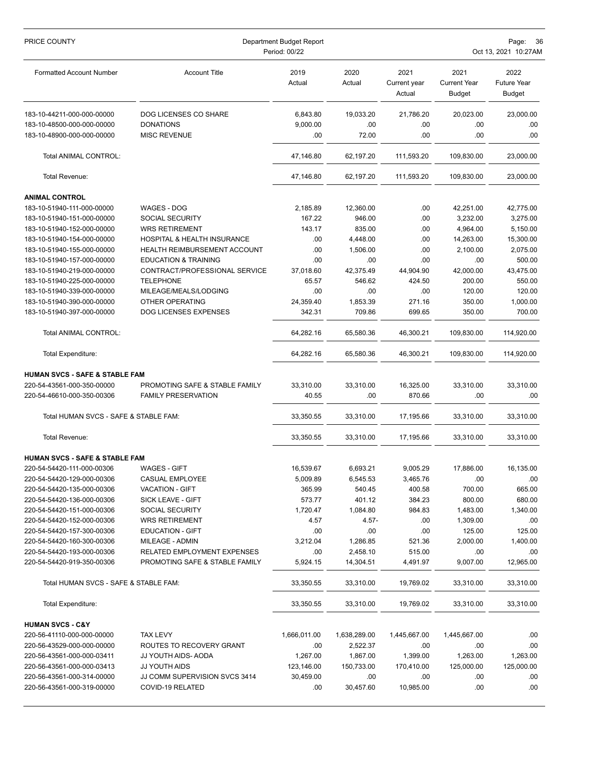| PRICE COUNTY                              | Department Budget Report<br>Period: 00/22 |                |                |                                |                                       | Page:<br>36<br>Oct 13, 2021 10:27AM         |  |
|-------------------------------------------|-------------------------------------------|----------------|----------------|--------------------------------|---------------------------------------|---------------------------------------------|--|
| <b>Formatted Account Number</b>           | <b>Account Title</b>                      | 2019<br>Actual | 2020<br>Actual | 2021<br>Current year<br>Actual | 2021<br><b>Current Year</b><br>Budget | 2022<br><b>Future Year</b><br><b>Budget</b> |  |
| 183-10-44211-000-000-00000                | DOG LICENSES CO SHARE                     | 6,843.80       | 19,033.20      | 21,786.20                      | 20,023.00                             | 23,000.00                                   |  |
| 183-10-48500-000-000-00000                | <b>DONATIONS</b>                          | 9,000.00       | .00            | .00                            | .00                                   | .00                                         |  |
| 183-10-48900-000-000-00000                | <b>MISC REVENUE</b>                       | .00            | 72.00          | .00                            | .00                                   | .00                                         |  |
| Total ANIMAL CONTROL:                     |                                           | 47,146.80      | 62,197.20      | 111,593.20                     | 109,830.00                            | 23,000.00                                   |  |
| Total Revenue:                            |                                           | 47,146.80      | 62,197.20      | 111,593.20                     | 109,830.00                            | 23,000.00                                   |  |
| <b>ANIMAL CONTROL</b>                     |                                           |                |                |                                |                                       |                                             |  |
| 183-10-51940-111-000-00000                | WAGES - DOG                               | 2,185.89       | 12,360.00      | .00.                           | 42,251.00                             | 42,775.00                                   |  |
| 183-10-51940-151-000-00000                | <b>SOCIAL SECURITY</b>                    | 167.22         | 946.00         | .00                            | 3,232.00                              | 3,275.00                                    |  |
| 183-10-51940-152-000-00000                | <b>WRS RETIREMENT</b>                     | 143.17         | 835.00         | .00                            | 4,964.00                              | 5,150.00                                    |  |
| 183-10-51940-154-000-00000                | <b>HOSPITAL &amp; HEALTH INSURANCE</b>    | .00            | 4,448.00       | .00                            | 14,263.00                             | 15,300.00                                   |  |
| 183-10-51940-155-000-00000                | HEALTH REIMBURSEMENT ACCOUNT              | .00            | 1,506.00       | .00                            | 2,100.00                              | 2,075.00                                    |  |
| 183-10-51940-157-000-00000                | <b>EDUCATION &amp; TRAINING</b>           | .00            | .00            | .00                            | .00                                   | 500.00                                      |  |
| 183-10-51940-219-000-00000                | CONTRACT/PROFESSIONAL SERVICE             | 37,018.60      | 42,375.49      | 44,904.90                      | 42,000.00                             | 43,475.00                                   |  |
| 183-10-51940-225-000-00000                | <b>TELEPHONE</b>                          | 65.57          | 546.62         | 424.50                         | 200.00                                | 550.00                                      |  |
| 183-10-51940-339-000-00000                | MILEAGE/MEALS/LODGING                     | .00            | .00            | .00                            | 120.00                                | 120.00                                      |  |
| 183-10-51940-390-000-00000                | OTHER OPERATING                           | 24,359.40      | 1,853.39       | 271.16                         | 350.00                                | 1,000.00                                    |  |
| 183-10-51940-397-000-00000                | <b>DOG LICENSES EXPENSES</b>              | 342.31         | 709.86         | 699.65                         | 350.00                                | 700.00                                      |  |
| Total ANIMAL CONTROL:                     |                                           | 64,282.16      | 65,580.36      | 46,300.21                      | 109,830.00                            | 114,920.00                                  |  |
| <b>Total Expenditure:</b>                 |                                           | 64,282.16      | 65,580.36      | 46,300.21                      | 109,830.00                            | 114,920.00                                  |  |
| <b>HUMAN SVCS - SAFE &amp; STABLE FAM</b> |                                           |                |                |                                |                                       |                                             |  |
| 220-54-43561-000-350-00000                | PROMOTING SAFE & STABLE FAMILY            | 33,310.00      | 33,310.00      | 16,325.00                      | 33,310.00                             | 33,310.00                                   |  |
| 220-54-46610-000-350-00306                | <b>FAMILY PRESERVATION</b>                | 40.55          | .00            | 870.66                         | .00                                   | .00                                         |  |
| Total HUMAN SVCS - SAFE & STABLE FAM:     |                                           | 33,350.55      | 33,310.00      | 17,195.66                      | 33.310.00                             | 33,310.00                                   |  |
| Total Revenue:                            |                                           | 33,350.55      | 33,310.00      | 17,195.66                      | 33,310.00                             | 33,310.00                                   |  |
| <b>HUMAN SVCS - SAFE &amp; STABLE FAM</b> |                                           |                |                |                                |                                       |                                             |  |
| 220-54-54420-111-000-00306                | <b>WAGES - GIFT</b>                       | 16,539.67      | 6,693.21       | 9,005.29                       | 17,886.00                             | 16,135.00                                   |  |
| 220-54-54420-129-000-00306                | CASUAL EMPLOYEE                           | 5,009.89       | 6,545.53       | 3,465.76                       | .00                                   | .00                                         |  |
| 220-54-54420-135-000-00306                | <b>VACATION - GIFT</b>                    | 365.99         | 540.45         | 400.58                         | 700.00                                | 665.00                                      |  |
| 220-54-54420-136-000-00306                | SICK LEAVE - GIFT                         | 573.77         | 401.12         | 384.23                         | 800.00                                | 680.00                                      |  |
| 220-54-54420-151-000-00306                | <b>SOCIAL SECURITY</b>                    | 1,720.47       | 1,084.80       | 984.83                         | 1,483.00                              | 1,340.00                                    |  |
| 220-54-54420-152-000-00306                | <b>WRS RETIREMENT</b>                     | 4.57           | $4.57 -$       | .00                            | 1,309.00                              | .00.                                        |  |
| 220-54-54420-157-300-00306                | <b>EDUCATION - GIFT</b>                   | .00            | .00            | .00                            | 125.00                                | 125.00                                      |  |
| 220-54-54420-160-300-00306                | MILEAGE - ADMIN                           | 3,212.04       | 1,286.85       | 521.36                         | 2,000.00                              | 1,400.00                                    |  |
| 220-54-54420-193-000-00306                | RELATED EMPLOYMENT EXPENSES               | .00            | 2,458.10       | 515.00                         | .00                                   | .00                                         |  |
| 220-54-54420-919-350-00306                | PROMOTING SAFE & STABLE FAMILY            | 5,924.15       | 14,304.51      | 4,491.97                       | 9,007.00                              | 12,965.00                                   |  |
| Total HUMAN SVCS - SAFE & STABLE FAM:     |                                           | 33,350.55      | 33,310.00      | 19,769.02                      | 33,310.00                             | 33,310.00                                   |  |
| <b>Total Expenditure:</b>                 |                                           | 33,350.55      | 33,310.00      | 19,769.02                      | 33,310.00                             | 33,310.00                                   |  |
| <b>HUMAN SVCS - C&amp;Y</b>               |                                           |                |                |                                |                                       |                                             |  |
| 220-56-41110-000-000-00000                | <b>TAX LEVY</b>                           | 1,666,011.00   | 1,638,289.00   | 1,445,667.00                   | 1,445,667.00                          | .00.                                        |  |
| 220-56-43529-000-000-00000                | ROUTES TO RECOVERY GRANT                  | .00            | 2,522.37       | .00                            | .00                                   | .00                                         |  |
| 220-56-43561-000-000-03411                | JJ YOUTH AIDS- AODA                       | 1,267.00       | 1,867.00       | 1,399.00                       | 1,263.00                              | 1,263.00                                    |  |
| 220-56-43561-000-000-03413                | JJ YOUTH AIDS                             | 123,146.00     | 150,733.00     | 170,410.00                     | 125,000.00                            | 125,000.00                                  |  |
| 220-56-43561-000-314-00000                | JJ COMM SUPERVISION SVCS 3414             | 30,459.00      | .00.           | .00.                           | .00                                   | .00.                                        |  |
| 220-56-43561-000-319-00000                | COVID-19 RELATED                          | .00            | 30,457.60      | 10,985.00                      | .00                                   | .00                                         |  |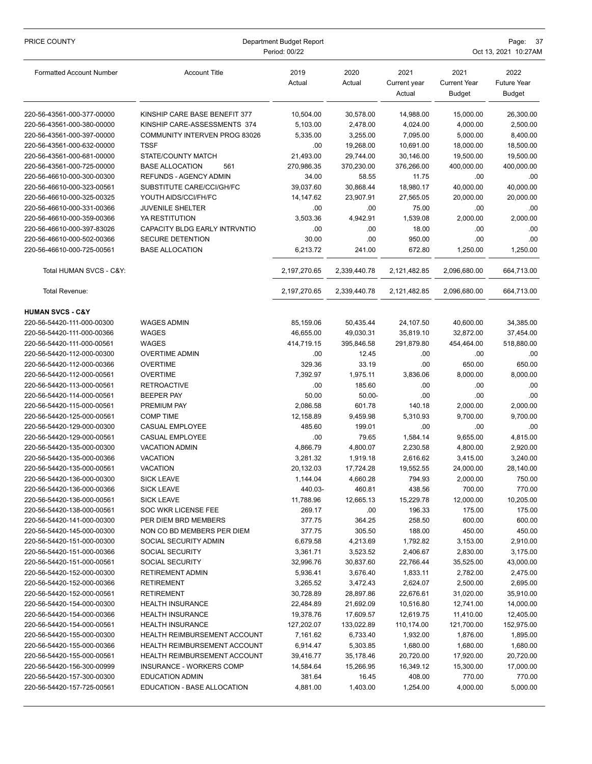| PRICE COUNTY                                             | Department Budget Report<br>Period: 00/22         |                      |                      |                                | Page:<br>- 37<br>Oct 13, 2021 10:27AM        |                                             |  |
|----------------------------------------------------------|---------------------------------------------------|----------------------|----------------------|--------------------------------|----------------------------------------------|---------------------------------------------|--|
| <b>Formatted Account Number</b>                          | <b>Account Title</b>                              | 2019<br>Actual       | 2020<br>Actual       | 2021<br>Current year<br>Actual | 2021<br><b>Current Year</b><br><b>Budget</b> | 2022<br><b>Future Year</b><br><b>Budget</b> |  |
| 220-56-43561-000-377-00000                               | KINSHIP CARE BASE BENEFIT 377                     | 10,504.00            | 30,578.00            | 14,988.00                      | 15,000.00                                    | 26,300.00                                   |  |
| 220-56-43561-000-380-00000                               | KINSHIP CARE-ASSESSMENTS 374                      | 5,103.00             | 2,478.00             | 4,024.00                       | 4,000.00                                     | 2,500.00                                    |  |
| 220-56-43561-000-397-00000                               | COMMUNITY INTERVEN PROG 83026                     | 5,335.00             | 3,255.00             | 7,095.00                       | 5,000.00                                     | 8,400.00                                    |  |
| 220-56-43561-000-632-00000                               | <b>TSSF</b>                                       | .00                  | 19,268.00            | 10,691.00                      | 18,000.00                                    | 18,500.00                                   |  |
| 220-56-43561-000-681-00000                               | STATE/COUNTY MATCH                                | 21,493.00            | 29,744.00            | 30,146.00                      | 19,500.00                                    | 19,500.00                                   |  |
| 220-56-43561-000-725-00000                               | <b>BASE ALLOCATION</b><br>561                     | 270,986.35           | 370,230.00           | 376,266.00                     | 400,000.00                                   | 400,000.00                                  |  |
| 220-56-46610-000-300-00300                               | <b>REFUNDS - AGENCY ADMIN</b>                     | 34.00                | 58.55                | 11.75                          | .00                                          | .00                                         |  |
| 220-56-46610-000-323-00561                               | SUBSTITUTE CARE/CCI/GH/FC                         | 39,037.60            | 30,868.44            | 18,980.17                      | 40,000.00                                    | 40,000.00                                   |  |
| 220-56-46610-000-325-00325                               | YOUTH AIDS/CCI/FH/FC                              | 14,147.62            | 23,907.91            | 27,565.05                      | 20,000.00                                    | 20,000.00                                   |  |
| 220-56-46610-000-331-00366                               | <b>JUVENILE SHELTER</b>                           | .00                  | .00                  | 75.00                          | .00                                          | .00                                         |  |
| 220-56-46610-000-359-00366                               | YA RESTITUTION                                    | 3,503.36             | 4,942.91             | 1,539.08                       | 2,000.00                                     | 2,000.00                                    |  |
| 220-56-46610-000-397-83026                               | CAPACITY BLDG EARLY INTRVNTIO                     | .00                  | .00                  | 18.00                          | .00                                          | .00                                         |  |
| 220-56-46610-000-502-00366                               | <b>SECURE DETENTION</b><br><b>BASE ALLOCATION</b> | 30.00                | .00                  | 950.00<br>672.80               | .00                                          | .00                                         |  |
| 220-56-46610-000-725-00561                               |                                                   | 6,213.72             | 241.00               |                                | 1,250.00                                     | 1,250.00                                    |  |
| Total HUMAN SVCS - C&Y:                                  |                                                   | 2,197,270.65         | 2,339,440.78         | 2,121,482.85                   | 2,096,680.00                                 | 664,713.00                                  |  |
| Total Revenue:                                           |                                                   | 2,197,270.65         | 2,339,440.78         | 2,121,482.85                   | 2,096,680.00                                 | 664,713.00                                  |  |
| <b>HUMAN SVCS - C&amp;Y</b>                              |                                                   |                      |                      |                                |                                              |                                             |  |
| 220-56-54420-111-000-00300                               | <b>WAGES ADMIN</b>                                | 85,159.06            | 50,435.44            | 24,107.50                      | 40,600.00                                    | 34,385.00                                   |  |
| 220-56-54420-111-000-00366                               | <b>WAGES</b>                                      | 46,655.00            | 49,030.31            | 35,819.10                      | 32,872.00                                    | 37,454.00                                   |  |
| 220-56-54420-111-000-00561                               | <b>WAGES</b>                                      | 414,719.15           | 395,846.58           | 291,879.80                     | 454,464.00                                   | 518,880.00                                  |  |
| 220-56-54420-112-000-00300                               | <b>OVERTIME ADMIN</b>                             | .00                  | 12.45                | .00                            | .00                                          | .00.                                        |  |
| 220-56-54420-112-000-00366                               | <b>OVERTIME</b>                                   | 329.36               | 33.19                | .00                            | 650.00                                       | 650.00                                      |  |
| 220-56-54420-112-000-00561                               | <b>OVERTIME</b>                                   | 7,392.97             | 1,975.11             | 3,836.06                       | 8,000.00                                     | 8,000.00                                    |  |
| 220-56-54420-113-000-00561                               | <b>RETROACTIVE</b>                                | .00                  | 185.60               | .00                            | .00                                          | .00                                         |  |
| 220-56-54420-114-000-00561                               | <b>BEEPER PAY</b>                                 | 50.00                | $50.00 -$            | .00                            | .00                                          | .00                                         |  |
| 220-56-54420-115-000-00561                               | PREMIUM PAY                                       | 2,086.58             | 601.78               | 140.18                         | 2,000.00                                     | 2,000.00                                    |  |
| 220-56-54420-125-000-00561                               | <b>COMP TIME</b>                                  | 12,158.89            | 9,459.98             | 5,310.93                       | 9,700.00                                     | 9,700.00                                    |  |
| 220-56-54420-129-000-00300                               | CASUAL EMPLOYEE                                   | 485.60               | 199.01               | .00                            | .00                                          | .00                                         |  |
| 220-56-54420-129-000-00561                               | CASUAL EMPLOYEE                                   | .00                  | 79.65                | 1,584.14                       | 9,655.00                                     | 4,815.00                                    |  |
| 220-56-54420-135-000-00300<br>220-56-54420-135-000-00366 | <b>VACATION ADMIN</b><br><b>VACATION</b>          | 4,866.79<br>3,281.32 | 4,800.07<br>1,919.18 | 2,230.58<br>2,616.62           | 4,800.00<br>3,415.00                         | 2,920.00<br>3,240.00                        |  |
| 220-56-54420-135-000-00561                               | <b>VACATION</b>                                   | 20,132.03            | 17,724.28            | 19,552.55                      | 24,000.00                                    | 28,140.00                                   |  |
| 220-56-54420-136-000-00300                               | <b>SICK LEAVE</b>                                 | 1.144.04             | 4,660.28             | 794.93                         | 2,000.00                                     | 750.00                                      |  |
| 220-56-54420-136-000-00366                               | <b>SICK LEAVE</b>                                 | 440.03-              | 460.81               | 438.56                         | 700.00                                       | 770.00                                      |  |
| 220-56-54420-136-000-00561                               | <b>SICK LEAVE</b>                                 | 11,788.96            | 12,665.13            | 15,229.78                      | 12,000.00                                    | 10,205.00                                   |  |
| 220-56-54420-138-000-00561                               | <b>SOC WKR LICENSE FEE</b>                        | 269.17               | .00                  | 196.33                         | 175.00                                       | 175.00                                      |  |
| 220-56-54420-141-000-00300                               | PER DIEM BRD MEMBERS                              | 377.75               | 364.25               | 258.50                         | 600.00                                       | 600.00                                      |  |
| 220-56-54420-145-000-00300                               | NON CO BD MEMBERS PER DIEM                        | 377.75               | 305.50               | 188.00                         | 450.00                                       | 450.00                                      |  |
| 220-56-54420-151-000-00300                               | SOCIAL SECURITY ADMIN                             | 6,679.58             | 4,213.69             | 1,792.82                       | 3,153.00                                     | 2,910.00                                    |  |
| 220-56-54420-151-000-00366                               | SOCIAL SECURITY                                   | 3,361.71             | 3,523.52             | 2,406.67                       | 2,830.00                                     | 3,175.00                                    |  |
| 220-56-54420-151-000-00561                               | <b>SOCIAL SECURITY</b>                            | 32,996.76            | 30,837.60            | 22,766.44                      | 35,525.00                                    | 43,000.00                                   |  |
| 220-56-54420-152-000-00300                               | <b>RETIREMENT ADMIN</b>                           | 5,936.41             | 3,676.40             | 1,833.11                       | 2,782.00                                     | 2,475.00                                    |  |
| 220-56-54420-152-000-00366                               | <b>RETIREMENT</b>                                 | 3,265.52             | 3,472.43             | 2,624.07                       | 2,500.00                                     | 2,695.00                                    |  |
| 220-56-54420-152-000-00561                               | <b>RETIREMENT</b>                                 | 30,728.89            | 28,897.86            | 22,676.61                      | 31,020.00                                    | 35,910.00                                   |  |
| 220-56-54420-154-000-00300                               | <b>HEALTH INSURANCE</b>                           | 22,484.89            | 21,692.09            | 10,516.80                      | 12,741.00                                    | 14,000.00                                   |  |
| 220-56-54420-154-000-00366                               | <b>HEALTH INSURANCE</b>                           | 19,378.76            | 17,609.57            | 12,619.75                      | 11,410.00                                    | 12,405.00                                   |  |
| 220-56-54420-154-000-00561                               | <b>HEALTH INSURANCE</b>                           | 127,202.07           | 133,022.89           | 110,174.00                     | 121,700.00                                   | 152,975.00                                  |  |
| 220-56-54420-155-000-00300                               | HEALTH REIMBURSEMENT ACCOUNT                      | 7,161.62             | 6,733.40             | 1,932.00                       | 1,876.00                                     | 1,895.00                                    |  |
| 220-56-54420-155-000-00366                               | HEALTH REIMBURSEMENT ACCOUNT                      | 6,914.47             | 5,303.85             | 1,680.00                       | 1,680.00                                     | 1,680.00                                    |  |
| 220-56-54420-155-000-00561                               | <b>HEALTH REIMBURSEMENT ACCOUNT</b>               | 39,416.77            | 35,178.46            | 20,720.00                      | 17,920.00                                    | 20,720.00                                   |  |
| 220-56-54420-156-300-00999                               | INSURANCE - WORKERS COMP                          | 14,584.64            | 15,266.95            | 16,349.12                      | 15,300.00                                    | 17,000.00                                   |  |
| 220-56-54420-157-300-00300                               | <b>EDUCATION ADMIN</b>                            | 381.64               | 16.45                | 408.00                         | 770.00                                       | 770.00                                      |  |
| 220-56-54420-157-725-00561                               | EDUCATION - BASE ALLOCATION                       | 4,881.00             | 1,403.00             | 1,254.00                       | 4,000.00                                     | 5,000.00                                    |  |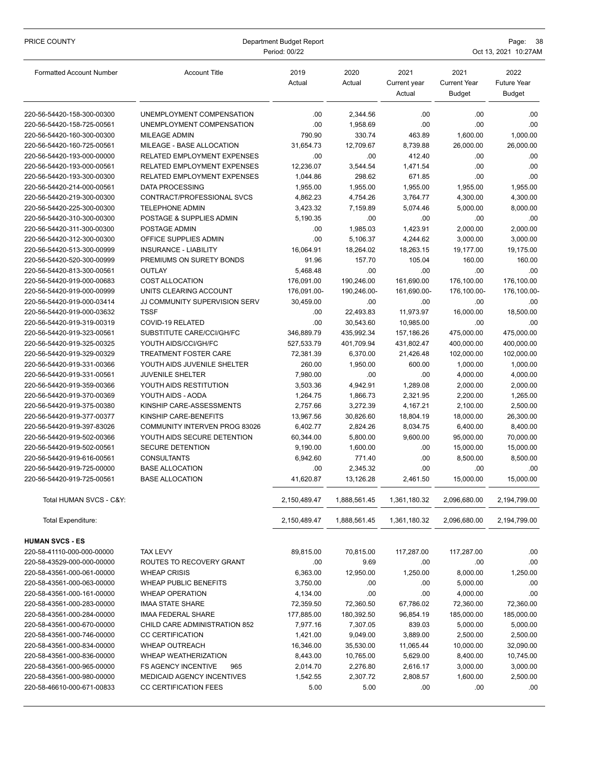| PRICE COUNTY                                             | Department Budget Report<br>Period: 00/22               |                  |                           |                                | Page:<br>38<br>Oct 13, 2021 10:27AM          |                                      |  |
|----------------------------------------------------------|---------------------------------------------------------|------------------|---------------------------|--------------------------------|----------------------------------------------|--------------------------------------|--|
| <b>Formatted Account Number</b>                          | <b>Account Title</b>                                    | 2019<br>Actual   | 2020<br>Actual            | 2021<br>Current year<br>Actual | 2021<br><b>Current Year</b><br><b>Budget</b> | 2022<br><b>Future Year</b><br>Budget |  |
| 220-56-54420-158-300-00300                               | UNEMPLOYMENT COMPENSATION                               | .00              | 2,344.56                  | .00                            | .00                                          | .00                                  |  |
| 220-56-54420-158-725-00561                               | UNEMPLOYMENT COMPENSATION                               | .00              | 1,958.69                  | .00                            | .00                                          | .00                                  |  |
| 220-56-54420-160-300-00300                               | MILEAGE ADMIN                                           | 790.90           | 330.74                    | 463.89                         | 1,600.00                                     | 1,000.00                             |  |
| 220-56-54420-160-725-00561                               | MILEAGE - BASE ALLOCATION                               | 31,654.73        | 12,709.67                 | 8,739.88                       | 26,000.00                                    | 26,000.00                            |  |
| 220-56-54420-193-000-00000                               | RELATED EMPLOYMENT EXPENSES                             | .00              | .00                       | 412.40                         | .00                                          | .00                                  |  |
| 220-56-54420-193-000-00561                               | <b>RELATED EMPLOYMENT EXPENSES</b>                      | 12,236.07        | 3,544.54                  | 1,471.54                       | .00                                          | .00                                  |  |
| 220-56-54420-193-300-00300                               | RELATED EMPLOYMENT EXPENSES                             | 1,044.86         | 298.62                    | 671.85                         | .00                                          | .00                                  |  |
| 220-56-54420-214-000-00561                               | <b>DATA PROCESSING</b>                                  | 1,955.00         | 1,955.00                  | 1,955.00                       | 1,955.00                                     | 1,955.00                             |  |
| 220-56-54420-219-300-00300                               | CONTRACT/PROFESSIONAL SVCS                              | 4,862.23         | 4,754.26                  | 3,764.77                       | 4,300.00                                     | 4,300.00                             |  |
| 220-56-54420-225-300-00300                               | <b>TELEPHONE ADMIN</b>                                  | 3,423.32         | 7,159.89                  | 5,074.46                       | 5,000.00                                     | 8,000.00                             |  |
| 220-56-54420-310-300-00300                               | POSTAGE & SUPPLIES ADMIN                                | 5,190.35         | .00                       | .00                            | .00                                          | .00                                  |  |
| 220-56-54420-311-300-00300                               | POSTAGE ADMIN                                           | .00              | 1,985.03                  | 1,423.91                       | 2,000.00                                     | 2,000.00                             |  |
| 220-56-54420-312-300-00300                               | OFFICE SUPPLIES ADMIN                                   | .00              | 5,106.37                  | 4,244.62                       | 3,000.00                                     | 3,000.00                             |  |
| 220-56-54420-513-300-00999                               | <b>INSURANCE - LIABILITY</b>                            | 16,064.91        | 18,264.02                 | 18,263.15                      | 19,177.00                                    | 19,175.00                            |  |
| 220-56-54420-520-300-00999                               | PREMIUMS ON SURETY BONDS                                | 91.96            | 157.70                    | 105.04                         | 160.00                                       | 160.00                               |  |
| 220-56-54420-813-300-00561                               | <b>OUTLAY</b>                                           | 5,468.48         | .00                       | .00                            | .00                                          | .00                                  |  |
| 220-56-54420-919-000-00683<br>220-56-54420-919-000-00999 | <b>COST ALLOCATION</b>                                  | 176,091.00       | 190,246.00<br>190.246.00- | 161,690.00                     | 176,100.00                                   | 176,100.00                           |  |
| 220-56-54420-919-000-03414                               | UNITS CLEARING ACCOUNT<br>JJ COMMUNITY SUPERVISION SERV | 176,091.00-      | .00                       | 161,690.00-<br>.00             | 176,100.00-<br>.00                           | 176,100.00-                          |  |
| 220-56-54420-919-000-03632                               | <b>TSSF</b>                                             | 30,459.00<br>.00 | 22,493.83                 | 11,973.97                      | 16,000.00                                    | .00<br>18,500.00                     |  |
| 220-56-54420-919-319-00319                               | COVID-19 RELATED                                        | .00              | 30,543.60                 | 10,985.00                      | .00                                          | .00                                  |  |
| 220-56-54420-919-323-00561                               | SUBSTITUTE CARE/CCI/GH/FC                               | 346,889.79       | 435,992.34                | 157,186.26                     | 475,000.00                                   | 475,000.00                           |  |
| 220-56-54420-919-325-00325                               | YOUTH AIDS/CCI/GH/FC                                    | 527,533.79       | 401,709.94                | 431,802.47                     | 400,000.00                                   | 400,000.00                           |  |
| 220-56-54420-919-329-00329                               | <b>TREATMENT FOSTER CARE</b>                            | 72,381.39        | 6,370.00                  | 21,426.48                      | 102,000.00                                   | 102,000.00                           |  |
| 220-56-54420-919-331-00366                               | YOUTH AIDS JUVENILE SHELTER                             | 260.00           | 1,950.00                  | 600.00                         | 1,000.00                                     | 1,000.00                             |  |
| 220-56-54420-919-331-00561                               | <b>JUVENILE SHELTER</b>                                 | 7,980.00         | .00                       | .00                            | 4,000.00                                     | 4,000.00                             |  |
| 220-56-54420-919-359-00366                               | YOUTH AIDS RESTITUTION                                  | 3,503.36         | 4,942.91                  | 1,289.08                       | 2,000.00                                     | 2,000.00                             |  |
| 220-56-54420-919-370-00369                               | YOUTH AIDS - AODA                                       | 1,264.75         | 1,866.73                  | 2,321.95                       | 2,200.00                                     | 1,265.00                             |  |
| 220-56-54420-919-375-00380                               | KINSHIP CARE-ASSESSMENTS                                | 2,757.66         | 3,272.39                  | 4,167.21                       | 2,100.00                                     | 2,500.00                             |  |
| 220-56-54420-919-377-00377                               | KINSHIP CARE-BENEFITS                                   | 13,967.56        | 30,826.60                 | 18,804.19                      | 18,000.00                                    | 26,300.00                            |  |
| 220-56-54420-919-397-83026                               | <b>COMMUNITY INTERVEN PROG 83026</b>                    | 6,402.77         | 2,824.26                  | 8,034.75                       | 6,400.00                                     | 8,400.00                             |  |
| 220-56-54420-919-502-00366                               | YOUTH AIDS SECURE DETENTION                             | 60,344.00        | 5,800.00                  | 9,600.00                       | 95,000.00                                    | 70,000.00                            |  |
| 220-56-54420-919-502-00561                               | <b>SECURE DETENTION</b>                                 | 9,190.00         | 1,600.00                  | .00                            | 15,000.00                                    | 15,000.00                            |  |
| 220-56-54420-919-616-00561                               | <b>CONSULTANTS</b>                                      | 6,942.60         | 771.40                    | .00                            | 8.500.00                                     | 8,500.00                             |  |
| 220-56-54420-919-725-00000                               | <b>BASE ALLOCATION</b>                                  | .00              | 2,345.32                  | .00                            | .00                                          | .00                                  |  |
| 220-56-54420-919-725-00561                               | <b>BASE ALLOCATION</b>                                  | 41,620.87        | 13,126.28                 | 2,461.50                       | 15,000.00                                    | 15,000.00                            |  |
| Total HUMAN SVCS - C&Y:                                  |                                                         | 2,150,489.47     | 1,888,561.45              | 1,361,180.32                   | 2,096,680.00                                 | 2,194,799.00                         |  |
| <b>Total Expenditure:</b>                                |                                                         | 2,150,489.47     | 1,888,561.45              | 1,361,180.32                   | 2,096,680.00                                 | 2,194,799.00                         |  |
| <b>HUMAN SVCS - ES</b>                                   |                                                         |                  |                           |                                |                                              |                                      |  |
| 220-58-41110-000-000-00000                               | <b>TAX LEVY</b>                                         | 89,815.00        | 70,815.00                 | 117,287.00                     | 117,287.00                                   | .00.                                 |  |
| 220-58-43529-000-000-00000                               | ROUTES TO RECOVERY GRANT                                | .00              | 9.69                      | .00                            | .00                                          | .00.                                 |  |
| 220-58-43561-000-061-00000                               | <b>WHEAP CRISIS</b>                                     | 6,363.00         | 12,950.00                 | 1,250.00                       | 8,000.00                                     | 1,250.00                             |  |
| 220-58-43561-000-063-00000                               | WHEAP PUBLIC BENEFITS                                   | 3,750.00         | .00                       | .00                            | 5,000.00                                     | .00                                  |  |
| 220-58-43561-000-161-00000                               | <b>WHEAP OPERATION</b>                                  | 4,134.00         | .00                       | .00                            | 4,000.00                                     | .00                                  |  |
| 220-58-43561-000-283-00000                               | <b>IMAA STATE SHARE</b>                                 | 72,359.50        | 72,360.50                 | 67,786.02                      | 72,360.00                                    | 72,360.00                            |  |
| 220-58-43561-000-284-00000                               | IMAA FEDERAL SHARE                                      | 177,885.00       | 180,392.50                | 96,854.19                      | 185,000.00                                   | 185,000.00                           |  |
| 220-58-43561-000-670-00000                               | CHILD CARE ADMINISTRATION 852                           | 7,977.16         | 7,307.05                  | 839.03                         | 5,000.00                                     | 5,000.00                             |  |
| 220-58-43561-000-746-00000                               | <b>CC CERTIFICATION</b>                                 | 1,421.00         | 9,049.00                  | 3,889.00                       | 2,500.00                                     | 2,500.00                             |  |
| 220-58-43561-000-834-00000                               | WHEAP OUTREACH                                          | 16,346.00        | 35,530.00                 | 11,065.44                      | 10,000.00                                    | 32,090.00                            |  |
| 220-58-43561-000-836-00000                               | <b>WHEAP WEATHERIZATION</b>                             | 8,443.00         | 10,765.00                 | 5,629.00                       | 8,400.00                                     | 10,745.00                            |  |
| 220-58-43561-000-965-00000                               | <b>FS AGENCY INCENTIVE</b><br>965                       | 2,014.70         | 2,276.80                  | 2,616.17                       | 3,000.00                                     | 3,000.00                             |  |
| 220-58-43561-000-980-00000<br>220-58-46610-000-671-00833 | MEDICAID AGENCY INCENTIVES<br>CC CERTIFICATION FEES     | 1,542.55<br>5.00 | 2,307.72<br>5.00          | 2,808.57                       | 1,600.00                                     | 2,500.00<br>.00.                     |  |
|                                                          |                                                         |                  |                           | .00                            | .00                                          |                                      |  |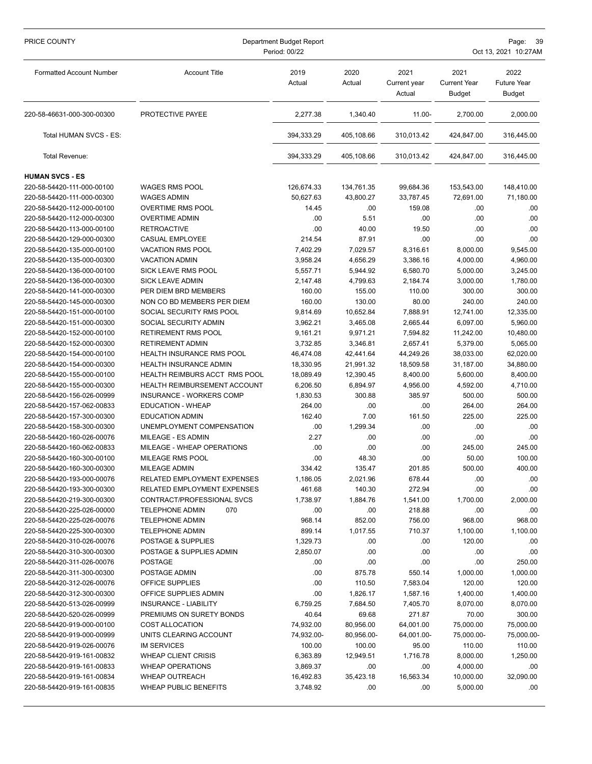| PRICE COUNTY                    | Department Budget Report<br>Period: 00/22 |                |                |                                |                                       | Page:<br>39<br>Oct 13, 2021 10:27AM         |  |  |
|---------------------------------|-------------------------------------------|----------------|----------------|--------------------------------|---------------------------------------|---------------------------------------------|--|--|
| <b>Formatted Account Number</b> | <b>Account Title</b>                      | 2019<br>Actual | 2020<br>Actual | 2021<br>Current year<br>Actual | 2021<br><b>Current Year</b><br>Budget | 2022<br><b>Future Year</b><br><b>Budget</b> |  |  |
| 220-58-46631-000-300-00300      | PROTECTIVE PAYEE                          | 2,277.38       | 1,340.40       | 11.00-                         | 2,700.00                              | 2,000.00                                    |  |  |
| Total HUMAN SVCS - ES:          |                                           | 394,333.29     | 405,108.66     | 310,013.42                     | 424,847.00                            | 316,445.00                                  |  |  |
| Total Revenue:                  |                                           | 394,333.29     | 405,108.66     | 310,013.42                     | 424,847.00                            | 316,445.00                                  |  |  |
| <b>HUMAN SVCS - ES</b>          |                                           |                |                |                                |                                       |                                             |  |  |
| 220-58-54420-111-000-00100      | <b>WAGES RMS POOL</b>                     | 126,674.33     | 134,761.35     | 99,684.36                      | 153,543.00                            | 148,410.00                                  |  |  |
| 220-58-54420-111-000-00300      | <b>WAGES ADMIN</b>                        | 50,627.63      | 43,800.27      | 33,787.45                      | 72,691.00                             | 71,180.00                                   |  |  |
| 220-58-54420-112-000-00100      | <b>OVERTIME RMS POOL</b>                  | 14.45          | .00            | 159.08                         | .00                                   | .00                                         |  |  |
| 220-58-54420-112-000-00300      | <b>OVERTIME ADMIN</b>                     | .00            | 5.51           | .00                            | .00                                   | .00                                         |  |  |
| 220-58-54420-113-000-00100      | <b>RETROACTIVE</b>                        | .00            | 40.00          | 19.50                          | .00                                   | .00                                         |  |  |
| 220-58-54420-129-000-00300      | <b>CASUAL EMPLOYEE</b>                    | 214.54         | 87.91          | .00                            | .00                                   | .00                                         |  |  |
| 220-58-54420-135-000-00100      | <b>VACATION RMS POOL</b>                  | 7,402.29       | 7,029.57       | 8,316.61                       | 8,000.00                              | 9,545.00                                    |  |  |
| 220-58-54420-135-000-00300      | <b>VACATION ADMIN</b>                     | 3,958.24       | 4,656.29       | 3,386.16                       | 4,000.00                              | 4,960.00                                    |  |  |
| 220-58-54420-136-000-00100      | <b>SICK LEAVE RMS POOL</b>                | 5,557.71       | 5,944.92       | 6,580.70                       | 5,000.00                              | 3,245.00                                    |  |  |
| 220-58-54420-136-000-00300      | <b>SICK LEAVE ADMIN</b>                   | 2,147.48       | 4,799.63       | 2,184.74                       | 3,000.00                              | 1,780.00                                    |  |  |
| 220-58-54420-141-000-00300      | PER DIEM BRD MEMBERS                      | 160.00         | 155.00         | 110.00                         | 300.00                                | 300.00                                      |  |  |
| 220-58-54420-145-000-00300      | NON CO BD MEMBERS PER DIEM                | 160.00         | 130.00         | 80.00                          | 240.00                                | 240.00                                      |  |  |
| 220-58-54420-151-000-00100      | SOCIAL SECURITY RMS POOL                  | 9,814.69       | 10,652.84      | 7,888.91                       | 12,741.00                             | 12,335.00                                   |  |  |
| 220-58-54420-151-000-00300      | SOCIAL SECURITY ADMIN                     | 3,962.21       | 3,465.08       | 2,665.44                       | 6,097.00                              | 5,960.00                                    |  |  |
| 220-58-54420-152-000-00100      | RETIREMENT RMS POOL                       | 9,161.21       | 9,971.21       | 7,594.82                       | 11,242.00                             | 10,480.00                                   |  |  |
| 220-58-54420-152-000-00300      | <b>RETIREMENT ADMIN</b>                   | 3,732.85       | 3,346.81       | 2,657.41                       | 5,379.00                              | 5,065.00                                    |  |  |
| 220-58-54420-154-000-00100      | <b>HEALTH INSURANCE RMS POOL</b>          | 46,474.08      | 42,441.64      | 44,249.26                      | 38,033.00                             | 62,020.00                                   |  |  |
| 220-58-54420-154-000-00300      | HEALTH INSURANCE ADMIN                    | 18,330.95      | 21,991.32      | 18,509.58                      | 31,187.00                             | 34,880.00                                   |  |  |
| 220-58-54420-155-000-00100      | HEALTH REIMBURS ACCT RMS POOL             | 18,089.49      | 12,390.45      | 8,400.00                       | 5,600.00                              | 8,400.00                                    |  |  |
| 220-58-54420-155-000-00300      | <b>HEALTH REIMBURSEMENT ACCOUNT</b>       | 6,206.50       | 6,894.97       | 4,956.00                       | 4,592.00                              | 4,710.00                                    |  |  |
| 220-58-54420-156-026-00999      | INSURANCE - WORKERS COMP                  | 1,830.53       | 300.88         | 385.97                         | 500.00                                | 500.00                                      |  |  |
| 220-58-54420-157-062-00833      | <b>EDUCATION - WHEAP</b>                  | 264.00         | .00            | .00                            | 264.00                                | 264.00                                      |  |  |
| 220-58-54420-157-300-00300      | <b>EDUCATION ADMIN</b>                    | 162.40         | 7.00           | 161.50                         | 225.00                                | 225.00                                      |  |  |
| 220-58-54420-158-300-00300      | UNEMPLOYMENT COMPENSATION                 | .00            | 1,299.34       | .00                            | .00                                   | .00                                         |  |  |
| 220-58-54420-160-026-00076      | MILEAGE - ES ADMIN                        | 2.27           | .00            | .00                            | .00                                   | .00                                         |  |  |
| 220-58-54420-160-062-00833      | MILEAGE - WHEAP OPERATIONS                | .00            | .00            | .00                            | 245.00                                | 245.00                                      |  |  |
| 220-58-54420-160-300-00100      | MILEAGE RMS POOL                          | .00            | 48.30          | .00                            | 50.00                                 | 100.00                                      |  |  |
| 220-58-54420-160-300-00300      | MILEAGE ADMIN                             | 334.42         | 135.47         | 201.85                         | 500.00                                | 400.00                                      |  |  |
| 220-58-54420-193-000-00076      | RELATED EMPLOYMENT EXPENSES               | 1,186.05       | 2,021.96       | 678.44                         | .00                                   | .00.                                        |  |  |
| 220-58-54420-193-300-00300      | <b>RELATED EMPLOYMENT EXPENSES</b>        | 461.68         | 140.30         | 272.94                         | .00                                   | .00.                                        |  |  |
| 220-58-54420-219-300-00300      | CONTRACT/PROFESSIONAL SVCS                | 1,738.97       | 1,884.76       | 1,541.00                       | 1,700.00                              | 2,000.00                                    |  |  |
| 220-58-54420-225-026-00000      | <b>TELEPHONE ADMIN</b><br>070             | .00            | .00            | 218.88                         | .00                                   | .00                                         |  |  |
| 220-58-54420-225-026-00076      | <b>TELEPHONE ADMIN</b>                    | 968.14         | 852.00         | 756.00                         | 968.00                                | 968.00                                      |  |  |
| 220-58-54420-225-300-00300      | <b>TELEPHONE ADMIN</b>                    | 899.14         | 1,017.55       | 710.37                         | 1,100.00                              | 1,100.00                                    |  |  |
| 220-58-54420-310-026-00076      | POSTAGE & SUPPLIES                        | 1,329.73       | .00            | .00                            | 120.00                                | .00                                         |  |  |
| 220-58-54420-310-300-00300      | POSTAGE & SUPPLIES ADMIN                  | 2,850.07       | .00            | .00                            | .00.                                  | .00.                                        |  |  |
| 220-58-54420-311-026-00076      | <b>POSTAGE</b>                            | .00            | .00            | .00                            | .00                                   | 250.00                                      |  |  |
| 220-58-54420-311-300-00300      | POSTAGE ADMIN                             | .00            | 875.78         | 550.14                         | 1,000.00                              | 1,000.00                                    |  |  |
| 220-58-54420-312-026-00076      | OFFICE SUPPLIES                           | .00            | 110.50         | 7,583.04                       | 120.00                                | 120.00                                      |  |  |
| 220-58-54420-312-300-00300      | OFFICE SUPPLIES ADMIN                     | .00            | 1,826.17       | 1,587.16                       | 1,400.00                              | 1,400.00                                    |  |  |
| 220-58-54420-513-026-00999      | INSURANCE - LIABILITY                     | 6,759.25       | 7,684.50       | 7,405.70                       | 8,070.00                              | 8,070.00                                    |  |  |
| 220-58-54420-520-026-00999      | PREMIUMS ON SURETY BONDS                  | 40.64          | 69.68          | 271.87                         | 70.00                                 | 300.00                                      |  |  |
| 220-58-54420-919-000-00100      | COST ALLOCATION                           | 74,932.00      | 80,956.00      | 64,001.00                      | 75,000.00                             | 75,000.00                                   |  |  |
| 220-58-54420-919-000-00999      | UNITS CLEARING ACCOUNT                    | 74,932.00-     | 80,956.00-     | 64,001.00-                     | 75,000.00-                            | 75,000.00-                                  |  |  |
| 220-58-54420-919-026-00076      | <b>IM SERVICES</b>                        | 100.00         | 100.00         | 95.00                          | 110.00                                | 110.00                                      |  |  |
| 220-58-54420-919-161-00832      | <b>WHEAP CLIENT CRISIS</b>                | 6,363.89       | 12,949.51      | 1,716.78                       | 8,000.00                              | 1,250.00                                    |  |  |
| 220-58-54420-919-161-00833      | <b>WHEAP OPERATIONS</b>                   | 3,869.37       | .00            | .00                            | 4,000.00                              | .00                                         |  |  |
| 220-58-54420-919-161-00834      | <b>WHEAP OUTREACH</b>                     | 16,492.83      | 35,423.18      | 16,563.34                      | 10,000.00                             | 32,090.00                                   |  |  |
| 220-58-54420-919-161-00835      | <b>WHEAP PUBLIC BENEFITS</b>              | 3,748.92       | .00            | .00                            | 5,000.00                              | .00.                                        |  |  |
|                                 |                                           |                |                |                                |                                       |                                             |  |  |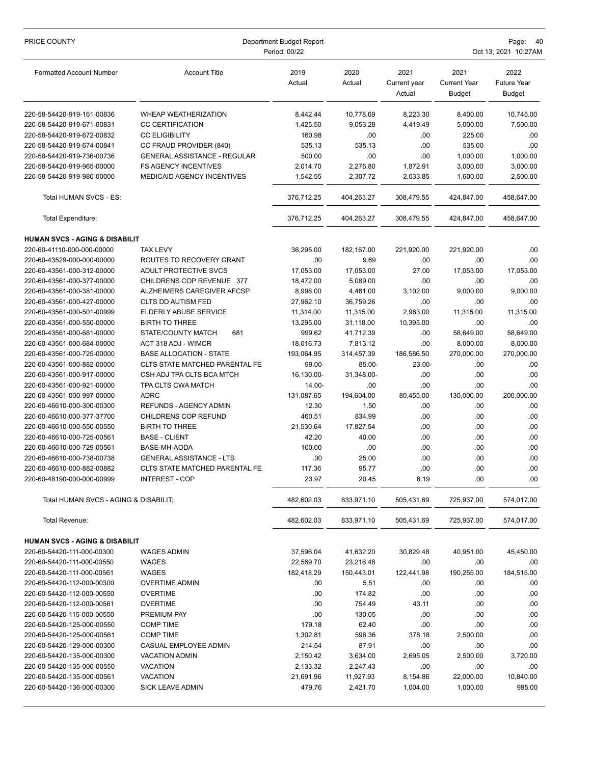| PRICE COUNTY                                             | Department Budget Report<br>Period: 00/22 |                     |                    |                                |                                              | Page:<br>- 40<br>Oct 13, 2021 10:27AM       |  |  |
|----------------------------------------------------------|-------------------------------------------|---------------------|--------------------|--------------------------------|----------------------------------------------|---------------------------------------------|--|--|
| <b>Formatted Account Number</b>                          | <b>Account Title</b>                      | 2019<br>Actual      | 2020<br>Actual     | 2021<br>Current year<br>Actual | 2021<br><b>Current Year</b><br><b>Budget</b> | 2022<br><b>Future Year</b><br><b>Budget</b> |  |  |
| 220-58-54420-919-161-00836                               | <b>WHEAP WEATHERIZATION</b>               | 8,442.44            | 10,778.69          | 8,223.30                       | 8,400.00                                     | 10,745.00                                   |  |  |
| 220-58-54420-919-671-00831                               | <b>CC CERTIFICATION</b>                   | 1,425.50            | 9,053.28           | 4,419.49                       | 5,000.00                                     | 7,500.00                                    |  |  |
| 220-58-54420-919-672-00832                               | <b>CC ELIGIBILITY</b>                     | 160.98              | .00                | .00                            | 225.00                                       | .00                                         |  |  |
| 220-58-54420-919-674-00841                               | CC FRAUD PROVIDER (840)                   | 535.13              | 535.13             | .00                            | 535.00                                       | .00                                         |  |  |
| 220-58-54420-919-736-00736                               | <b>GENERAL ASSISTANCE - REGULAR</b>       | 500.00              | .00                | .00                            | 1,000.00                                     | 1,000.00                                    |  |  |
| 220-58-54420-919-965-00000                               | <b>FS AGENCY INCENTIVES</b>               | 2,014.70            | 2,276.80           | 1,872.91                       | 3,000.00                                     | 3,000.00                                    |  |  |
| 220-58-54420-919-980-00000                               | MEDICAID AGENCY INCENTIVES                | 1,542.55            | 2,307.72           | 2,033.85                       | 1,600.00                                     | 2,500.00                                    |  |  |
| Total HUMAN SVCS - ES:                                   |                                           | 376,712.25          | 404,263.27         | 308,479.55                     | 424,847.00                                   | 458,647.00                                  |  |  |
| Total Expenditure:                                       |                                           | 376,712.25          | 404,263.27         | 308,479.55                     | 424,847.00                                   | 458,647.00                                  |  |  |
| <b>HUMAN SVCS - AGING &amp; DISABILIT</b>                |                                           |                     |                    |                                |                                              |                                             |  |  |
| 220-60-41110-000-000-00000                               | <b>TAX LEVY</b>                           | 36,295.00           | 182,167.00         | 221,920.00                     | 221,920.00                                   | .00.                                        |  |  |
| 220-60-43529-000-000-00000                               | ROUTES TO RECOVERY GRANT                  | .00                 | 9.69               | .00                            | .00                                          | .00                                         |  |  |
| 220-60-43561-000-312-00000                               | ADULT PROTECTIVE SVCS                     | 17,053.00           | 17,053.00          | 27.00                          | 17.053.00                                    | 17,053.00                                   |  |  |
| 220-60-43561-000-377-00000                               | CHILDRENS COP REVENUE 377                 | 18,472.00           | 5,089.00           | .00                            | .00                                          | .00                                         |  |  |
| 220-60-43561-000-381-00000                               | <b>ALZHEIMERS CAREGIVER AFCSP</b>         | 8,998.00            | 4,461.00           | 3,102.00                       | 9,000.00                                     | 9,000.00                                    |  |  |
| 220-60-43561-000-427-00000                               | CLTS DD AUTISM FED                        | 27,962.10           | 36,759.26          | .00                            | .00                                          | .00                                         |  |  |
| 220-60-43561-000-501-00999                               | ELDERLY ABUSE SERVICE                     | 11,314.00           | 11,315.00          | 2,963.00                       | 11,315.00                                    | 11,315.00                                   |  |  |
| 220-60-43561-000-550-00000                               | <b>BIRTH TO THREE</b>                     | 13,295.00           | 31,118.00          | 10,395.00                      | .00                                          | .00                                         |  |  |
| 220-60-43561-000-681-00000                               | STATE/COUNTY MATCH<br>681                 | 999.62              | 41,712.39          | .00                            | 58,649.00                                    | 58,649.00                                   |  |  |
| 220-60-43561-000-684-00000                               | ACT 318 ADJ - WIMCR                       | 18,016.73           | 7,813.12           | .00                            | 8,000.00                                     | 8,000.00                                    |  |  |
| 220-60-43561-000-725-00000                               | <b>BASE ALLOCATION - STATE</b>            | 193,064.95          | 314,457.39         | 186,586.50                     | 270,000.00                                   | 270,000.00                                  |  |  |
| 220-60-43561-000-882-00000                               | CLTS STATE MATCHED PARENTAL FE            | 99.00-              | 85.00-             | 23.00-                         | .00                                          | .00.                                        |  |  |
| 220-60-43561-000-917-00000                               | CSH ADJ TPA CLTS BCA MTCH                 | 16,130.00-          | 31,348.00-         | .00                            | .00                                          | .00                                         |  |  |
| 220-60-43561-000-921-00000<br>220-60-43561-000-997-00000 | TPA CLTS CWA MATCH<br><b>ADRC</b>         | 14.00-              | .00                | .00                            | .00<br>130,000.00                            | .00<br>200,000.00                           |  |  |
| 220-60-46610-000-300-00300                               | REFUNDS - AGENCY ADMIN                    | 131,087.65<br>12.30 | 194,604.00<br>1.50 | 80,455.00<br>.00               | .00                                          | .00                                         |  |  |
| 220-60-46610-000-377-37700                               | CHILDRENS COP REFUND                      | 460.51              | 834.99             | .00                            | .00                                          | .00                                         |  |  |
| 220-60-46610-000-550-00550                               | <b>BIRTH TO THREE</b>                     | 21,530.64           | 17,827.54          | .00                            | .00                                          | .00                                         |  |  |
| 220-60-46610-000-725-00561                               | <b>BASE - CLIENT</b>                      | 42.20               | 40.00              | .00                            | .00                                          | .00                                         |  |  |
| 220-60-46610-000-729-00561                               | BASE-MH-AODA                              | 100.00              | .00                | .00                            | .00                                          | .00                                         |  |  |
| 220-60-46610-000-738-00738                               | <b>GENERAL ASSISTANCE - LTS</b>           | .00                 | 25.00              | .00                            | .00                                          | .00                                         |  |  |
| 220-60-46610-000-882-00882                               | CLTS STATE MATCHED PARENTAL FE            | 117.36              | 95.77              | .00                            | .00                                          | .00                                         |  |  |
| 220-60-48190-000-000-00999                               | <b>INTEREST - COP</b>                     | 23.97               | 20.45              | 6.19                           | .00                                          | .00                                         |  |  |
| Total HUMAN SVCS - AGING & DISABILIT:                    |                                           | 482,602.03          | 833,971.10         | 505,431.69                     | 725,937.00                                   | 574,017.00                                  |  |  |
| Total Revenue:                                           |                                           | 482,602.03          | 833,971.10         | 505,431.69                     | 725,937.00                                   | 574,017.00                                  |  |  |
| <b>HUMAN SVCS - AGING &amp; DISABILIT</b>                |                                           |                     |                    |                                |                                              |                                             |  |  |
| 220-60-54420-111-000-00300                               | WAGES ADMIN                               | 37,596.04           | 41,632.20          | 30,829.48                      | 40,951.00                                    | 45,450.00                                   |  |  |
| 220-60-54420-111-000-00550                               | WAGES                                     | 22,569.70           | 23,216.48          | .00                            | .00                                          | .00.                                        |  |  |
| 220-60-54420-111-000-00561                               | WAGES                                     | 182,418.29          | 150,443.01         | 122,441.98                     | 190,255.00                                   | 184,515.00                                  |  |  |
| 220-60-54420-112-000-00300                               | <b>OVERTIME ADMIN</b>                     | .00                 | 5.51               | .00                            | .00                                          | .00                                         |  |  |
| 220-60-54420-112-000-00550                               | <b>OVERTIME</b>                           | .00                 | 174.82             | .00                            | .00                                          | .00                                         |  |  |
| 220-60-54420-112-000-00561                               | OVERTIME                                  | .00                 | 754.49             | 43.11                          | .00                                          | .00                                         |  |  |
| 220-60-54420-115-000-00550                               | PREMIUM PAY                               | .00                 | 130.05             | .00                            | .00                                          | .00                                         |  |  |
| 220-60-54420-125-000-00550                               | <b>COMP TIME</b>                          | 179.18              | 62.40              | .00                            | .00                                          | .00                                         |  |  |
| 220-60-54420-125-000-00561                               | <b>COMP TIME</b>                          | 1,302.81            | 596.36             | 378.18                         | 2,500.00                                     | .00                                         |  |  |
| 220-60-54420-129-000-00300                               | CASUAL EMPLOYEE ADMIN                     | 214.54              | 87.91              | .00                            | .00                                          | .00                                         |  |  |
| 220-60-54420-135-000-00300                               | <b>VACATION ADMIN</b>                     | 2,150.42            | 3,634.00           | 2,695.05                       | 2,500.00                                     | 3,720.00                                    |  |  |
| 220-60-54420-135-000-00550                               | VACATION                                  | 2,133.32            | 2,247.43           | .00                            | .00                                          | .00                                         |  |  |
| 220-60-54420-135-000-00561                               | <b>VACATION</b>                           | 21,691.96           | 11,927.93          | 8,154.86                       | 22,000.00                                    | 10,840.00                                   |  |  |
| 220-60-54420-136-000-00300                               | <b>SICK LEAVE ADMIN</b>                   | 479.76              | 2,421.70           | 1,004.00                       | 1,000.00                                     | 985.00                                      |  |  |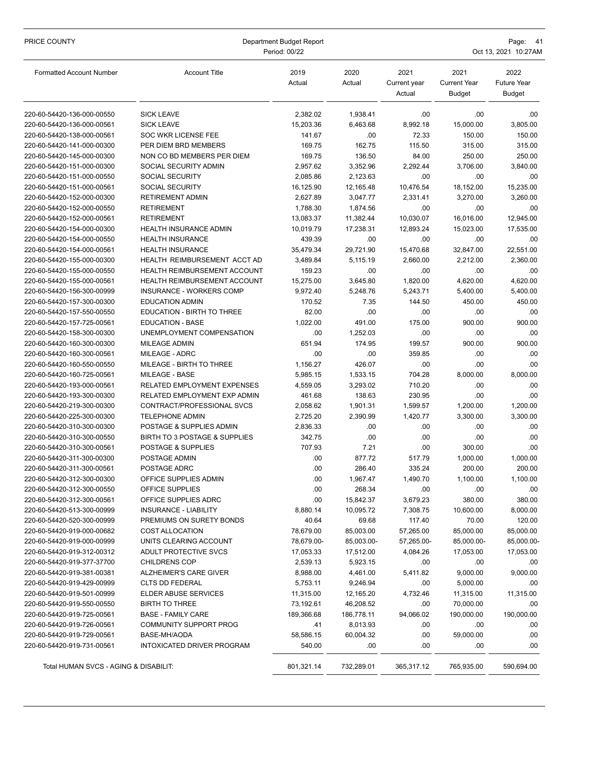| PRICE COUNTY                                             | Department Budget Report<br>Period: 00/22                 |                |                    |                                | Page: 41<br>Oct 13, 2021 10:27AM             |                                      |  |
|----------------------------------------------------------|-----------------------------------------------------------|----------------|--------------------|--------------------------------|----------------------------------------------|--------------------------------------|--|
| <b>Formatted Account Number</b>                          | <b>Account Title</b>                                      | 2019<br>Actual | 2020<br>Actual     | 2021<br>Current year<br>Actual | 2021<br><b>Current Year</b><br><b>Budget</b> | 2022<br><b>Future Year</b><br>Budget |  |
| 220-60-54420-136-000-00550                               | <b>SICK LEAVE</b>                                         | 2,382.02       | 1,938.41           | .00                            | .00                                          | .00                                  |  |
| 220-60-54420-136-000-00561                               | <b>SICK LEAVE</b>                                         | 15,203.36      | 6,463.68           | 8,992.18                       | 15,000.00                                    | 3,805.00                             |  |
| 220-60-54420-138-000-00561                               | <b>SOC WKR LICENSE FEE</b>                                | 141.67         | .00                | 72.33                          | 150.00                                       | 150.00                               |  |
| 220-60-54420-141-000-00300                               | PER DIEM BRD MEMBERS                                      | 169.75         | 162.75             | 115.50                         | 315.00                                       | 315.00                               |  |
| 220-60-54420-145-000-00300                               | NON CO BD MEMBERS PER DIEM                                | 169.75         | 136.50             | 84.00                          | 250.00                                       | 250.00                               |  |
| 220-60-54420-151-000-00300                               | SOCIAL SECURITY ADMIN                                     | 2.957.62       | 3,352.96           | 2,292.44                       | 3,706.00                                     | 3,840.00                             |  |
| 220-60-54420-151-000-00550                               | <b>SOCIAL SECURITY</b>                                    | 2,085.86       | 2.123.63           | .00                            | .00                                          | .00                                  |  |
| 220-60-54420-151-000-00561                               | <b>SOCIAL SECURITY</b>                                    | 16,125.90      | 12,165.48          | 10,476.54                      | 18,152.00                                    | 15,235.00                            |  |
| 220-60-54420-152-000-00300                               | <b>RETIREMENT ADMIN</b>                                   | 2,627.89       | 3,047.77           | 2,331.41                       | 3,270.00                                     | 3,260.00                             |  |
| 220-60-54420-152-000-00550                               | <b>RETIREMENT</b>                                         | 1,788.30       | 1,874.56           | .00                            | .00                                          | .00                                  |  |
| 220-60-54420-152-000-00561                               | <b>RETIREMENT</b>                                         | 13,083.37      | 11,382.44          | 10,030.07                      | 16,016.00                                    | 12,945.00                            |  |
| 220-60-54420-154-000-00300                               | HEALTH INSURANCE ADMIN                                    | 10,019.79      | 17,238.31          | 12,893.24                      | 15,023.00                                    | 17,535.00                            |  |
| 220-60-54420-154-000-00550                               | <b>HEALTH INSURANCE</b>                                   | 439.39         | .00                | .00                            | .00                                          | .00                                  |  |
| 220-60-54420-154-000-00561                               | <b>HEALTH INSURANCE</b>                                   | 35.479.34      | 29,721.90          | 15,470.68                      | 32,847.00                                    | 22,551.00                            |  |
| 220-60-54420-155-000-00300                               | HEALTH REIMBURSEMENT ACCT AD                              | 3.489.84       | 5.115.19           | 2,660.00                       | 2,212.00                                     | 2,360.00                             |  |
| 220-60-54420-155-000-00550                               | HEALTH REIMBURSEMENT ACCOUNT                              | 159.23         | .00                | .00                            | .00                                          | .00                                  |  |
| 220-60-54420-155-000-00561                               | HEALTH REIMBURSEMENT ACCOUNT                              | 15,275.00      | 3,645.80           | 1,820.00                       | 4,620.00                                     | 4,620.00                             |  |
| 220-60-54420-156-300-00999                               | INSURANCE - WORKERS COMP                                  | 9,972.40       | 5,248.76           | 5,243.71                       | 5,400.00                                     | 5,400.00                             |  |
| 220-60-54420-157-300-00300                               | <b>EDUCATION ADMIN</b>                                    | 170.52         | 7.35               | 144.50                         | 450.00                                       | 450.00                               |  |
| 220-60-54420-157-550-00550                               | EDUCATION - BIRTH TO THREE                                | 82.00          | .00                | .00                            | .00                                          | .00                                  |  |
| 220-60-54420-157-725-00561                               | <b>EDUCATION - BASE</b>                                   | 1,022.00       | 491.00             | 175.00                         | 900.00                                       | 900.00                               |  |
| 220-60-54420-158-300-00300                               | UNEMPLOYMENT COMPENSATION                                 | .00            | 1,252.03           | .00                            | .00                                          | .00                                  |  |
| 220-60-54420-160-300-00300                               | <b>MILEAGE ADMIN</b>                                      | 651.94         | 174.95             | 199.57                         | 900.00                                       | 900.00                               |  |
| 220-60-54420-160-300-00561                               | MILEAGE - ADRC                                            | .00            | .00                | 359.85                         | .00                                          | .00                                  |  |
| 220-60-54420-160-550-00550                               | MILEAGE - BIRTH TO THREE                                  | 1,156.27       | 426.07             | .00                            | .00                                          | .00                                  |  |
| 220-60-54420-160-725-00561                               | <b>MILEAGE - BASE</b>                                     | 5,985.15       | 1,533.15           | 704.28                         | 8,000.00                                     | 8,000.00                             |  |
| 220-60-54420-193-000-00561                               | RELATED EMPLOYMENT EXPENSES                               | 4,559.05       | 3,293.02           | 710.20                         | .00                                          | .00                                  |  |
| 220-60-54420-193-300-00300                               | RELATED EMPLOYMENT EXP ADMIN                              | 461.68         | 138.63             | 230.95                         | .00                                          | .00                                  |  |
| 220-60-54420-219-300-00300                               | CONTRACT/PROFESSIONAL SVCS                                | 2,058.62       | 1,901.31           | 1,599.57                       | 1,200.00                                     | 1,200.00                             |  |
| 220-60-54420-225-300-00300                               | <b>TELEPHONE ADMIN</b>                                    | 2,725.20       | 2,390.99           | 1,420.77                       | 3,300.00                                     | 3,300.00                             |  |
| 220-60-54420-310-300-00300                               | POSTAGE & SUPPLIES ADMIN<br>BIRTH TO 3 POSTAGE & SUPPLIES | 2.836.33       | .00                | .00                            | .00                                          | .00                                  |  |
| 220-60-54420-310-300-00550                               | POSTAGE & SUPPLIES                                        | 342.75         | .00                | .00                            | .00                                          | .00                                  |  |
| 220-60-54420-310-300-00561<br>220-60-54420-311-300-00300 | POSTAGE ADMIN                                             | 707.93<br>.00  | 7.21<br>877.72     | .00<br>517.79                  | 300.00<br>1,000.00                           | .00<br>1.000.00                      |  |
| 220-60-54420-311-300-00561                               | POSTAGE ADRC                                              | 00             |                    | 335.24                         |                                              | 200.00                               |  |
| 220-60-54420-312-300-00300                               | OFFICE SUPPLIES ADMIN                                     | .00            | 286.40<br>1,967.47 | 1,490.70                       | 200.00<br>1,100.00                           | 1.100.00                             |  |
| 220-60-54420-312-300-00550                               | OFFICE SUPPLIES                                           | .00            | 268.34             | .00                            | .00                                          | .00                                  |  |
| 220-60-54420-312-300-00561                               | OFFICE SUPPLIES ADRC                                      | .00            | 15,842.37          | 3,679.23                       | 380.00                                       | 380.00                               |  |
| 220-60-54420-513-300-00999                               | INSURANCE - LIABILITY                                     | 8,880.14       | 10,095.72          | 7,308.75                       | 10,600.00                                    | 8,000.00                             |  |
| 220-60-54420-520-300-00999                               | PREMIUMS ON SURETY BONDS                                  | 40.64          | 69.68              | 117.40                         | 70.00                                        | 120.00                               |  |
| 220-60-54420-919-000-00682                               | COST ALLOCATION                                           | 78,679.00      | 85,003.00          | 57,265.00                      | 85,000.00                                    | 85,000.00                            |  |
| 220-60-54420-919-000-00999                               | UNITS CLEARING ACCOUNT                                    | 78,679.00-     | 85,003.00-         | 57,265.00-                     | 85,000.00-                                   | 85,000.00-                           |  |
| 220-60-54420-919-312-00312                               | ADULT PROTECTIVE SVCS                                     | 17,053.33      | 17,512.00          | 4,084.26                       | 17,053.00                                    | 17,053.00                            |  |
| 220-60-54420-919-377-37700                               | <b>CHILDRENS COP</b>                                      | 2,539.13       | 5,923.15           | .00                            | .00                                          | .00                                  |  |
| 220-60-54420-919-381-00381                               | ALZHEIMER'S CARE GIVER                                    | 8,988.00       | 4,461.00           | 5,411.82                       | 9,000.00                                     | 9,000.00                             |  |
| 220-60-54420-919-429-00999                               | <b>CLTS DD FEDERAL</b>                                    | 5,753.11       | 9,246.94           | .00                            | 5,000.00                                     | .00                                  |  |
| 220-60-54420-919-501-00999                               | <b>ELDER ABUSE SERVICES</b>                               | 11,315.00      | 12,165.20          | 4,732.46                       | 11,315.00                                    | 11,315.00                            |  |
| 220-60-54420-919-550-00550                               | <b>BIRTH TO THREE</b>                                     | 73,192.61      | 46,208.52          | .00                            | 70,000.00                                    | .00                                  |  |
| 220-60-54420-919-725-00561                               | <b>BASE - FAMILY CARE</b>                                 | 189,366.68     | 186,778.11         | 94,066.02                      | 190,000.00                                   | 190,000.00                           |  |
| 220-60-54420-919-726-00561                               | <b>COMMUNITY SUPPORT PROG</b>                             | .41            | 8,013.93           | .00                            | .00                                          | .00                                  |  |
| 220-60-54420-919-729-00561                               | BASE-MH/AODA                                              | 58,586.15      | 60,004.32          | .00                            | 59,000.00                                    | .00                                  |  |
| 220-60-54420-919-731-00561                               | INTOXICATED DRIVER PROGRAM                                | 540.00         | .00                | .00                            | .00                                          | .00                                  |  |
| Total HUMAN SVCS - AGING & DISABILIT:                    |                                                           | 801,321.14     | 732,289.01         | 365,317.12                     | 765,935.00                                   | 590,694.00                           |  |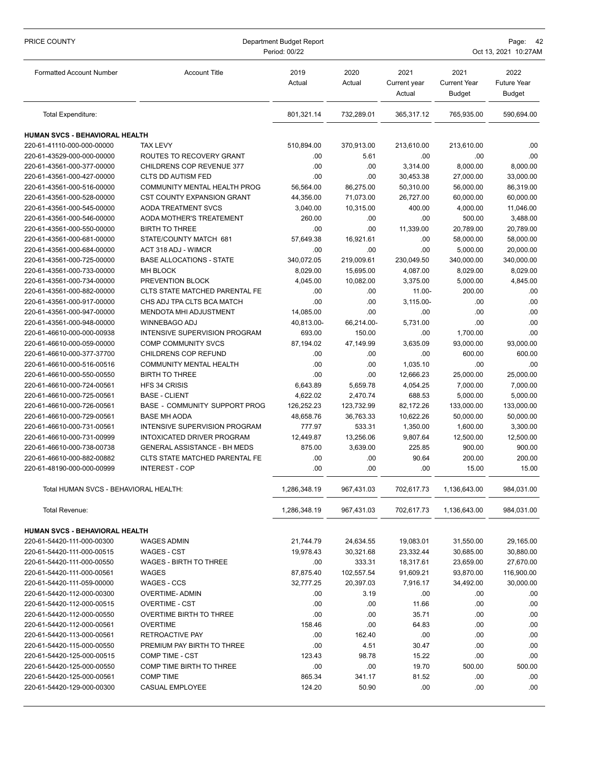| PRICE COUNTY                                             | Department Budget Report<br>Period: 00/22              |                |                |                                |                                              | Page: 42<br>Oct 13, 2021 10:27AM            |  |  |
|----------------------------------------------------------|--------------------------------------------------------|----------------|----------------|--------------------------------|----------------------------------------------|---------------------------------------------|--|--|
| <b>Formatted Account Number</b>                          | <b>Account Title</b>                                   | 2019<br>Actual | 2020<br>Actual | 2021<br>Current year<br>Actual | 2021<br><b>Current Year</b><br><b>Budget</b> | 2022<br><b>Future Year</b><br><b>Budget</b> |  |  |
| Total Expenditure:                                       |                                                        | 801,321.14     | 732,289.01     | 365,317.12                     | 765,935.00                                   | 590,694.00                                  |  |  |
| HUMAN SVCS - BEHAVIORAL HEALTH                           |                                                        |                |                |                                |                                              |                                             |  |  |
| 220-61-41110-000-000-00000                               | <b>TAX LEVY</b>                                        | 510,894.00     | 370,913.00     | 213,610.00                     | 213,610.00                                   | .00                                         |  |  |
| 220-61-43529-000-000-00000                               | ROUTES TO RECOVERY GRANT                               | .00            | 5.61           | .00                            | .00                                          | .00                                         |  |  |
| 220-61-43561-000-377-00000                               | CHILDRENS COP REVENUE 377                              | .00            | .00            | 3,314.00                       | 8,000.00                                     | 8,000.00                                    |  |  |
| 220-61-43561-000-427-00000                               | CLTS DD AUTISM FED                                     | .00            | .00            | 30,453.38                      | 27,000.00                                    | 33,000.00                                   |  |  |
| 220-61-43561-000-516-00000                               | COMMUNITY MENTAL HEALTH PROG                           | 56,564.00      | 86,275.00      | 50,310.00                      | 56,000.00                                    | 86,319.00                                   |  |  |
| 220-61-43561-000-528-00000                               | CST COUNTY EXPANSION GRANT                             | 44,356.00      | 71,073.00      | 26,727.00                      | 60,000.00                                    | 60,000.00                                   |  |  |
| 220-61-43561-000-545-00000                               | <b>AODA TREATMENT SVCS</b>                             | 3,040.00       | 10,315.00      | 400.00                         | 4,000.00                                     | 11,046.00                                   |  |  |
| 220-61-43561-000-546-00000                               | AODA MOTHER'S TREATEMENT                               | 260.00         | .00            | .00                            | 500.00                                       | 3,488.00                                    |  |  |
| 220-61-43561-000-550-00000                               | <b>BIRTH TO THREE</b>                                  | .00            | .00            | 11,339.00                      | 20,789.00                                    | 20,789.00                                   |  |  |
| 220-61-43561-000-681-00000                               | STATE/COUNTY MATCH 681                                 | 57.649.38      | 16,921.61      | .00                            | 58,000.00                                    | 58,000.00                                   |  |  |
| 220-61-43561-000-684-00000                               | ACT 318 ADJ - WIMCR                                    | .00            | .00            | .00                            | 5,000.00                                     | 20,000.00                                   |  |  |
| 220-61-43561-000-725-00000                               | <b>BASE ALLOCATIONS - STATE</b>                        | 340,072.05     | 219,009.61     | 230,049.50                     | 340,000.00                                   | 340,000.00                                  |  |  |
| 220-61-43561-000-733-00000                               | <b>MH BLOCK</b>                                        | 8,029.00       | 15,695.00      | 4,087.00                       | 8,029.00                                     | 8,029.00                                    |  |  |
| 220-61-43561-000-734-00000                               | PREVENTION BLOCK                                       | 4.045.00       | 10.082.00      | 3,375.00                       | 5,000.00                                     | 4,845.00                                    |  |  |
| 220-61-43561-000-882-00000                               | CLTS STATE MATCHED PARENTAL FE                         | .00            | .00            | 11.00-                         | 200.00                                       | .00                                         |  |  |
| 220-61-43561-000-917-00000                               | CHS ADJ TPA CLTS BCA MATCH                             | .00            | .00            | 3,115.00-                      | .00                                          | .00                                         |  |  |
| 220-61-43561-000-947-00000                               | MENDOTA MHI ADJUSTMENT                                 | 14,085.00      | .00            | .00                            | .00                                          | .00                                         |  |  |
| 220-61-43561-000-948-00000                               | WINNEBAGO ADJ                                          | 40,813.00-     | 66,214.00-     | 5,731.00                       | .00                                          | .00                                         |  |  |
| 220-61-46610-000-000-00938                               | INTENSIVE SUPERVISION PROGRAM                          | 693.00         | 150.00         | .00                            | 1,700.00                                     | .00                                         |  |  |
| 220-61-46610-000-059-00000                               | <b>COMP COMMUNITY SVCS</b>                             | 87,194.02      | 47,149.99      | 3,635.09                       | 93,000.00                                    | 93,000.00                                   |  |  |
| 220-61-46610-000-377-37700<br>220-61-46610-000-516-00516 | CHILDRENS COP REFUND<br><b>COMMUNITY MENTAL HEALTH</b> | .00<br>.00     | .00<br>.00     | .00<br>1,035.10                | 600.00<br>.00                                | 600.00<br>.00                               |  |  |
| 220-61-46610-000-550-00550                               | <b>BIRTH TO THREE</b>                                  | .00            | .00            | 12,666.23                      | 25,000.00                                    | 25,000.00                                   |  |  |
| 220-61-46610-000-724-00561                               | HFS 34 CRISIS                                          | 6,643.89       | 5,659.78       | 4,054.25                       | 7,000.00                                     | 7,000.00                                    |  |  |
| 220-61-46610-000-725-00561                               | <b>BASE - CLIENT</b>                                   | 4,622.02       | 2,470.74       | 688.53                         | 5,000.00                                     | 5,000.00                                    |  |  |
| 220-61-46610-000-726-00561                               | <b>BASE - COMMUNITY SUPPORT PROG</b>                   | 126,252.23     | 123,732.99     | 82,172.26                      | 133,000.00                                   | 133,000.00                                  |  |  |
| 220-61-46610-000-729-00561                               | <b>BASE MH AODA</b>                                    | 48,658.76      | 36,763.33      | 10,622.26                      | 50,000.00                                    | 50,000.00                                   |  |  |
| 220-61-46610-000-731-00561                               | INTENSIVE SUPERVISION PROGRAM                          | 777.97         | 533.31         | 1,350.00                       | 1,600.00                                     | 3,300.00                                    |  |  |
| 220-61-46610-000-731-00999                               | INTOXICATED DRIVER PROGRAM                             | 12,449.87      | 13,256.06      | 9,807.64                       | 12,500.00                                    | 12,500.00                                   |  |  |
| 220-61-46610-000-738-00738                               | <b>GENERAL ASSISTANCE - BH MEDS</b>                    | 875.00         | 3,639.00       | 225.85                         | 900.00                                       | 900.00                                      |  |  |
| 220-61-46610-000-882-00882                               | CLTS STATE MATCHED PARENTAL FE                         | .00            | .00            | 90.64                          | 200.00                                       | 200.00                                      |  |  |
| 220-61-48190-000-000-00999                               | <b>INTEREST - COP</b>                                  | .00            | .00            | .00                            | 15.00                                        | 15.00                                       |  |  |
| Total HUMAN SVCS - BEHAVIORAL HEALTH:                    |                                                        | 1,286,348.19   | 967,431.03     | 702,617.73                     | 1,136,643.00                                 | 984,031.00                                  |  |  |
| Total Revenue:                                           |                                                        | 1,286,348.19   | 967,431.03     | 702,617.73                     | 1,136,643.00                                 | 984,031.00                                  |  |  |
| HUMAN SVCS - BEHAVIORAL HEALTH                           |                                                        |                |                |                                |                                              |                                             |  |  |
| 220-61-54420-111-000-00300                               | WAGES ADMIN                                            | 21,744.79      | 24,634.55      | 19,083.01                      | 31,550.00                                    | 29,165.00                                   |  |  |
| 220-61-54420-111-000-00515                               | <b>WAGES - CST</b>                                     | 19,978.43      | 30,321.68      | 23,332.44                      | 30,685.00                                    | 30,880.00                                   |  |  |
| 220-61-54420-111-000-00550                               | <b>WAGES - BIRTH TO THREE</b>                          | .00            | 333.31         | 18,317.61                      | 23,659.00                                    | 27,670.00                                   |  |  |
| 220-61-54420-111-000-00561                               | <b>WAGES</b>                                           | 87,875.40      | 102,557.54     | 91,609.21                      | 93,870.00                                    | 116,900.00                                  |  |  |
| 220-61-54420-111-059-00000                               | WAGES - CCS                                            | 32,777.25      | 20,397.03      | 7,916.17                       | 34,492.00                                    | 30,000.00                                   |  |  |
| 220-61-54420-112-000-00300                               | <b>OVERTIME- ADMIN</b>                                 | .00            | 3.19           | .00                            | .00                                          | .00.                                        |  |  |
| 220-61-54420-112-000-00515                               | <b>OVERTIME - CST</b>                                  | .00            | .00            | 11.66                          | .00                                          | .00                                         |  |  |
| 220-61-54420-112-000-00550                               | OVERTIME BIRTH TO THREE                                | .00            | .00            | 35.71                          | .00                                          | .00                                         |  |  |
| 220-61-54420-112-000-00561                               | <b>OVERTIME</b>                                        | 158.46         | .00            | 64.83                          | .00                                          | .00                                         |  |  |
| 220-61-54420-113-000-00561                               | RETROACTIVE PAY                                        | .00            | 162.40         | .00                            | .00                                          | .00                                         |  |  |
| 220-61-54420-115-000-00550                               | PREMIUM PAY BIRTH TO THREE                             | .00            | 4.51           | 30.47                          | .00                                          | .00                                         |  |  |
| 220-61-54420-125-000-00515                               | COMP TIME - CST                                        | 123.43         | 98.78          | 15.22                          | .00                                          | .00                                         |  |  |
| 220-61-54420-125-000-00550                               | COMP TIME BIRTH TO THREE                               | .00            | .00            | 19.70                          | 500.00                                       | 500.00                                      |  |  |
| 220-61-54420-125-000-00561                               | <b>COMP TIME</b>                                       | 865.34         | 341.17         | 81.52                          | .00                                          | .00.                                        |  |  |
| 220-61-54420-129-000-00300                               | CASUAL EMPLOYEE                                        | 124.20         | 50.90          | .00                            | .00                                          | .00                                         |  |  |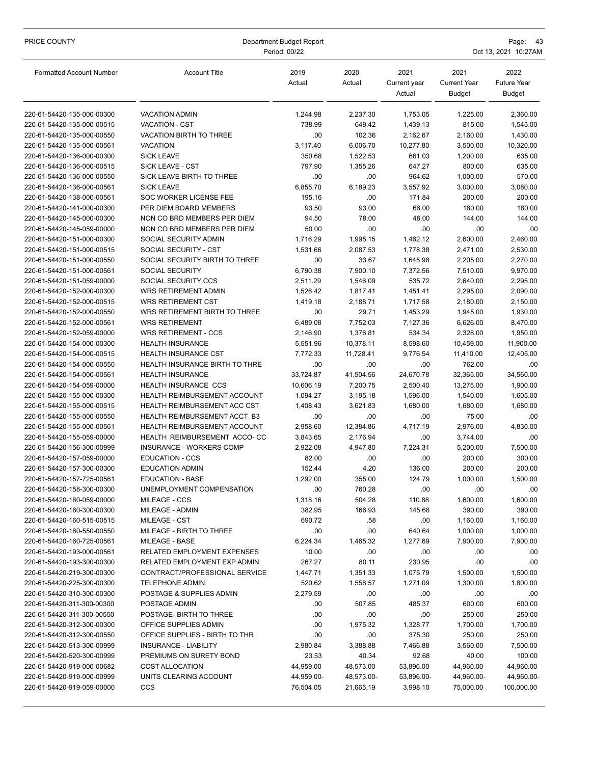| PRICE COUNTY                    | Department Budget Report<br>Period: 00/22 |                |                |                                | Page:<br>43<br>Oct 13, 2021 10:27AM          |                                             |  |  |
|---------------------------------|-------------------------------------------|----------------|----------------|--------------------------------|----------------------------------------------|---------------------------------------------|--|--|
| <b>Formatted Account Number</b> | <b>Account Title</b>                      | 2019<br>Actual | 2020<br>Actual | 2021<br>Current year<br>Actual | 2021<br><b>Current Year</b><br><b>Budget</b> | 2022<br><b>Future Year</b><br><b>Budget</b> |  |  |
| 220-61-54420-135-000-00300      | <b>VACATION ADMIN</b>                     | 1,244.98       | 2,237.30       | 1,753.05                       | 1,225.00                                     | 2,360.00                                    |  |  |
| 220-61-54420-135-000-00515      | VACATION - CST                            | 738.99         | 649.42         | 1,439.13                       | 815.00                                       | 1,545.00                                    |  |  |
| 220-61-54420-135-000-00550      | VACATION BIRTH TO THREE                   | .00            | 102.36         | 2,162.67                       | 2,160.00                                     | 1,430.00                                    |  |  |
| 220-61-54420-135-000-00561      | <b>VACATION</b>                           | 3,117.40       | 6,006.70       | 10,277.80                      | 3,500.00                                     | 10,320.00                                   |  |  |
| 220-61-54420-136-000-00300      | <b>SICK LEAVE</b>                         | 350.68         | 1,522.53       | 661.03                         | 1,200.00                                     | 635.00                                      |  |  |
| 220-61-54420-136-000-00515      | <b>SICK LEAVE - CST</b>                   | 797.90         | 1,355.26       | 647.27                         | 800.00                                       | 635.00                                      |  |  |
| 220-61-54420-136-000-00550      | SICK LEAVE BIRTH TO THREE                 | .00            | .00            | 964.62                         | 1,000.00                                     | 570.00                                      |  |  |
| 220-61-54420-136-000-00561      | <b>SICK LEAVE</b>                         | 6,855.70       | 6,189.23       | 3,557.92                       | 3,000.00                                     | 3,080.00                                    |  |  |
| 220-61-54420-138-000-00561      | SOC WORKER LICENSE FEE                    | 195.16         | .00            | 171.84                         | 200.00                                       | 200.00                                      |  |  |
| 220-61-54420-141-000-00300      | PER DIEM BOARD MEMBERS                    | 93.50          | 93.00          | 66.00                          | 180.00                                       | 180.00                                      |  |  |
| 220-61-54420-145-000-00300      | NON CO BRD MEMBERS PER DIEM               | 94.50          | 78.00          | 48.00                          | 144.00                                       | 144.00                                      |  |  |
| 220-61-54420-145-059-00000      | NON CO BRD MEMBERS PER DIEM               | 50.00          | .00            | .00                            | .00                                          | .00                                         |  |  |
| 220-61-54420-151-000-00300      | SOCIAL SECURITY ADMIN                     | 1,716.29       | 1,995.15       | 1,462.12                       | 2,600.00                                     | 2,460.00                                    |  |  |
| 220-61-54420-151-000-00515      | SOCIAL SECURITY - CST                     | 1,531.66       | 2,087.53       | 1,778.38                       | 2,471.00                                     | 2,530.00                                    |  |  |
| 220-61-54420-151-000-00550      | SOCIAL SECURITY BIRTH TO THREE            | .00            | 33.67          | 1,645.98                       | 2,205.00                                     | 2,270.00                                    |  |  |
| 220-61-54420-151-000-00561      | <b>SOCIAL SECURITY</b>                    | 6,790.38       | 7,900.10       | 7,372.56                       | 7,510.00                                     | 9,970.00                                    |  |  |
| 220-61-54420-151-059-00000      | SOCIAL SECURITY CCS                       | 2,511.29       | 1,546.09       | 535.72                         | 2,640.00                                     | 2,295.00                                    |  |  |
| 220-61-54420-152-000-00300      | WRS RETIREMENT ADMIN                      | 1.526.42       | 1,817.41       | 1,451.41                       | 2,295.00                                     | 2,090.00                                    |  |  |
| 220-61-54420-152-000-00515      | <b>WRS RETIREMENT CST</b>                 | 1,419.18       | 2,188.71       | 1,717.58                       | 2,180.00                                     | 2,150.00                                    |  |  |
| 220-61-54420-152-000-00550      | WRS RETIREMENT BIRTH TO THREE             | .00            | 29.71          | 1,453.29                       | 1,945.00                                     | 1,930.00                                    |  |  |
| 220-61-54420-152-000-00561      | <b>WRS RETIREMENT</b>                     | 6,489.08       | 7,752.03       | 7,127.36                       | 6,626.00                                     | 8,470.00                                    |  |  |
| 220-61-54420-152-059-00000      | <b>WRS RETIREMENT - CCS</b>               | 2,146.90       | 1,376.81       | 534.34                         | 2,328.00                                     | 1,950.00                                    |  |  |
| 220-61-54420-154-000-00300      | <b>HEALTH INSURANCE</b>                   | 5,551.96       | 10,378.11      | 8,598.60                       | 10,459.00                                    | 11,900.00                                   |  |  |
| 220-61-54420-154-000-00515      | <b>HEALTH INSURANCE CST</b>               | 7,772.33       | 11,728.41      | 9,776.54                       | 11,410.00                                    | 12,405.00                                   |  |  |
| 220-61-54420-154-000-00550      | HEALTH INSURANCE BIRTH TO THRE            | .00            | .00            | .00                            | 762.00                                       | .00                                         |  |  |
| 220-61-54420-154-000-00561      | <b>HEALTH INSURANCE</b>                   | 33,724.87      | 41,504.56      | 24,670.78                      | 32,365.00                                    | 34,560.00                                   |  |  |
| 220-61-54420-154-059-00000      | HEALTH INSURANCE CCS                      | 10,606.19      | 7,200.75       | 2,500.40                       | 13,275.00                                    | 1,900.00                                    |  |  |
| 220-61-54420-155-000-00300      | HEALTH REIMBURSEMENT ACCOUNT              | 1,094.27       | 3,195.18       | 1,596.00                       | 1,540.00                                     | 1,605.00                                    |  |  |
| 220-61-54420-155-000-00515      | HEALTH REIMBURSEMENT ACC CST              | 1,408.43       | 3,621.83       | 1,680.00                       | 1,680.00                                     | 1,680.00                                    |  |  |
| 220-61-54420-155-000-00550      | HEALTH REIMBURSEMENT ACCT B3              | .00            | .00            | .00                            | 75.00                                        | .00                                         |  |  |
| 220-61-54420-155-000-00561      | <b>HEALTH REIMBURSEMENT ACCOUNT</b>       | 2,958.60       | 12,384.86      | 4,717.19                       | 2,976.00                                     | 4,830.00                                    |  |  |
| 220-61-54420-155-059-00000      | HEALTH REIMBURSEMENT ACCO-CC              | 3,843.65       | 2,176.94       | .00                            | 3,744.00                                     | .00                                         |  |  |
| 220-61-54420-156-300-00999      | <b>INSURANCE - WORKERS COMP</b>           | 2,922.08       | 4,947.80       | 7,224.31                       | 5,200.00                                     | 7,500.00                                    |  |  |
| 220-61-54420-157-059-00000      | <b>EDUCATION - CCS</b>                    | 82.00          | .00            | .00                            | 200.00                                       | 300.00                                      |  |  |
| 220-61-54420-157-300-00300      | <b>EDUCATION ADMIN</b>                    | 152.44         | 4.20           | 136.00                         | 200.00                                       | 200.00                                      |  |  |
| 220-61-54420-157-725-00561      | <b>EDUCATION - BASE</b>                   | 1,292.00       | 355.00         | 124.79                         | 1,000.00                                     | 1,500.00                                    |  |  |
| 220-61-54420-158-300-00300      | UNEMPLOYMENT COMPENSATION                 | .00            | 760.28         | .00                            | .00                                          | .00.                                        |  |  |
| 220-61-54420-160-059-00000      | MILEAGE - CCS                             | 1,318.16       | 504.28         | 110.88                         | 1,600.00                                     | 1,600.00                                    |  |  |
| 220-61-54420-160-300-00300      | MILEAGE - ADMIN                           | 382.95         | 166.93         | 145.68                         | 390.00                                       | 390.00                                      |  |  |
| 220-61-54420-160-515-00515      | MILEAGE - CST                             | 690.72         | .58            | .00                            | 1,160.00                                     | 1,160.00                                    |  |  |
| 220-61-54420-160-550-00550      | MILEAGE - BIRTH TO THREE                  | .00            | .00            | 640.64                         | 1,000.00                                     | 1,000.00                                    |  |  |
| 220-61-54420-160-725-00561      | MILEAGE - BASE                            | 6,224.34       | 1,465.32       | 1,277.69                       | 7,900.00                                     | 7,900.00                                    |  |  |
| 220-61-54420-193-000-00561      | RELATED EMPLOYMENT EXPENSES               | 10.00          | .00            | .00                            | .00                                          | .00.                                        |  |  |
| 220-61-54420-193-300-00300      | RELATED EMPLOYMENT EXP ADMIN              | 267.27         | 80.11          | 230.95                         | .00                                          | .00                                         |  |  |
| 220-61-54420-219-300-00300      | CONTRACT/PROFESSIONAL SERVICE             | 1,447.71       | 1,351.33       | 1,075.79                       | 1,500.00                                     | 1,500.00                                    |  |  |
| 220-61-54420-225-300-00300      | <b>TELEPHONE ADMIN</b>                    | 520.62         | 1,558.57       | 1,271.09                       | 1,300.00                                     | 1,800.00                                    |  |  |
| 220-61-54420-310-300-00300      | POSTAGE & SUPPLIES ADMIN                  | 2,279.59       | .00            | .00                            | .00                                          | .00.                                        |  |  |
| 220-61-54420-311-300-00300      | POSTAGE ADMIN                             | .00.           | 507.85         | 485.37                         | 600.00                                       | 600.00                                      |  |  |
| 220-61-54420-311-300-00550      | POSTAGE- BIRTH TO THREE                   | .00            | .00            | .00                            | 250.00                                       | 250.00                                      |  |  |
| 220-61-54420-312-300-00300      | OFFICE SUPPLIES ADMIN                     | .00            | 1,975.32       | 1,328.77                       | 1,700.00                                     | 1,700.00                                    |  |  |
| 220-61-54420-312-300-00550      | OFFICE SUPPLIES - BIRTH TO THR            | .00            | .00            | 375.30                         | 250.00                                       | 250.00                                      |  |  |
| 220-61-54420-513-300-00999      | INSURANCE - LIABILITY                     | 2,980.84       | 3,388.88       | 7,466.88                       | 3,560.00                                     | 7,500.00                                    |  |  |
| 220-61-54420-520-300-00999      | PREMIUMS ON SURETY BOND                   | 23.53          | 40.34          | 92.68                          | 40.00                                        | 100.00                                      |  |  |
| 220-61-54420-919-000-00682      | COST ALLOCATION                           | 44,959.00      | 48,573.00      | 53,896.00                      | 44,960.00                                    | 44,960.00                                   |  |  |
| 220-61-54420-919-000-00999      | UNITS CLEARING ACCOUNT                    | 44,959.00-     | 48,573.00-     | 53,896.00-                     | 44,960.00-                                   | 44,960.00-                                  |  |  |
| 220-61-54420-919-059-00000      | <b>CCS</b>                                | 76,504.05      | 21,665.19      | 3,998.10                       | 75,000.00                                    | 100,000.00                                  |  |  |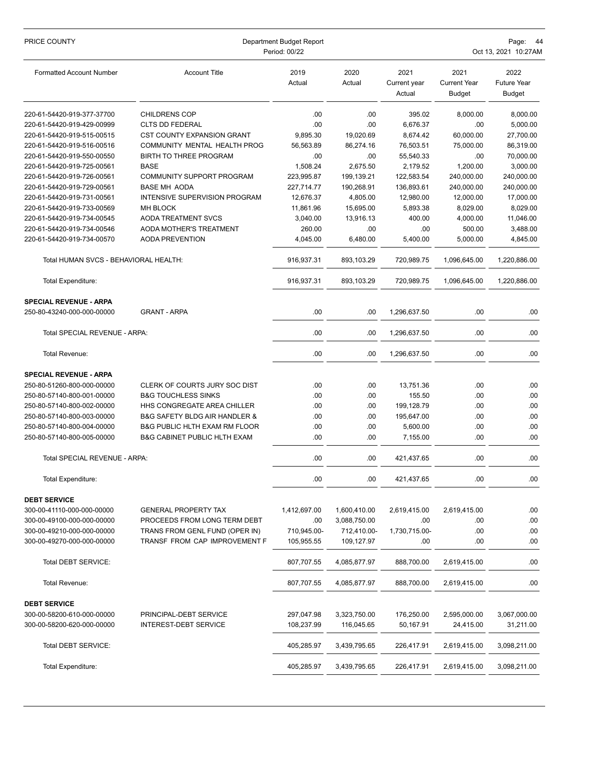| PRICE COUNTY                          | Department Budget Report<br>Period: 00/22    |                |                |                                |                                              | Page:<br>-44<br>Oct 13, 2021 10:27AM        |  |  |
|---------------------------------------|----------------------------------------------|----------------|----------------|--------------------------------|----------------------------------------------|---------------------------------------------|--|--|
| <b>Formatted Account Number</b>       | <b>Account Title</b>                         | 2019<br>Actual | 2020<br>Actual | 2021<br>Current year<br>Actual | 2021<br><b>Current Year</b><br><b>Budget</b> | 2022<br><b>Future Year</b><br><b>Budget</b> |  |  |
| 220-61-54420-919-377-37700            | <b>CHILDRENS COP</b>                         | .00            | .00            | 395.02                         | 8,000.00                                     | 8,000.00                                    |  |  |
| 220-61-54420-919-429-00999            | <b>CLTS DD FEDERAL</b>                       | .00            | .00            | 6,676.37                       | .00                                          | 5,000.00                                    |  |  |
| 220-61-54420-919-515-00515            | <b>CST COUNTY EXPANSION GRANT</b>            | 9,895.30       | 19,020.69      | 8,674.42                       | 60,000.00                                    | 27,700.00                                   |  |  |
| 220-61-54420-919-516-00516            | COMMUNITY MENTAL HEALTH PROG                 | 56,563.89      | 86,274.16      | 76,503.51                      | 75,000.00                                    | 86,319.00                                   |  |  |
| 220-61-54420-919-550-00550            | <b>BIRTH TO THREE PROGRAM</b>                | .00            | .00            | 55,540.33                      | .00                                          | 70,000.00                                   |  |  |
| 220-61-54420-919-725-00561            | <b>BASE</b>                                  | 1.508.24       | 2,675.50       | 2,179.52                       | 1.200.00                                     | 3,000.00                                    |  |  |
| 220-61-54420-919-726-00561            | COMMUNITY SUPPORT PROGRAM                    | 223,995.87     | 199,139.21     | 122,583.54                     | 240,000.00                                   | 240,000.00                                  |  |  |
| 220-61-54420-919-729-00561            | <b>BASE MH AODA</b>                          | 227,714.77     | 190,268.91     | 136,893.61                     | 240,000.00                                   | 240,000.00                                  |  |  |
| 220-61-54420-919-731-00561            | INTENSIVE SUPERVISION PROGRAM                | 12,676.37      | 4,805.00       | 12,980.00                      | 12,000.00                                    | 17,000.00                                   |  |  |
| 220-61-54420-919-733-00569            | <b>MH BLOCK</b>                              | 11,861.96      | 15,695.00      | 5,893.38                       | 8,029.00                                     | 8,029.00                                    |  |  |
| 220-61-54420-919-734-00545            | <b>AODA TREATMENT SVCS</b>                   | 3,040.00       | 13,916.13      | 400.00                         | 4,000.00                                     | 11,046.00                                   |  |  |
| 220-61-54420-919-734-00546            | AODA MOTHER'S TREATMENT                      | 260.00         | .00            | .00                            | 500.00                                       | 3,488.00                                    |  |  |
| 220-61-54420-919-734-00570            | <b>AODA PREVENTION</b>                       | 4,045.00       | 6,480.00       | 5,400.00                       | 5,000.00                                     | 4,845.00                                    |  |  |
| Total HUMAN SVCS - BEHAVIORAL HEALTH: |                                              | 916.937.31     | 893,103.29     | 720.989.75                     | 1.096.645.00                                 | 1,220,886.00                                |  |  |
| Total Expenditure:                    |                                              | 916,937.31     | 893,103.29     | 720,989.75                     | 1,096,645.00                                 | 1,220,886.00                                |  |  |
| <b>SPECIAL REVENUE - ARPA</b>         |                                              |                |                |                                |                                              |                                             |  |  |
| 250-80-43240-000-000-00000            | <b>GRANT - ARPA</b>                          | .00            | .00            | 1,296,637.50                   | .00                                          | .00                                         |  |  |
| Total SPECIAL REVENUE - ARPA:         |                                              | .00            | .00            | 1,296,637.50                   | .00                                          | .00                                         |  |  |
| Total Revenue:                        |                                              | .00            | .00            | 1,296,637.50                   | .00                                          | .00                                         |  |  |
| <b>SPECIAL REVENUE - ARPA</b>         |                                              |                |                |                                |                                              |                                             |  |  |
| 250-80-51260-800-000-00000            | CLERK OF COURTS JURY SOC DIST                | .00            | .00            | 13,751.36                      | .00                                          | .00                                         |  |  |
| 250-80-57140-800-001-00000            | <b>B&amp;G TOUCHLESS SINKS</b>               | .00            | .00            | 155.50                         | .00                                          | .00                                         |  |  |
| 250-80-57140-800-002-00000            | HHS CONGREGATE AREA CHILLER                  | .00            | .00            | 199,128.79                     | .00                                          | .00                                         |  |  |
| 250-80-57140-800-003-00000            | <b>B&amp;G SAFETY BLDG AIR HANDLER &amp;</b> | .00            | .00            | 195,647.00                     | .00                                          | .00                                         |  |  |
| 250-80-57140-800-004-00000            | <b>B&amp;G PUBLIC HLTH EXAM RM FLOOR</b>     | .00            | .00            | 5,600.00                       | .00                                          | .00                                         |  |  |
| 250-80-57140-800-005-00000            | <b>B&amp;G CABINET PUBLIC HLTH EXAM</b>      | .00            | .00            | 7,155.00                       | .00                                          | .00                                         |  |  |
| Total SPECIAL REVENUE - ARPA:         |                                              | .00            | .00            | 421,437.65                     | .00                                          | .00                                         |  |  |
| Total Expenditure:                    |                                              | .00            | .00            | 421,437.65                     | .00                                          | .00                                         |  |  |
| <b>DEBT SERVICE</b>                   |                                              |                |                |                                |                                              |                                             |  |  |
| 300-00-41110-000-000-00000            | <b>GENERAL PROPERTY TAX</b>                  | 1,412,697.00   | 1,600,410.00   | 2,619,415.00                   | 2,619,415.00                                 | .00                                         |  |  |
| 300-00-49100-000-000-00000            | PROCEEDS FROM LONG TERM DEBT                 | .00            | 3,088,750.00   | .00                            | .00                                          | .00                                         |  |  |
| 300-00-49210-000-000-00000            | TRANS FROM GENL FUND (OPER IN)               | 710,945.00-    | 712,410.00-    | 1,730,715.00-                  | .00                                          | .00                                         |  |  |
| 300-00-49270-000-000-00000            | TRANSF FROM CAP IMPROVEMENT F                | 105,955.55     | 109,127.97     | .00                            | .00                                          | .00                                         |  |  |
| Total DEBT SERVICE:                   |                                              | 807,707.55     | 4,085,877.97   | 888,700.00                     | 2,619,415.00                                 | .00                                         |  |  |
| Total Revenue:                        |                                              | 807,707.55     | 4,085,877.97   | 888,700.00                     | 2,619,415.00                                 | .00                                         |  |  |
| <b>DEBT SERVICE</b>                   |                                              |                |                |                                |                                              |                                             |  |  |
| 300-00-58200-610-000-00000            | PRINCIPAL-DEBT SERVICE                       | 297,047.98     | 3,323,750.00   | 176,250.00                     | 2,595,000.00                                 | 3,067,000.00                                |  |  |
| 300-00-58200-620-000-00000            | <b>INTEREST-DEBT SERVICE</b>                 | 108,237.99     | 116,045.65     | 50,167.91                      | 24,415.00                                    | 31,211.00                                   |  |  |
| Total DEBT SERVICE:                   |                                              | 405,285.97     | 3,439,795.65   | 226,417.91                     | 2,619,415.00                                 | 3,098,211.00                                |  |  |
|                                       |                                              |                |                |                                |                                              |                                             |  |  |
| Total Expenditure:                    |                                              | 405,285.97     | 3,439,795.65   | 226,417.91                     | 2,619,415.00                                 | 3,098,211.00                                |  |  |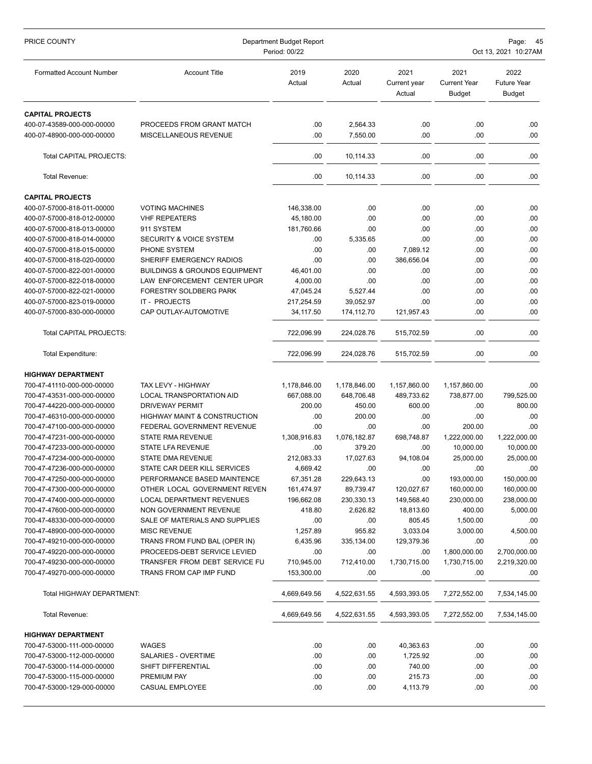| PRICE COUNTY                                             | Department Budget Report<br>Period: 00/22                | Page:<br>-45<br>Oct 13, 2021 10:27AM |                      |                                |                                              |                                             |
|----------------------------------------------------------|----------------------------------------------------------|--------------------------------------|----------------------|--------------------------------|----------------------------------------------|---------------------------------------------|
| <b>Formatted Account Number</b>                          | <b>Account Title</b>                                     | 2019<br>Actual                       | 2020<br>Actual       | 2021<br>Current year<br>Actual | 2021<br><b>Current Year</b><br><b>Budget</b> | 2022<br><b>Future Year</b><br><b>Budget</b> |
| <b>CAPITAL PROJECTS</b>                                  |                                                          |                                      |                      |                                |                                              |                                             |
| 400-07-43589-000-000-00000<br>400-07-48900-000-000-00000 | PROCEEDS FROM GRANT MATCH<br>MISCELLANEOUS REVENUE       | .00<br>.00                           | 2,564.33<br>7.550.00 | .00<br>.00                     | .00<br>.00                                   | .00<br>.00                                  |
| Total CAPITAL PROJECTS:                                  |                                                          | .00                                  | 10,114.33            | .00                            | .00                                          | .00.                                        |
| Total Revenue:                                           |                                                          | .00                                  | 10,114.33            | .00                            | .00                                          | .00                                         |
| <b>CAPITAL PROJECTS</b>                                  |                                                          |                                      |                      |                                |                                              |                                             |
| 400-07-57000-818-011-00000                               | <b>VOTING MACHINES</b>                                   | 146,338.00                           | .00                  | .00                            | .00                                          | .00                                         |
| 400-07-57000-818-012-00000                               | <b>VHF REPEATERS</b>                                     | 45,180.00                            | .00                  | .00                            | .00                                          | .00                                         |
| 400-07-57000-818-013-00000                               | 911 SYSTEM                                               | 181,760.66                           | .00                  | .00                            | .00                                          | .00                                         |
| 400-07-57000-818-014-00000                               | <b>SECURITY &amp; VOICE SYSTEM</b>                       | .00                                  | 5,335.65             | .00                            | .00                                          | .00                                         |
| 400-07-57000-818-015-00000                               | PHONE SYSTEM                                             | .00                                  | .00                  | 7,089.12                       | .00                                          | .00                                         |
| 400-07-57000-818-020-00000                               | SHERIFF EMERGENCY RADIOS                                 | .00                                  | .00                  | 386,656.04                     | .00                                          | .00                                         |
| 400-07-57000-822-001-00000                               | <b>BUILDINGS &amp; GROUNDS EQUIPMENT</b>                 | 46,401.00                            | .00                  | .00                            | .00                                          | .00                                         |
| 400-07-57000-822-018-00000                               | LAW ENFORCEMENT CENTER UPGR                              | 4,000.00                             | .00                  | .00                            | .00                                          | .00                                         |
| 400-07-57000-822-021-00000                               | FORESTRY SOLDBERG PARK                                   | 47.045.24                            | 5,527.44             | .00                            | .00                                          | .00                                         |
| 400-07-57000-823-019-00000                               | IT - PROJECTS                                            | 217,254.59                           | 39,052.97            | .00                            | .00                                          | .00                                         |
| 400-07-57000-830-000-00000                               | CAP OUTLAY-AUTOMOTIVE                                    | 34, 117.50                           | 174,112.70           | 121,957.43                     | .00                                          | .00                                         |
| Total CAPITAL PROJECTS:                                  |                                                          | 722,096.99                           | 224,028.76           | 515,702.59                     | .00                                          | .00                                         |
| Total Expenditure:                                       |                                                          | 722,096.99                           | 224,028.76           | 515,702.59                     | .00                                          | .00.                                        |
| <b>HIGHWAY DEPARTMENT</b>                                |                                                          |                                      |                      |                                |                                              |                                             |
| 700-47-41110-000-000-00000                               | TAX LEVY - HIGHWAY                                       | 1,178,846.00                         | 1,178,846.00         | 1,157,860.00                   | 1,157,860.00                                 | .00                                         |
| 700-47-43531-000-000-00000                               | LOCAL TRANSPORTATION AID                                 | 667,088.00                           | 648,706.48           | 489,733.62                     | 738,877.00                                   | 799,525.00                                  |
| 700-47-44220-000-000-00000                               | <b>DRIVEWAY PERMIT</b>                                   | 200.00                               | 450.00               | 600.00                         | .00                                          | 800.00                                      |
| 700-47-46310-000-000-00000                               | <b>HIGHWAY MAINT &amp; CONSTRUCTION</b>                  | .00                                  | 200.00               | .00                            | .00                                          | .00                                         |
| 700-47-47100-000-000-00000                               | FEDERAL GOVERNMENT REVENUE                               | .00                                  | .00                  | .00                            | 200.00                                       | .00                                         |
| 700-47-47231-000-000-00000                               | <b>STATE RMA REVENUE</b>                                 | 1,308,916.83                         | 1,076,182.87         | 698,748.87                     | 1,222,000.00                                 | 1,222,000.00                                |
| 700-47-47233-000-000-00000                               | STATE LFA REVENUE                                        | .00                                  | 379.20               | .00                            | 10,000.00                                    | 10,000.00                                   |
| 700-47-47234-000-000-00000                               | <b>STATE DMA REVENUE</b>                                 | 212,083.33                           | 17,027.63            | 94,108.04                      | 25,000.00                                    | 25,000.00                                   |
| 700-47-47236-000-000-00000                               | STATE CAR DEER KILL SERVICES                             | 4,669.42                             | .00                  | .00                            | .00                                          | .00                                         |
| 700-47-47250-000-000-00000                               | PERFORMANCE BASED MAINTENCE                              | 67,351.28                            | 229,643.13           | .00                            | 193,000.00                                   | 150,000.00                                  |
| 700-47-47300-000-000-00000                               | OTHER LOCAL GOVERNMENT REVEN                             | 161,474.97                           | 89,739.47            | 120,027.67                     | 160,000.00                                   | 160,000.00                                  |
| 700-47-47400-000-000-00000                               | LOCAL DEPARTMENT REVENUES                                | 196,662.08                           | 230,330.13           | 149,568.40                     | 230,000.00                                   | 238,000.00                                  |
| 700-47-47600-000-000-00000                               | NON GOVERNMENT REVENUE                                   | 418.80                               | 2,626.82             | 18,813.60                      | 400.00                                       | 5,000.00                                    |
| 700-47-48330-000-000-00000                               | SALE OF MATERIALS AND SUPPLIES                           | .00                                  | .00                  | 805.45                         | 1,500.00                                     | .00.                                        |
| 700-47-48900-000-000-00000                               | <b>MISC REVENUE</b>                                      | 1,257.89                             | 955.82               | 3,033.04                       | 3,000.00                                     | 4,500.00                                    |
| 700-47-49210-000-000-00000                               | TRANS FROM FUND BAL (OPER IN)                            | 6,435.96                             | 335,134.00           | 129,379.36                     | .00                                          | .00                                         |
| 700-47-49220-000-000-00000                               | PROCEEDS-DEBT SERVICE LEVIED                             | .00                                  | .00                  | .00                            | 1,800,000.00                                 | 2,700,000.00                                |
| 700-47-49230-000-000-00000<br>700-47-49270-000-000-00000 | TRANSFER FROM DEBT SERVICE FU<br>TRANS FROM CAP IMP FUND | 710,945.00<br>153,300.00             | 712,410.00<br>.00    | 1,730,715.00<br>.00            | 1,730,715.00<br>.00                          | 2,219,320.00<br>.00                         |
|                                                          |                                                          |                                      |                      |                                |                                              |                                             |
| Total HIGHWAY DEPARTMENT:                                |                                                          | 4,669,649.56                         | 4,522,631.55         | 4,593,393.05                   | 7,272,552.00                                 | 7,534,145.00                                |
| Total Revenue:                                           |                                                          | 4,669,649.56                         | 4,522,631.55         | 4,593,393.05                   | 7,272,552.00                                 | 7,534,145.00                                |
| <b>HIGHWAY DEPARTMENT</b>                                |                                                          |                                      |                      |                                |                                              |                                             |
| 700-47-53000-111-000-00000                               | WAGES                                                    | .00                                  | .00                  | 40,363.63                      | .00                                          | .00.                                        |
| 700-47-53000-112-000-00000                               | SALARIES - OVERTIME                                      | .00                                  | .00                  | 1,725.92                       | .00                                          | .00.                                        |
| 700-47-53000-114-000-00000                               | SHIFT DIFFERENTIAL                                       | .00                                  | .00                  | 740.00                         | .00                                          | .00.                                        |
| 700-47-53000-115-000-00000                               | PREMIUM PAY                                              | .00                                  | .00                  | 215.73                         | .00                                          | .00.                                        |
| 700-47-53000-129-000-00000                               | CASUAL EMPLOYEE                                          | .00                                  | .00                  | 4,113.79                       | .00                                          | .00.                                        |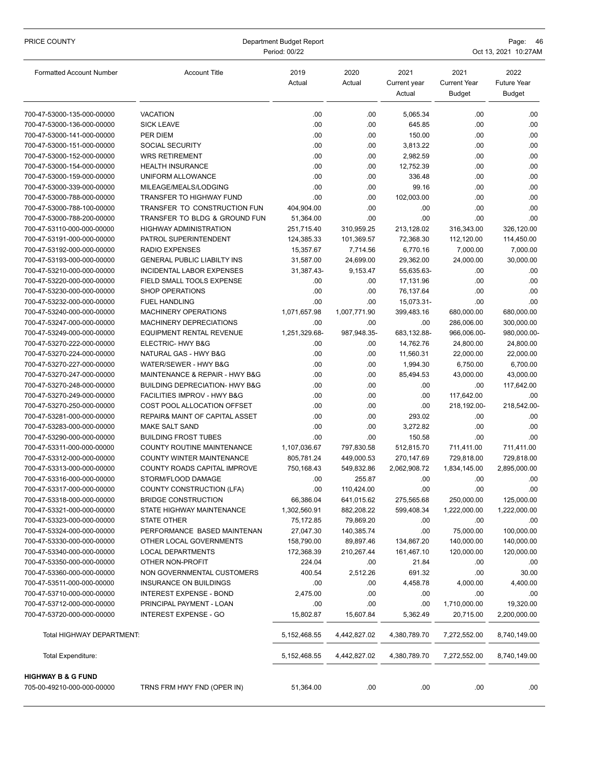| PRICE COUNTY                                             | Department Budget Report<br>Period: 00/22  |                |                |                                |                                              | Page: 46<br>Oct 13, 2021 10:27AM            |  |  |
|----------------------------------------------------------|--------------------------------------------|----------------|----------------|--------------------------------|----------------------------------------------|---------------------------------------------|--|--|
| <b>Formatted Account Number</b>                          | <b>Account Title</b>                       | 2019<br>Actual | 2020<br>Actual | 2021<br>Current year<br>Actual | 2021<br><b>Current Year</b><br><b>Budget</b> | 2022<br><b>Future Year</b><br><b>Budget</b> |  |  |
| 700-47-53000-135-000-00000                               | <b>VACATION</b>                            | .00            | .00            | 5,065.34                       | .00                                          | .00                                         |  |  |
| 700-47-53000-136-000-00000                               | <b>SICK LEAVE</b>                          | .00            | .00            | 645.85                         | .00                                          | .00                                         |  |  |
| 700-47-53000-141-000-00000                               | <b>PER DIEM</b>                            | .00            | .00            | 150.00                         | .00.                                         | .00                                         |  |  |
| 700-47-53000-151-000-00000                               | SOCIAL SECURITY                            | .00            | .00            | 3,813.22                       | .00.                                         | .00                                         |  |  |
| 700-47-53000-152-000-00000                               | <b>WRS RETIREMENT</b>                      | .00            | .00            | 2,982.59                       | .00                                          | .00                                         |  |  |
| 700-47-53000-154-000-00000                               | <b>HEALTH INSURANCE</b>                    | .00            | .00            | 12,752.39                      | .00                                          | .00                                         |  |  |
| 700-47-53000-159-000-00000                               | UNIFORM ALLOWANCE                          | .00            | .00            | 336.48                         | .00                                          | .00                                         |  |  |
| 700-47-53000-339-000-00000                               | MILEAGE/MEALS/LODGING                      | .00            | .00            | 99.16                          | .00.                                         | .00                                         |  |  |
| 700-47-53000-788-000-00000                               | TRANSFER TO HIGHWAY FUND                   | .00            | .00            | 102,003.00                     | .00.                                         | .00                                         |  |  |
| 700-47-53000-788-100-00000                               | TRANSFER TO CONSTRUCTION FUN               | 404,904.00     | .00            | .00                            | .00                                          | .00                                         |  |  |
| 700-47-53000-788-200-00000                               | TRANSFER TO BLDG & GROUND FUN              | 51,364.00      | .00            | .00                            | .00                                          | .00                                         |  |  |
| 700-47-53110-000-000-00000                               | <b>HIGHWAY ADMINISTRATION</b>              | 251,715.40     | 310,959.25     | 213,128.02                     | 316,343.00                                   | 326,120.00                                  |  |  |
| 700-47-53191-000-000-00000                               | PATROL SUPERINTENDENT                      | 124,385.33     | 101,369.57     | 72,368.30                      | 112,120.00                                   | 114,450.00                                  |  |  |
| 700-47-53192-000-000-00000                               | <b>RADIO EXPENSES</b>                      | 15,357.67      | 7,714.56       | 6,770.16                       | 7,000.00                                     | 7,000.00                                    |  |  |
| 700-47-53193-000-000-00000                               | <b>GENERAL PUBLIC LIABILTY INS</b>         | 31,587.00      | 24,699.00      | 29,362.00                      | 24,000.00                                    | 30,000.00                                   |  |  |
| 700-47-53210-000-000-00000                               | <b>INCIDENTAL LABOR EXPENSES</b>           | 31,387.43-     | 9,153.47       | 55,635.63-                     | .00.                                         | .00                                         |  |  |
| 700-47-53220-000-000-00000                               | FIELD SMALL TOOLS EXPENSE                  | .00.           | .00            | 17,131.96                      | .00                                          | .00                                         |  |  |
| 700-47-53230-000-000-00000                               | SHOP OPERATIONS                            | .00            | .00            | 76,137.64                      | .00                                          | .00                                         |  |  |
| 700-47-53232-000-000-00000                               | <b>FUEL HANDLING</b>                       | .00            | .00            | 15,073.31-                     | .00                                          | .00                                         |  |  |
| 700-47-53240-000-000-00000                               | MACHINERY OPERATIONS                       | 1,071,657.98   | 1,007,771.90   | 399,483.16                     | 680,000.00                                   | 680,000.00                                  |  |  |
| 700-47-53247-000-000-00000                               | MACHINERY DEPRECIATIONS                    | .00            | .00            | .00                            | 286,006.00                                   | 300,000.00                                  |  |  |
| 700-47-53249-000-000-00000                               | EQUIPMENT RENTAL REVENUE                   | 1,251,329.68-  | 987,948.35-    | 683,132.88-                    | 966,006.00-                                  | 980,000.00-                                 |  |  |
| 700-47-53270-222-000-00000<br>700-47-53270-224-000-00000 | ELECTRIC- HWY B&G<br>NATURAL GAS - HWY B&G | .00<br>.00     | .00            | 14,762.76                      | 24,800.00                                    | 24,800.00                                   |  |  |
| 700-47-53270-227-000-00000                               | WATER/SEWER - HWY B&G                      | .00.           | .00<br>.00     | 11,560.31<br>1,994.30          | 22,000.00<br>6,750.00                        | 22,000.00<br>6,700.00                       |  |  |
| 700-47-53270-247-000-00000                               | MAINTENANCE & REPAIR - HWY B&G             | .00            | .00            | 85,494.53                      | 43,000.00                                    | 43,000.00                                   |  |  |
| 700-47-53270-248-000-00000                               | BUILDING DEPRECIATION- HWY B&G             | .00            | .00            | .00                            | .00.                                         | 117,642.00                                  |  |  |
| 700-47-53270-249-000-00000                               | FACILITIES IMPROV - HWY B&G                | .00.           | .00            | .00                            | 117,642.00                                   | .00.                                        |  |  |
| 700-47-53270-250-000-00000                               | COST POOL ALLOCATION OFFSET                | .00            | .00            | .00                            | 218,192.00-                                  | 218,542.00-                                 |  |  |
| 700-47-53281-000-000-00000                               | REPAIR& MAINT OF CAPITAL ASSET             | .00.           | .00            | 293.02                         | .00.                                         | .00.                                        |  |  |
| 700-47-53283-000-000-00000                               | <b>MAKE SALT SAND</b>                      | .00            | .00            | 3,272.82                       | .00                                          | .00                                         |  |  |
| 700-47-53290-000-000-00000                               | <b>BUILDING FROST TUBES</b>                | .00            | .00            | 150.58                         | .00                                          | .00                                         |  |  |
| 700-47-53311-000-000-00000                               | COUNTY ROUTINE MAINTENANCE                 | 1,107,036.67   | 797,830.58     | 512,815.70                     | 711,411.00                                   | 711,411.00                                  |  |  |
| 700-47-53312-000-000-00000                               | COUNTY WINTER MAINTENANCE                  | 805,781.24     | 449,000.53     | 270,147.69                     | 729.818.00                                   | 729,818.00                                  |  |  |
| 700-47-53313-000-000-00000                               | COUNTY ROADS CAPITAL IMPROVE               | 750,168.43     | 549,832.86     | 2,062,908.72                   | 1,834,145.00                                 | 2,895,000.00                                |  |  |
| 700-47-53316-000-000-00000                               | STORM/FLOOD DAMAGE                         | .00            | 255.87         | .00                            | .00                                          | .00                                         |  |  |
| 700-47-53317-000-000-00000                               | COUNTY CONSTRUCTION (LFA)                  | .00.           | 110,424.00     | .00                            | .00                                          | .00                                         |  |  |
| 700-47-53318-000-000-00000                               | <b>BRIDGE CONSTRUCTION</b>                 | 66,386.04      | 641,015.62     | 275,565.68                     | 250,000.00                                   | 125,000.00                                  |  |  |
| 700-47-53321-000-000-00000                               | STATE HIGHWAY MAINTENANCE                  | 1,302,560.91   | 882,208.22     | 599,408.34                     | 1,222,000.00                                 | 1,222,000.00                                |  |  |
| 700-47-53323-000-000-00000                               | <b>STATE OTHER</b>                         | 75,172.85      | 79,869.20      | .00                            | .00.                                         | .00                                         |  |  |
| 700-47-53324-000-000-00000                               | PERFORMANCE BASED MAINTENAN                | 27,047.30      | 140,385.74     | .00                            | 75,000.00                                    | 100,000.00                                  |  |  |
| 700-47-53330-000-000-00000                               | OTHER LOCAL GOVERNMENTS                    | 158,790.00     | 89,897.46      | 134,867.20                     | 140,000.00                                   | 140,000.00                                  |  |  |
| 700-47-53340-000-000-00000                               | <b>LOCAL DEPARTMENTS</b>                   | 172,368.39     | 210,267.44     | 161,467.10                     | 120,000.00                                   | 120,000.00                                  |  |  |
| 700-47-53350-000-000-00000                               | OTHER NON-PROFIT                           | 224.04         | .00            | 21.84                          | .00.                                         | .00                                         |  |  |
| 700-47-53360-000-000-00000                               | NON GOVERNMENTAL CUSTOMERS                 | 400.54         | 2,512.26       | 691.32                         | .00.                                         | 30.00                                       |  |  |
| 700-47-53511-000-000-00000                               | INSURANCE ON BUILDINGS                     | .00            | .00            | 4,458.78                       | 4,000.00                                     | 4,400.00                                    |  |  |
| 700-47-53710-000-000-00000                               | <b>INTEREST EXPENSE - BOND</b>             | 2,475.00       | .00            | .00                            | .00.                                         | .00                                         |  |  |
| 700-47-53712-000-000-00000                               | PRINCIPAL PAYMENT - LOAN                   | .00            | .00            | .00                            | 1,710,000.00                                 | 19,320.00                                   |  |  |
| 700-47-53720-000-000-00000                               | <b>INTEREST EXPENSE - GO</b>               | 15,802.87      | 15,607.84      | 5,362.49                       | 20,715.00                                    | 2,200,000.00                                |  |  |
| Total HIGHWAY DEPARTMENT:                                |                                            | 5, 152, 468.55 | 4,442,827.02   | 4,380,789.70                   | 7,272,552.00                                 | 8,740,149.00                                |  |  |
| Total Expenditure:                                       |                                            | 5, 152, 468.55 | 4,442,827.02   | 4,380,789.70                   | 7,272,552.00                                 | 8,740,149.00                                |  |  |
| <b>HIGHWAY B &amp; G FUND</b>                            |                                            |                |                |                                |                                              |                                             |  |  |
| 705-00-49210-000-000-00000                               | TRNS FRM HWY FND (OPER IN)                 | 51,364.00      | .00            | .00                            | .00.                                         | .00.                                        |  |  |